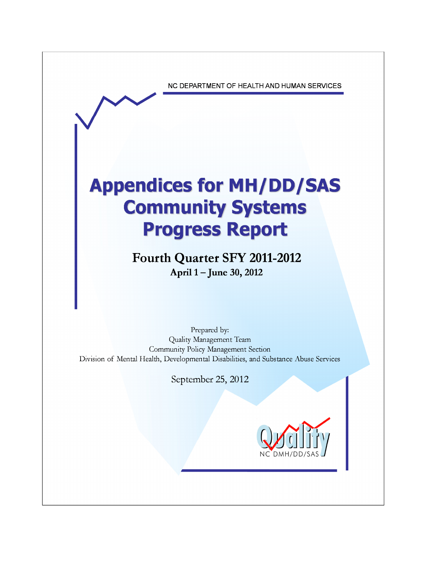NC DEPARTMENT OF HEALTH AND HUMAN SERVICES

# **Appendices for MH/DD/SAS Community Systems Progress Report**

**Fourth Quarter SFY 2011-2012** April 1 – June 30, 2012

Prepared by: Quality Management Team Community Policy Management Section Division of Mental Health, Developmental Disabilities, and Substance Abuse Services

September 25, 2012

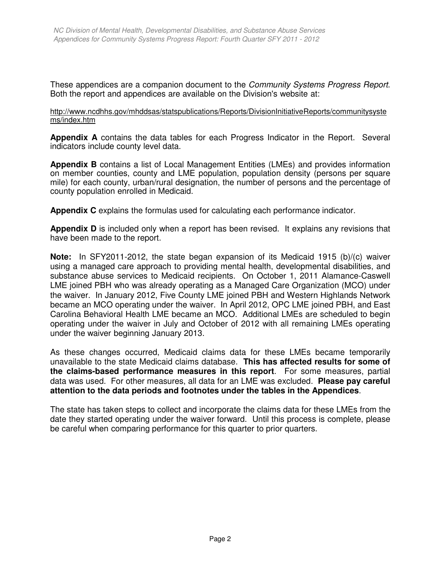These appendices are a companion document to the *Community Systems Progress Report*. Both the report and appendices are available on the Division's website at:

# http://www.ncdhhs.gov/mhddsas/statspublications/Reports/DivisionInitiativeReports/communitysyste ms/index.htm

**Appendix A** contains the data tables for each Progress Indicator in the Report. Several indicators include county level data.

**Appendix B** contains a list of Local Management Entities (LMEs) and provides information on member counties, county and LME population, population density (persons per square mile) for each county, urban/rural designation, the number of persons and the percentage of county population enrolled in Medicaid.

**Appendix C** explains the formulas used for calculating each performance indicator.

**Appendix D** is included only when a report has been revised. It explains any revisions that have been made to the report.

**Note:** In SFY2011-2012, the state began expansion of its Medicaid 1915 (b)/(c) waiver using a managed care approach to providing mental health, developmental disabilities, and substance abuse services to Medicaid recipients. On October 1, 2011 Alamance-Caswell LME joined PBH who was already operating as a Managed Care Organization (MCO) under the waiver. In January 2012, Five County LME joined PBH and Western Highlands Network became an MCO operating under the waiver. In April 2012, OPC LME joined PBH, and East Carolina Behavioral Health LME became an MCO. Additional LMEs are scheduled to begin operating under the waiver in July and October of 2012 with all remaining LMEs operating under the waiver beginning January 2013.

As these changes occurred, Medicaid claims data for these LMEs became temporarily unavailable to the state Medicaid claims database. **This has affected results for some of the claims-based performance measures in this report**. For some measures, partial data was used. For other measures, all data for an LME was excluded. **Please pay careful attention to the data periods and footnotes under the tables in the Appendices**.

The state has taken steps to collect and incorporate the claims data for these LMEs from the date they started operating under the waiver forward. Until this process is complete, please be careful when comparing performance for this quarter to prior quarters.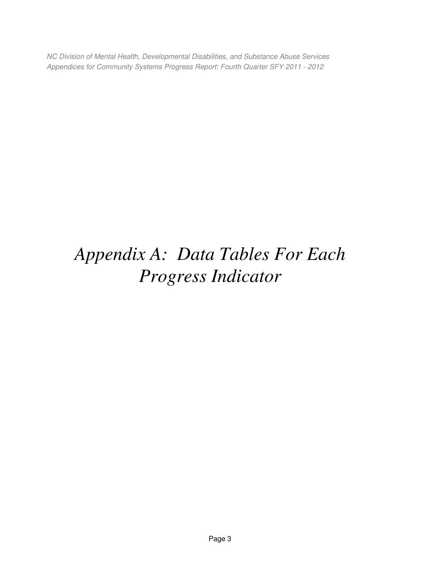# *Appendix A: Data Tables For Each Progress Indicator*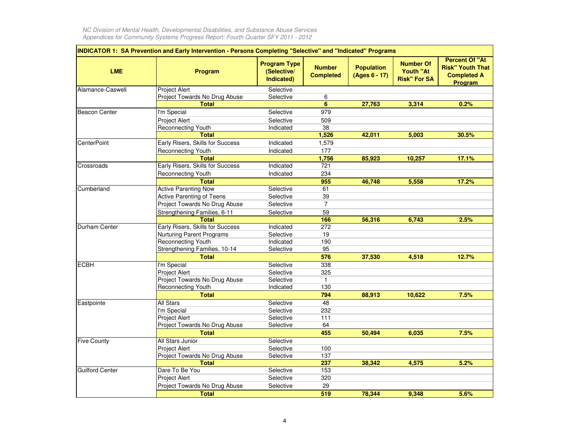| <b>LME</b>             | <b>Program</b>                   | <b>Program Type</b><br>(Selective/<br>Indicated) | <b>Number</b><br><b>Completed</b> | <b>Population</b><br>(Ages 6 - 17) | <b>Number Of</b><br>Youth "At<br><b>Risk" For SA</b> | <b>Percent Of "At</b><br><b>Risk" Youth That</b><br><b>Completed A</b><br>Program |
|------------------------|----------------------------------|--------------------------------------------------|-----------------------------------|------------------------------------|------------------------------------------------------|-----------------------------------------------------------------------------------|
| Alamance-Caswell       | Project Alert                    | Selective                                        |                                   |                                    |                                                      |                                                                                   |
|                        | Project Towards No Drug Abuse    | Selective                                        | 6                                 |                                    |                                                      |                                                                                   |
|                        | <b>Total</b>                     |                                                  | 6                                 | 27,763                             | 3,314                                                | 0.2%                                                                              |
| Beacon Center          | I'm Special                      | Selective                                        | 979                               |                                    |                                                      |                                                                                   |
|                        | <b>Project Alert</b>             | Selective                                        | 509                               |                                    |                                                      |                                                                                   |
|                        | Reconnecting Youth               | Indicated                                        | 38                                |                                    |                                                      |                                                                                   |
|                        | <b>Total</b>                     |                                                  | 1,526                             | 42,011                             | 5,003                                                | 30.5%                                                                             |
| <b>CenterPoint</b>     | Early Risers, Skills for Success | Indicated                                        | 1,579                             |                                    |                                                      |                                                                                   |
|                        | <b>Reconnecting Youth</b>        | Indicated                                        | 177                               |                                    |                                                      |                                                                                   |
|                        | <b>Total</b>                     |                                                  | 1,756                             | 85,923                             | 10,257                                               | 17.1%                                                                             |
| Crossroads             | Early Risers, Skills for Success | Indicated                                        | 721                               |                                    |                                                      |                                                                                   |
|                        | Reconnecting Youth               | Indicated                                        | 234                               |                                    |                                                      |                                                                                   |
|                        | <b>Total</b>                     |                                                  | 955                               | 46,748                             | 5,558                                                | 17.2%                                                                             |
| Cumberland             | <b>Active Parenting Now</b>      | Selective                                        | 61                                |                                    |                                                      |                                                                                   |
|                        | <b>Active Parenting of Teens</b> | Selective                                        | $\overline{39}$                   |                                    |                                                      |                                                                                   |
|                        | Project Towards No Drug Abuse    | Selective                                        | $\overline{7}$                    |                                    |                                                      |                                                                                   |
|                        | Strengthening Families, 6-11     | Selective                                        | 59                                |                                    |                                                      |                                                                                   |
|                        | <b>Total</b>                     |                                                  | 166                               | 56,316                             | 6,743                                                | 2.5%                                                                              |
| Durham Center          | Early Risers, Skills for Success | Indicated                                        | 272                               |                                    |                                                      |                                                                                   |
|                        | <b>Nurturing Parent Programs</b> | Selective                                        | 19                                |                                    |                                                      |                                                                                   |
|                        | <b>Reconnecting Youth</b>        | Indicated                                        | 190                               |                                    |                                                      |                                                                                   |
|                        | Strengthening Families, 10-14    | Selective                                        | 95                                |                                    |                                                      |                                                                                   |
|                        | <b>Total</b>                     |                                                  | 576                               | 37,530                             | 4,518                                                | 12.7%                                                                             |
| <b>ECBH</b>            | I'm Special                      | Selective                                        | 338                               |                                    |                                                      |                                                                                   |
|                        | Project Alert                    | Selective                                        | 325                               |                                    |                                                      |                                                                                   |
|                        | Project Towards No Drug Abuse    | Selective                                        | 1                                 |                                    |                                                      |                                                                                   |
|                        | Reconnecting Youth               | Indicated                                        | 130                               |                                    |                                                      |                                                                                   |
|                        | <b>Total</b>                     |                                                  | 794                               | 88,913                             | 10.622                                               | 7.5%                                                                              |
|                        | <b>All Stars</b>                 | Selective                                        | 48                                |                                    |                                                      |                                                                                   |
| Eastpointe             | I'm Special                      | Selective                                        | 232                               |                                    |                                                      |                                                                                   |
|                        | <b>Project Alert</b>             | Selective                                        | 111                               |                                    |                                                      |                                                                                   |
|                        | Project Towards No Drug Abuse    | Selective                                        | 64                                |                                    |                                                      |                                                                                   |
|                        |                                  |                                                  |                                   |                                    |                                                      |                                                                                   |
|                        | <b>Total</b>                     |                                                  | 455                               | 50,494                             | 6,035                                                | 7.5%                                                                              |
| <b>Five County</b>     | All Stars Junior                 | Selective                                        |                                   |                                    |                                                      |                                                                                   |
|                        | Project Alert                    | Selective                                        | 100<br>137                        |                                    |                                                      |                                                                                   |
|                        | Project Towards No Drug Abuse    | Selective                                        |                                   |                                    |                                                      |                                                                                   |
| <b>Guilford Center</b> | <b>Total</b><br>Dare To Be You   |                                                  | 237                               | 38,342                             | 4,575                                                | 5.2%                                                                              |
|                        |                                  | Selective                                        | 153                               |                                    |                                                      |                                                                                   |
|                        | Project Alert                    | Selective                                        | 320                               |                                    |                                                      |                                                                                   |
|                        | Project Towards No Drug Abuse    | Selective                                        | 29                                |                                    |                                                      |                                                                                   |
|                        | <b>Total</b>                     |                                                  | 519                               | 78,344                             | 9,348                                                | 5.6%                                                                              |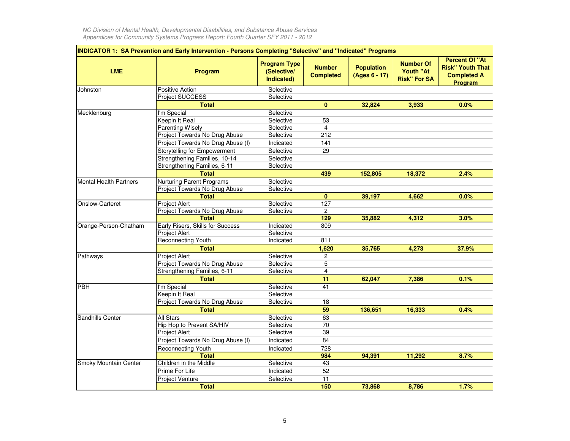| <b>LME</b>                    | INDICATOR 1: SA Prevention and Early Intervention - Persons Completing "Selective" and "Indicated" Programs<br>Program | <b>Program Type</b><br>(Selective/<br>Indicated) | <b>Number</b><br><b>Completed</b> | <b>Population</b><br>(Ages 6 - 17) | <b>Number Of</b><br>Youth "At<br><b>Risk" For SA</b> | <b>Percent Of "At</b><br><b>Risk" Youth That</b><br><b>Completed A</b><br>Program |
|-------------------------------|------------------------------------------------------------------------------------------------------------------------|--------------------------------------------------|-----------------------------------|------------------------------------|------------------------------------------------------|-----------------------------------------------------------------------------------|
| Johnston                      | Positive Action                                                                                                        | Selective                                        |                                   |                                    |                                                      |                                                                                   |
|                               | Project SUCCESS                                                                                                        | Selective                                        |                                   |                                    |                                                      |                                                                                   |
|                               | <b>Total</b>                                                                                                           |                                                  | $\mathbf{0}$                      | 32,824                             | 3,933                                                | 0.0%                                                                              |
| Mecklenburg                   | I'm Special                                                                                                            | Selective                                        |                                   |                                    |                                                      |                                                                                   |
|                               | Keepin It Real                                                                                                         | Selective                                        | 53                                |                                    |                                                      |                                                                                   |
|                               | <b>Parenting Wisely</b>                                                                                                | Selective                                        | $\overline{4}$                    |                                    |                                                      |                                                                                   |
|                               | Project Towards No Drug Abuse                                                                                          | Selective                                        | 212                               |                                    |                                                      |                                                                                   |
|                               | Project Towards No Drug Abuse (I)                                                                                      | Indicated                                        | 141                               |                                    |                                                      |                                                                                   |
|                               | <b>Storytelling for Empowerment</b>                                                                                    | Selective                                        | 29                                |                                    |                                                      |                                                                                   |
|                               | Strengthening Families, 10-14                                                                                          | Selective                                        |                                   |                                    |                                                      |                                                                                   |
|                               | Strengthening Families, 6-11                                                                                           | Selective                                        |                                   |                                    |                                                      |                                                                                   |
|                               | <b>Total</b>                                                                                                           |                                                  | 439                               | 152,805                            | 18,372                                               | 2.4%                                                                              |
| <b>Mental Health Partners</b> | <b>Nurturing Parent Programs</b>                                                                                       | Selective                                        |                                   |                                    |                                                      |                                                                                   |
|                               | Project Towards No Drug Abuse                                                                                          | Selective                                        |                                   |                                    |                                                      |                                                                                   |
|                               | <b>Total</b>                                                                                                           |                                                  | $\bf{0}$                          | 39,197                             | 4.662                                                | 0.0%                                                                              |
| Onslow-Carteret               | <b>Project Alert</b>                                                                                                   | Selective                                        | 127                               |                                    |                                                      |                                                                                   |
|                               | Project Towards No Drug Abuse                                                                                          | Selective                                        | 2                                 |                                    |                                                      |                                                                                   |
|                               | <b>Total</b>                                                                                                           |                                                  | 129                               | 35,882                             | 4,312                                                | 3.0%                                                                              |
| Orange-Person-Chatham         | Early Risers, Skills for Success                                                                                       | Indicated                                        | 809                               |                                    |                                                      |                                                                                   |
|                               | <b>Project Alert</b>                                                                                                   | Selective                                        |                                   |                                    |                                                      |                                                                                   |
|                               | Reconnecting Youth                                                                                                     | Indicated                                        | 811                               |                                    |                                                      |                                                                                   |
|                               | <b>Total</b>                                                                                                           |                                                  | 1,620                             | 35,765                             | 4,273                                                | 37.9%                                                                             |
| Pathways                      | Project Alert                                                                                                          | Selective                                        | $\overline{c}$                    |                                    |                                                      |                                                                                   |
|                               | Project Towards No Drug Abuse                                                                                          | Selective                                        | 5                                 |                                    |                                                      |                                                                                   |
|                               | Strengthening Families, 6-11                                                                                           | Selective                                        | $\overline{4}$                    |                                    |                                                      |                                                                                   |
|                               | <b>Total</b>                                                                                                           |                                                  | 11                                | 62,047                             | 7,386                                                | 0.1%                                                                              |
| PBH                           | I'm Special                                                                                                            | Selective                                        | 41                                |                                    |                                                      |                                                                                   |
|                               | Keepin It Real                                                                                                         | Selective                                        |                                   |                                    |                                                      |                                                                                   |
|                               | Project Towards No Drug Abuse                                                                                          | Selective                                        | 18                                |                                    |                                                      |                                                                                   |
|                               | <b>Total</b>                                                                                                           |                                                  | 59                                | 136,651                            | 16,333                                               | 0.4%                                                                              |
| Sandhills Center              | <b>All Stars</b>                                                                                                       | Selective                                        | 63                                |                                    |                                                      |                                                                                   |
|                               | Hip Hop to Prevent SA/HIV                                                                                              | Selective                                        | 70                                |                                    |                                                      |                                                                                   |
|                               | Project Alert                                                                                                          | Selective                                        | 39                                |                                    |                                                      |                                                                                   |
|                               | Project Towards No Drug Abuse (I)                                                                                      | Indicated                                        | 84                                |                                    |                                                      |                                                                                   |
|                               | Reconnecting Youth                                                                                                     | Indicated                                        | 728                               |                                    |                                                      |                                                                                   |
|                               | <b>Total</b>                                                                                                           |                                                  | 984                               | 94,391                             | 11,292                                               | 8.7%                                                                              |
| Smoky Mountain Center         | Children in the Middle                                                                                                 | Selective                                        | 43                                |                                    |                                                      |                                                                                   |
|                               | Prime For Life                                                                                                         | Indicated                                        | 52                                |                                    |                                                      |                                                                                   |
|                               | Project Venture                                                                                                        | Selective                                        | 11                                |                                    |                                                      |                                                                                   |
|                               | <b>Total</b>                                                                                                           |                                                  | 150                               | 73,868                             | 8,786                                                | 1.7%                                                                              |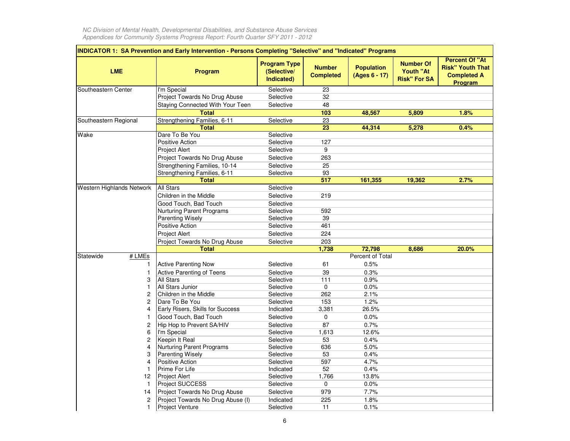|                           | INDICATOR 1: SA Prevention and Early Intervention - Persons Completing "Selective" and "Indicated" Programs |                                                  |                                   |                                    |                                                             |                                                                                          |  |  |  |  |  |  |  |
|---------------------------|-------------------------------------------------------------------------------------------------------------|--------------------------------------------------|-----------------------------------|------------------------------------|-------------------------------------------------------------|------------------------------------------------------------------------------------------|--|--|--|--|--|--|--|
| <b>LME</b>                | <b>Program</b>                                                                                              | <b>Program Type</b><br>(Selective/<br>Indicated) | <b>Number</b><br><b>Completed</b> | <b>Population</b><br>(Ages 6 - 17) | <b>Number Of</b><br><b>Youth "At</b><br><b>Risk" For SA</b> | <b>Percent Of "At</b><br><b>Risk" Youth That</b><br><b>Completed A</b><br><b>Program</b> |  |  |  |  |  |  |  |
| Southeastern Center       | I'm Special                                                                                                 | Selective                                        | 23                                |                                    |                                                             |                                                                                          |  |  |  |  |  |  |  |
|                           | Project Towards No Drug Abuse                                                                               | Selective                                        | 32                                |                                    |                                                             |                                                                                          |  |  |  |  |  |  |  |
|                           | Staying Connected With Your Teen                                                                            | Selective                                        | 48                                |                                    |                                                             |                                                                                          |  |  |  |  |  |  |  |
|                           | <b>Total</b>                                                                                                |                                                  | 103                               | 48,567                             | 5,809                                                       | 1.8%                                                                                     |  |  |  |  |  |  |  |
| Southeastern Regional     | Strengthening Families, 6-11                                                                                | Selective                                        | $\overline{23}$                   |                                    |                                                             |                                                                                          |  |  |  |  |  |  |  |
|                           | <b>Total</b>                                                                                                |                                                  | 23                                | 44,314                             | 5,278                                                       | 0.4%                                                                                     |  |  |  |  |  |  |  |
| Wake                      | Dare To Be You                                                                                              | Selective                                        |                                   |                                    |                                                             |                                                                                          |  |  |  |  |  |  |  |
|                           | Positive Action                                                                                             | Selective                                        | 127                               |                                    |                                                             |                                                                                          |  |  |  |  |  |  |  |
|                           | Project Alert                                                                                               | Selective                                        | 9                                 |                                    |                                                             |                                                                                          |  |  |  |  |  |  |  |
|                           | Project Towards No Drug Abuse                                                                               | Selective                                        | 263                               |                                    |                                                             |                                                                                          |  |  |  |  |  |  |  |
|                           | Strengthening Families, 10-14                                                                               | Selective                                        | 25                                |                                    |                                                             |                                                                                          |  |  |  |  |  |  |  |
|                           | Strengthening Families, 6-11                                                                                | Selective                                        | 93                                |                                    |                                                             |                                                                                          |  |  |  |  |  |  |  |
|                           | <b>Total</b>                                                                                                |                                                  | 517                               | 161,355                            | 19,362                                                      | 2.7%                                                                                     |  |  |  |  |  |  |  |
| Western Highlands Network | All Stars                                                                                                   | Selective                                        |                                   |                                    |                                                             |                                                                                          |  |  |  |  |  |  |  |
|                           | Children in the Middle                                                                                      | Selective                                        | 219                               |                                    |                                                             |                                                                                          |  |  |  |  |  |  |  |
|                           | Good Touch, Bad Touch                                                                                       | Selective                                        |                                   |                                    |                                                             |                                                                                          |  |  |  |  |  |  |  |
|                           | <b>Nurturing Parent Programs</b>                                                                            | Selective                                        | 592                               |                                    |                                                             |                                                                                          |  |  |  |  |  |  |  |
|                           | Parenting Wisely                                                                                            | Selective                                        | 39                                |                                    |                                                             |                                                                                          |  |  |  |  |  |  |  |
|                           | Positive Action                                                                                             | Selective                                        | 461                               |                                    |                                                             |                                                                                          |  |  |  |  |  |  |  |
|                           | <b>Project Alert</b>                                                                                        | Selective                                        | 224                               |                                    |                                                             |                                                                                          |  |  |  |  |  |  |  |
|                           | Project Towards No Drug Abuse                                                                               | Selective                                        | 203                               |                                    |                                                             |                                                                                          |  |  |  |  |  |  |  |
|                           | <b>Total</b>                                                                                                |                                                  | 1,738                             | 72,798                             | 8,686                                                       | 20.0%                                                                                    |  |  |  |  |  |  |  |
| # LMEs<br>Statewide       |                                                                                                             |                                                  |                                   | Percent of Total                   |                                                             |                                                                                          |  |  |  |  |  |  |  |
| 1                         | <b>Active Parenting Now</b>                                                                                 | Selective                                        | 61                                | 0.5%                               |                                                             |                                                                                          |  |  |  |  |  |  |  |
| 1                         | <b>Active Parenting of Teens</b>                                                                            | Selective                                        | 39                                | 0.3%                               |                                                             |                                                                                          |  |  |  |  |  |  |  |
| 3                         | All Stars                                                                                                   | Selective                                        | 111                               | 0.9%                               |                                                             |                                                                                          |  |  |  |  |  |  |  |
| 1                         | All Stars Junior                                                                                            | Selective                                        | $\mathbf 0$                       | 0.0%                               |                                                             |                                                                                          |  |  |  |  |  |  |  |
| 2                         | Children in the Middle                                                                                      | Selective                                        | 262                               | 2.1%                               |                                                             |                                                                                          |  |  |  |  |  |  |  |
| $\overline{c}$            | Dare To Be You                                                                                              | Selective                                        | 153                               | 1.2%                               |                                                             |                                                                                          |  |  |  |  |  |  |  |
| 4                         | Early Risers, Skills for Success                                                                            | Indicated                                        | 3,381                             | 26.5%                              |                                                             |                                                                                          |  |  |  |  |  |  |  |
|                           | Good Touch, Bad Touch                                                                                       | Selective                                        | 0                                 | 0.0%                               |                                                             |                                                                                          |  |  |  |  |  |  |  |
| 2                         | Hip Hop to Prevent SA/HIV                                                                                   | Selective                                        | 87                                | 0.7%                               |                                                             |                                                                                          |  |  |  |  |  |  |  |
| 6                         | I'm Special                                                                                                 | Selective                                        | 1,613                             | 12.6%                              |                                                             |                                                                                          |  |  |  |  |  |  |  |
| 2                         | Keepin It Real                                                                                              | Selective                                        | 53                                | 0.4%                               |                                                             |                                                                                          |  |  |  |  |  |  |  |
| 4                         | <b>Nurturing Parent Programs</b>                                                                            | Selective                                        | 636                               | 5.0%                               |                                                             |                                                                                          |  |  |  |  |  |  |  |
| 3                         | <b>Parenting Wisely</b>                                                                                     | Selective                                        | 53                                | 0.4%                               |                                                             |                                                                                          |  |  |  |  |  |  |  |
| 4                         | <b>Positive Action</b>                                                                                      | Selective                                        | 597                               | 4.7%                               |                                                             |                                                                                          |  |  |  |  |  |  |  |
|                           | Prime For Life                                                                                              | Indicated                                        | 52                                | 0.4%                               |                                                             |                                                                                          |  |  |  |  |  |  |  |
| 12                        | <b>Project Alert</b>                                                                                        | Selective                                        | 1,766                             | 13.8%                              |                                                             |                                                                                          |  |  |  |  |  |  |  |
| -1                        | <b>Project SUCCESS</b>                                                                                      | Selective                                        | 0                                 | 0.0%                               |                                                             |                                                                                          |  |  |  |  |  |  |  |
| 14                        | Project Towards No Drug Abuse                                                                               | Selective                                        | 979                               | 7.7%                               |                                                             |                                                                                          |  |  |  |  |  |  |  |
| $\overline{c}$            | Project Towards No Drug Abuse (I)                                                                           | Indicated                                        | 225                               | 1.8%                               |                                                             |                                                                                          |  |  |  |  |  |  |  |
| 1.                        | <b>Project Venture</b>                                                                                      | Selective                                        | 11                                | 0.1%                               |                                                             |                                                                                          |  |  |  |  |  |  |  |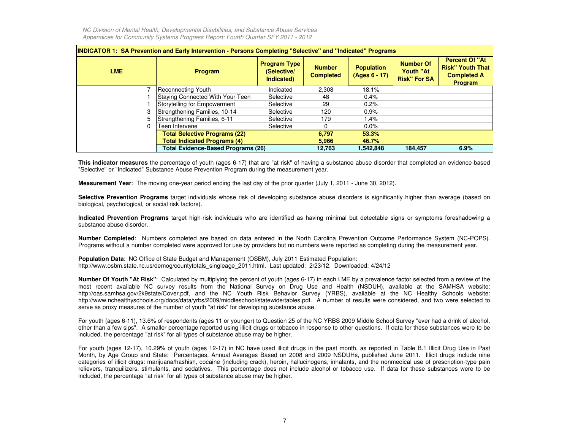| <b>INDICATOR 1: SA Prevention and Early Intervention - Persons Completing "Selective" and "Indicated" Programs</b> |                                           |                                                  |                                   |                                    |                                                             |                                                                                          |  |  |  |  |  |  |  |
|--------------------------------------------------------------------------------------------------------------------|-------------------------------------------|--------------------------------------------------|-----------------------------------|------------------------------------|-------------------------------------------------------------|------------------------------------------------------------------------------------------|--|--|--|--|--|--|--|
| <b>LME</b>                                                                                                         | Program                                   | <b>Program Type</b><br>(Selective/<br>Indicated) | <b>Number</b><br><b>Completed</b> | <b>Population</b><br>(Ages 6 - 17) | <b>Number Of</b><br><b>Youth "At</b><br><b>Risk" For SA</b> | <b>Percent Of "At</b><br><b>Risk" Youth That</b><br><b>Completed A</b><br><b>Program</b> |  |  |  |  |  |  |  |
|                                                                                                                    | Reconnecting Youth                        | Indicated                                        | 2,308                             | 18.1%                              |                                                             |                                                                                          |  |  |  |  |  |  |  |
|                                                                                                                    | <b>Staying Connected With Your Teen</b>   | Selective                                        | 48                                | 0.4%                               |                                                             |                                                                                          |  |  |  |  |  |  |  |
|                                                                                                                    | Storytelling for Empowerment              | Selective                                        | 29                                | 0.2%                               |                                                             |                                                                                          |  |  |  |  |  |  |  |
|                                                                                                                    | Strengthening Families, 10-14             | Selective                                        | 120                               | 0.9%                               |                                                             |                                                                                          |  |  |  |  |  |  |  |
|                                                                                                                    | Strengthening Families, 6-11              | Selective                                        | 179                               | 1.4%                               |                                                             |                                                                                          |  |  |  |  |  |  |  |
|                                                                                                                    | Teen Intervene                            | Selective                                        | $\Omega$                          | $0.0\%$                            |                                                             |                                                                                          |  |  |  |  |  |  |  |
|                                                                                                                    | <b>Total Selective Programs (22)</b>      |                                                  | 6,797                             | 53.3%                              |                                                             |                                                                                          |  |  |  |  |  |  |  |
|                                                                                                                    | <b>Total Indicated Programs (4)</b>       |                                                  | 5,966                             | 46.7%                              |                                                             |                                                                                          |  |  |  |  |  |  |  |
|                                                                                                                    | <b>Total Evidence-Based Programs (26)</b> |                                                  | 12,763                            | 1,542,848                          | 184,457                                                     | 6.9%                                                                                     |  |  |  |  |  |  |  |

**This indicator measures** the percentage of youth (ages 6-17) that are "at risk" of having <sup>a</sup> substance abuse disorder that completed an evidence-based "Selective" or "Indicated" Substance Abuse Prevention Program during the measurement year.

**Measurement Year**: The moving one-year period ending the last day of the prior quarter (July 1, 2011 - June 30, 2012).

**Selective Prevention Programs** target individuals whose risk of developing substance abuse disorders is significantly higher than average (based on biological, psychological, or social risk factors).

**Indicated Prevention Programs** target high-risk individuals who are identified as having minimal but detectable signs or symptoms foreshadowing <sup>a</sup> substance abuse disorder.

**Number Completed**: Numbers completed are based on data entered in the North Carolina Prevention Outcome Performance System (NC-POPS). Programs without <sup>a</sup> number completed were approved for use by providers but no numbers were reported as completing during the measurement year.

**Population Data**: NC Office of State Budget and Management (OSBM), July 2011 Estimated Population: http://www.osbm.state.nc.us/demog/countytotals\_singleage\_2011.html. Last updated: 2/23/12. Downloaded: 4/24/12

**Number Of Youth "At Risk"**: Calculated by multiplying the percent of youth (ages 6-17) in each LME by <sup>a</sup> prevalence factor selected from <sup>a</sup> review of the most recent available NC survey results from the National Survey on Drug Use and Health (NSDUH), available at the SAMHSA website: http://oas.samhsa.gov/2k9state/Cover.pdf, and the NC Youth Risk Behavior Survey (YRBS), available at the NC Healthy Schools website: http://www.nchealthyschools.org/docs/data/yrbs/2009/middleschool/statewide/tables.pdf. A number of results were considered, and two were selected toserve as proxy measures of the number of youth "at risk" for developing substance abuse.

For youth (ages 6-11), 13.6% of respondents (ages <sup>11</sup> or younger) to Question 25 of the NC YRBS 2009 Middle School Survey "ever had <sup>a</sup> drink of alcohol, other than <sup>a</sup> few sips". A smaller percentage reported using illicit drugs or tobacco in response to other questions. If data for these substances were to beincluded, the percentage "at risk" for all types of substance abuse may be higher.

For youth (ages 12-17), 10.29% of youth (ages 12-17) in NC have used illicit drugs in the past month, as reported in Table B.1 Illicit Drug Use in Past Month, by Age Group and State: Percentages, Annual Averages Based on 2008 and 2009 NSDUHs, published June 2011. Illicit drugs include nine categories of illicit drugs: marijuana/hashish, cocaine (including crack), heroin, hallucinogens, inhalants, and the nonmedical use of prescription-type pain relievers, tranquilizers, stimulants, and sedatives. This percentage does not include alcohol or tobacco use. If data for these substances were to beincluded, the percentage "at risk" for all types of substance abuse may be higher.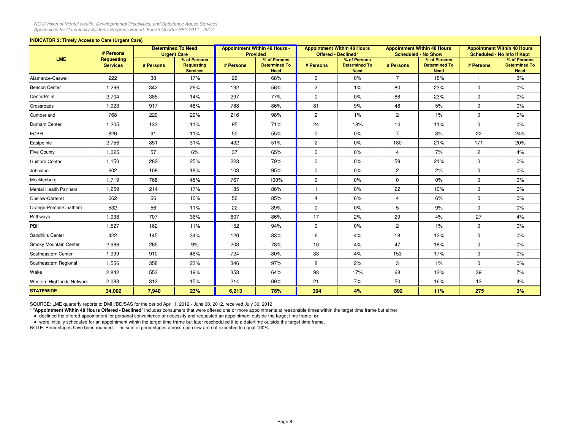| <b>INDICATOR 2: Timely Access to Care (Urgent Care)</b> |                                      |           |                                                 |           |                                                         |                     |                                                     |                      |                                                                  |                |                                                                          |
|---------------------------------------------------------|--------------------------------------|-----------|-------------------------------------------------|-----------|---------------------------------------------------------|---------------------|-----------------------------------------------------|----------------------|------------------------------------------------------------------|----------------|--------------------------------------------------------------------------|
|                                                         | # Persons                            |           | <b>Determined To Need</b><br><b>Urgent Care</b> |           | <b>Appointment Within 48 Hours -</b><br><b>Provided</b> | Offered - Declined* | <b>Appointment Within 48 Hours</b>                  |                      | <b>Appointment Within 48 Hours</b><br><b>Scheduled - No Show</b> |                | <b>Appointment Within 48 Hours</b><br><b>Scheduled - No Info If Kept</b> |
| <b>LME</b>                                              | <b>Requesting</b><br><b>Services</b> | # Persons | % of Persons<br>Requesting<br><b>Services</b>   | # Persons | % of Persons<br><b>Determined To</b><br><b>Need</b>     | # Persons           | % of Persons<br><b>Determined To</b><br><b>Need</b> | # Persons            | % of Persons<br><b>Determined To</b><br><b>Need</b>              | # Persons      | % of Persons<br><b>Determined To</b><br><b>Need</b>                      |
| Alamance-Caswell                                        | 222                                  | 38        | 17%                                             | 26        | 68%                                                     | $\mathbf 0$         | 0%                                                  | $\overline{7}$       | 18%                                                              | $\mathbf{1}$   | 3%                                                                       |
| <b>Beacon Center</b>                                    | 1,296                                | 342       | 26%                                             | 192       | 56%                                                     | $\mathbf{2}$        | $1\%$                                               | 80                   | 23%                                                              | $\mathbf 0$    | $0\%$                                                                    |
| <b>CenterPoint</b>                                      | 2,704                                | 385       | 14%                                             | 297       | 77%                                                     | 0                   | 0%                                                  | 88                   | 23%                                                              | 0              | $0\%$                                                                    |
| Crossroads                                              | 1,923                                | 917       | 48%                                             | 788       | 86%                                                     | 81                  | 9%                                                  | 48                   | 5%                                                               | $\mathbf 0$    | 0%                                                                       |
| Cumberland                                              | 768                                  | 220       | 29%                                             | 216       | 98%                                                     | $\overline{c}$      | $1\%$                                               | $\overline{c}$       | $1\%$                                                            | 0              | $0\%$                                                                    |
| Durham Center                                           | 1,205                                | 133       | 11%                                             | 95        | 71%                                                     | 24                  | 18%                                                 | 14                   | 11%                                                              | $\mathbf 0$    | 0%                                                                       |
| <b>ECBH</b>                                             | 826                                  | 91        | 11%                                             | 50        | 55%                                                     | $\mathbf 0$         | 0%                                                  | $\overline{7}$       | 8%                                                               | 22             | 24%                                                                      |
| Eastpointe                                              | 2,756                                | 851       | 31%                                             | 432       | 51%                                                     | $\overline{c}$      | $0\%$                                               | 180                  | 21%                                                              | 171            | 20%                                                                      |
| <b>Five County</b>                                      | 1,025                                | 57        | 6%                                              | 37        | 65%                                                     | $\mathbf 0$         | 0%                                                  | $\overline{4}$       | 7%                                                               | $\overline{c}$ | 4%                                                                       |
| <b>Guilford Center</b>                                  | 1,150                                | 282       | 25%                                             | 223       | 79%                                                     | $\mathbf 0$         | 0%                                                  | 59                   | 21%                                                              | $\mathbf 0$    | 0%                                                                       |
| Johnston                                                | 602                                  | 108       | 18%                                             | 103       | 95%                                                     | $\mathbf 0$         | 0%                                                  | $\mathbf{2}^{\circ}$ | 2%                                                               | $\mathbf 0$    | $0\%$                                                                    |
| Mecklenburg                                             | 1,719                                | 768       | 45%                                             | 767       | 100%                                                    | $\mathbf 0$         | 0%                                                  | $\mathbf 0$          | 0%                                                               | $\mathbf 0$    | 0%                                                                       |
| <b>Mental Health Partners</b>                           | 1,259                                | 214       | 17%                                             | 185       | 86%                                                     | $\mathbf{1}$        | 0%                                                  | 22                   | 10%                                                              | $\mathbf 0$    | 0%                                                                       |
| Onslow-Carteret                                         | 662                                  | 66        | 10%                                             | 56        | 85%                                                     | $\overline{4}$      | 6%                                                  | $\overline{4}$       | 6%                                                               | $\mathbf 0$    | $0\%$                                                                    |
| Orange-Person-Chatham                                   | 532                                  | 56        | 11%                                             | 22        | 39%                                                     | $\mathbf 0$         | 0%                                                  | 5                    | 9%                                                               | $\mathbf 0$    | 0%                                                                       |
| Pathways                                                | 1,938                                | 707       | 36%                                             | 607       | 86%                                                     | 17                  | 2%                                                  | 29                   | 4%                                                               | 27             | 4%                                                                       |
| PBH                                                     | 1,527                                | 162       | 11%                                             | 152       | 94%                                                     | $\mathbf 0$         | $0\%$                                               | $\overline{2}$       | $1\%$                                                            | $\mathbf 0$    | $0\%$                                                                    |
| Sandhills Center                                        | 422                                  | 145       | 34%                                             | 120       | 83%                                                     | 6                   | 4%                                                  | 18                   | 12%                                                              | $\mathbf 0$    | 0%                                                                       |
| Smoky Mountain Center                                   | 2,986                                | 265       | 9%                                              | 208       | 78%                                                     | 10                  | 4%                                                  | 47                   | 18%                                                              | 0              | 0%                                                                       |
| Southeastern Center                                     | 1,999                                | 910       | 46%                                             | 724       | 80%                                                     | 33                  | 4%                                                  | 153                  | 17%                                                              | $\mathbf 0$    | $0\%$                                                                    |
| Southeastern Regional                                   | 1,556                                | 358       | 23%                                             | 346       | 97%                                                     | 8                   | 2%                                                  | 3                    | 1%                                                               | $\mathbf 0$    | $0\%$                                                                    |
| Wake                                                    | 2,842                                | 553       | 19%                                             | 353       | 64%                                                     | 93                  | 17%                                                 | 68                   | 12%                                                              | 39             | 7%                                                                       |
| Western Highlands Network                               | 2,083                                | 312       | 15%                                             | 214       | 69%                                                     | 21                  | 7%                                                  | 50                   | 16%                                                              | 13             | 4%                                                                       |
| <b>STATEWIDE</b>                                        | 34,002                               | 7,940     | 23%                                             | 6,213     | 78%                                                     | 304                 | 4%                                                  | 892                  | 11%                                                              | 275            | 3%                                                                       |

SOURCE: LME quarterly reports to DMH/DD/SAS for the period April 1, 2012 - June 30, 2012, received July 30, 2012

\* "**Appointment Within 48 Hours Offered - Declined**" includes consumers that were offered one or more appointments at reasonable times within the target time frame but either:

● declined the offered appointment for personal convenience or necessity and requested an appointment outside the target time frame, **or**

● were initially scheduled for an appointment within the target time frame but later rescheduled it to a date/time outside the target time frame.

NOTE: Percentages have been rounded. The sum of percentages across each row are not expected to equal 100%.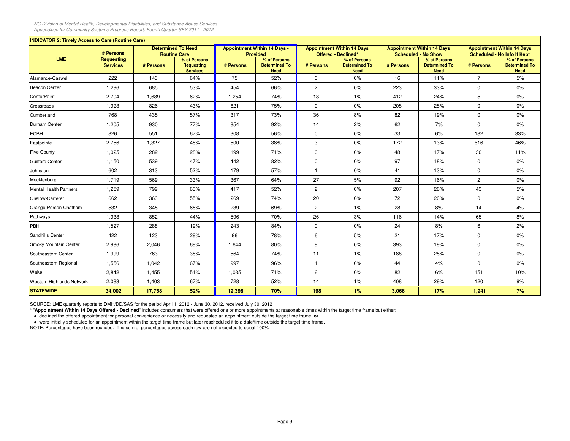| <b>INDICATOR 2: Timely Access to Care (Routine Care)</b> |                                      |           |                                                  |           |                                                        |                       |                                                          |           |                                                                 |                |                                                                         |
|----------------------------------------------------------|--------------------------------------|-----------|--------------------------------------------------|-----------|--------------------------------------------------------|-----------------------|----------------------------------------------------------|-----------|-----------------------------------------------------------------|----------------|-------------------------------------------------------------------------|
|                                                          | # Persons                            |           | <b>Determined To Need</b><br><b>Routine Care</b> |           | <b>Appointment Within 14 Days -</b><br><b>Provided</b> |                       | <b>Appointment Within 14 Days</b><br>Offered - Declined* |           | <b>Appointment Within 14 Days</b><br><b>Scheduled - No Show</b> |                | <b>Appointment Within 14 Days</b><br><b>Scheduled - No Info If Kept</b> |
| <b>LME</b>                                               | <b>Requesting</b><br><b>Services</b> | # Persons | % of Persons<br>Requesting<br><b>Services</b>    | # Persons | % of Persons<br><b>Determined To</b><br><b>Need</b>    | # Persons             | % of Persons<br><b>Determined To</b><br><b>Need</b>      | # Persons | % of Persons<br><b>Determined To</b><br><b>Need</b>             | # Persons      | % of Persons<br><b>Determined To</b><br><b>Need</b>                     |
| Alamance-Caswell                                         | 222                                  | 143       | 64%                                              | 75        | 52%                                                    | $\mathbf 0$           | 0%                                                       | 16        | 11%                                                             | $\overline{7}$ | 5%                                                                      |
| Beacon Center                                            | 1,296                                | 685       | 53%                                              | 454       | 66%                                                    | $\mathbf{2}^{\prime}$ | 0%                                                       | 223       | 33%                                                             | $\mathbf 0$    | $0\%$                                                                   |
| <b>CenterPoint</b>                                       | 2,704                                | 1,689     | 62%                                              | 1,254     | 74%                                                    | 18                    | 1%                                                       | 412       | 24%                                                             | 5              | 0%                                                                      |
| Crossroads                                               | 1,923                                | 826       | 43%                                              | 621       | 75%                                                    | $\mathbf 0$           | 0%                                                       | 205       | 25%                                                             | $\mathbf 0$    | 0%                                                                      |
| Cumberland                                               | 768                                  | 435       | 57%                                              | 317       | 73%                                                    | 36                    | 8%                                                       | 82        | 19%                                                             | $\mathbf 0$    | $0\%$                                                                   |
| Durham Center                                            | 1,205                                | 930       | 77%                                              | 854       | 92%                                                    | 14                    | 2%                                                       | 62        | 7%                                                              | $\mathbf 0$    | $0\%$                                                                   |
| <b>ECBH</b>                                              | 826                                  | 551       | 67%                                              | 308       | 56%                                                    | $\mathbf 0$           | 0%                                                       | 33        | 6%                                                              | 182            | 33%                                                                     |
| Eastpointe                                               | 2,756                                | 1,327     | 48%                                              | 500       | 38%                                                    | 3                     | $0\%$                                                    | 172       | 13%                                                             | 616            | 46%                                                                     |
| <b>Five County</b>                                       | 1,025                                | 282       | 28%                                              | 199       | 71%                                                    | $\mathbf 0$           | 0%                                                       | 48        | 17%                                                             | 30             | 11%                                                                     |
| <b>Guilford Center</b>                                   | 1,150                                | 539       | 47%                                              | 442       | 82%                                                    | $\mathbf 0$           | 0%                                                       | 97        | 18%                                                             | $\mathbf 0$    | 0%                                                                      |
| Johnston                                                 | 602                                  | 313       | 52%                                              | 179       | 57%                                                    |                       | $0\%$                                                    | 41        | 13%                                                             | $\mathbf 0$    | $0\%$                                                                   |
| Mecklenburg                                              | 1,719                                | 569       | 33%                                              | 367       | 64%                                                    | 27                    | 5%                                                       | 92        | 16%                                                             | $\overline{2}$ | 0%                                                                      |
| Mental Health Partners                                   | 1,259                                | 799       | 63%                                              | 417       | 52%                                                    | $\mathbf{2}^{\prime}$ | 0%                                                       | 207       | 26%                                                             | 43             | 5%                                                                      |
| Onslow-Carteret                                          | 662                                  | 363       | 55%                                              | 269       | 74%                                                    | 20                    | 6%                                                       | 72        | 20%                                                             | $\mathbf 0$    | $0\%$                                                                   |
| Orange-Person-Chatham                                    | 532                                  | 345       | 65%                                              | 239       | 69%                                                    | $\overline{2}$        | 1%                                                       | 28        | 8%                                                              | 14             | 4%                                                                      |
| Pathways                                                 | 1,938                                | 852       | 44%                                              | 596       | 70%                                                    | 26                    | 3%                                                       | 116       | 14%                                                             | 65             | 8%                                                                      |
| PBH                                                      | 1,527                                | 288       | 19%                                              | 243       | 84%                                                    | $\mathbf 0$           | $0\%$                                                    | 24        | 8%                                                              | 6              | 2%                                                                      |
| Sandhills Center                                         | 422                                  | 123       | 29%                                              | 96        | 78%                                                    | 6                     | 5%                                                       | 21        | 17%                                                             | $\mathbf 0$    | 0%                                                                      |
| Smoky Mountain Center                                    | 2,986                                | 2,046     | 69%                                              | 1,644     | 80%                                                    | 9                     | 0%                                                       | 393       | 19%                                                             | $\mathbf 0$    | $0\%$                                                                   |
| Southeastern Center                                      | 1,999                                | 763       | 38%                                              | 564       | 74%                                                    | 11                    | 1%                                                       | 188       | 25%                                                             | $\mathbf 0$    | $0\%$                                                                   |
| Southeastern Regional                                    | 1,556                                | 1,042     | 67%                                              | 997       | 96%                                                    | $\mathbf{1}$          | 0%                                                       | 44        | 4%                                                              | $\mathbf 0$    | $0\%$                                                                   |
| Wake                                                     | 2,842                                | 1,455     | 51%                                              | 1,035     | 71%                                                    | 6                     | 0%                                                       | 82        | 6%                                                              | 151            | 10%                                                                     |
| Western Highlands Network                                | 2,083                                | 1,403     | 67%                                              | 728       | 52%                                                    | 14                    | $1\%$                                                    | 408       | 29%                                                             | 120            | 9%                                                                      |
| <b>STATEWIDE</b>                                         | 34,002                               | 17,768    | 52%                                              | 12,398    | 70%                                                    | 198                   | 1%                                                       | 3,066     | 17%                                                             | 1,241          | 7%                                                                      |

SOURCE: LME quarterly reports to DMH/DD/SAS for the period April 1, 2012 - June 30, 2012, received July 30, 2012

\* "**Appointment Within 14 Days Offered - Declined**" includes consumers that were offered one or more appointments at reasonable times within the target time frame but either:

● declined the offered appointment for personal convenience or necessity and requested an appointment outside the target time frame, **or**

● were initially scheduled for an appointment within the target time frame but later rescheduled it to a date/time outside the target time frame.

NOTE: Percentages have been rounded. The sum of percentages across each row are not expected to equal 100%.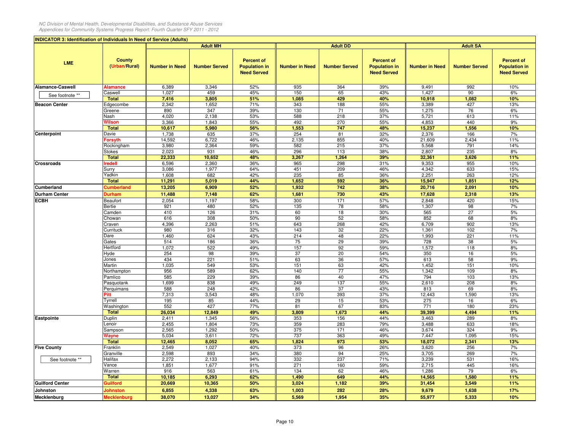|                        | <b>INDICATOR 3: Identification of Individuals In Need of Service (Adults)</b> |                       |                      |                                                                 |                       |                      |                                                                 |                       |                      |                                                                 |
|------------------------|-------------------------------------------------------------------------------|-----------------------|----------------------|-----------------------------------------------------------------|-----------------------|----------------------|-----------------------------------------------------------------|-----------------------|----------------------|-----------------------------------------------------------------|
|                        |                                                                               |                       | <b>Adult MH</b>      |                                                                 |                       | <b>Adult DD</b>      |                                                                 |                       | <b>Adult SA</b>      |                                                                 |
| <b>LME</b>             | <b>County</b><br>(Urban/Rural)                                                | <b>Number in Need</b> | <b>Number Served</b> | <b>Percent of</b><br><b>Population in</b><br><b>Need Served</b> | <b>Number in Need</b> | <b>Number Served</b> | <b>Percent of</b><br><b>Population in</b><br><b>Need Served</b> | <b>Number in Need</b> | <b>Number Served</b> | <b>Percent of</b><br><b>Population in</b><br><b>Need Served</b> |
| Alamance-Caswell       | Alamance                                                                      | 6,389                 | 3,346                | 52%                                                             | 935                   | 364                  | 39%                                                             | 9,491                 | 992                  | 10%                                                             |
| See footnote **        | Caswell                                                                       | 1,027                 | 459                  | 45%                                                             | 150                   | 65                   | 43%                                                             | 1,427                 | 90                   | 6%                                                              |
|                        | <b>Total</b>                                                                  | 7,416                 | 3,805                | 51%                                                             | 1,085                 | 429                  | 40%                                                             | 10,918                | 1,082                | 10%                                                             |
| <b>Beacon Center</b>   | Edgecombe                                                                     | 2,342                 | 1,652                | 71%                                                             | 343                   | 188                  | 55%                                                             | 3,389                 | 427                  | 13%                                                             |
|                        | Greene                                                                        | 890                   | 347                  | 39%                                                             | 130                   | 71                   | 55%                                                             | 1,275                 | 76                   | 6%                                                              |
|                        | Nash                                                                          | 4,020                 | 2,138                | 53%                                                             | 588                   | 218                  | 37%                                                             | 5,721                 | 613                  | 11%                                                             |
|                        | Wilson                                                                        | 3,366                 | 1,843                | 55%                                                             | 492                   | 270                  | 55%                                                             | 4,853                 | 440                  | 9%                                                              |
|                        | <b>Total</b>                                                                  | 10,617                | 5,980                | 56%                                                             | 1,553                 | 747                  | 48%                                                             | 15,237                | 1,556                | 10%                                                             |
| Centerpoint            | Davie                                                                         | 1,738                 | 635                  | 37%                                                             | 254                   | 81                   | 32%                                                             | 2,376                 | 166                  | 7%                                                              |
|                        | Forsyth                                                                       | 14,592                | 6,722                | 46%                                                             | 2,135                 | 855                  | 40%                                                             | 21,609                | 2,434                | 11%                                                             |
|                        | Rockingham                                                                    | 3,980                 | 2,364                | 59%                                                             | 582                   | 215                  | 37%                                                             | 5,568                 | 791                  | 14%                                                             |
|                        | Stokes                                                                        | 2,023                 | 931                  | 46%                                                             | 296                   | 113                  | 38%                                                             | 2,807                 | 235                  | 8%                                                              |
|                        | <b>Total</b>                                                                  | 22,333                | 10,652               | 48%                                                             | 3,267                 | 1,264                | 39%                                                             | 32,361                | 3,626                | 11%                                                             |
| <b>Crossroads</b>      | redell                                                                        | 6,596                 | 2,360                | 36%                                                             | 965                   | 298                  | 31%                                                             | 9,353                 | 955                  | 10%                                                             |
|                        | Surry                                                                         | 3,086                 | 1,977                | 64%                                                             | 451                   | 209                  | 46%                                                             | 4,342                 | 633                  | 15%                                                             |
|                        | Yadkin                                                                        | 1,608                 | 682                  | 42%                                                             | 235                   | 85                   | 36%                                                             | 2,251                 | 263                  | 12%                                                             |
|                        | <b>Total</b>                                                                  | 11,291                | 5,019                | 44%                                                             | 1,652                 | 592                  | 36%                                                             | 15,947                | 1,851                | 12%                                                             |
| Cumberland             | <b>Cumberland</b>                                                             | 13,205                | 6,909                | 52%                                                             | 1,932                 | 742                  | 38%                                                             | 20,716                | 2,091                | 10%                                                             |
| <b>Durham Center</b>   | Durham                                                                        | 11,488                | 7,148                | 62%                                                             | 1,681                 | 730                  | 43%                                                             | 17,628                | 2,318                | 13%                                                             |
| <b>ECBH</b>            | Beaufort                                                                      | 2,054                 | 1,197                | 58%                                                             | 300                   | 171                  | 57%                                                             | 2,848                 | 420                  | 15%                                                             |
|                        | Bertie                                                                        | 921                   | 480                  | 52%                                                             | 135                   | 78                   | 58%                                                             | 1,307                 | 98                   | 7%                                                              |
|                        | Camden                                                                        | 410                   | 126                  | 31%                                                             | 60                    | 18                   | 30%                                                             | 565                   | 27                   | 5%                                                              |
|                        | Chowan                                                                        | 616                   | 308                  | 50%                                                             | 90                    | 52                   | 58%                                                             | 852                   | 68                   | 8%                                                              |
|                        | Craven                                                                        | 4,396                 | 2,263                | 51%                                                             | 643                   | 268                  | 42%                                                             | 6,709                 | 902                  | 13%                                                             |
|                        | Currituck                                                                     | 980                   | 316                  | 32%                                                             | 143                   | 32                   | 22%                                                             | 1,361                 | 102                  | 7%                                                              |
|                        | Dare                                                                          | 1,460<br>514          | 624                  | 43%                                                             | 214<br>75             | 48                   | 22%                                                             | 1,993                 | 221                  | 11%                                                             |
|                        | Gates<br>Hertford                                                             | 1,072                 | 186<br>522           | 36%<br>49%                                                      | 157                   | 29<br>92             | 39%<br>59%                                                      | 728<br>1,572          | 38<br>118            | 5%<br>8%                                                        |
|                        | Hyde                                                                          | 254                   | 98                   | 39%                                                             | 37                    | 20                   | 54%                                                             | 350                   | 16                   | 5%                                                              |
|                        | Jones                                                                         | 434                   | 221                  | 51%                                                             | 63                    | 36                   | 57%                                                             | 613                   | 58                   | 9%                                                              |
|                        | Martin                                                                        | 1,035                 | 549                  | 53%                                                             | 151                   | 63                   | 42%                                                             | 1,452                 | 151                  | 10%                                                             |
|                        | Northampton                                                                   | 956                   | 589                  | 62%                                                             | 140                   | 77                   | 55%                                                             | 1,342                 | 109                  | 8%                                                              |
|                        | Pamlico                                                                       | 585                   | 229                  | 39%                                                             | 86                    | 40                   | 47%                                                             | 794                   | 103                  | 13%                                                             |
|                        | Pasquotank                                                                    | 1,699                 | 838                  | 49%                                                             | 249                   | 137                  | 55%                                                             | 2,610                 | 208                  | 8%                                                              |
|                        | Perquimans                                                                    | 588                   | 248                  | 42%                                                             | 86                    | 37                   | 43%                                                             | 813                   | 69                   | 8%                                                              |
|                        | Pitt                                                                          | 7,313                 | 3,543                | 48%                                                             | 1,070                 | 393                  | 37%                                                             | 12,443                | 1,590                | 13%                                                             |
|                        | Tyrrell                                                                       | 195                   | 85                   | 44%                                                             | 29                    | 15                   | 53%                                                             | 275                   | 16                   | 6%                                                              |
|                        | Washington                                                                    | 552                   | 427                  | 77%                                                             | 81                    | 67                   | 83%                                                             | 771                   | 180                  | 23%                                                             |
|                        | <b>Total</b>                                                                  | 26,034                | 12,849               | 49%                                                             | 3,809                 | 1,673                | 44%                                                             | 39,399                | 4,494                | 11%                                                             |
| Eastpointe             | <b>Duplin</b>                                                                 | 2,411                 | 1,345                | 56%                                                             | 353                   | 156                  | 44%                                                             | 3,463                 | 289                  | 8%                                                              |
|                        | _enoir                                                                        | 2,455                 | 1,804                | 73%                                                             | 359                   | 283                  | 79%                                                             | 3,488                 | 633                  | 18%                                                             |
|                        | Sampson                                                                       | 2,565                 | 1,292                | 50%                                                             | 375                   | 171                  | 46%                                                             | 3,674                 | 324                  | 9%                                                              |
|                        | Wayne                                                                         | 5,034                 | 3,611                | 72%                                                             | 737                   | 363                  | 49%                                                             | 7,447                 | 1,095                | 15%                                                             |
|                        | <b>Total</b>                                                                  | 12,465                | 8,052                | 65%                                                             | 1,824                 | 973                  | 53%                                                             | 18,072                | 2,341                | 13%                                                             |
| <b>Five County</b>     | Franklin                                                                      | 2,549                 | 1,027                | 40%                                                             | 373                   | 96                   | 26%                                                             | 3,620                 | 256                  | 7%                                                              |
|                        | Granville                                                                     | 2,598                 | 893                  | 34%                                                             | 380                   | 94                   | 25%                                                             | 3,705                 | 269                  | 7%                                                              |
| See footnote **        | Halifax                                                                       | 2,272                 | 2,133                | 94%                                                             | 332                   | 237                  | 71%                                                             | 3,239                 | 531                  | 16%                                                             |
|                        | Vance                                                                         | 1,851                 | 1,677                | 91%                                                             | 271                   | 160                  | 59%                                                             | 2,715                 | 445                  | 16%                                                             |
|                        | Warren<br><b>Total</b>                                                        | 916                   | 563                  | 61%                                                             | 134                   | 62                   | 46%                                                             | 1,286                 | 79                   | 6%                                                              |
|                        |                                                                               | 10,185                | 6,293                | 62%<br>50%                                                      | 1,490                 | 649                  | 44%                                                             | 14,565                | 1,580                | 11%<br>11%                                                      |
| <b>Guilford Center</b> | <b>Suilford</b>                                                               | 20,669                | 10,365               |                                                                 | 3,024                 | 1,182                | 39%                                                             | 31,454                | 3,549                |                                                                 |
| <b>Johnston</b>        | <b>Johnston</b>                                                               | 6,855                 | 4,338                | 63%                                                             | 1,003                 | 282                  | 28%                                                             | 9,679                 | 1,638                | 17%                                                             |
| Mecklenburg            | <b>Mecklenburg</b>                                                            | 38,070                | 13,027               | 34%                                                             | 5,569                 | 1,954                | 35%                                                             | 55,977                | 5,333                | 10%                                                             |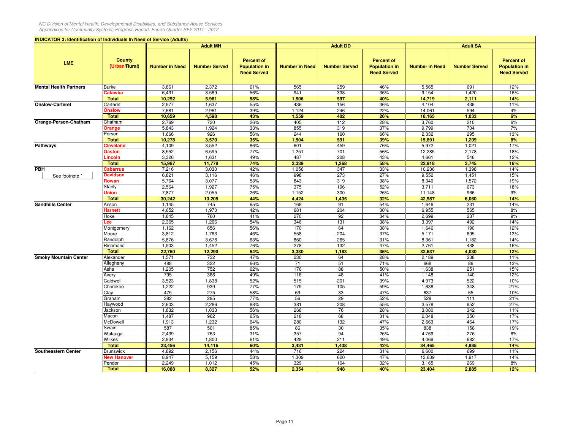| <b>County</b><br><b>Percent of</b><br><b>Percent of</b><br><b>Percent of</b><br><b>LME</b><br><b>Population in</b><br>(Urban/Rural)<br><b>Number in Need</b><br><b>Number Served</b><br><b>Population in</b><br><b>Number in Need</b><br><b>Number Served</b><br><b>Population in</b><br><b>Number in Need</b><br><b>Number Served</b><br><b>Need Served</b><br><b>Need Served</b><br><b>Need Served</b><br>Burke<br>3,861<br>2,372<br>61%<br>565<br>259<br>46%<br>5,565<br>691<br>12%<br>56%<br>338<br>36%<br>16%<br>Catawba<br>6,431<br>3,589<br>941<br>9,154<br>1,420<br><b>Total</b><br>10,292<br>5,961<br>58%<br>597<br>14,719<br>2,111<br>14%<br>1,506<br>40%<br>55%<br>156<br>36%<br>2,977<br>1,637<br>436<br>439<br>11%<br>Carteret<br>4,104<br><b>Onslow</b><br>39%<br>22%<br>594<br>4%<br>7,681<br>2,961<br>1,124<br>246<br>14,061<br><b>Total</b><br>10,659<br>4,598<br>43%<br>1,559<br>402<br>26%<br>18,165<br>1,033<br>6%<br>720<br>112<br>Orange-Person-Chatham<br>Chatham<br>2,769<br>26%<br>405<br>28%<br>3,760<br>210<br>6%<br>1,924<br>33%<br>855<br>319<br>37%<br>9,799<br>704<br>7%<br>5,843<br>Orange<br>1,666<br>926<br>56%<br>244<br>160<br>2,332<br>295<br>13%<br>Person<br>66%<br><b>Total</b><br>10,278<br>3,570<br>35%<br>1,504<br>591<br>39%<br>15,891<br>1,209<br>8%<br>86%<br>459<br>76%<br>17%<br><b>Cleveland</b><br>4,109<br>3,552<br>601<br>5,972<br>1,021<br><b>Pathways</b><br>8,552<br>6,595<br>77%<br>1,251<br>701<br>56%<br>12,285<br>2,178<br>18%<br>Gaston<br>12%<br>.incoln<br>3,326<br>1,631<br>49%<br>487<br>208<br>43%<br>4,661<br>546<br><b>Total</b><br>74%<br>2,339<br>58%<br>3,745<br>16%<br>15,987<br>11,778<br>1,368<br>22,918<br>347<br>33%<br>7,216<br>3,030<br>42%<br>1,056<br>10,236<br>1,398<br>14%<br><b>Cabarrus</b><br>273<br>6,821<br>46%<br>998<br>27%<br>9,552<br>15%<br><b>Davidson</b><br>3,116<br>1,451<br>See footnote *<br>Rowan<br>5,764<br>3,077<br>53%<br>843<br>319<br>38%<br>8,340<br>1,572<br>19%<br>2,564<br>1,927<br>75%<br>375<br>196<br>52%<br>18%<br>Stanly<br>3,711<br>673<br>300<br>9%<br>7,877<br>2,055<br>26%<br>1,152<br>26%<br>966<br>Jnion<br>11,148<br>1,435<br><b>Total</b><br>30,242<br>13,205<br>44%<br>4,424<br>32%<br>42,987<br>6,060<br>14%<br>1,145<br>745<br>65%<br>168<br>91<br>54%<br>1,646<br>231<br>14%<br>Anson<br>4,652<br>1,970<br>42%<br>681<br>204<br>30%<br>6,955<br>565<br>8%<br>Harnett<br>1,845<br>760<br>41%<br>270<br>92<br>34%<br>2,699<br>237<br>9%<br>Hoke<br>54%<br>$\overline{131}$<br>38%<br>14%<br>2,365<br>1,266<br>346<br>3,397<br>492<br>.ee<br>656<br>56%<br>170<br>64<br>38%<br>190<br>12%<br>1,162<br>1,646<br>Montgomery<br>3,812<br>1,763<br>46%<br>558<br>204<br>37%<br>5,171<br>695<br>13%<br>Moore<br>5,876<br>63%<br>860<br>265<br>8,361<br>1,182<br>14%<br>Randolph<br>3,678<br>31%<br>47%<br>1,903<br>1,452<br>76%<br>278<br>132<br>2,761<br>438<br>16%<br>Richmond<br>36%<br>22,760<br>12,290<br>54%<br>3,330<br>1,183<br>4,030<br>12%<br><b>Total</b><br>32,637<br><b>Smoky Mountain Center</b><br>Alexander<br>1,571<br>732<br>47%<br>230<br>64<br>28%<br>238<br>11%<br>2,189<br>322<br>66%<br>51<br>71%<br>13%<br>Alleghany<br>488<br>71<br>668<br>86<br>1,205<br>752<br>62%<br>176<br>88<br>50%<br>251<br>15%<br>Ashe<br>1,638<br>795<br>386<br>48<br>41%<br>12%<br>49%<br>116<br>1,148<br>140<br>Avery<br>515<br>201<br>39%<br>10%<br>Caldwell<br>3,523<br>1,838<br>52%<br>4,973<br>522<br>1,222<br>939<br>77%<br>179<br>105<br>59%<br>348<br>21%<br>Cherokee<br>1,638<br>275<br>58%<br>10%<br>475<br>69<br>33<br>47%<br>637<br>65<br>Clay<br>382<br>295<br>29<br>52%<br>529<br>21%<br>77%<br>56<br>111<br>Graham<br>2,603<br>2,286<br>88%<br>381<br>208<br>55%<br>3,578<br>952<br>27%<br>Haywood<br>56%<br>76<br>342<br>11%<br>Jackson<br>1,832<br>1,033<br>268<br>28%<br>3,080<br>962<br>68<br>350<br>17%<br>1,487<br>65%<br>218<br>31%<br>2,048<br>Macon<br>1,232<br>280<br>47%<br>17%<br>McDowell<br>1,913<br>64%<br>132<br>2,663<br>464<br>35%<br>158<br>Swain<br>587<br>501<br>85%<br>86<br>30<br>838<br>19%<br>763<br>94<br>276<br>Watauga<br>2,439<br>31%<br>357<br>26%<br>4,769<br>6%<br>2,934<br>429<br>211<br>49%<br>17%<br>1,800<br>61%<br>4,069<br>682<br>Wilkes<br><b>Total</b><br>23,456<br>3,431<br>1,438<br>42%<br>4,985<br>14%<br>14,116<br>60%<br>34,465<br>4,892<br>2,156<br>44%<br>716<br>224<br>31%<br>6,600<br>699<br>11%<br><b>Southeastern Center</b><br>Brunswick<br><b>New Hanover</b><br>8,947<br>5,159<br>58%<br>1,309<br>620<br>47%<br>13,639<br>1,917<br>14%<br>32%<br>Pender<br>2,249<br>1,012<br>45%<br>329<br>104<br>3,165<br>269<br>8%<br>948<br>40%<br><b>Total</b><br>2,885 | <b>INDICATOR 3: Identification of Individuals In Need of Service (Adults)</b> |        |                 |     |       |                 |        |                 |     |  |  |
|----------------------------------------------------------------------------------------------------------------------------------------------------------------------------------------------------------------------------------------------------------------------------------------------------------------------------------------------------------------------------------------------------------------------------------------------------------------------------------------------------------------------------------------------------------------------------------------------------------------------------------------------------------------------------------------------------------------------------------------------------------------------------------------------------------------------------------------------------------------------------------------------------------------------------------------------------------------------------------------------------------------------------------------------------------------------------------------------------------------------------------------------------------------------------------------------------------------------------------------------------------------------------------------------------------------------------------------------------------------------------------------------------------------------------------------------------------------------------------------------------------------------------------------------------------------------------------------------------------------------------------------------------------------------------------------------------------------------------------------------------------------------------------------------------------------------------------------------------------------------------------------------------------------------------------------------------------------------------------------------------------------------------------------------------------------------------------------------------------------------------------------------------------------------------------------------------------------------------------------------------------------------------------------------------------------------------------------------------------------------------------------------------------------------------------------------------------------------------------------------------------------------------------------------------------------------------------------------------------------------------------------------------------------------------------------------------------------------------------------------------------------------------------------------------------------------------------------------------------------------------------------------------------------------------------------------------------------------------------------------------------------------------------------------------------------------------------------------------------------------------------------------------------------------------------------------------------------------------------------------------------------------------------------------------------------------------------------------------------------------------------------------------------------------------------------------------------------------------------------------------------------------------------------------------------------------------------------------------------------------------------------------------------------------------------------------------------------------------------------------------------------------------------------------------------------------------------------------------------------------------------------------------------------------------------------------------------------------------------------------------------------------------------------------------------------------------------------------------------------------------------------------------------------------------------------------------------------------------------------------------------------------------------------------------------------------------------------------------------------------------------------------------------------------------------------------------------------------------------------------------------------------------------------------------------------------------------------------------------------------------------------------------------|-------------------------------------------------------------------------------|--------|-----------------|-----|-------|-----------------|--------|-----------------|-----|--|--|
|                                                                                                                                                                                                                                                                                                                                                                                                                                                                                                                                                                                                                                                                                                                                                                                                                                                                                                                                                                                                                                                                                                                                                                                                                                                                                                                                                                                                                                                                                                                                                                                                                                                                                                                                                                                                                                                                                                                                                                                                                                                                                                                                                                                                                                                                                                                                                                                                                                                                                                                                                                                                                                                                                                                                                                                                                                                                                                                                                                                                                                                                                                                                                                                                                                                                                                                                                                                                                                                                                                                                                                                                                                                                                                                                                                                                                                                                                                                                                                                                                                                                                                                                                                                                                                                                                                                                                                                                                                                                                                                                                                                                                                                          |                                                                               |        | <b>Adult MH</b> |     |       | <b>Adult DD</b> |        | <b>Adult SA</b> |     |  |  |
|                                                                                                                                                                                                                                                                                                                                                                                                                                                                                                                                                                                                                                                                                                                                                                                                                                                                                                                                                                                                                                                                                                                                                                                                                                                                                                                                                                                                                                                                                                                                                                                                                                                                                                                                                                                                                                                                                                                                                                                                                                                                                                                                                                                                                                                                                                                                                                                                                                                                                                                                                                                                                                                                                                                                                                                                                                                                                                                                                                                                                                                                                                                                                                                                                                                                                                                                                                                                                                                                                                                                                                                                                                                                                                                                                                                                                                                                                                                                                                                                                                                                                                                                                                                                                                                                                                                                                                                                                                                                                                                                                                                                                                                          |                                                                               |        |                 |     |       |                 |        |                 |     |  |  |
|                                                                                                                                                                                                                                                                                                                                                                                                                                                                                                                                                                                                                                                                                                                                                                                                                                                                                                                                                                                                                                                                                                                                                                                                                                                                                                                                                                                                                                                                                                                                                                                                                                                                                                                                                                                                                                                                                                                                                                                                                                                                                                                                                                                                                                                                                                                                                                                                                                                                                                                                                                                                                                                                                                                                                                                                                                                                                                                                                                                                                                                                                                                                                                                                                                                                                                                                                                                                                                                                                                                                                                                                                                                                                                                                                                                                                                                                                                                                                                                                                                                                                                                                                                                                                                                                                                                                                                                                                                                                                                                                                                                                                                                          | <b>Mental Health Partners</b>                                                 |        |                 |     |       |                 |        |                 |     |  |  |
|                                                                                                                                                                                                                                                                                                                                                                                                                                                                                                                                                                                                                                                                                                                                                                                                                                                                                                                                                                                                                                                                                                                                                                                                                                                                                                                                                                                                                                                                                                                                                                                                                                                                                                                                                                                                                                                                                                                                                                                                                                                                                                                                                                                                                                                                                                                                                                                                                                                                                                                                                                                                                                                                                                                                                                                                                                                                                                                                                                                                                                                                                                                                                                                                                                                                                                                                                                                                                                                                                                                                                                                                                                                                                                                                                                                                                                                                                                                                                                                                                                                                                                                                                                                                                                                                                                                                                                                                                                                                                                                                                                                                                                                          |                                                                               |        |                 |     |       |                 |        |                 |     |  |  |
|                                                                                                                                                                                                                                                                                                                                                                                                                                                                                                                                                                                                                                                                                                                                                                                                                                                                                                                                                                                                                                                                                                                                                                                                                                                                                                                                                                                                                                                                                                                                                                                                                                                                                                                                                                                                                                                                                                                                                                                                                                                                                                                                                                                                                                                                                                                                                                                                                                                                                                                                                                                                                                                                                                                                                                                                                                                                                                                                                                                                                                                                                                                                                                                                                                                                                                                                                                                                                                                                                                                                                                                                                                                                                                                                                                                                                                                                                                                                                                                                                                                                                                                                                                                                                                                                                                                                                                                                                                                                                                                                                                                                                                                          |                                                                               |        |                 |     |       |                 |        |                 |     |  |  |
|                                                                                                                                                                                                                                                                                                                                                                                                                                                                                                                                                                                                                                                                                                                                                                                                                                                                                                                                                                                                                                                                                                                                                                                                                                                                                                                                                                                                                                                                                                                                                                                                                                                                                                                                                                                                                                                                                                                                                                                                                                                                                                                                                                                                                                                                                                                                                                                                                                                                                                                                                                                                                                                                                                                                                                                                                                                                                                                                                                                                                                                                                                                                                                                                                                                                                                                                                                                                                                                                                                                                                                                                                                                                                                                                                                                                                                                                                                                                                                                                                                                                                                                                                                                                                                                                                                                                                                                                                                                                                                                                                                                                                                                          | <b>Onslow-Carteret</b>                                                        |        |                 |     |       |                 |        |                 |     |  |  |
|                                                                                                                                                                                                                                                                                                                                                                                                                                                                                                                                                                                                                                                                                                                                                                                                                                                                                                                                                                                                                                                                                                                                                                                                                                                                                                                                                                                                                                                                                                                                                                                                                                                                                                                                                                                                                                                                                                                                                                                                                                                                                                                                                                                                                                                                                                                                                                                                                                                                                                                                                                                                                                                                                                                                                                                                                                                                                                                                                                                                                                                                                                                                                                                                                                                                                                                                                                                                                                                                                                                                                                                                                                                                                                                                                                                                                                                                                                                                                                                                                                                                                                                                                                                                                                                                                                                                                                                                                                                                                                                                                                                                                                                          |                                                                               |        |                 |     |       |                 |        |                 |     |  |  |
|                                                                                                                                                                                                                                                                                                                                                                                                                                                                                                                                                                                                                                                                                                                                                                                                                                                                                                                                                                                                                                                                                                                                                                                                                                                                                                                                                                                                                                                                                                                                                                                                                                                                                                                                                                                                                                                                                                                                                                                                                                                                                                                                                                                                                                                                                                                                                                                                                                                                                                                                                                                                                                                                                                                                                                                                                                                                                                                                                                                                                                                                                                                                                                                                                                                                                                                                                                                                                                                                                                                                                                                                                                                                                                                                                                                                                                                                                                                                                                                                                                                                                                                                                                                                                                                                                                                                                                                                                                                                                                                                                                                                                                                          |                                                                               |        |                 |     |       |                 |        |                 |     |  |  |
|                                                                                                                                                                                                                                                                                                                                                                                                                                                                                                                                                                                                                                                                                                                                                                                                                                                                                                                                                                                                                                                                                                                                                                                                                                                                                                                                                                                                                                                                                                                                                                                                                                                                                                                                                                                                                                                                                                                                                                                                                                                                                                                                                                                                                                                                                                                                                                                                                                                                                                                                                                                                                                                                                                                                                                                                                                                                                                                                                                                                                                                                                                                                                                                                                                                                                                                                                                                                                                                                                                                                                                                                                                                                                                                                                                                                                                                                                                                                                                                                                                                                                                                                                                                                                                                                                                                                                                                                                                                                                                                                                                                                                                                          |                                                                               |        |                 |     |       |                 |        |                 |     |  |  |
|                                                                                                                                                                                                                                                                                                                                                                                                                                                                                                                                                                                                                                                                                                                                                                                                                                                                                                                                                                                                                                                                                                                                                                                                                                                                                                                                                                                                                                                                                                                                                                                                                                                                                                                                                                                                                                                                                                                                                                                                                                                                                                                                                                                                                                                                                                                                                                                                                                                                                                                                                                                                                                                                                                                                                                                                                                                                                                                                                                                                                                                                                                                                                                                                                                                                                                                                                                                                                                                                                                                                                                                                                                                                                                                                                                                                                                                                                                                                                                                                                                                                                                                                                                                                                                                                                                                                                                                                                                                                                                                                                                                                                                                          |                                                                               |        |                 |     |       |                 |        |                 |     |  |  |
|                                                                                                                                                                                                                                                                                                                                                                                                                                                                                                                                                                                                                                                                                                                                                                                                                                                                                                                                                                                                                                                                                                                                                                                                                                                                                                                                                                                                                                                                                                                                                                                                                                                                                                                                                                                                                                                                                                                                                                                                                                                                                                                                                                                                                                                                                                                                                                                                                                                                                                                                                                                                                                                                                                                                                                                                                                                                                                                                                                                                                                                                                                                                                                                                                                                                                                                                                                                                                                                                                                                                                                                                                                                                                                                                                                                                                                                                                                                                                                                                                                                                                                                                                                                                                                                                                                                                                                                                                                                                                                                                                                                                                                                          |                                                                               |        |                 |     |       |                 |        |                 |     |  |  |
|                                                                                                                                                                                                                                                                                                                                                                                                                                                                                                                                                                                                                                                                                                                                                                                                                                                                                                                                                                                                                                                                                                                                                                                                                                                                                                                                                                                                                                                                                                                                                                                                                                                                                                                                                                                                                                                                                                                                                                                                                                                                                                                                                                                                                                                                                                                                                                                                                                                                                                                                                                                                                                                                                                                                                                                                                                                                                                                                                                                                                                                                                                                                                                                                                                                                                                                                                                                                                                                                                                                                                                                                                                                                                                                                                                                                                                                                                                                                                                                                                                                                                                                                                                                                                                                                                                                                                                                                                                                                                                                                                                                                                                                          |                                                                               |        |                 |     |       |                 |        |                 |     |  |  |
|                                                                                                                                                                                                                                                                                                                                                                                                                                                                                                                                                                                                                                                                                                                                                                                                                                                                                                                                                                                                                                                                                                                                                                                                                                                                                                                                                                                                                                                                                                                                                                                                                                                                                                                                                                                                                                                                                                                                                                                                                                                                                                                                                                                                                                                                                                                                                                                                                                                                                                                                                                                                                                                                                                                                                                                                                                                                                                                                                                                                                                                                                                                                                                                                                                                                                                                                                                                                                                                                                                                                                                                                                                                                                                                                                                                                                                                                                                                                                                                                                                                                                                                                                                                                                                                                                                                                                                                                                                                                                                                                                                                                                                                          |                                                                               |        |                 |     |       |                 |        |                 |     |  |  |
|                                                                                                                                                                                                                                                                                                                                                                                                                                                                                                                                                                                                                                                                                                                                                                                                                                                                                                                                                                                                                                                                                                                                                                                                                                                                                                                                                                                                                                                                                                                                                                                                                                                                                                                                                                                                                                                                                                                                                                                                                                                                                                                                                                                                                                                                                                                                                                                                                                                                                                                                                                                                                                                                                                                                                                                                                                                                                                                                                                                                                                                                                                                                                                                                                                                                                                                                                                                                                                                                                                                                                                                                                                                                                                                                                                                                                                                                                                                                                                                                                                                                                                                                                                                                                                                                                                                                                                                                                                                                                                                                                                                                                                                          |                                                                               |        |                 |     |       |                 |        |                 |     |  |  |
|                                                                                                                                                                                                                                                                                                                                                                                                                                                                                                                                                                                                                                                                                                                                                                                                                                                                                                                                                                                                                                                                                                                                                                                                                                                                                                                                                                                                                                                                                                                                                                                                                                                                                                                                                                                                                                                                                                                                                                                                                                                                                                                                                                                                                                                                                                                                                                                                                                                                                                                                                                                                                                                                                                                                                                                                                                                                                                                                                                                                                                                                                                                                                                                                                                                                                                                                                                                                                                                                                                                                                                                                                                                                                                                                                                                                                                                                                                                                                                                                                                                                                                                                                                                                                                                                                                                                                                                                                                                                                                                                                                                                                                                          |                                                                               |        |                 |     |       |                 |        |                 |     |  |  |
|                                                                                                                                                                                                                                                                                                                                                                                                                                                                                                                                                                                                                                                                                                                                                                                                                                                                                                                                                                                                                                                                                                                                                                                                                                                                                                                                                                                                                                                                                                                                                                                                                                                                                                                                                                                                                                                                                                                                                                                                                                                                                                                                                                                                                                                                                                                                                                                                                                                                                                                                                                                                                                                                                                                                                                                                                                                                                                                                                                                                                                                                                                                                                                                                                                                                                                                                                                                                                                                                                                                                                                                                                                                                                                                                                                                                                                                                                                                                                                                                                                                                                                                                                                                                                                                                                                                                                                                                                                                                                                                                                                                                                                                          | PBH                                                                           |        |                 |     |       |                 |        |                 |     |  |  |
|                                                                                                                                                                                                                                                                                                                                                                                                                                                                                                                                                                                                                                                                                                                                                                                                                                                                                                                                                                                                                                                                                                                                                                                                                                                                                                                                                                                                                                                                                                                                                                                                                                                                                                                                                                                                                                                                                                                                                                                                                                                                                                                                                                                                                                                                                                                                                                                                                                                                                                                                                                                                                                                                                                                                                                                                                                                                                                                                                                                                                                                                                                                                                                                                                                                                                                                                                                                                                                                                                                                                                                                                                                                                                                                                                                                                                                                                                                                                                                                                                                                                                                                                                                                                                                                                                                                                                                                                                                                                                                                                                                                                                                                          |                                                                               |        |                 |     |       |                 |        |                 |     |  |  |
|                                                                                                                                                                                                                                                                                                                                                                                                                                                                                                                                                                                                                                                                                                                                                                                                                                                                                                                                                                                                                                                                                                                                                                                                                                                                                                                                                                                                                                                                                                                                                                                                                                                                                                                                                                                                                                                                                                                                                                                                                                                                                                                                                                                                                                                                                                                                                                                                                                                                                                                                                                                                                                                                                                                                                                                                                                                                                                                                                                                                                                                                                                                                                                                                                                                                                                                                                                                                                                                                                                                                                                                                                                                                                                                                                                                                                                                                                                                                                                                                                                                                                                                                                                                                                                                                                                                                                                                                                                                                                                                                                                                                                                                          |                                                                               |        |                 |     |       |                 |        |                 |     |  |  |
|                                                                                                                                                                                                                                                                                                                                                                                                                                                                                                                                                                                                                                                                                                                                                                                                                                                                                                                                                                                                                                                                                                                                                                                                                                                                                                                                                                                                                                                                                                                                                                                                                                                                                                                                                                                                                                                                                                                                                                                                                                                                                                                                                                                                                                                                                                                                                                                                                                                                                                                                                                                                                                                                                                                                                                                                                                                                                                                                                                                                                                                                                                                                                                                                                                                                                                                                                                                                                                                                                                                                                                                                                                                                                                                                                                                                                                                                                                                                                                                                                                                                                                                                                                                                                                                                                                                                                                                                                                                                                                                                                                                                                                                          |                                                                               |        |                 |     |       |                 |        |                 |     |  |  |
|                                                                                                                                                                                                                                                                                                                                                                                                                                                                                                                                                                                                                                                                                                                                                                                                                                                                                                                                                                                                                                                                                                                                                                                                                                                                                                                                                                                                                                                                                                                                                                                                                                                                                                                                                                                                                                                                                                                                                                                                                                                                                                                                                                                                                                                                                                                                                                                                                                                                                                                                                                                                                                                                                                                                                                                                                                                                                                                                                                                                                                                                                                                                                                                                                                                                                                                                                                                                                                                                                                                                                                                                                                                                                                                                                                                                                                                                                                                                                                                                                                                                                                                                                                                                                                                                                                                                                                                                                                                                                                                                                                                                                                                          |                                                                               |        |                 |     |       |                 |        |                 |     |  |  |
|                                                                                                                                                                                                                                                                                                                                                                                                                                                                                                                                                                                                                                                                                                                                                                                                                                                                                                                                                                                                                                                                                                                                                                                                                                                                                                                                                                                                                                                                                                                                                                                                                                                                                                                                                                                                                                                                                                                                                                                                                                                                                                                                                                                                                                                                                                                                                                                                                                                                                                                                                                                                                                                                                                                                                                                                                                                                                                                                                                                                                                                                                                                                                                                                                                                                                                                                                                                                                                                                                                                                                                                                                                                                                                                                                                                                                                                                                                                                                                                                                                                                                                                                                                                                                                                                                                                                                                                                                                                                                                                                                                                                                                                          |                                                                               |        |                 |     |       |                 |        |                 |     |  |  |
|                                                                                                                                                                                                                                                                                                                                                                                                                                                                                                                                                                                                                                                                                                                                                                                                                                                                                                                                                                                                                                                                                                                                                                                                                                                                                                                                                                                                                                                                                                                                                                                                                                                                                                                                                                                                                                                                                                                                                                                                                                                                                                                                                                                                                                                                                                                                                                                                                                                                                                                                                                                                                                                                                                                                                                                                                                                                                                                                                                                                                                                                                                                                                                                                                                                                                                                                                                                                                                                                                                                                                                                                                                                                                                                                                                                                                                                                                                                                                                                                                                                                                                                                                                                                                                                                                                                                                                                                                                                                                                                                                                                                                                                          | <b>Sandhills Center</b>                                                       |        |                 |     |       |                 |        |                 |     |  |  |
|                                                                                                                                                                                                                                                                                                                                                                                                                                                                                                                                                                                                                                                                                                                                                                                                                                                                                                                                                                                                                                                                                                                                                                                                                                                                                                                                                                                                                                                                                                                                                                                                                                                                                                                                                                                                                                                                                                                                                                                                                                                                                                                                                                                                                                                                                                                                                                                                                                                                                                                                                                                                                                                                                                                                                                                                                                                                                                                                                                                                                                                                                                                                                                                                                                                                                                                                                                                                                                                                                                                                                                                                                                                                                                                                                                                                                                                                                                                                                                                                                                                                                                                                                                                                                                                                                                                                                                                                                                                                                                                                                                                                                                                          |                                                                               |        |                 |     |       |                 |        |                 |     |  |  |
|                                                                                                                                                                                                                                                                                                                                                                                                                                                                                                                                                                                                                                                                                                                                                                                                                                                                                                                                                                                                                                                                                                                                                                                                                                                                                                                                                                                                                                                                                                                                                                                                                                                                                                                                                                                                                                                                                                                                                                                                                                                                                                                                                                                                                                                                                                                                                                                                                                                                                                                                                                                                                                                                                                                                                                                                                                                                                                                                                                                                                                                                                                                                                                                                                                                                                                                                                                                                                                                                                                                                                                                                                                                                                                                                                                                                                                                                                                                                                                                                                                                                                                                                                                                                                                                                                                                                                                                                                                                                                                                                                                                                                                                          |                                                                               |        |                 |     |       |                 |        |                 |     |  |  |
|                                                                                                                                                                                                                                                                                                                                                                                                                                                                                                                                                                                                                                                                                                                                                                                                                                                                                                                                                                                                                                                                                                                                                                                                                                                                                                                                                                                                                                                                                                                                                                                                                                                                                                                                                                                                                                                                                                                                                                                                                                                                                                                                                                                                                                                                                                                                                                                                                                                                                                                                                                                                                                                                                                                                                                                                                                                                                                                                                                                                                                                                                                                                                                                                                                                                                                                                                                                                                                                                                                                                                                                                                                                                                                                                                                                                                                                                                                                                                                                                                                                                                                                                                                                                                                                                                                                                                                                                                                                                                                                                                                                                                                                          |                                                                               |        |                 |     |       |                 |        |                 |     |  |  |
|                                                                                                                                                                                                                                                                                                                                                                                                                                                                                                                                                                                                                                                                                                                                                                                                                                                                                                                                                                                                                                                                                                                                                                                                                                                                                                                                                                                                                                                                                                                                                                                                                                                                                                                                                                                                                                                                                                                                                                                                                                                                                                                                                                                                                                                                                                                                                                                                                                                                                                                                                                                                                                                                                                                                                                                                                                                                                                                                                                                                                                                                                                                                                                                                                                                                                                                                                                                                                                                                                                                                                                                                                                                                                                                                                                                                                                                                                                                                                                                                                                                                                                                                                                                                                                                                                                                                                                                                                                                                                                                                                                                                                                                          |                                                                               |        |                 |     |       |                 |        |                 |     |  |  |
|                                                                                                                                                                                                                                                                                                                                                                                                                                                                                                                                                                                                                                                                                                                                                                                                                                                                                                                                                                                                                                                                                                                                                                                                                                                                                                                                                                                                                                                                                                                                                                                                                                                                                                                                                                                                                                                                                                                                                                                                                                                                                                                                                                                                                                                                                                                                                                                                                                                                                                                                                                                                                                                                                                                                                                                                                                                                                                                                                                                                                                                                                                                                                                                                                                                                                                                                                                                                                                                                                                                                                                                                                                                                                                                                                                                                                                                                                                                                                                                                                                                                                                                                                                                                                                                                                                                                                                                                                                                                                                                                                                                                                                                          |                                                                               |        |                 |     |       |                 |        |                 |     |  |  |
|                                                                                                                                                                                                                                                                                                                                                                                                                                                                                                                                                                                                                                                                                                                                                                                                                                                                                                                                                                                                                                                                                                                                                                                                                                                                                                                                                                                                                                                                                                                                                                                                                                                                                                                                                                                                                                                                                                                                                                                                                                                                                                                                                                                                                                                                                                                                                                                                                                                                                                                                                                                                                                                                                                                                                                                                                                                                                                                                                                                                                                                                                                                                                                                                                                                                                                                                                                                                                                                                                                                                                                                                                                                                                                                                                                                                                                                                                                                                                                                                                                                                                                                                                                                                                                                                                                                                                                                                                                                                                                                                                                                                                                                          |                                                                               |        |                 |     |       |                 |        |                 |     |  |  |
|                                                                                                                                                                                                                                                                                                                                                                                                                                                                                                                                                                                                                                                                                                                                                                                                                                                                                                                                                                                                                                                                                                                                                                                                                                                                                                                                                                                                                                                                                                                                                                                                                                                                                                                                                                                                                                                                                                                                                                                                                                                                                                                                                                                                                                                                                                                                                                                                                                                                                                                                                                                                                                                                                                                                                                                                                                                                                                                                                                                                                                                                                                                                                                                                                                                                                                                                                                                                                                                                                                                                                                                                                                                                                                                                                                                                                                                                                                                                                                                                                                                                                                                                                                                                                                                                                                                                                                                                                                                                                                                                                                                                                                                          |                                                                               |        |                 |     |       |                 |        |                 |     |  |  |
|                                                                                                                                                                                                                                                                                                                                                                                                                                                                                                                                                                                                                                                                                                                                                                                                                                                                                                                                                                                                                                                                                                                                                                                                                                                                                                                                                                                                                                                                                                                                                                                                                                                                                                                                                                                                                                                                                                                                                                                                                                                                                                                                                                                                                                                                                                                                                                                                                                                                                                                                                                                                                                                                                                                                                                                                                                                                                                                                                                                                                                                                                                                                                                                                                                                                                                                                                                                                                                                                                                                                                                                                                                                                                                                                                                                                                                                                                                                                                                                                                                                                                                                                                                                                                                                                                                                                                                                                                                                                                                                                                                                                                                                          |                                                                               |        |                 |     |       |                 |        |                 |     |  |  |
|                                                                                                                                                                                                                                                                                                                                                                                                                                                                                                                                                                                                                                                                                                                                                                                                                                                                                                                                                                                                                                                                                                                                                                                                                                                                                                                                                                                                                                                                                                                                                                                                                                                                                                                                                                                                                                                                                                                                                                                                                                                                                                                                                                                                                                                                                                                                                                                                                                                                                                                                                                                                                                                                                                                                                                                                                                                                                                                                                                                                                                                                                                                                                                                                                                                                                                                                                                                                                                                                                                                                                                                                                                                                                                                                                                                                                                                                                                                                                                                                                                                                                                                                                                                                                                                                                                                                                                                                                                                                                                                                                                                                                                                          |                                                                               |        |                 |     |       |                 |        |                 |     |  |  |
|                                                                                                                                                                                                                                                                                                                                                                                                                                                                                                                                                                                                                                                                                                                                                                                                                                                                                                                                                                                                                                                                                                                                                                                                                                                                                                                                                                                                                                                                                                                                                                                                                                                                                                                                                                                                                                                                                                                                                                                                                                                                                                                                                                                                                                                                                                                                                                                                                                                                                                                                                                                                                                                                                                                                                                                                                                                                                                                                                                                                                                                                                                                                                                                                                                                                                                                                                                                                                                                                                                                                                                                                                                                                                                                                                                                                                                                                                                                                                                                                                                                                                                                                                                                                                                                                                                                                                                                                                                                                                                                                                                                                                                                          |                                                                               |        |                 |     |       |                 |        |                 |     |  |  |
|                                                                                                                                                                                                                                                                                                                                                                                                                                                                                                                                                                                                                                                                                                                                                                                                                                                                                                                                                                                                                                                                                                                                                                                                                                                                                                                                                                                                                                                                                                                                                                                                                                                                                                                                                                                                                                                                                                                                                                                                                                                                                                                                                                                                                                                                                                                                                                                                                                                                                                                                                                                                                                                                                                                                                                                                                                                                                                                                                                                                                                                                                                                                                                                                                                                                                                                                                                                                                                                                                                                                                                                                                                                                                                                                                                                                                                                                                                                                                                                                                                                                                                                                                                                                                                                                                                                                                                                                                                                                                                                                                                                                                                                          |                                                                               |        |                 |     |       |                 |        |                 |     |  |  |
|                                                                                                                                                                                                                                                                                                                                                                                                                                                                                                                                                                                                                                                                                                                                                                                                                                                                                                                                                                                                                                                                                                                                                                                                                                                                                                                                                                                                                                                                                                                                                                                                                                                                                                                                                                                                                                                                                                                                                                                                                                                                                                                                                                                                                                                                                                                                                                                                                                                                                                                                                                                                                                                                                                                                                                                                                                                                                                                                                                                                                                                                                                                                                                                                                                                                                                                                                                                                                                                                                                                                                                                                                                                                                                                                                                                                                                                                                                                                                                                                                                                                                                                                                                                                                                                                                                                                                                                                                                                                                                                                                                                                                                                          |                                                                               |        |                 |     |       |                 |        |                 |     |  |  |
|                                                                                                                                                                                                                                                                                                                                                                                                                                                                                                                                                                                                                                                                                                                                                                                                                                                                                                                                                                                                                                                                                                                                                                                                                                                                                                                                                                                                                                                                                                                                                                                                                                                                                                                                                                                                                                                                                                                                                                                                                                                                                                                                                                                                                                                                                                                                                                                                                                                                                                                                                                                                                                                                                                                                                                                                                                                                                                                                                                                                                                                                                                                                                                                                                                                                                                                                                                                                                                                                                                                                                                                                                                                                                                                                                                                                                                                                                                                                                                                                                                                                                                                                                                                                                                                                                                                                                                                                                                                                                                                                                                                                                                                          |                                                                               |        |                 |     |       |                 |        |                 |     |  |  |
|                                                                                                                                                                                                                                                                                                                                                                                                                                                                                                                                                                                                                                                                                                                                                                                                                                                                                                                                                                                                                                                                                                                                                                                                                                                                                                                                                                                                                                                                                                                                                                                                                                                                                                                                                                                                                                                                                                                                                                                                                                                                                                                                                                                                                                                                                                                                                                                                                                                                                                                                                                                                                                                                                                                                                                                                                                                                                                                                                                                                                                                                                                                                                                                                                                                                                                                                                                                                                                                                                                                                                                                                                                                                                                                                                                                                                                                                                                                                                                                                                                                                                                                                                                                                                                                                                                                                                                                                                                                                                                                                                                                                                                                          |                                                                               |        |                 |     |       |                 |        |                 |     |  |  |
|                                                                                                                                                                                                                                                                                                                                                                                                                                                                                                                                                                                                                                                                                                                                                                                                                                                                                                                                                                                                                                                                                                                                                                                                                                                                                                                                                                                                                                                                                                                                                                                                                                                                                                                                                                                                                                                                                                                                                                                                                                                                                                                                                                                                                                                                                                                                                                                                                                                                                                                                                                                                                                                                                                                                                                                                                                                                                                                                                                                                                                                                                                                                                                                                                                                                                                                                                                                                                                                                                                                                                                                                                                                                                                                                                                                                                                                                                                                                                                                                                                                                                                                                                                                                                                                                                                                                                                                                                                                                                                                                                                                                                                                          |                                                                               |        |                 |     |       |                 |        |                 |     |  |  |
|                                                                                                                                                                                                                                                                                                                                                                                                                                                                                                                                                                                                                                                                                                                                                                                                                                                                                                                                                                                                                                                                                                                                                                                                                                                                                                                                                                                                                                                                                                                                                                                                                                                                                                                                                                                                                                                                                                                                                                                                                                                                                                                                                                                                                                                                                                                                                                                                                                                                                                                                                                                                                                                                                                                                                                                                                                                                                                                                                                                                                                                                                                                                                                                                                                                                                                                                                                                                                                                                                                                                                                                                                                                                                                                                                                                                                                                                                                                                                                                                                                                                                                                                                                                                                                                                                                                                                                                                                                                                                                                                                                                                                                                          |                                                                               |        |                 |     |       |                 |        |                 |     |  |  |
|                                                                                                                                                                                                                                                                                                                                                                                                                                                                                                                                                                                                                                                                                                                                                                                                                                                                                                                                                                                                                                                                                                                                                                                                                                                                                                                                                                                                                                                                                                                                                                                                                                                                                                                                                                                                                                                                                                                                                                                                                                                                                                                                                                                                                                                                                                                                                                                                                                                                                                                                                                                                                                                                                                                                                                                                                                                                                                                                                                                                                                                                                                                                                                                                                                                                                                                                                                                                                                                                                                                                                                                                                                                                                                                                                                                                                                                                                                                                                                                                                                                                                                                                                                                                                                                                                                                                                                                                                                                                                                                                                                                                                                                          |                                                                               |        |                 |     |       |                 |        |                 |     |  |  |
|                                                                                                                                                                                                                                                                                                                                                                                                                                                                                                                                                                                                                                                                                                                                                                                                                                                                                                                                                                                                                                                                                                                                                                                                                                                                                                                                                                                                                                                                                                                                                                                                                                                                                                                                                                                                                                                                                                                                                                                                                                                                                                                                                                                                                                                                                                                                                                                                                                                                                                                                                                                                                                                                                                                                                                                                                                                                                                                                                                                                                                                                                                                                                                                                                                                                                                                                                                                                                                                                                                                                                                                                                                                                                                                                                                                                                                                                                                                                                                                                                                                                                                                                                                                                                                                                                                                                                                                                                                                                                                                                                                                                                                                          |                                                                               |        |                 |     |       |                 |        |                 |     |  |  |
|                                                                                                                                                                                                                                                                                                                                                                                                                                                                                                                                                                                                                                                                                                                                                                                                                                                                                                                                                                                                                                                                                                                                                                                                                                                                                                                                                                                                                                                                                                                                                                                                                                                                                                                                                                                                                                                                                                                                                                                                                                                                                                                                                                                                                                                                                                                                                                                                                                                                                                                                                                                                                                                                                                                                                                                                                                                                                                                                                                                                                                                                                                                                                                                                                                                                                                                                                                                                                                                                                                                                                                                                                                                                                                                                                                                                                                                                                                                                                                                                                                                                                                                                                                                                                                                                                                                                                                                                                                                                                                                                                                                                                                                          |                                                                               |        |                 |     |       |                 |        |                 |     |  |  |
|                                                                                                                                                                                                                                                                                                                                                                                                                                                                                                                                                                                                                                                                                                                                                                                                                                                                                                                                                                                                                                                                                                                                                                                                                                                                                                                                                                                                                                                                                                                                                                                                                                                                                                                                                                                                                                                                                                                                                                                                                                                                                                                                                                                                                                                                                                                                                                                                                                                                                                                                                                                                                                                                                                                                                                                                                                                                                                                                                                                                                                                                                                                                                                                                                                                                                                                                                                                                                                                                                                                                                                                                                                                                                                                                                                                                                                                                                                                                                                                                                                                                                                                                                                                                                                                                                                                                                                                                                                                                                                                                                                                                                                                          |                                                                               |        |                 |     |       |                 |        |                 |     |  |  |
|                                                                                                                                                                                                                                                                                                                                                                                                                                                                                                                                                                                                                                                                                                                                                                                                                                                                                                                                                                                                                                                                                                                                                                                                                                                                                                                                                                                                                                                                                                                                                                                                                                                                                                                                                                                                                                                                                                                                                                                                                                                                                                                                                                                                                                                                                                                                                                                                                                                                                                                                                                                                                                                                                                                                                                                                                                                                                                                                                                                                                                                                                                                                                                                                                                                                                                                                                                                                                                                                                                                                                                                                                                                                                                                                                                                                                                                                                                                                                                                                                                                                                                                                                                                                                                                                                                                                                                                                                                                                                                                                                                                                                                                          |                                                                               |        |                 |     |       |                 |        |                 |     |  |  |
|                                                                                                                                                                                                                                                                                                                                                                                                                                                                                                                                                                                                                                                                                                                                                                                                                                                                                                                                                                                                                                                                                                                                                                                                                                                                                                                                                                                                                                                                                                                                                                                                                                                                                                                                                                                                                                                                                                                                                                                                                                                                                                                                                                                                                                                                                                                                                                                                                                                                                                                                                                                                                                                                                                                                                                                                                                                                                                                                                                                                                                                                                                                                                                                                                                                                                                                                                                                                                                                                                                                                                                                                                                                                                                                                                                                                                                                                                                                                                                                                                                                                                                                                                                                                                                                                                                                                                                                                                                                                                                                                                                                                                                                          |                                                                               |        |                 |     |       |                 |        |                 |     |  |  |
|                                                                                                                                                                                                                                                                                                                                                                                                                                                                                                                                                                                                                                                                                                                                                                                                                                                                                                                                                                                                                                                                                                                                                                                                                                                                                                                                                                                                                                                                                                                                                                                                                                                                                                                                                                                                                                                                                                                                                                                                                                                                                                                                                                                                                                                                                                                                                                                                                                                                                                                                                                                                                                                                                                                                                                                                                                                                                                                                                                                                                                                                                                                                                                                                                                                                                                                                                                                                                                                                                                                                                                                                                                                                                                                                                                                                                                                                                                                                                                                                                                                                                                                                                                                                                                                                                                                                                                                                                                                                                                                                                                                                                                                          |                                                                               |        |                 |     |       |                 |        |                 |     |  |  |
|                                                                                                                                                                                                                                                                                                                                                                                                                                                                                                                                                                                                                                                                                                                                                                                                                                                                                                                                                                                                                                                                                                                                                                                                                                                                                                                                                                                                                                                                                                                                                                                                                                                                                                                                                                                                                                                                                                                                                                                                                                                                                                                                                                                                                                                                                                                                                                                                                                                                                                                                                                                                                                                                                                                                                                                                                                                                                                                                                                                                                                                                                                                                                                                                                                                                                                                                                                                                                                                                                                                                                                                                                                                                                                                                                                                                                                                                                                                                                                                                                                                                                                                                                                                                                                                                                                                                                                                                                                                                                                                                                                                                                                                          |                                                                               |        |                 |     |       |                 |        |                 |     |  |  |
|                                                                                                                                                                                                                                                                                                                                                                                                                                                                                                                                                                                                                                                                                                                                                                                                                                                                                                                                                                                                                                                                                                                                                                                                                                                                                                                                                                                                                                                                                                                                                                                                                                                                                                                                                                                                                                                                                                                                                                                                                                                                                                                                                                                                                                                                                                                                                                                                                                                                                                                                                                                                                                                                                                                                                                                                                                                                                                                                                                                                                                                                                                                                                                                                                                                                                                                                                                                                                                                                                                                                                                                                                                                                                                                                                                                                                                                                                                                                                                                                                                                                                                                                                                                                                                                                                                                                                                                                                                                                                                                                                                                                                                                          |                                                                               |        |                 |     |       |                 |        |                 |     |  |  |
|                                                                                                                                                                                                                                                                                                                                                                                                                                                                                                                                                                                                                                                                                                                                                                                                                                                                                                                                                                                                                                                                                                                                                                                                                                                                                                                                                                                                                                                                                                                                                                                                                                                                                                                                                                                                                                                                                                                                                                                                                                                                                                                                                                                                                                                                                                                                                                                                                                                                                                                                                                                                                                                                                                                                                                                                                                                                                                                                                                                                                                                                                                                                                                                                                                                                                                                                                                                                                                                                                                                                                                                                                                                                                                                                                                                                                                                                                                                                                                                                                                                                                                                                                                                                                                                                                                                                                                                                                                                                                                                                                                                                                                                          |                                                                               | 16,088 | 8,327           | 52% | 2,354 |                 | 23,404 |                 | 12% |  |  |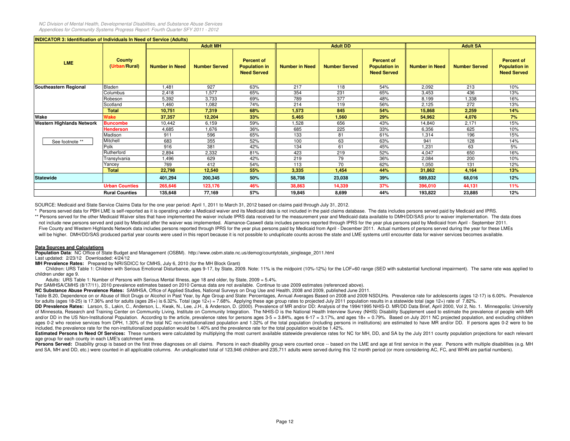| <b>INDICATOR 3: Identification of Individuals In Need of Service (Adults)</b> |                                |                       |                      |                                                                 |                       |                      |                                                                 |                       |                      |                                                                 |
|-------------------------------------------------------------------------------|--------------------------------|-----------------------|----------------------|-----------------------------------------------------------------|-----------------------|----------------------|-----------------------------------------------------------------|-----------------------|----------------------|-----------------------------------------------------------------|
|                                                                               |                                |                       | <b>Adult MH</b>      |                                                                 |                       | <b>Adult DD</b>      |                                                                 |                       | <b>Adult SA</b>      |                                                                 |
| <b>LME</b>                                                                    | <b>County</b><br>(Urban/Rural) | <b>Number in Need</b> | <b>Number Served</b> | <b>Percent of</b><br><b>Population in</b><br><b>Need Served</b> | <b>Number in Need</b> | <b>Number Served</b> | <b>Percent of</b><br><b>Population in</b><br><b>Need Served</b> | <b>Number in Need</b> | <b>Number Served</b> | <b>Percent of</b><br><b>Population in</b><br><b>Need Served</b> |
| Southeastern Regional                                                         | Bladen                         | 1.481                 | 927                  | 63%                                                             | 217                   | 118                  | 54%                                                             | 2,092                 | 213                  | 10%                                                             |
|                                                                               | Columbus                       | 2.418                 | 1,577                | 65%                                                             | 354                   | 231                  | 65%                                                             | 3.453                 | 436                  | 13%                                                             |
|                                                                               | Robeson                        | 5,392                 | 3,733                | 69%                                                             | 789                   | 377                  | 48%                                                             | 8,199                 | 1,338                | 16%                                                             |
|                                                                               | Scotland                       | 1,460                 | 1,082                | 74%                                                             | 214                   | 119                  | 56%                                                             | 2,125                 | 272                  | 13%                                                             |
|                                                                               | <b>Total</b>                   | 10,751                | 7,319                | 68%                                                             | 1,573                 | 845                  | 54%                                                             | 15,868                | 2,259                | 14%                                                             |
| Wake                                                                          | Wake                           | 37,357                | 12,204               | 33%                                                             | 5,465                 | 1,560                | 29%                                                             | 54,962                | 4,076                | 7%                                                              |
| <b>Western Highlands Network</b>                                              | <b>Buncombe</b>                | 10,442                | 6,159                | 59%                                                             | 1,528                 | 656                  | 43%                                                             | 14,840                | 2,171                | 15%                                                             |
|                                                                               | <b>Henderson</b>               | 4,685                 | 1,676                | 36%                                                             | 685                   | 225                  | 33%                                                             | 6,356                 | 625                  | 10%                                                             |
|                                                                               | Madison                        | 911                   | 596                  | 65%                                                             | 133                   | 81                   | 61%                                                             | 1,314                 | 196                  | 15%                                                             |
| See footnote **                                                               | Mitchell                       | 683                   | 355                  | 52%                                                             | 100                   | 63                   | 63%                                                             | 941                   | 128                  | 14%                                                             |
|                                                                               | Polk                           | 916                   | 381                  | 42%                                                             | 134                   | 61                   | 45%                                                             | 1,231                 | 63                   | 5%                                                              |
|                                                                               | Rutherford                     | 2,894                 | 2,332                | 81%                                                             | 423                   | 219                  | 52%                                                             | 4,047                 | 650                  | 16%                                                             |
|                                                                               | Transylvania                   | 1,496                 | 629                  | 42%                                                             | 219                   | 79                   | 36%                                                             | 2,084                 | 200                  | 10%                                                             |
|                                                                               | Yancey                         | 769                   | 412                  | 54%                                                             | 113                   | 70                   | 62%                                                             | 1,050                 | 131                  | 12%                                                             |
|                                                                               | <b>Total</b>                   | 22,798                | 12,540               | 55%                                                             | 3,335                 | 1,454                | 44%                                                             | 31,862                | 4,164                | 13%                                                             |
| <b>Statewide</b>                                                              |                                | 401,294               | 200,345              | 50%                                                             | 58,708                | 23,038               | 39%                                                             | 589,832               | 68,016               | 12%                                                             |
|                                                                               | <b>Urban Counties</b>          | 265,646               | 123,176              | 46%                                                             | 38,863                | 14,339               | 37%                                                             | 396,010               | 44,131               | 11%                                                             |
|                                                                               | <b>Rural Counties</b>          | 135,648               | 77,169               | 57%                                                             | 19,845                | 8,699                | 44%                                                             | 193,822               | 23,885               | 12%                                                             |

SOURCE: Medicaid and State Service Claims Data for the one year period: April 1, 2011 to March 31, 2012 based on claims paid through July 31, 2012.

 \* Persons served data for PBH LME is self-reported as it is operating under a Medicaid waiver and its Medicaid data is not included in the paid claims database. The data includes persons served paid by Medicaid and IPRS.\*\* Persons served for the other Medicaid Waiver sites that have implemented the waiver include IPRS data received for the measurement year and Medicaid data available to DMH/DD/SAS prior to waiver implementation. The data

 not include new persons served and paid by Medicaid after the waiver was implemented. Alamance-Caswell data includes persons reported through IPRS for the year plus persons paid by Medicaid from April - September 2011.Five County and Western Highlands Network data includes persons reported through IPRS for the year plus persons paid by Medicaid from April - December 2011. Actual numbers of persons served during the year for these LMEs will be higher. DMH/DD/SAS produced partial year counts were used in this report because it is not possible to unduplicate counts across the state and LME systems until encounter data for waiver services becomes available.

### **Data Sources and Calculations**

**Population Data**: NC Office of State Budget and Management (OSBM). http://www.osbm.state.nc.us/demog/countytotals\_singleage\_2011.html

Last updated: 2/23/12 Downloaded: 4/24/12

**MH Prevalence Rates:** Prepared by NRI/SDICC for CMHS, July 6, 2010 (for the MH Block Grant)

Children: URS Table 1: Children with Serious Emotional Disturbance, ages 9-17, by State, 2009. Note: 11% is the midpoint (10%-12%) for the LOF=60 range (SED with substantial functional impairment). The same rate was applie children under age 9.

Adults: URS Table 1: Number of Persons with Serious Mental Illness, age 18 and older, by State, 2009 <sup>=</sup> 5.4%.

Per SAMHSA/CMHS (8/17/11), 2010 prevalence estimates based on 2010 Census data are not available. Continue to use 2009 estimates (referenced above).

**NC Substance Abuse Prevalence Rates:** SAMHSA, Office of Applied Studies, National Surveys on Drug Use and Health, <sup>2008</sup> and 2009, published June 2011.

Table B.20, Dependence on or Abuse of Illicit Drugs or Alcohol in Past Year, by Age Group and State: Percentages, Annual Averages Based on 2008 and 2009 NSDUHs. Prevalence rate for adolescents (ages 12-17) is 6.00%. Preval for adults (ages 18-25) is 17.36% and for adults (ages 26+) is 6.32%. Total (age 12+) = 7.68%. Applying these age group rates to projected July 2011 population results in a statewide total (age 12+) rate of 7.82%.

DD Prevalence Rates: Larson, S., Lakin, C., Anderson, L., Kwak, N., Lee, J.H., & Anderson, D. (2000). Prevalence of MR and/or DD: Analysis of the 1994/1995 NHIS-D. MR/DD Data Brief, April 2000, Vol 2, No. 1. Minneapolis: U of Minnesota, Research and Training Center on Community Living, Institute on Community Integration. The NHIS-D is the National Health Interview Survey (NHIS) Disability Supplement used to estimate the prevalence of people and/or DD in the US Non-Institutional Population. According to the article, prevalence rates for persons ages 3-5 = 3.84%, ages 6-17 = 3.17%, and ages 18+ = 0.79%. Based on July 2011 NC projected population, and excluding ages 0-2 who receive services from DPH, 1.30% of the total NC non-institutionalized population and 1.32% of the total population (including persons in institutions) are estimated to have MR and/or DD. If persons ages 0-2 w included, the prevalence rate for the non-institutionalized population would be 1.40% and the prevalence rate for the total population would be 1.42%.

Estimated Persons In Need Of Services: These numbers were calculated by multiplying the most current available statewide prevalence rates for NC for MH, DD, and SA by the July 2011 county population projections for each re age group for each county in each LME's catchment area.

**Persons Served:** Disability group is based on the first three diagnoses on all claims. Persons in each disability group were counted once -- based on the LME and age at first service in the year. Persons with multiple dis and SA, MH and DD, etc.) were counted in all applicable columns. An unduplicated total of 123,946 children and 235,711 adults were served during this 12 month period (or more considering AC, FC, and WHN are partial numbers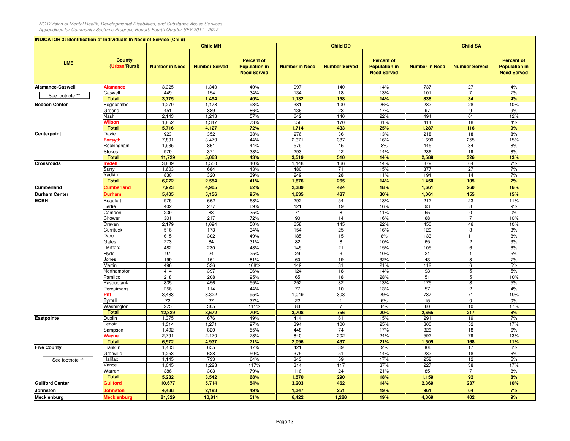| <b>INDICATOR 3: Identification of Individuals In Need of Service (Child)</b> |                                |                       |                      |                                                                 |                       |                      |                                                                 |                       |                      |                                                                 |
|------------------------------------------------------------------------------|--------------------------------|-----------------------|----------------------|-----------------------------------------------------------------|-----------------------|----------------------|-----------------------------------------------------------------|-----------------------|----------------------|-----------------------------------------------------------------|
|                                                                              |                                |                       | <b>Child MH</b>      |                                                                 |                       | <b>Child DD</b>      |                                                                 |                       | <b>Child SA</b>      |                                                                 |
| <b>LME</b>                                                                   | <b>County</b><br>(Urban/Rural) | <b>Number in Need</b> | <b>Number Served</b> | <b>Percent of</b><br><b>Population in</b><br><b>Need Served</b> | <b>Number in Need</b> | <b>Number Served</b> | <b>Percent of</b><br><b>Population in</b><br><b>Need Served</b> | <b>Number in Need</b> | <b>Number Served</b> | <b>Percent of</b><br><b>Population in</b><br><b>Need Served</b> |
| <b>Alamance-Caswell</b>                                                      | <b>Alamance</b>                | 3,325                 | 1,340                | 40%                                                             | 997                   | 140                  | 14%                                                             | 737                   | 27                   | 4%                                                              |
| See footnote **                                                              | Caswell                        | 449                   | 154                  | 34%                                                             | 134                   | 18                   | 13%                                                             | 101                   | $\overline{7}$       | 7%                                                              |
|                                                                              | <b>Total</b>                   | 3,775                 | 1,494                | 40%                                                             | 1,132                 | 158                  | 14%                                                             | 838                   | 34                   | 4%                                                              |
| <b>Beacon Center</b>                                                         | Edgecombe                      | 1,270                 | 1,178                | 93%                                                             | 381                   | 100                  | 26%                                                             | 282                   | 28                   | 10%                                                             |
|                                                                              | Greene                         | 451                   | 389                  | 86%                                                             | 136                   | 23                   | 17%                                                             | 97                    | 9                    | 9%                                                              |
|                                                                              | Nash                           | 2,143                 | 1,213                | 57%                                                             | 642                   | 140                  | 22%                                                             | 494                   | 61                   | 12%                                                             |
|                                                                              | Wilson                         | 1,852                 | 1,347                | 73%                                                             | 556                   | 170                  | 31%                                                             | 414                   | 18                   | 4%                                                              |
|                                                                              | <b>Total</b><br>Davie          | 5,716                 | 4,127                | 72%                                                             | 1,714<br>276          | 433<br>36            | 25%                                                             | 1,287<br>218          | 116                  | 9%                                                              |
| Centerpoint                                                                  | Forsyth                        | 923<br>7,891          | 352<br>3,479         | 38%<br>44%                                                      | 2,371                 | 387                  | 13%<br>16%                                                      | 1,690                 | 18<br>255            | 8%<br>15%                                                       |
|                                                                              | Rockingham                     | 1,935                 | 861                  | 44%                                                             | 579                   | 45                   | 8%                                                              | 445                   | 34                   | 8%                                                              |
|                                                                              | Stokes                         | 979                   | 371                  | 38%                                                             | 293                   | 42                   | 14%                                                             | 236                   | 19                   | 8%                                                              |
|                                                                              | <b>Total</b>                   | 11,729                | 5,063                | 43%                                                             | 3,519                 | 510                  | 14%                                                             | 2,589                 | 326                  | 13%                                                             |
| <b>Crossroads</b>                                                            | redell                         | 3,839                 | 1,550                | 40%                                                             | 1,148                 | 166                  | 14%                                                             | 879                   | 64                   | 7%                                                              |
|                                                                              | Surry                          | 1,603                 | 684                  | 43%                                                             | 480                   | 71                   | 15%                                                             | 377                   | 27                   | 7%                                                              |
|                                                                              | Yadkin                         | 830                   | 320                  | 39%                                                             | 249                   | 28                   | 11%                                                             | 194                   | 14                   | 7%                                                              |
|                                                                              | <b>Total</b>                   | 6,272                 | 2,554                | 41%                                                             | 1,876                 | 265                  | 14%                                                             | 1,450                 | 105                  | 7%                                                              |
| Cumberland                                                                   | <b>Cumberland</b>              | 7,923                 | 4,905                | 62%                                                             | 2,389                 | 424                  | 18%                                                             | 1,661                 | 260                  | 16%                                                             |
| <b>Durham Center</b>                                                         | Durham                         | 5,405                 | 5,156                | 95%                                                             | 1,635                 | 487                  | 30%                                                             | 1,061                 | 155                  | 15%                                                             |
| <b>ECBH</b>                                                                  | Beaufort                       | 975                   | 662                  | 68%                                                             | 292                   | 54                   | 18%                                                             | 212                   | 23                   | 11%                                                             |
|                                                                              | Bertie                         | 402                   | 277                  | 69%                                                             | 121                   | 19                   | 16%                                                             | 93                    | 8                    | 9%                                                              |
|                                                                              | Camden                         | 239                   | 83                   | 35%                                                             | 71                    | 8                    | 11%                                                             | 55                    | 0                    | 0%                                                              |
|                                                                              | Chowan                         | 301                   | 217                  | 72%                                                             | 90                    | 14                   | 16%                                                             | 68                    | $\overline{7}$       | 10%                                                             |
|                                                                              | Craven                         | 2,179                 | 1,094                | 50%                                                             | 658                   | 145                  | 22%                                                             | 450                   | 46                   | 10%                                                             |
|                                                                              | Currituck                      | 516                   | 173                  | 34%                                                             | 154                   | 25                   | 16%                                                             | 120                   | 3                    | 3%                                                              |
|                                                                              | Dare                           | 615                   | 302                  | 49%                                                             | 185                   | 15                   | 8%                                                              | 133                   | 11                   | 8%                                                              |
|                                                                              | Gates                          | 273                   | 84                   | 31%                                                             | 82                    | 8                    | 10%                                                             | 65                    | $\overline{c}$       | 3%                                                              |
|                                                                              | Hertford                       | 482                   | 230                  | 48%                                                             | 145                   | 21                   | 15%                                                             | 105                   | 6                    | 6%                                                              |
|                                                                              | Hyde                           | 97                    | 24                   | 25%                                                             | 29                    | 3                    | 10%                                                             | 21                    | $\mathbf{1}$         | 5%                                                              |
|                                                                              | Jones                          | 199                   | 161                  | 81%                                                             | 60                    | 19                   | 32%                                                             | 43                    | 3                    | 7%                                                              |
|                                                                              | Martin                         | 496<br>414            | 536<br>397           | 108%<br>96%                                                     | 149<br>124            | 31<br>18             | 21%<br>14%                                                      | 112<br>93             | 6<br>5               | 5%<br>5%                                                        |
|                                                                              | Northampton<br>Pamlico         | 218                   | 208                  | 95%                                                             | 65                    | 18                   | 28%                                                             | 51                    | 5                    | 10%                                                             |
|                                                                              | Pasquotank                     | 835                   | 456                  | 55%                                                             | 252                   | 32                   | 13%                                                             | 175                   | 8                    | 5%                                                              |
|                                                                              | Perquimans                     | 256                   | 114                  | 44%                                                             | 77                    | 10                   | 13%                                                             | 57                    | $\mathbf{2}$         | 4%                                                              |
|                                                                              | Pitt                           | 3,483                 | 3,322                | 95%                                                             | 1,049                 | 308                  | 29%                                                             | 737                   | 71                   | 10%                                                             |
|                                                                              | Tyrrell                        | 72                    | 27                   | 37%                                                             | 22                    | $\mathbf{1}$         | 5%                                                              | 15                    | $\mathbf 0$          | 0%                                                              |
|                                                                              | Washington                     | 275                   | 305                  | 111%                                                            | 83                    | $\overline{7}$       | 8%                                                              | 60                    | 10                   | 17%                                                             |
|                                                                              | <b>Total</b>                   | 12,329                | 8,672                | 70%                                                             | 3,708                 | 756                  | 20%                                                             | 2,665                 | 217                  | 8%                                                              |
| Eastpointe                                                                   | <b>Duplin</b>                  | 1,375                 | 676                  | 49%                                                             | 414                   | 61                   | 15%                                                             | 291                   | 19                   | 7%                                                              |
|                                                                              | _enoir                         | 1,314                 | 1,271                | 97%                                                             | 394                   | 100                  | 25%                                                             | 300                   | 52                   | 17%                                                             |
|                                                                              | Sampson                        | 1,492                 | 820                  | 55%                                                             | 448                   | 74                   | 17%                                                             | 326                   | 18                   | 6%                                                              |
|                                                                              | Wayne                          | 2,791                 | 2,170                | 78%                                                             | 840                   | 202                  | 24%                                                             | 592                   | 79                   | 13%                                                             |
|                                                                              | <b>Total</b>                   | 6,972                 | 4,937                | 71%                                                             | 2,096                 | 437                  | 21%                                                             | 1,509                 | 168                  | 11%                                                             |
| <b>Five County</b>                                                           | Franklin                       | 1,403                 | 655                  | 47%                                                             | 421                   | 39                   | 9%                                                              | 306                   | 17                   | 6%                                                              |
|                                                                              | Granville                      | 1,253                 | 628                  | 50%                                                             | 375                   | 51                   | 14%                                                             | 282                   | 18                   | 6%                                                              |
| See footnote **                                                              | Halifax                        | 1,145                 | 733                  | 64%                                                             | 343                   | 59                   | 17%<br>37%                                                      | 258                   | 12                   | 5%                                                              |
|                                                                              | Vance<br>Warren                | 1,045<br>386          | 1,223<br>303         | 117%<br>79%                                                     | 314<br>116            | 117<br>24            | 21%                                                             | 227<br>85             | 38<br>$\overline{7}$ | 17%<br>8%                                                       |
|                                                                              | <b>Total</b>                   | 5,232                 | 3,542                | 68%                                                             | 1,570                 | 290                  | 18%                                                             | 1,159                 | 92                   | 8%                                                              |
| <b>Guilford Center</b>                                                       | <b>Guilford</b>                | 10,677                | 5,714                | 54%                                                             | 3,203                 | 462                  | 14%                                                             | 2,369                 | 237                  | 10%                                                             |
|                                                                              |                                |                       |                      |                                                                 |                       |                      |                                                                 |                       |                      |                                                                 |
| Johnston                                                                     | Johnston                       | 4,488                 | 2,193                | 49%                                                             | 1,347                 | 251                  | 19%                                                             | 961                   | 64                   | 7%                                                              |
| Mecklenburg                                                                  | <b>Mecklenburg</b>             | 21,329                | 10,811               | 51%                                                             | 6,422                 | 1,228                | 19%                                                             | 4,369                 | 402                  | 9%                                                              |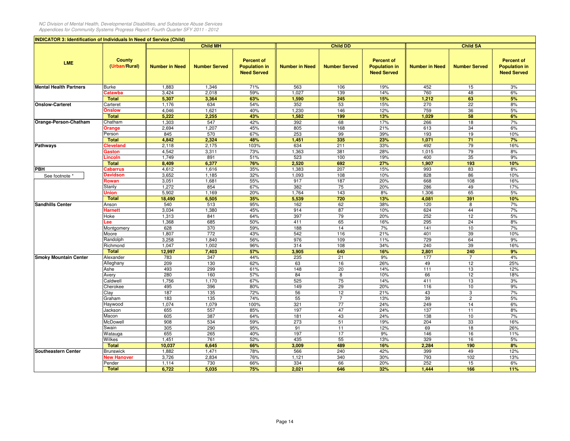| <b>INDICATOR 3: Identification of Individuals In Need of Service (Child)</b> |                                  |                       |                      |                                                                 |                       |                      |                                                                 |                       |                      |                                                                 |  |  |
|------------------------------------------------------------------------------|----------------------------------|-----------------------|----------------------|-----------------------------------------------------------------|-----------------------|----------------------|-----------------------------------------------------------------|-----------------------|----------------------|-----------------------------------------------------------------|--|--|
|                                                                              |                                  |                       | <b>Child MH</b>      |                                                                 |                       | <b>Child DD</b>      |                                                                 |                       | <b>Child SA</b>      |                                                                 |  |  |
| <b>LME</b>                                                                   | <b>County</b><br>(Urban/Rural)   | <b>Number in Need</b> | <b>Number Served</b> | <b>Percent of</b><br><b>Population in</b><br><b>Need Served</b> | <b>Number in Need</b> | <b>Number Served</b> | <b>Percent of</b><br><b>Population in</b><br><b>Need Served</b> | <b>Number in Need</b> | <b>Number Served</b> | <b>Percent of</b><br><b>Population in</b><br><b>Need Served</b> |  |  |
| <b>Mental Health Partners</b>                                                | Burke                            | 1,883                 | 1,346                | 71%                                                             | 563                   | 106                  | 19%                                                             | 452                   | 15                   | 3%                                                              |  |  |
|                                                                              | Catawba                          | 3,424                 | 2,018                | 59%                                                             | 1,027                 | 139                  | 14%                                                             | 760                   | 48                   | 6%                                                              |  |  |
|                                                                              | <b>Total</b>                     | 5,307                 | 3,364                | 63%                                                             | 1,590                 | 245                  | 15%                                                             | 1,212                 | 63                   | 5%                                                              |  |  |
| <b>Onslow-Carteret</b>                                                       | Carteret                         | 1,176                 | 634                  | 54%                                                             | 352                   | 53                   | 15%                                                             | 270                   | 22                   | 8%                                                              |  |  |
|                                                                              | Onslow                           | 4,046                 | 1,621                | 40%                                                             | 1,230                 | 146                  | 12%                                                             | 759                   | 36                   | 5%                                                              |  |  |
|                                                                              | <b>Total</b>                     | 5,222                 | 2,255                | 43%                                                             | 1,582                 | 199                  | 13%                                                             | 1,029                 | 58                   | 6%                                                              |  |  |
| Orange-Person-Chatham                                                        | Chatham                          | 1,303                 | 547                  | 42%                                                             | 392                   | 68                   | 17%                                                             | 266                   | 18                   | 7%                                                              |  |  |
|                                                                              | Orange                           | 2,694                 | 1,207                | 45%                                                             | 805                   | 168                  | 21%                                                             | 613                   | 34                   | 6%                                                              |  |  |
|                                                                              | Person                           | 845<br>4,842          | 570                  | 67%                                                             | 253                   | 99                   | 39%                                                             | 193                   | 19                   | 10%                                                             |  |  |
| <b>Pathways</b>                                                              | <b>Total</b><br><b>Cleveland</b> | 2,118                 | 2,324<br>2,175       | 48%<br>103%                                                     | 1,451<br>634          | 335<br>211           | 23%<br>33%                                                      | 1,071<br>492          | 71<br>79             | 7%<br>16%                                                       |  |  |
|                                                                              | Gaston                           | 4,542                 | 3,311                | 73%                                                             | 1,363                 | 381                  | 28%                                                             | 1,015                 | 79                   | 8%                                                              |  |  |
|                                                                              | .incoln                          | 1,749                 | 891                  | 51%                                                             | 523                   | 100                  | 19%                                                             | 400                   | 35                   | 9%                                                              |  |  |
|                                                                              | <b>Total</b>                     | 8,409                 | 6,377                | 76%                                                             | 2,520                 | 692                  | 27%                                                             | 1,907                 | 193                  | 10%                                                             |  |  |
| PBH                                                                          | <b>Cabarrus</b>                  | 4,612                 | 1,616                | 35%                                                             | 1,383                 | 207                  | 15%                                                             | 993                   | 83                   | 8%                                                              |  |  |
| See footnote *                                                               | <b>Davidson</b>                  | 3,652                 | 1,185                | 32%                                                             | 1,093                 | 108                  | 10%                                                             | 828                   | 86                   | 10%                                                             |  |  |
|                                                                              | Rowan                            | 3,051                 | 1,681                | 55%                                                             | 917                   | 187                  | 20%                                                             | 668                   | 108                  | 16%                                                             |  |  |
|                                                                              | Stanly                           | 1,272                 | 854                  | 67%                                                             | 382                   | 75                   | 20%                                                             | 286                   | 49                   | 17%                                                             |  |  |
|                                                                              | Jnion                            | 5,902                 | 1,169                | 20%                                                             | 1,764                 | 143                  | 8%                                                              | 1,306                 | 65                   | 5%                                                              |  |  |
|                                                                              | <b>Total</b>                     | 18,490                | 6,505                | 35%                                                             | 5,539                 | 720                  | 13%                                                             | 4,081                 | 391                  | 10%                                                             |  |  |
| <b>Sandhills Center</b>                                                      | Anson                            | 540                   | 513                  | 95%                                                             | 162                   | 62                   | 38%                                                             | 120                   | 8                    | 7%                                                              |  |  |
|                                                                              | Harnett                          | 3,034                 | 1,380                | 45%                                                             | 914                   | 87                   | 10%                                                             | 624                   | 44                   | 7%                                                              |  |  |
|                                                                              | Hoke                             | 1,313                 | 841                  | 64%                                                             | 397                   | 79                   | 20%                                                             | 252                   | 12                   | 5%                                                              |  |  |
|                                                                              | .ee                              | 1,368                 | 685                  | 50%                                                             | 411                   | 65                   | 16%                                                             | 295                   | 24                   | 8%                                                              |  |  |
|                                                                              | Montgomery                       | 628                   | 370                  | 59%                                                             | 188                   | 14                   | 7%                                                              | 141                   | $10$                 | 7%                                                              |  |  |
|                                                                              | Moore                            | 1,807                 | 772                  | 43%                                                             | 542                   | 116                  | 21%                                                             | 401                   | 39                   | 10%                                                             |  |  |
|                                                                              | Randolph                         | 3,258<br>1,047        | 1,840<br>1,002       | 56%<br>96%                                                      | 976<br>314            | 109<br>108           | 11%<br>34%                                                      | 729<br>240            | 64<br>39             | 9%<br>16%                                                       |  |  |
|                                                                              | Richmond<br><b>Total</b>         | 12,997                | 7,403                | 57%                                                             | 3,905                 | 640                  | 16%                                                             | 2,801                 | 240                  | 9%                                                              |  |  |
| <b>Smoky Mountain Center</b>                                                 | Alexander                        | 783                   | 347                  | 44%                                                             | 235                   | 21                   | 9%                                                              | 177                   | 7                    | 4%                                                              |  |  |
|                                                                              | Alleghany                        | 209                   | 130                  | 62%                                                             | 63                    | 16                   | 26%                                                             | 49                    | 12                   | 25%                                                             |  |  |
|                                                                              | Ashe                             | 493                   | 299                  | 61%                                                             | 148                   | 20                   | 14%                                                             | 111                   | 13                   | 12%                                                             |  |  |
|                                                                              | Avery                            | 280                   | 160                  | 57%                                                             | 84                    | 8                    | 10%                                                             | 66                    | 12                   | 18%                                                             |  |  |
|                                                                              | Caldwell                         | 1,756                 | 1,170                | 67%                                                             | 525                   | 75                   | 14%                                                             | 411                   | 13                   | 3%                                                              |  |  |
|                                                                              | Cherokee                         | 495                   | 396                  | 80%                                                             | 149                   | 29                   | 20%                                                             | 116                   | 10                   | 9%                                                              |  |  |
|                                                                              | Clay                             | 187                   | 135                  | 72%                                                             | 56                    | 12                   | 21%                                                             | 43                    | 3                    | 7%                                                              |  |  |
|                                                                              | Graham                           | 183                   | 135                  | 74%                                                             | 55                    | $\overline{7}$       | 13%                                                             | 39                    | $\overline{c}$       | 5%                                                              |  |  |
|                                                                              | Haywood                          | 1,074                 | 1,079                | 100%                                                            | 321                   | 77                   | 24%                                                             | 249                   | 14                   | 6%                                                              |  |  |
|                                                                              | Jackson                          | 655                   | 557                  | 85%                                                             | 197                   | 47                   | 24%                                                             | 137                   | 11                   | 8%                                                              |  |  |
|                                                                              | Macon                            | 605                   | 387                  | 64%                                                             | 181                   | 43                   | 24%                                                             | 138                   | 10                   | 7%                                                              |  |  |
|                                                                              | McDowell                         | 908                   | 534                  | 59%                                                             | 273                   | 51                   | 19%                                                             | 204                   | 33                   | 16%                                                             |  |  |
|                                                                              | Swain                            | 305                   | 290                  | 95%                                                             | 91                    | 11                   | 12%                                                             | 69                    | 18                   | 26%                                                             |  |  |
|                                                                              | Watauga                          | 655                   | 265                  | 40%                                                             | 197<br>435            | 17                   | 9%<br>13%                                                       | 146                   | 16                   | 11%                                                             |  |  |
|                                                                              | Wilkes<br><b>Total</b>           | 1,451<br>10,037       | 761<br>6,645         | 52%<br>66%                                                      | 3,009                 | 55<br>489            | 16%                                                             | 329<br>2,284          | 16<br>190            | 5%<br>8%                                                        |  |  |
| <b>Southeastern Center</b>                                                   | Brunswick                        | 1,882                 | 1,471                | 78%                                                             | 566                   | 240                  | 42%                                                             | 399                   | 49                   | 12%                                                             |  |  |
|                                                                              | <b>New Hanover</b>               | 3,726                 | 2,834                | 76%                                                             | 1,121                 | 340                  | 30%                                                             | 793                   | 102                  | 13%                                                             |  |  |
|                                                                              | Pender                           | 1,114                 | 730                  | 66%                                                             | 334                   | 66                   | 20%                                                             | 252                   | 15                   | 6%                                                              |  |  |
|                                                                              | <b>Total</b>                     | 6,722                 | 5,035                | 75%                                                             | 2,021                 | 646                  | 32%                                                             | 1,444                 | 166                  | 11%                                                             |  |  |
|                                                                              |                                  |                       |                      |                                                                 |                       |                      |                                                                 |                       |                      |                                                                 |  |  |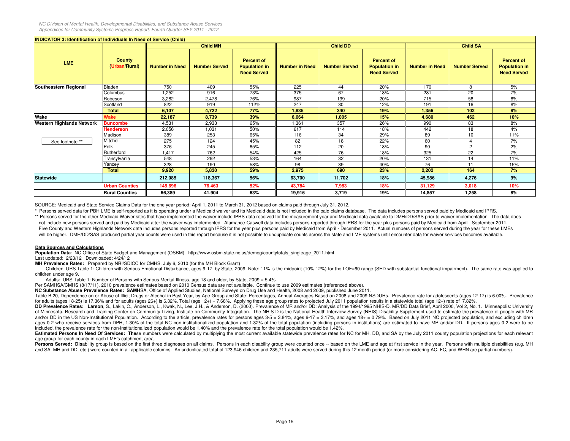| <b>INDICATOR 3: Identification of Individuals In Need of Service (Child)</b> |                                |                       |                      |                                                                 |                       |                      |                                                                 |                       |                      |                                                                 |
|------------------------------------------------------------------------------|--------------------------------|-----------------------|----------------------|-----------------------------------------------------------------|-----------------------|----------------------|-----------------------------------------------------------------|-----------------------|----------------------|-----------------------------------------------------------------|
|                                                                              |                                |                       | <b>Child MH</b>      |                                                                 |                       | <b>Child DD</b>      |                                                                 |                       | <b>Child SA</b>      |                                                                 |
| <b>LME</b>                                                                   | <b>County</b><br>(Urban/Rural) | <b>Number in Need</b> | <b>Number Served</b> | <b>Percent of</b><br><b>Population in</b><br><b>Need Served</b> | <b>Number in Need</b> | <b>Number Served</b> | <b>Percent of</b><br><b>Population in</b><br><b>Need Served</b> | <b>Number in Need</b> | <b>Number Served</b> | <b>Percent of</b><br><b>Population in</b><br><b>Need Served</b> |
| Southeastern Regional                                                        | Bladen                         | 750                   | 409                  | 55%                                                             | 225                   | 44                   | 20%                                                             | 170                   | 8                    | 5%                                                              |
|                                                                              | Columbus                       | 1,252                 | 916                  | 73%                                                             | 375                   | 67                   | 18%                                                             | 281                   | 20                   | 7%                                                              |
|                                                                              | Robeson                        | 3,282                 | 2,478                | 76%                                                             | 987                   | 199                  | 20%                                                             | 715                   | 58                   | 8%                                                              |
|                                                                              | Scotland                       | 822                   | 919                  | 112%                                                            | 247                   | 30                   | 12%                                                             | 191                   | 16                   | 8%                                                              |
|                                                                              | <b>Total</b>                   | 6,107                 | 4,722                | 77%                                                             | 1,835                 | 340                  | 19%                                                             | 1,356                 | 102                  | 8%                                                              |
| Wake                                                                         | Wake                           | 22,187                | 8,739                | 39%                                                             | 6,664                 | 1,005                | 15%                                                             | 4,680                 | 462                  | 10%                                                             |
| <b>Western Highlands Network</b>                                             | <b>Buncombe</b>                | 4,531                 | 2,933                | 65%                                                             | 1,361                 | 357                  | 26%                                                             | 990                   | 83                   | 8%                                                              |
|                                                                              | <b>Henderson</b>               | 2,056                 | 1,031                | 50%                                                             | 617                   | 114                  | 18%                                                             | 442                   | 18                   | 4%                                                              |
|                                                                              | Madison                        | 389                   | 253                  | 65%                                                             | 116                   | 34                   | 29%                                                             | 89                    | 10                   | 11%                                                             |
| See footnote **                                                              | Mitchell                       | 275                   | 124                  | 45%                                                             | 82                    | 18                   | 22%                                                             | 60                    | Δ                    | 7%                                                              |
|                                                                              | Polk                           | 376                   | 245                  | 65%                                                             | 112                   | 20                   | 18%                                                             | 90                    | $\overline{2}$       | 2%                                                              |
|                                                                              | Rutherford                     | 1,417                 | 762                  | 54%                                                             | 425                   | 76                   | 18%                                                             | 325                   | 22                   | 7%                                                              |
|                                                                              | Transylvania                   | 548                   | 292                  | 53%                                                             | 164                   | 32                   | 20%                                                             | 131                   | 14                   | 11%                                                             |
|                                                                              | Yancey                         | 328                   | 190                  | 58%                                                             | 98                    | 39                   | 40%                                                             | 76                    | 11                   | 15%                                                             |
|                                                                              | <b>Total</b>                   | 9,920                 | 5,830                | 59%                                                             | 2,975                 | 690                  | 23%                                                             | 2,202                 | 164                  | 7%                                                              |
| <b>Statewide</b>                                                             |                                | 212,085               | 118,367              | 56%                                                             | 63,700                | 11,702               | 18%                                                             | 45,986                | 4,276                | 9%                                                              |
|                                                                              | <b>Urban Counties</b>          | 145,696               | 76,463               | 52%                                                             | 43,784                | 7,983                | 18%                                                             | 31,129                | 3,018                | 10%                                                             |
|                                                                              | <b>Rural Counties</b>          | 66,389                | 41,904               | 63%                                                             | 19,916                | 3,719                | 19%                                                             | 14,857                | 1,258                | 8%                                                              |

SOURCE: Medicaid and State Service Claims Data for the one year period: April 1, 2011 to March 31, 2012 based on claims paid through July 31, 2012.

 \* Persons served data for PBH LME is self-reported as it is operating under a Medicaid waiver and its Medicaid data is not included in the paid claims database. The data includes persons served paid by Medicaid and IPRS.\*\* Persons served for the other Medicaid Waiver sites that have implemented the waiver include IPRS data received for the measurement year and Medicaid data available to DMH/DD/SAS prior to waiver implementation. The data

 not include new persons served and paid by Medicaid after the waiver was implemented. Alamance-Caswell data includes persons reported through IPRS for the year plus persons paid by Medicaid from April - September 2011.Five County and Western Highlands Network data includes persons reported through IPRS for the year plus persons paid by Medicaid from April - December 2011. Actual numbers of persons served during the year for these LMEs will be higher. DMH/DD/SAS produced partial year counts were used in this report because it is not possible to unduplicate counts across the state and LME systems until encounter data for waiver services becomes available.

### **Data Sources and Calculations**

**Population Data**: NC Office of State Budget and Management (OSBM). http://www.osbm.state.nc.us/demog/countytotals\_singleage\_2011.html

Last updated: 2/23/12 Downloaded: 4/24/12

**MH Prevalence Rates:** Prepared by NRI/SDICC for CMHS, July 6, <sup>2010</sup> (for the MH Block Grant)

Children: URS Table 1: Children with Serious Emotional Disturbance, ages 9-17, by State, 2009, Note: 11% is the midpoint (10%-12%) for the LOF=60 range (SED with substantial functional impairment). The same rate was applie children under age 9.

Adults: URS Table 1: Number of Persons with Serious Mental Illness, age 18 and older, by State, 2009 <sup>=</sup> 5.4%.

Per SAMHSA/CMHS (8/17/11), 2010 prevalence estimates based on 2010 Census data are not available. Continue to use 2009 estimates (referenced above).

NC Substance Abuse Prevalence Rates: SAMHSA, Office of Applied Studies, National Surveys on Drug Use and Health, 2008 and 2009, published June 2011.

Table B.20, Dependence on or Abuse of Illicit Drugs or Alcohol in Past Year, by Age Group and State: Percentages, Annual Averages Based on 2008 and 2009 NSDUHs. Prevalence rate for adolescents (ages 12-17) is 6.00%. Preval for adults (ages 18-25) is 17.36% and for adults (ages 26+) is 6.32%. Total (age 12+) = 7.68%. Applying these age group rates to projected July 2011 population results in a statewide total (age 12+) rate of 7.82%.

DD Prevalence Rates: Larson, S., Lakin, C., Anderson, L., Kwak, N., Lee, J.H., & Anderson, D. (2000). Prevalence of MR and/or DD: Analysis of the 1994/1995 NHIS-D. MR/DD Data Brief, April 2000, Vol 2, No. 1. Minneapolis: U of Minnesota, Research and Training Center on Community Living, Institute on Community Integration. The NHIS-D is the National Health Interview Survey (NHIS) Disability Supplement used to estimate the prevalence of people and/or DD in the US Non-Institutional Population. According to the article, prevalence rates for persons ages 3-5 = 3.84%, ages 6-17 = 3.17%, and ages 18+ = 0.79%. Based on July 2011 NC projected population, and excluding ages 0-2 who receive services from DPH, 1.30% of the total NC non-institutionalized population and 1.32% of the total population (including persons in institutions) are estimated to have MR and/or DD. If persons ages 0-2 w included, the prevalence rate for the non-institutionalized population would be 1.40% and the prevalence rate for the total population would be 1.42%.

Estimated Persons In Need Of Services: These numbers were calculated by multiplying the most current available statewide prevalence rates for NC for MH, DD, and SA by the July 2011 county population projections for each re age group for each county in each LME's catchment area.

Persons Served: Disability group is based on the first three diagnoses on all claims. Persons in each disability group were counted once -- based on the LME and age at first service in the year. Persons with multiple disab and SA, MH and DD, etc.) were counted in all applicable columns. An unduplicated total of 123,946 children and 235,711 adults were served during this <sup>12</sup> month period (or more considering AC, FC, and WHN are partial numbers).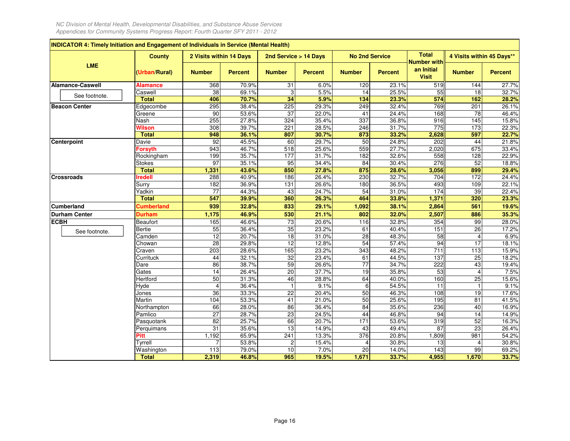|                         | <b>County</b>     | 2 Visits within 14 Days |                | 2nd Service > 14 Days |                | <b>No 2nd Service</b> |                | <b>Total</b>                              | 4 Visits within 45 Days** |                |
|-------------------------|-------------------|-------------------------|----------------|-----------------------|----------------|-----------------------|----------------|-------------------------------------------|---------------------------|----------------|
| <b>LME</b>              | (Urban/Rural)     | <b>Number</b>           | <b>Percent</b> | <b>Number</b>         | <b>Percent</b> | <b>Number</b>         | <b>Percent</b> | Number with<br>an Initial<br><b>Visit</b> | <b>Number</b>             | <b>Percent</b> |
| <b>Alamance-Caswell</b> | Alamance          | 368                     | 70.9%          | 31                    | 6.0%           | 120                   | 23.1%          | 519                                       | 144                       | 27.7%          |
| See footnote.           | Caswell           | $\overline{38}$         | 69.1%          | 3                     | 5.5%           | 14                    | 25.5%          | 55                                        | $\overline{18}$           | 32.7%          |
|                         | <b>Total</b>      | 406                     | 70.7%          | 34                    | 5.9%           | 134                   | 23.3%          | 574                                       | 162                       | 28.2%          |
| <b>Beacon Center</b>    | Edgecombe         | 295                     | 38.4%          | 225                   | 29.3%          | 249                   | 32.4%          | 769                                       | 201                       | 26.1%          |
|                         | Greene            | 90                      | 53.6%          | 37                    | 22.0%          | 41                    | 24.4%          | 168                                       | $\overline{78}$           | 46.4%          |
|                         | Nash              | 255                     | 27.8%          | 324                   | 35.4%          | 337                   | 36.8%          | 916                                       | 145                       | 15.8%          |
|                         | Wilson            | 308                     | 39.7%          | 221                   | 28.5%          | 246                   | 31.7%          | 775                                       | 173                       | 22.3%          |
|                         | <b>Total</b>      | 948                     | 36.1%          | 807                   | 30.7%          | 873                   | 33.2%          | 2,628                                     | 597                       | 22.7%          |
| Centerpoint             | Davie             | 92                      | 45.5%          | 60                    | 29.7%          | 50                    | 24.8%          | 202                                       | 44                        | 21.8%          |
|                         | <b>Forsyth</b>    | 943                     | 46.7%          | 518                   | 25.6%          | 559                   | 27.7%          | 2,020                                     | 675                       | 33.4%          |
|                         | Rockingham        | 199                     | 35.7%          | 177                   | 31.7%          | 182                   | 32.6%          | 558                                       | 128                       | 22.9%          |
|                         | <b>Stokes</b>     | $\overline{97}$         | 35.1%          | 95                    | 34.4%          | 84                    | 30.4%          | 276                                       | 52                        | 18.8%          |
|                         | <b>Total</b>      | 1,331                   | 43.6%          | 850                   | 27.8%          | 875                   | 28.6%          | 3,056                                     | 899                       | 29.4%          |
| <b>Crossroads</b>       | <b>Iredell</b>    | 288                     | 40.9%          | 186                   | 26.4%          | 230                   | 32.7%          | 704                                       | 172                       | 24.4%          |
|                         | Surry             | 182                     | 36.9%          | 131                   | 26.6%          | 180                   | 36.5%          | 493                                       | 109                       | 22.1%          |
|                         | Yadkin            | 77                      | 44.3%          | 43                    | 24.7%          | 54                    | 31.0%          | 174                                       | 39                        | 22.4%          |
|                         | <b>Total</b>      | 547                     | 39.9%          | 360                   | 26.3%          | 464                   | 33.8%          | 1,371                                     | 320                       | 23.3%          |
| <b>Cumberland</b>       | <b>Cumberland</b> | 939                     | 32.8%          | 833                   | 29.1%          | 1,092                 | 38.1%          | 2,864                                     | 561                       | 19.6%          |
| <b>Durham Center</b>    | Durham            | 1,175                   | 46.9%          | 530                   | 21.1%          | 802                   | 32.0%          | 2,507                                     | 886                       | 35.3%          |
| <b>ECBH</b>             | <b>Beaufort</b>   | 165                     | 46.6%          | 73                    | 20.6%          | 116                   | 32.8%          | 354                                       | 99                        | 28.0%          |
| See footnote.           | <b>Bertie</b>     | 55                      | 36.4%          | 35                    | 23.2%          | 61                    | 40.4%          | 151                                       | $\overline{26}$           | 17.2%          |
|                         | Camden            | $\overline{12}$         | 20.7%          | 18                    | 31.0%          | 28                    | 48.3%          | $\overline{58}$                           |                           | 6.9%           |
|                         | Chowan            | 28                      | 29.8%          | $\overline{12}$       | 12.8%          | 54                    | 57.4%          | 94                                        | 17                        | 18.1%          |
|                         | Craven            | 203                     | 28.6%          | 165                   | 23.2%          | 343                   | 48.2%          | 711                                       | 113                       | 15.9%          |
|                         | Currituck         | 44                      | 32.1%          | 32                    | 23.4%          | 61                    | 44.5%          | 137                                       | 25                        | 18.2%          |
|                         | Dare              | 86                      | 38.7%          | 59                    | 26.6%          | $\overline{77}$       | 34.7%          | 222                                       | 43                        | 19.4%          |
|                         | Gates             | $\overline{14}$         | 26.4%          | 20                    | 37.7%          | 19                    | 35.8%          | 53                                        |                           | 7.5%           |
|                         | Hertford          | 50                      | 31.3%          | 46                    | 28.8%          | 64                    | 40.0%          | 160                                       | $\overline{25}$           | 15.6%          |
|                         | Hyde              | $\overline{4}$          | 36.4%          | $\overline{1}$        | 9.1%           | 6                     | 54.5%          | 11                                        |                           | 9.1%           |
|                         | Jones             | 36                      | 33.3%          | 22                    | 20.4%          | 50                    | 46.3%          | 108                                       | 19                        | 17.6%          |
|                         | Martin            | 104                     | 53.3%          | $\overline{41}$       | 21.0%          | 50                    | 25.6%          | 195                                       | 81                        | 41.5%          |
|                         | Northampton       | 66                      | 28.0%          | 86                    | 36.4%          | 84                    | 35.6%          | 236                                       | 40                        | 16.9%          |
|                         | Pamlico           | $\overline{27}$         | 28.7%          | $\overline{23}$       | 24.5%          | 44                    | 46.8%          | 94                                        | 14                        | 14.9%          |
|                         | Pasquotank        | $\overline{82}$         | 25.7%          | 66                    | 20.7%          | $\frac{1}{171}$       | 53.6%          | 319                                       | 52                        | 16.3%          |
|                         | Perquimans        | 31                      | 35.6%          | 13                    | 14.9%          | 43                    | 49.4%          | $\overline{87}$                           | 23                        | 26.4%          |
|                         | Pitt              | 1,192                   | 65.9%          | 241                   | 13.3%          | $\overline{376}$      | 20.8%          | 1,809                                     | 981                       | 54.2%          |
|                         | Tyrrell           |                         | 53.8%          |                       | 15.4%          |                       | 30.8%          | 13                                        |                           | 30.8%          |
|                         | Washington        | 113                     | 79.0%          | 10                    | 7.0%           | $\overline{20}$       | 14.0%          | 143                                       | 99                        | 69.2%          |
|                         | <b>Total</b>      | 2,319                   | 46.8%          | 965                   | 19.5%          | 1,671                 | 33.7%          | 4,955                                     | 1,670                     | 33.7%          |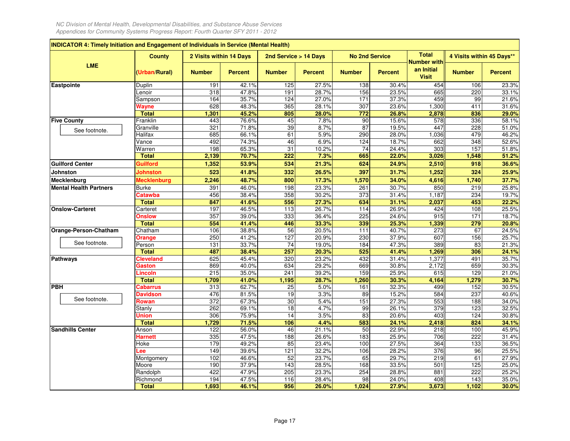| INDICATOR 4: Timely Initiation and Engagement of Individuals in Service (Mental Health) |                    |                         |                |                       |                |                       |                |                                                  |                           |                |
|-----------------------------------------------------------------------------------------|--------------------|-------------------------|----------------|-----------------------|----------------|-----------------------|----------------|--------------------------------------------------|---------------------------|----------------|
|                                                                                         | <b>County</b>      | 2 Visits within 14 Days |                | 2nd Service > 14 Days |                | <b>No 2nd Service</b> |                | <b>Total</b>                                     | 4 Visits within 45 Days** |                |
| <b>LME</b>                                                                              | (Urban/Rural)      | <b>Number</b>           | <b>Percent</b> | <b>Number</b>         | <b>Percent</b> | <b>Number</b>         | <b>Percent</b> | <b>Number with</b><br>an Initial<br><b>Visit</b> | <b>Number</b>             | <b>Percent</b> |
| Eastpointe                                                                              | Duplin             | 191                     | 42.1%          | 125                   | 27.5%          | 138                   | 30.4%          | 454                                              | 106                       | 23.3%          |
|                                                                                         | Lenoir             | 318                     | 47.8%          | 191                   | 28.7%          | 156                   | 23.5%          | 665                                              | 220                       | 33.1%          |
|                                                                                         | Sampson            | 164                     | 35.7%          | 124                   | 27.0%          | $171$                 | 37.3%          | 459                                              | 99                        | 21.6%          |
|                                                                                         | Wayne              | 628                     | 48.3%          | 365                   | 28.1%          | 307                   | 23.6%          | 1,300                                            | 411                       | 31.6%          |
|                                                                                         | <b>Total</b>       | 1,301                   | 45.2%          | 805                   | 28.0%          | 772                   | 26.8%          | 2,878                                            | 836                       | 29.0%          |
| <b>Five County</b>                                                                      | Franklin           | 443                     | 76.6%          | 45                    | 7.8%           | 90                    | 15.6%          | 578                                              | 336                       | 58.1%          |
| See footnote.                                                                           | Granville          | 321                     | 71.8%          | 39                    | 8.7%           | 87                    | 19.5%          | 447                                              | 228                       | 51.0%          |
|                                                                                         | Halifax            | 685                     | 66.1%          | 61                    | 5.9%           | 290                   | 28.0%          | 1,036                                            | 479                       | 46.2%          |
|                                                                                         | Vance              | 492                     | 74.3%          | 46                    | 6.9%           | $\frac{1}{24}$        | 18.7%          | 662                                              | 348                       | 52.6%          |
|                                                                                         | Warren             | 198                     | 65.3%          | 31                    | 10.2%          | $\overline{74}$       | 24.4%          | 303                                              | 157                       | 51.8%          |
|                                                                                         | <b>Total</b>       | 2,139                   | 70.7%          | 222                   | 7.3%           | 665                   | 22.0%          | 3,026                                            | 1,548                     | 51.2%          |
| <b>Guilford Center</b>                                                                  | Guilford           | 1,352                   | 53.9%          | 534                   | 21.3%          | 624                   | 24.9%          | 2,510                                            | 918                       | 36.6%          |
| <b>Johnston</b>                                                                         | Johnston           | 523                     | 41.8%          | 332                   | 26.5%          | 397                   | 31.7%          | 1,252                                            | 324                       | 25.9%          |
| Mecklenburg                                                                             | <b>Mecklenburg</b> | 2,246                   | 48.7%          | 800                   | 17.3%          | 1,570                 | 34.0%          | 4,616                                            | 1,740                     | 37.7%          |
| <b>Mental Health Partners</b>                                                           | Burke              | 391                     | 46.0%          | 198                   | 23.3%          | 261                   | 30.7%          | 850                                              | 219                       | 25.8%          |
|                                                                                         | <b>Catawba</b>     | 456                     | 38.4%          | 358                   | 30.2%          | 373                   | 31.4%          | 1,187                                            | 234                       | 19.7%          |
|                                                                                         | <b>Total</b>       | 847                     | 41.6%          | 556                   | 27.3%          | 634                   | 31.1%          | 2,037                                            | 453                       | 22.2%          |
| <b>Onslow-Carteret</b>                                                                  | Carteret           | 197                     | 46.5%          | 113                   | 26.7%          | 114                   | 26.9%          | 424                                              | 108                       | 25.5%          |
|                                                                                         | <b>Onslow</b>      | 357                     | 39.0%          | 333                   | 36.4%          | 225                   | 24.6%          | 915                                              | 171                       | 18.7%          |
|                                                                                         | <b>Total</b>       | 554                     | 41.4%          | 446                   | 33.3%          | 339                   | 25.3%          | 1,339                                            | 279                       | 20.8%          |
| Orange-Person-Chatham                                                                   | Chatham            | 106                     | 38.8%          | $\overline{56}$       | 20.5%          | 111                   | 40.7%          | 273                                              | 67                        | 24.5%          |
|                                                                                         | Orange             | 250                     | 41.2%          | 127                   | 20.9%          | 230                   | 37.9%          | 607                                              | 156                       | 25.7%          |
| See footnote.                                                                           | Person             | 131                     | 33.7%          | 74                    | 19.0%          | 184                   | 47.3%          | 389                                              | 83                        | 21.3%          |
|                                                                                         | <b>Total</b>       | 487                     | 38.4%          | 257                   | 20.3%          | 525                   | 41.4%          | 1,269                                            | 306                       | 24.1%          |
| <b>Pathways</b>                                                                         | Cleveland          | 625                     | 45.4%          | 320                   | 23.2%          | 432                   | 31.4%          | 1,377                                            | 491                       | 35.7%          |
|                                                                                         | Gaston             | 869                     | 40.0%          | 634                   | 29.2%          | 669                   | 30.8%          | 2,172                                            | 659                       | 30.3%          |
|                                                                                         | Lincoln            | 215                     | 35.0%          | 241                   | 39.2%          | 159                   | 25.9%          | 615                                              | 129                       | 21.0%          |
|                                                                                         | <b>Total</b>       | 1,709                   | 41.0%          | 1,195                 | 28.7%          | 1,260                 | 30.3%          | 4,164                                            | 1,279                     | 30.7%          |
| <b>PBH</b>                                                                              | Cabarrus           | 313                     | 62.7%          | 25                    | 5.0%           | 161                   | 32.3%          | 499                                              | 152                       | 30.5%          |
| See footnote.                                                                           | <b>Davidson</b>    | 476                     | 81.5%          | 19                    | 3.3%           | 89                    | 15.2%          | 584                                              | 237                       | 40.6%          |
|                                                                                         | Rowan              | 372                     | 67.3%          | 30                    | 5.4%           | 151                   | 27.3%          | 553                                              | 188                       | 34.0%          |
|                                                                                         | Stanly             | 262                     | 69.1%          | $\overline{18}$       | 4.7%           | 99                    | 26.1%          | 379                                              | 123                       | 32.5%          |
|                                                                                         | Union              | 306                     | 75.9%          | 14                    | 3.5%           | 83                    | 20.6%          | 403                                              | 124                       | 30.8%          |
|                                                                                         | <b>Total</b>       | 1,729                   | 71.5%          | 106                   | 4.4%           | 583                   | 24.1%          | 2,418                                            | 824                       | 34.1%          |
| <b>Sandhills Center</b>                                                                 | Anson              | 122                     | 56.0%          | 46                    | 21.1%          | 50                    | 22.9%          | 218                                              | 100                       | 45.9%          |
|                                                                                         | Harnett            | 335                     | 47.5%          | 188                   | 26.6%          | 183                   | 25.9%          | 706                                              | 222                       | 31.4%          |
|                                                                                         | Hoke               | 179                     | 49.2%          | 85                    | 23.4%          | 100                   | 27.5%          | 364                                              | 133                       | 36.5%          |
|                                                                                         | .ee                | 149                     | 39.6%          | 121                   | 32.2%          | 106                   | 28.2%          | 376                                              | 96                        | 25.5%          |
|                                                                                         | Montgomery         | 102                     | 46.6%          | 52                    | 23.7%          | 65                    | 29.7%          | 219                                              | 61                        | 27.9%          |
|                                                                                         | Moore              | 190                     | 37.9%          | $\frac{1}{143}$       | 28.5%          | 168                   | 33.5%          | 501                                              | 125                       | 25.0%          |
|                                                                                         | Randolph           | 422                     | 47.9%          | 205                   | 23.3%          | 254                   | 28.8%          | 881                                              | 222                       | 25.2%          |
|                                                                                         | Richmond           | 194                     | 47.5%          | 116                   | 28.4%          | 98                    | 24.0%          | 408                                              | 143                       | 35.0%          |
|                                                                                         | <b>Total</b>       | 1,693                   | 46.1%          | 956                   | 26.0%          | 1,024                 | 27.9%          | 3,673                                            | 1,102                     | 30.0%          |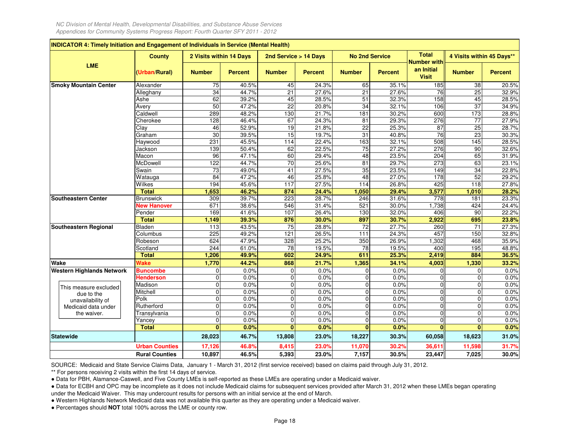|                                  | <b>County</b>         | 2 Visits within 14 Days |                | 2nd Service > 14 Days |                | <b>No 2nd Service</b> |                | <b>Total</b>                                     | 4 Visits within 45 Days** |                |
|----------------------------------|-----------------------|-------------------------|----------------|-----------------------|----------------|-----------------------|----------------|--------------------------------------------------|---------------------------|----------------|
| <b>LME</b>                       | (Urban/Rural)         | <b>Number</b>           | <b>Percent</b> | <b>Number</b>         | <b>Percent</b> | <b>Number</b>         | <b>Percent</b> | <b>Number with</b><br>an Initial<br><b>Visit</b> | <b>Number</b>             | <b>Percent</b> |
| <b>Smoky Mountain Center</b>     | Alexander             | 75                      | 40.5%          | 45                    | 24.3%          | 65                    | 35.1%          | 185                                              | 38                        | 20.5%          |
|                                  | Alleghany             | $\overline{34}$         | 44.7%          | $\overline{21}$       | 27.6%          | $\overline{21}$       | 27.6%          | 76                                               | 25                        | 32.9%          |
|                                  | Ashe                  | 62                      | 39.2%          | 45                    | 28.5%          | 51                    | 32.3%          | 158                                              | 45                        | 28.5%          |
|                                  | Avery                 | 50                      | 47.2%          | $\overline{22}$       | 20.8%          | 34                    | 32.1%          | 106                                              | 37                        | 34.9%          |
|                                  | Caldwell              | 289                     | 48.2%          | 130                   | 21.7%          | 181                   | 30.2%          | 600                                              | 173                       | 28.8%          |
|                                  | Cherokee              | 128                     | 46.4%          | 67                    | 24.3%          | 81                    | 29.3%          | 276                                              | $\overline{77}$           | 27.9%          |
|                                  | Clay                  | 46                      | 52.9%          | 19                    | 21.8%          | 22                    | 25.3%          | 87                                               | 25                        | 28.7%          |
|                                  | Graham                | 30                      | 39.5%          | 15                    | 19.7%          | 31                    | 40.8%          | 76                                               | 23                        | 30.3%          |
|                                  | Haywood               | 231                     | 45.5%          | 114                   | 22.4%          | 163                   | 32.1%          | 508                                              | $\frac{145}{145}$         | 28.5%          |
|                                  | Jackson               | 139                     | 50.4%          | 62                    | 22.5%          | 75                    | 27.2%          | $\overline{276}$                                 | 90                        | 32.6%          |
|                                  | Macon                 | 96                      | 47.1%          | 60                    | 29.4%          | 48                    | 23.5%          | 204                                              | 65                        | 31.9%          |
|                                  | McDowell              | 122                     | 44.7%          | $\overline{70}$       | 25.6%          | $\overline{81}$       | 29.7%          | 273                                              | 63                        | 23.1%          |
|                                  | Swain                 | 73                      | 49.0%          | 41                    | 27.5%          | 35                    | 23.5%          | 149                                              | 34                        | 22.8%          |
|                                  | Watauga               | 84                      | 47.2%          | 46                    | 25.8%          | 48                    | 27.0%          | 178                                              | 52                        | 29.2%          |
|                                  | Wilkes                | 194                     | 45.6%          | 117                   | 27.5%          | 114                   | 26.8%          | 425                                              | 118                       | 27.8%          |
|                                  | <b>Total</b>          | 1,653                   | 46.2%          | 874                   | 24.4%          | 1,050                 | 29.4%          | 3,577                                            | 1,010                     | 28.2%          |
| <b>Southeastern Center</b>       | <b>Brunswick</b>      | 309                     | 39.7%          | 223                   | 28.7%          | 246                   | 31.6%          | 778                                              | 181                       | 23.3%          |
|                                  | <b>New Hanover</b>    | 671                     | 38.6%          | 546                   | 31.4%          | 521                   | 30.0%          | 1,738                                            | 424                       | 24.4%          |
|                                  | Pender                | 169                     | 41.6%          | 107                   | 26.4%          | 130                   | 32.0%          | 406                                              | 90                        | 22.2%          |
|                                  | <b>Total</b>          | 1,149                   | 39.3%          | 876                   | 30.0%          | 897                   | 30.7%          | 2,922                                            | 695                       | 23.8%          |
| Southeastern Regional            | Bladen                | 113                     | 43.5%          | 75                    | 28.8%          | $\overline{72}$       | 27.7%          | 260                                              | 71                        | 27.3%          |
|                                  | Columbus              | 225                     | 49.2%          | 121                   | 26.5%          | 111                   | 24.3%          | 457                                              | 150                       | 32.8%          |
|                                  | Robeson               | 624                     | 47.9%          | 328                   | 25.2%          | 350                   | 26.9%          | 1,302                                            | 468                       | 35.9%          |
|                                  | Scotland              | 244                     | 61.0%          | 78                    | 19.5%          | 78                    | 19.5%          | 400                                              | 195                       | 48.8%          |
|                                  | <b>Total</b>          | 1,206                   | 49.9%          | 602                   | 24.9%          | 611                   | 25.3%          | 2,419                                            | 884                       | 36.5%          |
| Wake                             | Wake                  | 1,770                   | 44.2%          | 868                   | 21.7%          | 1,365                 | 34.1%          | 4,003                                            | 1,330                     | 33.2%          |
| <b>Western Highlands Network</b> | <b>Buncombe</b>       | 0                       | 0.0%           | 0                     | 0.0%           | $\mathbf 0$           | 0.0%           | $\mathcal{C}$                                    | 0                         | 0.0%           |
|                                  | <b>Henderson</b>      | $\mathbf{0}$            | 0.0%           | $\mathbf 0$           | 0.0%           | 0                     | 0.0%           | $\Omega$                                         | $\mathbf 0$               | 0.0%           |
| This measure excluded            | Madison               | $\mathbf 0$             | 0.0%           | $\overline{0}$        | 0.0%           | $\overline{0}$        | 0.0%           | $\mathbf 0$                                      | $\overline{0}$            | 0.0%           |
| due to the                       | Mitchell              | $\mathbf 0$             | 0.0%           | $\mathbf 0$           | 0.0%           | $\mathbf 0$           | 0.0%           | $\Omega$                                         | $\pmb{0}$                 | 0.0%           |
| unavailability of                | Polk                  | $\mathbf 0$             | 0.0%           | 0                     | 0.0%           | $\overline{0}$        | 0.0%           | $\Omega$                                         | $\mathbf 0$               | 0.0%           |
| Medicaid data under              | Rutherford            | $\mathbf 0$             | 0.0%           | $\pmb{0}$             | 0.0%           | $\overline{0}$        | 0.0%           | $\Omega$                                         | $\pmb{0}$                 | 0.0%           |
| the waiver.                      | Transylvania          | $\mathbf 0$             | 0.0%           | 0                     | 0.0%           | $\overline{0}$        | 0.0%           | $\Omega$                                         | $\mathbf 0$               | 0.0%           |
|                                  | Yancey                | $\mathbf 0$             | 0.0%           | 0                     | 0.0%           | $\overline{0}$        | 0.0%           | $\Omega$<br>$\mathbf{0}$                         | $\mathbf 0$               | 0.0%           |
|                                  | <b>Total</b>          | $\bf{0}$                | 0.0%           | $\mathbf{0}$          | 0.0%           | $\mathbf{0}$          | 0.0%           |                                                  | $\bf{0}$                  | 0.0%           |
| <b>Statewide</b>                 |                       | 28,023                  | 46.7%          | 13,808                | 23.0%          | 18,227                | 30.3%          | 60,058                                           | 18,623                    | 31.0%          |
|                                  | <b>Urban Counties</b> | 17,126                  | 46.8%          | 8,415                 | 23.0%          | 11,070                | 30.2%          | 36,611                                           | 11,598                    | 31.7%          |
|                                  | <b>Rural Counties</b> | 10,897                  | 46.5%          | 5,393                 | 23.0%          | 7,157                 | 30.5%          | 23,447                                           | 7,025                     | 30.0%          |

SOURCE: Medicaid and State Service Claims Data, January 1 - March 31, 2012 (first service received) based on claims paid through July 31, 2012.

\*\* For persons receiving 2 visits within the first 14 days of service.

● Data for PBH, Alamance-Caswell, and Five County LMEs is self-reported as these LMEs are operating under a Medicaid waiver.

 ● Data for ECBH and OPC may be incomplete as it does not include Medicaid claims for subsequent services provided after March 31, 2012 when these LMEs began operatingunder the Medicaid Waiver. This may undercount results for persons with an initial service at the end of March.

● Western Highlands Network Medicaid data was not available this quarter as they are operating under a Medicaid waiver.

● Percentages should **NOT** total 100% across the LME or county row.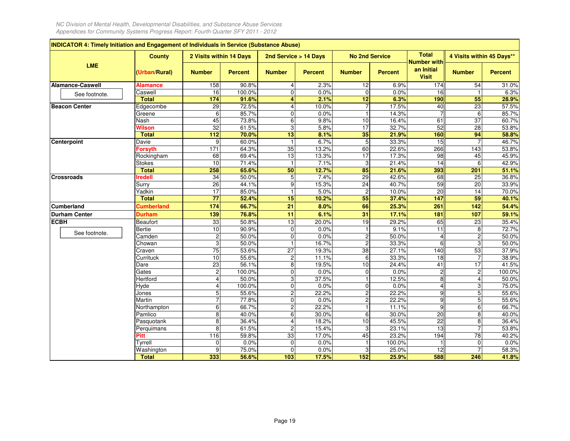| INDICATOR 4: Timely Initiation and Engagement of Individuals in Service (Substance Abuse) |                   |                                  |                 |                                                    |                |                       |                |                                    |                                  |                 |
|-------------------------------------------------------------------------------------------|-------------------|----------------------------------|-----------------|----------------------------------------------------|----------------|-----------------------|----------------|------------------------------------|----------------------------------|-----------------|
|                                                                                           | <b>County</b>     | 2 Visits within 14 Days          |                 | 2nd Service > 14 Days                              |                | <b>No 2nd Service</b> |                | <b>Total</b><br><b>Number with</b> | 4 Visits within 45 Days**        |                 |
| <b>LME</b>                                                                                | (Urban/Rural)     | <b>Number</b>                    | <b>Percent</b>  | <b>Number</b>                                      | <b>Percent</b> | <b>Number</b>         | <b>Percent</b> | an Initial<br><b>Visit</b>         | <b>Number</b>                    | <b>Percent</b>  |
| <b>Alamance-Caswell</b>                                                                   | <b>Alamance</b>   | 158                              | 90.8%           | 4                                                  | 2.3%           | 12                    | 6.9%           | 174                                | 54                               | 31.0%           |
| See footnote.                                                                             | Caswell           | 16                               | 100.0%          | 0                                                  | 0.0%           | $\overline{0}$        | 0.0%           | $\overline{16}$                    |                                  | 6.3%            |
|                                                                                           | <b>Total</b>      | 174                              | 91.6%           | 4                                                  | 2.1%           | $\overline{12}$       | 6.3%           | 190                                | 55                               | 28.9%           |
| <b>Beacon Center</b>                                                                      | Edgecombe         | 29                               | 72.5%           | 4                                                  | 10.0%          | 7                     | 17.5%          | 40                                 | $\overline{23}$                  | 57.5%           |
|                                                                                           | Greene            | 6                                | 85.7%           | 0                                                  | 0.0%           |                       | 14.3%          |                                    | 6                                | 85.7%           |
|                                                                                           | Nash              | 45                               | 73.8%           | 6                                                  | 9.8%           | 10                    | 16.4%          | 61                                 | $\overline{37}$                  | 60.7%           |
|                                                                                           | Wilson            | 32                               | 61.5%           | 3                                                  | 5.8%           | $\overline{17}$       | 32.7%          | 52                                 | $\overline{28}$                  | 53.8%           |
|                                                                                           | <b>Total</b>      | 112                              | 70.0%           | 13                                                 | 8.1%           | 35                    | 21.9%          | 160                                | 94                               | 58.8%           |
| Centerpoint                                                                               | Davie             | g                                | 60.0%           | $\mathbf{1}$                                       | 6.7%           | 5                     | 33.3%          | 15                                 |                                  | 46.7%           |
|                                                                                           | <b>Forsyth</b>    | 171                              | 64.3%           | 35                                                 | 13.2%          | 60                    | 22.6%          | 266                                | 143                              | 53.8%           |
|                                                                                           | Rockingham        | 68                               | 69.4%           | 13                                                 | 13.3%          | 17                    | 17.3%          | 98                                 | 45                               | 45.9%           |
|                                                                                           | <b>Stokes</b>     | 10                               | 71.4%           | $\mathbf{1}$                                       | 7.1%           | 3                     | 21.4%          | 14                                 | 6                                | 42.9%           |
|                                                                                           | <b>Total</b>      | 258                              | 65.6%           | 50                                                 | 12.7%          | 85                    | 21.6%          | 393                                | 201                              | 51.1%           |
| <b>Crossroads</b>                                                                         | <b>Iredell</b>    | $\overline{34}$                  | 50.0%           | 5                                                  | 7.4%           | $\overline{29}$       | 42.6%          | 68                                 | $\overline{25}$                  | 36.8%           |
|                                                                                           | Surry             | 26                               | 44.1%           | 9                                                  | 15.3%          | $\overline{24}$       | 40.7%          | 59                                 | $\overline{20}$                  | 33.9%           |
|                                                                                           | Yadkin            | 17                               | 85.0%           | $\overline{1}$                                     | 5.0%           | $\overline{2}$        | 10.0%          | $\overline{20}$                    | 14                               | 70.0%           |
|                                                                                           | <b>Total</b>      | 77                               | 52.4%           | 15                                                 | 10.2%          | 55                    | 37.4%          | 147                                | 59                               | 40.1%           |
| <b>Cumberland</b>                                                                         | <b>Cumberland</b> | 174                              | 66.7%           | 21                                                 | 8.0%           | 66                    | 25.3%          | 261                                | 142                              | 54.4%           |
| <b>Durham Center</b>                                                                      | <b>Durham</b>     | 139                              | 76.8%           | 11                                                 | 6.1%           | 31                    | 17.1%          | 181                                | 107                              | 59.1%           |
| <b>ECBH</b>                                                                               | <b>Beaufort</b>   | 33                               | 50.8%           | 13                                                 | 20.0%          | 19                    | 29.2%          | 65                                 | $\overline{23}$                  | 35.4%           |
| See footnote.                                                                             | <b>Bertie</b>     | 10                               | 90.9%           | 0                                                  | 0.0%           |                       | 9.1%           | 11                                 | 8                                | 72.7%           |
|                                                                                           | Camden            | $\overline{\mathbf{c}}$          | 50.0%           | 0                                                  | 0.0%           | 2                     | 50.0%          | 4                                  | $\overline{c}$                   | 50.0%           |
|                                                                                           | Chowan            | 3                                | 50.0%           | 1                                                  | 16.7%          | 2                     | 33.3%          | 6                                  | 3                                | 50.0%           |
|                                                                                           | Craven            | $\overline{75}$                  | 53.6%           | 27                                                 | 19.3%          | $\overline{38}$       | 27.1%          | 140                                | 53                               | 37.9%           |
|                                                                                           | Currituck         | 10                               | 55.6%<br>56.1%  | $\overline{\mathbf{c}}$<br>$\overline{\mathbf{8}}$ | 11.1%<br>19.5% | 6                     | 33.3%<br>24.4% | 18<br>$\overline{41}$              | 17                               | 38.9%           |
|                                                                                           | Dare<br>Gates     | 23                               |                 | $\overline{0}$                                     | 0.0%           | 10<br>0               | 0.0%           |                                    |                                  | 41.5%<br>100.0% |
|                                                                                           |                   | $\overline{2}$<br>$\overline{4}$ | 100.0%          |                                                    | 37.5%          |                       | 12.5%          | $\overline{2}$                     | $\overline{c}$<br>$\overline{4}$ |                 |
|                                                                                           | Hertford<br>Hyde  | $\overline{4}$                   | 50.0%<br>100.0% | 3<br>0                                             | 0.0%           | $\overline{0}$        | 0.0%           | 8<br>4                             | 3                                | 50.0%           |
|                                                                                           | Jones             | 5                                | 55.6%           | $\overline{c}$                                     | 22.2%          | 2                     | 22.2%          | $\overline{9}$                     | 5                                | 75.0%<br>55.6%  |
|                                                                                           | Martin            | $\overline{7}$                   | 77.8%           | 0                                                  | 0.0%           | 2                     | 22.2%          | $\overline{9}$                     | 5                                | 55.6%           |
|                                                                                           | Northampton       | 6                                | 66.7%           | $\overline{c}$                                     | 22.2%          |                       | 11.1%          | 9                                  | 6                                | 66.7%           |
|                                                                                           | Pamlico           | 8                                | 40.0%           | 6                                                  | 30.0%          | 6                     | 30.0%          | 20                                 | $\overline{8}$                   | 40.0%           |
|                                                                                           | Pasquotank        | 8                                | 36.4%           | 4                                                  | 18.2%          | 10                    | 45.5%          | 22                                 | 8                                | 36.4%           |
|                                                                                           | Perquimans        | 8                                | 61.5%           | $\overline{2}$                                     | 15.4%          | 3                     | 23.1%          | 13                                 |                                  | 53.8%           |
|                                                                                           | Pitt              | 116                              | 59.8%           | 33                                                 | 17.0%          | 45                    | 23.2%          | 194                                | $\overline{78}$                  | 40.2%           |
|                                                                                           | Tyrrell           | 0                                | 0.0%            | 0                                                  | 0.0%           |                       | 100.0%         |                                    | 0                                | 0.0%            |
|                                                                                           | Washington        | 9                                | 75.0%           | 0                                                  | 0.0%           | 3                     | 25.0%          | 12                                 | $\overline{7}$                   | 58.3%           |
|                                                                                           | <b>Total</b>      | 333                              | 56.6%           | 103                                                | 17.5%          | 152                   | 25.9%          | 588                                | 246                              | 41.8%           |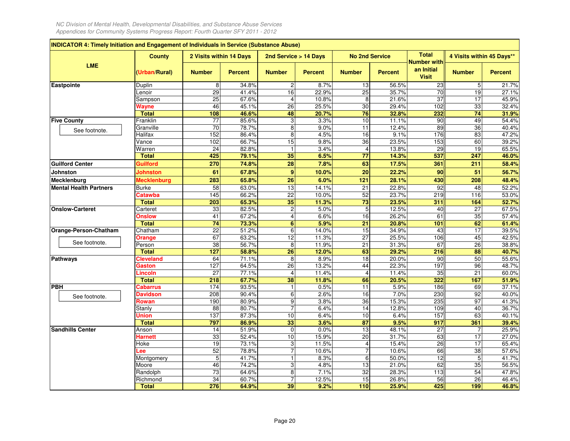| INDICATOR 4: Timely Initiation and Engagement of Individuals in Service (Substance Abuse) |                               |                         |                |                         |                |                          |                |                                    |                           |                              |
|-------------------------------------------------------------------------------------------|-------------------------------|-------------------------|----------------|-------------------------|----------------|--------------------------|----------------|------------------------------------|---------------------------|------------------------------|
|                                                                                           | <b>County</b>                 | 2 Visits within 14 Days |                | 2nd Service > 14 Days   |                | <b>No 2nd Service</b>    |                | <b>Total</b><br><b>Number with</b> | 4 Visits within 45 Days** |                              |
| <b>LME</b>                                                                                | (Urban/Rural)                 | <b>Number</b>           | <b>Percent</b> | <b>Number</b>           | <b>Percent</b> | <b>Number</b>            | <b>Percent</b> | an Initial<br><b>Visit</b>         | <b>Number</b>             | <b>Percent</b>               |
| Eastpointe                                                                                | Duplin                        | 8                       | 34.8%          | $\overline{c}$          | 8.7%           | 13                       | 56.5%          | 23                                 | 5                         | 21.7%                        |
|                                                                                           | Lenoir                        | 29                      | 41.4%          | 16                      | 22.9%          | 25                       | 35.7%          | $\overline{70}$                    | 19                        | 27.1%                        |
|                                                                                           | Sampson                       | 25                      | 67.6%          | 4                       | 10.8%          | 8                        | 21.6%          | 37                                 | 17                        | 45.9%                        |
|                                                                                           | Wayne                         | 46                      | 45.1%          | 26                      | 25.5%          | 30                       | 29.4%          | 102                                | 33                        | 32.4%                        |
|                                                                                           | <b>Total</b>                  | 108                     | 46.6%          | 48                      | 20.7%          | 76                       | 32.8%          | 232                                | 74                        | 31.9%                        |
| <b>Five County</b>                                                                        | Franklin                      | 77                      | 85.6%          | 3                       | 3.3%           | 10                       | 11.1%          | 90                                 | 49                        | 54.4%                        |
| See footnote.                                                                             | Granville                     | 70                      | 78.7%          | $\overline{8}$          | 9.0%           | $\overline{11}$          | 12.4%          | 89                                 | 36                        | 40.4%                        |
|                                                                                           | Halifax                       | 152                     | 86.4%          | 8                       | 4.5%           | $\overline{16}$          | 9.1%           | 176                                | 83                        | 47.2%                        |
|                                                                                           | Vance                         | 102                     | 66.7%          | 15                      | 9.8%           | $\overline{36}$          | 23.5%          | 153                                | 60                        | 39.2%                        |
|                                                                                           | Warren                        | $\overline{24}$         | 82.8%          | $\mathbf{1}$            | 3.4%           | $\overline{4}$           | 13.8%          | $\overline{29}$                    | 19                        | 65.5%                        |
|                                                                                           | <b>Total</b>                  | 425                     | 79.1%          | 35                      | 6.5%           | 77                       | 14.3%          | 537                                | 247                       | 46.0%                        |
| <b>Guilford Center</b>                                                                    | Guilford                      | 270<br>61               | 74.8%<br>67.8% | 28<br>$\boldsymbol{9}$  | 7.8%<br>10.0%  | 63<br>$\overline{20}$    | 17.5%<br>22.2% | 361                                | 211<br>$\overline{51}$    | 58.4%                        |
| <b>Johnston</b>                                                                           | Johnston                      |                         |                |                         |                |                          |                | 90                                 |                           | 56.7%                        |
| Mecklenburg                                                                               | <b>Mecklenburg</b>            | 283                     | 65.8%          | 26                      | 6.0%           | 121                      | 28.1%          | 430                                | 208                       | 48.4%                        |
| <b>Mental Health Partners</b>                                                             | Burke                         | 58                      | 63.0%          | 13                      | 14.1%          | 21                       | 22.8%          | 92                                 | 48                        | 52.2%                        |
|                                                                                           | <b>Catawba</b>                | 145                     | 66.2%          | $\overline{22}$         | 10.0%          | 52                       | 23.7%          | 219                                | 116                       | 53.0%                        |
|                                                                                           | <b>Total</b>                  | 203                     | 65.3%          | 35                      | 11.3%          | 73                       | 23.5%          | 311                                | 164                       | 52.7%                        |
| <b>Onslow-Carteret</b>                                                                    | Carteret                      | 33                      | 82.5%          | $\overline{\mathbf{c}}$ | 5.0%           | 5                        | 12.5%          | 40                                 | 27                        | 67.5%                        |
|                                                                                           | <b>Onslow</b><br><b>Total</b> | 41<br>74                | 67.2%<br>73.3% | 4<br>$\overline{6}$     | 6.6%<br>5.9%   | 16<br>$\overline{21}$    | 26.2%<br>20.8% | 61<br>101                          | 35<br>62                  | $\overline{57.4\%}$<br>61.4% |
| Orange-Person-Chatham                                                                     | Chatham                       | $\overline{22}$         | 51.2%          | 6                       | 14.0%          | $\overline{15}$          | 34.9%          | 43                                 | $\overline{17}$           | 39.5%                        |
|                                                                                           |                               | 67                      | 63.2%          | 12                      | 11.3%          | 27                       | 25.5%          | 106                                | 45                        | 42.5%                        |
| See footnote.                                                                             | Orange<br>Person              | 38                      | 56.7%          | 8                       | 11.9%          | 21                       | 31.3%          | 67                                 | 26                        | 38.8%                        |
|                                                                                           | <b>Total</b>                  | 127                     | 58.8%          | 26                      | 12.0%          | 63                       | 29.2%          | 216                                | 88                        | 40.7%                        |
| <b>Pathways</b>                                                                           | <b>Cleveland</b>              | 64                      | 71.1%          | 8                       | 8.9%           | $\overline{18}$          | 20.0%          | 90                                 | 50                        | 55.6%                        |
|                                                                                           | Gaston                        | 127                     | 64.5%          | 26                      | 13.2%          | 44                       | 22.3%          | 197                                | 96                        | 48.7%                        |
|                                                                                           | Lincoln                       | 27                      | 77.1%          | 4                       | 11.4%          | $\overline{\mathbf{4}}$  | 11.4%          | 35                                 | 21                        | 60.0%                        |
|                                                                                           | <b>Total</b>                  | 218                     | 67.7%          | 38                      | 11.8%          | 66                       | 20.5%          | 322                                | 167                       | 51.9%                        |
| <b>PBH</b>                                                                                | Cabarrus                      | 174                     | 93.5%          | $\mathbf{1}$            | 0.5%           | 11                       | 5.9%           | 186                                | 69                        | 37.1%                        |
| See footnote.                                                                             | <b>Davidson</b>               | 208                     | 90.4%          | 6                       | 2.6%           | 16                       | 7.0%           | 230                                | 92                        | 40.0%                        |
|                                                                                           | Rowan                         | 190                     | 80.9%          | 9                       | 3.8%           | 36                       | 15.3%          | 235                                | 97                        | 41.3%                        |
|                                                                                           | Stanly                        | $\overline{88}$         | 80.7%          | $\overline{7}$          | 6.4%           | 14                       | 12.8%          | 109                                | 40                        | 36.7%                        |
|                                                                                           | Union                         | 137                     | 87.3%          | 10                      | 6.4%           | 10                       | 6.4%           | 157                                | 63                        | 40.1%                        |
|                                                                                           | <b>Total</b>                  | 797                     | 86.9%          | 33                      | 3.6%           | $\overline{\mathbf{87}}$ | 9.5%           | 917                                | 361                       | 39.4%                        |
| <b>Sandhills Center</b>                                                                   | Anson                         | 14                      | 51.9%          | $\mathbf 0$             | 0.0%           | 13                       | 48.1%          | 27                                 | $\overline{7}$            | 25.9%                        |
|                                                                                           | Harnett                       | 33                      | 52.4%          | 10                      | 15.9%          | $\overline{20}$          | 31.7%          | 63                                 | 17                        | 27.0%                        |
|                                                                                           | Hoke                          | 19                      | 73.1%          | 3                       | 11.5%          | 4                        | 15.4%          | 26                                 | 17                        | 65.4%                        |
|                                                                                           | .ee                           | 52                      | 78.8%          | $\overline{7}$          | 10.6%          | $\overline{7}$           | 10.6%          | 66                                 | 38                        | 57.6%                        |
|                                                                                           | Montgomery                    | $\overline{5}$          | 41.7%          | $\mathbf{1}$            | 8.3%           | 6                        | 50.0%          | 12                                 | 5                         | 41.7%                        |
|                                                                                           | Moore                         | 46                      | 74.2%          | 3                       | 4.8%           | 13                       | 21.0%          | 62                                 | 35                        | 56.5%                        |
|                                                                                           | Randolph                      | $\overline{73}$         | 64.6%          | 8                       | 7.1%           | 32                       | 28.3%          | $\overline{113}$                   | 54                        | 47.8%                        |
|                                                                                           | Richmond                      | 34                      | 60.7%          | 7                       | 12.5%          | 15                       | 26.8%          | 56                                 | 26                        | 46.4%                        |
|                                                                                           | <b>Total</b>                  | 276                     | 64.9%          | 39                      | 9.2%           | 110                      | 25.9%          | 425                                | 199                       | 46.8%                        |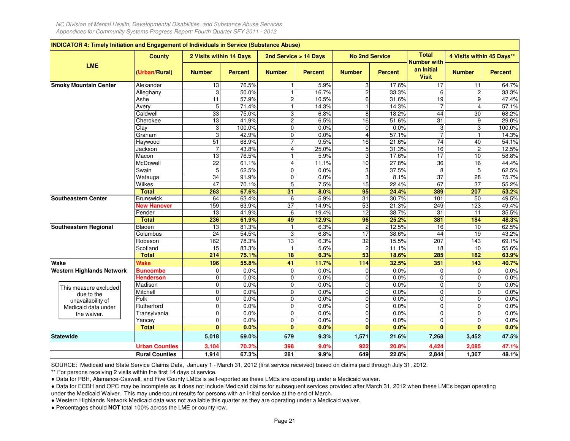|                                  | <b>County</b>         | 2 Visits within 14 Days |                | 2nd Service > 14 Days |                | <b>No 2nd Service</b> |                | <b>Total</b><br><b>Number with</b> | 4 Visits within 45 Days** |                |
|----------------------------------|-----------------------|-------------------------|----------------|-----------------------|----------------|-----------------------|----------------|------------------------------------|---------------------------|----------------|
| <b>LME</b>                       | (Urban/Rural)         | <b>Number</b>           | <b>Percent</b> | <b>Number</b>         | <b>Percent</b> | <b>Number</b>         | <b>Percent</b> | an Initial<br><b>Visit</b>         | <b>Number</b>             | <b>Percent</b> |
| <b>Smoky Mountain Center</b>     | Alexander             | 13                      | 76.5%          |                       | 5.9%           | 3                     | 17.6%          | $\overline{17}$                    | 11                        | 64.7%          |
|                                  | Alleghany             | 3                       | 50.0%          |                       | 16.7%          | $\overline{c}$        | 33.3%          | 6                                  | $\overline{c}$            | 33.3%          |
|                                  | Ashe                  | 11                      | 57.9%          | $\overline{c}$        | 10.5%          | $\,6$                 | 31.6%          | $\overline{19}$                    | $\overline{9}$            | 47.4%          |
|                                  | Avery                 | 5                       | 71.4%          | 1                     | 14.3%          |                       | 14.3%          |                                    | $\overline{4}$            | 57.1%          |
|                                  | Caldwell              | 33                      | 75.0%          | 3                     | 6.8%           | 8                     | 18.2%          | 44                                 | 30                        | 68.2%          |
|                                  | Cherokee              | 13                      | 41.9%          | $\overline{c}$        | 6.5%           | $\overline{16}$       | 51.6%          | $\overline{31}$                    | $\overline{9}$            | 29.0%          |
|                                  | Clay                  | $\overline{3}$          | 100.0%         | $\mathbf 0$           | 0.0%           | $\mathbf 0$           | 0.0%           |                                    | 3                         | 100.0%         |
|                                  | Graham                | 3                       | 42.9%          | $\mathbf 0$           | 0.0%           | $\overline{4}$        | 57.1%          |                                    |                           | 14.3%          |
|                                  | Haywood               | 51                      | 68.9%          | $\overline{7}$        | 9.5%           | 16                    | 21.6%          | $\overline{74}$                    | 40                        | 54.1%          |
|                                  | Jackson               | $\overline{7}$          | 43.8%          | $\overline{4}$        | 25.0%          | $\mathbf 5$           | 31.3%          | 16                                 | $\overline{c}$            | 12.5%          |
|                                  | Macon                 | 13                      | 76.5%          |                       | 5.9%           | 3                     | 17.6%          | 17                                 | 10                        | 58.8%          |
|                                  | McDowell              | $\overline{22}$         | 61.1%          | $\overline{4}$        | 11.1%          | 10                    | 27.8%          | 36                                 | 16                        | 44.4%          |
|                                  | Swain                 | 5                       | 62.5%          | $\mathbf 0$           | 0.0%           | 3                     | 37.5%          | 8                                  | 5                         | 62.5%          |
|                                  | Watauga               | $\overline{34}$         | 91.9%          | $\mathbf 0$           | 0.0%           | $\mathsf 3$           | 8.1%           | 37                                 | 28                        | 75.7%          |
|                                  | Wilkes                | 47                      | 70.1%          | 5                     | 7.5%           | 15                    | 22.4%          | 67                                 | $\overline{37}$           | 55.2%          |
|                                  | <b>Total</b>          | 263                     | 67.6%          | 31                    | 8.0%           | 95                    | 24.4%          | 389                                | 207                       | 53.2%          |
| <b>Southeastern Center</b>       | <b>Brunswick</b>      | 64                      | 63.4%          | 6                     | 5.9%           | $\overline{31}$       | 30.7%          | 101                                | 50                        | 49.5%          |
|                                  | <b>New Hanover</b>    | 159                     | 63.9%          | 37                    | 14.9%          | 53                    | 21.3%          | 249                                | 123                       | 49.4%          |
|                                  | Pender                | 13                      | 41.9%          | 6                     | 19.4%          | $\overline{12}$       | 38.7%          | 31                                 | 11                        | 35.5%          |
|                                  | <b>Total</b>          | 236                     | 61.9%          | 49                    | 12.9%          | 96                    | 25.2%          | 381                                | 184                       | 48.3%          |
| Southeastern Regional            | Bladen                | 13                      | 81.3%          | $\mathbf{1}$          | 6.3%           | $\overline{c}$        | 12.5%          | 16                                 | 10                        | 62.5%          |
|                                  | Columbus              | 24                      | 54.5%          | 3                     | 6.8%           | 17                    | 38.6%          | 44                                 | 19                        | 43.2%          |
|                                  | Robeson               | 162                     | 78.3%          | 13                    | 6.3%           | 32                    | 15.5%          | 207                                | 143                       | 69.1%          |
|                                  | Scotland              | 15                      | 83.3%          | $\mathbf{1}$          | 5.6%           | $\overline{c}$        | 11.1%          | 18                                 | 10                        | 55.6%          |
|                                  | <b>Total</b>          | 214                     | 75.1%          | 18                    | 6.3%           | 53                    | 18.6%          | 285                                | 182                       | 63.9%          |
| Wake                             | Wake                  | 196                     | 55.8%          | 41                    | 11.7%          | 114                   | 32.5%          | 351                                | 143                       | 40.7%          |
| <b>Western Highlands Network</b> | <b>Buncombe</b>       | $\mathbf 0$             | 0.0%           | 0                     | 0.0%           | $\mathbf 0$           | 0.0%           | $\Omega$                           | $\mathbf 0$               | 0.0%           |
|                                  | <b>Henderson</b>      | $\mathbf{0}$            | 0.0%           | $\mathbf 0$           | 0.0%           | $\mathbf 0$           | 0.0%           | $\Omega$                           | $\mathbf 0$               | 0.0%           |
| This measure excluded            | Madison               | $\mathbf 0$             | 0.0%           | 0                     | 0.0%           | $\mathbf 0$           | 0.0%           | $\Omega$                           | $\mathbf 0$               | 0.0%           |
| due to the                       | Mitchell              | $\mathbf 0$             | 0.0%           | $\mathbf 0$           | 0.0%           | $\mathbf 0$           | 0.0%           | $\Omega$                           | $\mathbf 0$               | 0.0%           |
| unavailability of                | Polk                  | $\mathbf 0$             | 0.0%           | $\mathbf 0$           | 0.0%           | $\mathbf 0$           | 0.0%           | $\mathbf 0$                        | $\mathbf 0$               | 0.0%           |
| Medicaid data under              | Rutherford            | $\mathbf 0$             | 0.0%           | $\mathbf 0$           | 0.0%           | $\mathbf{0}$          | 0.0%           | $\Omega$                           | $\mathbf 0$               | 0.0%           |
| the waiver.                      | Transylvania          | $\mathbf 0$             | 0.0%           | $\mathbf 0$           | 0.0%           | $\mathbf 0$           | 0.0%           | $\sqrt{ }$                         | $\mathbf 0$               | 0.0%           |
|                                  | Yancey                | $\mathbf 0$             | 0.0%           | $\mathbf 0$           | 0.0%           | $\mathbf 0$           | 0.0%           | $\mathbf{0}$                       | 0                         | 0.0%           |
|                                  | <b>Total</b>          | $\mathbf{0}$            | 0.0%           | $\bf{0}$              | 0.0%           | $\bf{0}$              | 0.0%           | n                                  | $\bf{0}$                  | 0.0%           |
| <b>Statewide</b>                 |                       | 5,018                   | 69.0%          | 679                   | 9.3%           | 1,571                 | 21.6%          | 7,268                              | 3,452                     | 47.5%          |
|                                  | <b>Urban Counties</b> | 3,104                   | 70.2%          | 398                   | 9.0%           | 922                   | 20.8%          | 4,424                              | 2,085                     | 47.1%          |
|                                  | <b>Rural Counties</b> | 1,914                   | 67.3%          | 281                   | 9.9%           | 649                   | 22.8%          | 2,844                              | 1,367                     | 48.1%          |

SOURCE: Medicaid and State Service Claims Data, January 1 - March 31, 2012 (first service received) based on claims paid through July 31, 2012.

\*\* For persons receiving 2 visits within the first 14 days of service.

● Data for PBH, Alamance-Caswell, and Five County LMEs is self-reported as these LMEs are operating under a Medicaid waiver.

 ● Data for ECBH and OPC may be incomplete as it does not include Medicaid claims for subsequent services provided after March 31, 2012 when these LMEs began operatingunder the Medicaid Waiver. This may undercount results for persons with an initial service at the end of March.

● Western Highlands Network Medicaid data was not available this quarter as they are operating under a Medicaid waiver.

● Percentages should **NOT** total 100% across the LME or county row.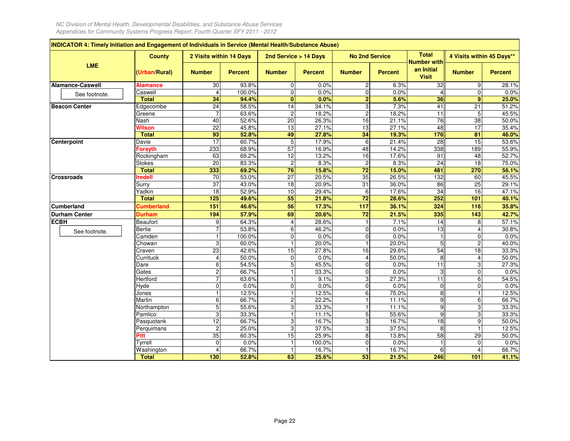F

|                         | <b>County</b>     | 2 Visits within 14 Days |                | 2nd Service > 14 Days   |                | <b>No 2nd Service</b> |                | <b>Total</b>                                     | 4 Visits within 45 Days** |                     |
|-------------------------|-------------------|-------------------------|----------------|-------------------------|----------------|-----------------------|----------------|--------------------------------------------------|---------------------------|---------------------|
| LME                     | (Urban/Rural)     | <b>Number</b>           | <b>Percent</b> | <b>Number</b>           | <b>Percent</b> | <b>Number</b>         | <b>Percent</b> | <b>Number with</b><br>an Initial<br><b>Visit</b> | <b>Number</b>             | <b>Percent</b>      |
| <b>Alamance-Caswell</b> | <b>Alamance</b>   | 30                      | 93.8%          | 0                       | 0.0%           | $\overline{c}$        | 6.3%           | 32                                               | 9                         | 28.1%               |
| See footnote.           | Caswell           | $\overline{4}$          | 100.0%         | $\overline{0}$          | 0.0%           | $\overline{0}$        | 0.0%           | $\Delta$                                         | $\overline{0}$            | 0.0%                |
|                         | <b>Total</b>      | 34                      | 94.4%          | $\bf{0}$                | 0.0%           | $\overline{2}$        | 5.6%           | 36                                               | 9                         | 25.0%               |
| <b>Beacon Center</b>    | Edgecombe         | $\overline{24}$         | 58.5%          | 14                      | 34.1%          | 3                     | 7.3%           | 41                                               | 21                        | 51.2%               |
|                         | Greene            | $\overline{7}$          | 63.6%          | $\overline{c}$          | 18.2%          | $\overline{a}$        | 18.2%          | $\overline{11}$                                  | 5                         | 45.5%               |
|                         | Nash              | 40                      | 52.6%          | 20                      | 26.3%          | 16                    | 21.1%          | $\overline{76}$                                  | 38                        | $\overline{50.0\%}$ |
|                         | Wilson            | 22                      | 45.8%          | 13                      | 27.1%          | 13                    | 27.1%          | 48                                               | 17                        | 35.4%               |
|                         | <b>Total</b>      | 93                      | 52.8%          | 49                      | 27.8%          | 34                    | 19.3%          | 176                                              | 81                        | 46.0%               |
| Centerpoint             | Davie             | $\overline{17}$         | 60.7%          | 5                       | 17.9%          | 6                     | 21.4%          | 28                                               | 15                        | 53.6%               |
|                         | <b>Forsyth</b>    | 233                     | 68.9%          | 57                      | 16.9%          | 48                    | 14.2%          | 338                                              | 189                       | 55.9%               |
|                         | Rockingham        | 63                      | 69.2%          | $\overline{12}$         | 13.2%          | 16                    | 17.6%          | 91                                               | 48                        | 52.7%               |
|                         | <b>Stokes</b>     | 20                      | 83.3%          | $\overline{c}$          | 8.3%           | $\overline{c}$        | 8.3%           | 24                                               | 18                        | 75.0%               |
|                         | <b>Total</b>      | 333                     | 69.2%          | 76                      | 15.8%          | 72                    | 15.0%          | 481                                              | 270                       | 56.1%               |
| <b>Crossroads</b>       | <b>Iredell</b>    | 70                      | 53.0%          | $\overline{27}$         | 20.5%          | 35                    | 26.5%          | 132                                              | 60                        | 45.5%               |
|                         | Surry             | 37                      | 43.0%          | 18                      | 20.9%          | 31                    | 36.0%          | 86                                               | 25                        | 29.1%               |
|                         | Yadkin            | 18                      | 52.9%          | 10                      | 29.4%          | 6                     | 17.6%          | $\overline{34}$                                  | 16                        | 47.1%               |
|                         | <b>Total</b>      | 125                     | 49.6%          | 55                      | 21.8%          | $\overline{72}$       | 28.6%          | 252                                              | $\overline{101}$          | 40.1%               |
| <b>Cumberland</b>       | <b>Cumberland</b> | 151                     | 46.6%          | 56                      | 17.3%          | 117                   | 36.1%          | 324                                              | 116                       | 35.8%               |
| <b>Durham Center</b>    | <b>Durham</b>     | 194                     | 57.9%          | 69                      | 20.6%          | 72                    | 21.5%          | 335                                              | 143                       | 42.7%               |
| <b>ECBH</b>             | Beaufort          | 9                       | 64.3%          | 4                       | 28.6%          | $\mathbf{1}$          | 7.1%           | 14                                               | 8                         | 57.1%               |
| See footnote.           | <b>Bertie</b>     | $\overline{7}$          | 53.8%          | 6                       | 46.2%          | $\Omega$              | 0.0%           | 13                                               | $\overline{4}$            | 30.8%               |
|                         | Camden            | $\mathbf{1}$            | 100.0%         | $\mathbf 0$             | 0.0%           | $\overline{0}$        | 0.0%           |                                                  | 0                         | 0.0%                |
|                         | Chowan            | 3                       | 60.0%          | $\overline{1}$          | 20.0%          | $\overline{1}$        | 20.0%          | $\overline{5}$                                   | $\overline{2}$            | 40.0%               |
|                         | Craven            | 23                      | 42.6%          | 15                      | 27.8%          | 16                    | 29.6%          | 54                                               | 18                        | 33.3%               |
|                         | Currituck         | $\overline{4}$          | 50.0%          | 0                       | 0.0%           | 4                     | 50.0%          | 8                                                | $\overline{4}$            | 50.0%               |
|                         | Dare              | 6                       | 54.5%          | 5                       | 45.5%          | $\mathbf{0}$          | 0.0%           | $\overline{11}$                                  | 3                         | 27.3%               |
|                         | Gates             | $\overline{c}$          | 66.7%          | 1                       | 33.3%          | 0                     | 0.0%           | 3                                                | 0                         | 0.0%                |
|                         | Hertford          | $\overline{7}$          | 63.6%          | 1                       | 9.1%           | $\overline{3}$        | 27.3%          | $\overline{11}$                                  | 6                         | 54.5%               |
|                         | Hyde              | $\mathbf 0$             | 0.0%           | $\mathbf 0$             | 0.0%           | $\Omega$              | 0.0%           | $\Omega$                                         | $\mathbf 0$               | 0.0%                |
|                         | Jones             | $\mathbf{1}$            | 12.5%          | 1                       | 12.5%          | 6                     | 75.0%          | 8                                                | $\mathbf{1}$              | 12.5%               |
|                         | Martin            | 6                       | 66.7%          | $\overline{\mathbf{c}}$ | 22.2%          | $\mathbf{1}$          | 11.1%          | 9                                                | 6                         | 66.7%               |
|                         | Northampton       | 5                       | 55.6%          | 3                       | 33.3%          | $\mathbf{1}$          | 11.1%          | 9                                                | 3                         | 33.3%               |
|                         | Pamlico           | 3                       | 33.3%          | 1                       | 11.1%          | 5                     | 55.6%          | 9                                                | 3                         | 33.3%               |
|                         | Pasquotank        | $\overline{12}$         | 66.7%          | 3                       | 16.7%          | 3                     | 16.7%          | 18                                               | 9                         | 50.0%               |
|                         | Perquimans        | $\overline{c}$          | 25.0%          | $\overline{3}$          | 37.5%          | 3                     | 37.5%          | $\overline{8}$                                   | $\overline{1}$            | 12.5%               |
|                         | Pitt              | 35                      | 60.3%          | 15                      | 25.9%          | 8                     | 13.8%          | 58                                               | 29                        | 50.0%               |
|                         | Tyrrell           | 0                       | 0.0%           | $\overline{1}$          | 100.0%         | $\mathbf 0$           | 0.0%           |                                                  | 0                         | 0.0%                |
|                         | Washington        | $\overline{4}$          | 66.7%          | $\mathbf{1}$            | 16.7%          | $\mathbf{1}$          | 16.7%          | 6                                                | $\overline{4}$            | 66.7%               |
|                         | <b>Total</b>      | 130                     | 52.8%          | 63                      | 25.6%          | 53                    | 21.5%          | 246                                              | 101                       | 41.1%               |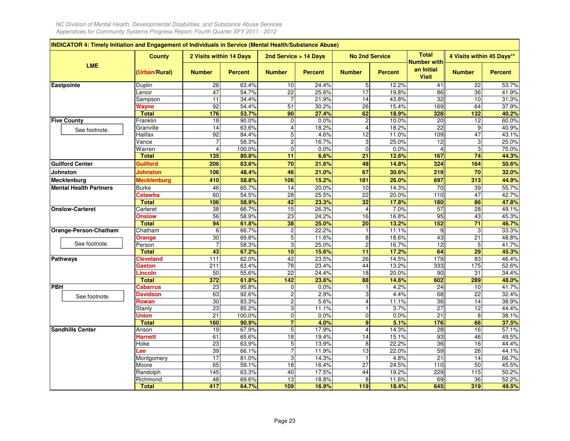| INDICATOR 4: Timely Initiation and Engagement of Individuals in Service (Mental Health/Substance Abuse) |                    |                         |                |                         |                |                       |                |                                                  |                           |                |
|---------------------------------------------------------------------------------------------------------|--------------------|-------------------------|----------------|-------------------------|----------------|-----------------------|----------------|--------------------------------------------------|---------------------------|----------------|
|                                                                                                         | <b>County</b>      | 2 Visits within 14 Days |                | 2nd Service > 14 Days   |                | <b>No 2nd Service</b> |                | <b>Total</b>                                     | 4 Visits within 45 Days** |                |
| <b>LME</b>                                                                                              | (Urban/Rural)      | <b>Number</b>           | <b>Percent</b> | <b>Number</b>           | <b>Percent</b> | <b>Number</b>         | <b>Percent</b> | <b>Number with</b><br>an Initial<br><b>Visit</b> | <b>Number</b>             | <b>Percent</b> |
| Eastpointe                                                                                              | Duplin             | 26                      | 63.4%          | 10                      | 24.4%          | $5\phantom{.0}$       | 12.2%          | 41                                               | 22                        | 53.7%          |
|                                                                                                         | Lenoir             | 47                      | 54.7%          | $\overline{22}$         | 25.6%          | 17                    | 19.8%          | 86                                               | 36                        | 41.9%          |
|                                                                                                         | Sampson            | 11                      | 34.4%          | 7                       | 21.9%          | 14                    | 43.8%          | 32                                               | 10                        | 31.3%          |
|                                                                                                         | Wayne              | 92                      | 54.4%          | 51                      | 30.2%          | 26                    | 15.4%          | 169                                              | 64                        | 37.9%          |
|                                                                                                         | <b>Total</b>       | 176                     | 53.7%          | 90                      | 27.4%          | 62                    | 18.9%          | 328                                              | 132                       | 40.2%          |
| <b>Five County</b>                                                                                      | Franklin           | 18                      | 90.0%          | $\mathbf 0$             | 0.0%           | $\overline{c}$        | 10.0%          | $\overline{20}$                                  | 12                        | 60.0%          |
| See footnote.                                                                                           | Granville          | 14                      | 63.6%          | $\overline{4}$          | 18.2%          | $\overline{4}$        | 18.2%          | 22                                               | 9                         | 40.9%          |
|                                                                                                         | Halifax            | 92                      | 84.4%          | 5                       | 4.6%           | $\overline{12}$       | 11.0%          | 109                                              | 47                        | 43.1%          |
|                                                                                                         | Vance              |                         | 58.3%          | $\overline{\mathbf{c}}$ | 16.7%          | 3                     | 25.0%          | 12                                               | 3                         | 25.0%          |
|                                                                                                         | Warren             | 4                       | 100.0%         | $\mathbf 0$             | 0.0%           | $\overline{0}$        | 0.0%           |                                                  | 3                         | 75.0%          |
|                                                                                                         | <b>Total</b>       | 135                     | 80.8%          | 11                      | 6.6%           | $\overline{21}$       | 12.6%          | 167                                              | $\overline{74}$           | 44.3%          |
| <b>Guilford Center</b>                                                                                  | Guilford           | 206                     | 63.6%          | 70                      | 21.6%          | 48                    | 14.8%          | 324                                              | 164                       | 50.6%          |
| <b>Johnston</b>                                                                                         | Johnston           | 106                     | 48.4%          | 46                      | 21.0%          | 67                    | 30.6%          | 219                                              | 70                        | 32.0%          |
| Mecklenburg                                                                                             | <b>Mecklenburg</b> | 410                     | 58.8%          | 106                     | 15.2%          | 181                   | 26.0%          | 697                                              | 313                       | 44.9%          |
| <b>Mental Health Partners</b>                                                                           | <b>Burke</b>       | 46                      | 65.7%          | 14                      | 20.0%          | 10                    | 14.3%          | 70                                               | 39                        | 55.7%          |
|                                                                                                         | Catawba            | 60                      | 54.5%          | 28                      | 25.5%          | 22                    | 20.0%          | 110                                              | 47                        | 42.7%          |
|                                                                                                         | <b>Total</b>       | 106                     | 58.9%          | 42                      | 23.3%          | 32                    | 17.8%          | 180                                              | 86                        | 47.8%          |
| <b>Onslow-Carteret</b>                                                                                  | Carteret           | 38                      | 66.7%          | 15                      | 26.3%          | $\overline{4}$        | 7.0%           | 57                                               | 28                        | 49.1%          |
|                                                                                                         | <b>Onslow</b>      | 56                      | 58.9%          | $\overline{23}$         | 24.2%          | 16                    | 16.8%          | 95                                               | 43                        | 45.3%          |
|                                                                                                         | <b>Total</b>       | 94                      | 61.8%          | 38                      | 25.0%          | $\overline{20}$       | 13.2%          | 152                                              | 71                        | 46.7%          |
| Orange-Person-Chatham                                                                                   | Chatham            | 6                       | 66.7%          | $\overline{c}$          | 22.2%          | $\mathbf{1}$          | 11.1%          | 9                                                | 3                         | 33.3%          |
|                                                                                                         | Orange             | 30                      | 69.8%          | 5                       | 11.6%          | 8                     | 18.6%          | 43                                               | 21                        | 48.8%          |
| See footnote.                                                                                           | Person             | $\overline{7}$          | 58.3%          | 3                       | 25.0%          | $\overline{c}$        | 16.7%          | 12                                               | 5                         | 41.7%          |
|                                                                                                         | <b>Total</b>       | 43                      | 67.2%          | 10                      | 15.6%          | 11                    | 17.2%          | 64                                               | $\overline{29}$           | 45.3%          |
| <b>Pathways</b>                                                                                         | Cleveland          | 111                     | 62.0%          | 42                      | 23.5%          | 26                    | 14.5%          | 179                                              | 83                        | 46.4%          |
|                                                                                                         | Gaston             | 211                     | 63.4%          | 78                      | 23.4%          | 44                    | 13.2%          | 333                                              | 175                       | 52.6%          |
|                                                                                                         | .incoln            | 50                      | 55.6%          | 22                      | 24.4%          | 18                    | 20.0%          | 90                                               | 31                        | 34.4%          |
|                                                                                                         | <b>Total</b>       | 372                     | 61.8%          | $\frac{1}{142}$         | 23.6%          | 88                    | 14.6%          | 602                                              | 289                       | 48.0%          |
| <b>PBH</b>                                                                                              | <b>Cabarrus</b>    | 23                      | 95.8%          | 0                       | 0.0%           | $\mathbf{1}$          | 4.2%           | $\overline{24}$                                  | 10                        | 41.7%          |
| See footnote.                                                                                           | <b>Davidson</b>    | 63                      | 92.6%          | $\overline{2}$          | 2.9%           | ω                     | 4.4%           | 68                                               | 22                        | 32.4%          |
|                                                                                                         | Rowan              | 30                      | 83.3%          | $\overline{c}$          | 5.6%           | 4                     | 11.1%          | 36                                               | $\overline{14}$           | 38.9%          |
|                                                                                                         | Stanly             | $\overline{23}$         | 85.2%          | $\overline{3}$          | 11.1%          | $\mathbf{1}$          | 3.7%           | $\overline{27}$                                  | 12                        | 44.4%          |
|                                                                                                         | Union              | 21                      | 100.0%         | 0                       | 0.0%           | $\mathbf 0$           | 0.0%           | 21                                               | 8                         | 38.1%          |
|                                                                                                         | <b>Total</b>       | 160                     | 90.9%          | $\overline{7}$          | 4.0%           | 9                     | 5.1%           | 176                                              | 66                        | 37.5%          |
| <b>Sandhills Center</b>                                                                                 | Anson              | 19                      | 67.9%          | 5                       | 17.9%          | 4                     | 14.3%          | $\overline{28}$                                  | 16                        | 57.1%          |
|                                                                                                         | <b>Harnett</b>     | 61                      | 65.6%          | 18                      | 19.4%          | 14                    | 15.1%          | 93                                               | 46                        | 49.5%          |
|                                                                                                         | Hoke               | 23                      | 63.9%          | 5                       | 13.9%          | 8                     | 22.2%          | 36                                               | 16                        | 44.4%          |
|                                                                                                         | .ee                | 39                      | 66.1%          | $\overline{7}$          | 11.9%          | 13                    | 22.0%          | 59                                               | 26                        | 44.1%          |
|                                                                                                         | Montgomery         | $\overline{17}$         | 81.0%          | 3                       | 14.3%          | $\mathbf{1}$          | 4.8%           | $\overline{21}$                                  | 14                        | 66.7%          |
|                                                                                                         | Moore              | 65                      | 59.1%          | $\overline{18}$         | 16.4%          | 27                    | 24.5%          | 110                                              | 50                        | 45.5%          |
|                                                                                                         | Randolph           | 145                     | 63.3%          | 40                      | 17.5%          | 44                    | 19.2%          | 229                                              | 115                       | 50.2%          |
|                                                                                                         | Richmond           | 48                      | 69.6%          | 13                      | 18.8%          | 8                     | 11.6%          | 69                                               | 36                        | 52.2%          |
|                                                                                                         | <b>Total</b>       | 417                     | 64.7%          | 109                     | 16.9%          | 119                   | 18.4%          | 645                                              | 319                       | 49.5%          |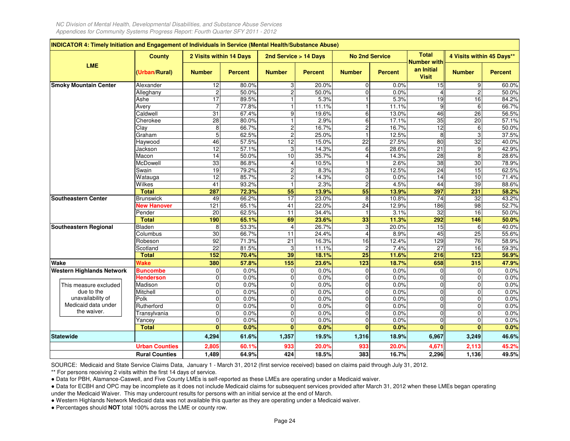|                                          | <b>County</b>         | 2 Visits within 14 Days |                | 2nd Service > 14 Days   |                | <b>No 2nd Service</b> |                | <b>Total</b><br><b>Number with</b> | 4 Visits within 45 Days** |                |
|------------------------------------------|-----------------------|-------------------------|----------------|-------------------------|----------------|-----------------------|----------------|------------------------------------|---------------------------|----------------|
| LME                                      | (Urban/Rural)         | <b>Number</b>           | <b>Percent</b> | <b>Number</b>           | <b>Percent</b> | <b>Number</b>         | <b>Percent</b> | an Initial<br><b>Visit</b>         | <b>Number</b>             | <b>Percent</b> |
| <b>Smoky Mountain Center</b>             | Alexander             | 12                      | 80.0%          | 3                       | 20.0%          | $\mathbf 0$           | 0.0%           | 15                                 | 9                         | 60.0%          |
|                                          | Alleghany             | $\overline{c}$          | 50.0%          | $\overline{c}$          | 50.0%          | $\Omega$              | 0.0%           |                                    | $\overline{2}$            | 50.0%          |
|                                          | Ashe                  | 17                      | 89.5%          | $\mathbf{1}$            | 5.3%           |                       | 5.3%           | 19                                 | 16                        | 84.2%          |
|                                          | Avery                 | $\overline{7}$          | 77.8%          | $\mathbf{1}$            | 11.1%          |                       | 11.1%          |                                    | 6                         | 66.7%          |
|                                          | Caldwell              | 31                      | 67.4%          | 9                       | 19.6%          | 6                     | 13.0%          | 46                                 | 26                        | 56.5%          |
|                                          | Cherokee              | 28                      | 80.0%          | $\mathbf{1}$            | 2.9%           | 6                     | 17.1%          | 35                                 | $\overline{20}$           | 57.1%          |
|                                          | Clay                  | 8                       | 66.7%          | $\overline{\mathbf{c}}$ | 16.7%          | $\overline{c}$        | 16.7%          | 12                                 | 6                         | 50.0%          |
|                                          | Graham                | 5                       | 62.5%          | $\overline{2}$          | 25.0%          |                       | 12.5%          | $\mathbf{8}$                       | 3                         | 37.5%          |
|                                          | Haywood               | 46                      | 57.5%          | 12                      | 15.0%          | 22                    | 27.5%          | 80                                 | 32                        | 40.0%          |
|                                          | Jackson               | 12                      | 57.1%          | 3                       | 14.3%          | 6                     | 28.6%          | $\overline{21}$                    | $\boldsymbol{9}$          | 42.9%          |
|                                          | Macon                 | 14                      | 50.0%          | 10                      | 35.7%          | $\overline{4}$        | 14.3%          | 28                                 | 8                         | 28.6%          |
|                                          | McDowell              | 33                      | 86.8%          | 4                       | 10.5%          |                       | 2.6%           | 38                                 | 30                        | 78.9%          |
|                                          | Swain                 | 19                      | 79.2%          | $\overline{c}$          | 8.3%           | 3                     | 12.5%          | 24                                 | 15                        | 62.5%          |
|                                          | Watauga               | 12                      | 85.7%          | $\overline{2}$          | 14.3%          | $\mathbf 0$           | 0.0%           | 14                                 | 10                        | 71.4%          |
|                                          | Wilkes                | 41                      | 93.2%          | $\mathbf{1}$            | 2.3%           | $\overline{c}$        | 4.5%           | 44                                 | 39                        | 88.6%          |
|                                          | <b>Total</b>          | 287                     | 72.3%          | 55                      | 13.9%          | 55                    | 13.9%          | 397                                | 231                       | 58.2%          |
| <b>Southeastern Center</b>               | <b>Brunswick</b>      | 49                      | 66.2%          | $\overline{17}$         | 23.0%          | 8                     | 10.8%          | 74                                 | $\overline{32}$           | 43.2%          |
|                                          | <b>New Hanover</b>    | 121                     | 65.1%          | 41                      | 22.0%          | 24                    | 12.9%          | 186                                | 98                        | 52.7%          |
|                                          | Pender                | 20                      | 62.5%          | 11                      | 34.4%          | $\mathbf{1}$          | 3.1%           | 32                                 | 16                        | 50.0%          |
|                                          | <b>Total</b>          | 190                     | 65.1%          | 69                      | 23.6%          | 33                    | 11.3%          | 292                                | 146                       | 50.0%          |
| Southeastern Regional                    | Bladen                | 8                       | 53.3%          | $\overline{4}$          | 26.7%          | 3                     | 20.0%          | 15                                 | 6                         | 40.0%          |
|                                          | Columbus              | 30                      | 66.7%          | 11                      | 24.4%          | $\overline{4}$        | 8.9%           | 45                                 | 25                        | 55.6%          |
|                                          | Robeson               | 92                      | 71.3%          | $\overline{21}$         | 16.3%          | 16                    | 12.4%          | 129                                | $\overline{76}$           | 58.9%          |
|                                          | Scotland              | 22                      | 81.5%          | 3                       | 11.1%          | $\overline{c}$        | 7.4%           | 27                                 | 16                        | 59.3%          |
|                                          | <b>Total</b>          | 152                     | 70.4%          | 39                      | 18.1%          | $\overline{25}$       | 11.6%          | 216                                | 123                       | 56.9%          |
| Wake                                     | Wake                  | 380                     | 57.8%          | 155                     | 23.6%          | 123                   | 18.7%          | 658                                | 315                       | 47.9%          |
| <b>Western Highlands Network</b>         | <b>Buncombe</b>       | $\mathbf 0$             | 0.0%           | $\mathbf 0$             | 0.0%           | $\mathbf 0$           | 0.0%           | $\Omega$                           | $\mathbf 0$               | 0.0%           |
|                                          | <b>Henderson</b>      | $\mathbf 0$             | 0.0%           | $\mathbf 0$             | 0.0%           | 0                     | 0.0%           | $\Omega$                           | 0                         | 0.0%           |
| This measure excluded                    | Madison               | $\mathbf 0$             | 0.0%           | $\mathbf 0$             | 0.0%           | $\mathbf{0}$          | 0.0%           | $\Omega$                           | $\mathbf 0$               | 0.0%           |
| due to the                               | Mitchell              | $\mathbf 0$             | 0.0%           | $\mathbf 0$             | 0.0%           | $\pmb{0}$             | 0.0%           | $\Omega$                           | $\pmb{0}$                 | 0.0%           |
| unavailability of<br>Medicaid data under | Polk                  | $\mathbf 0$             | 0.0%           | $\mathbf 0$             | 0.0%           | $\mathbf 0$           | 0.0%           | $\mathbf{0}$                       | $\mathbf 0$               | 0.0%           |
| the waiver.                              | Rutherford            | $\mathbf 0$             | 0.0%           | $\mathbf 0$             | 0.0%           | $\mathbf 0$           | 0.0%           | $\Omega$                           | $\mathbf 0$               | 0.0%           |
|                                          | Transylvania          | $\Omega$                | 0.0%           | $\mathbf 0$             | 0.0%           | $\Omega$              | 0.0%           | C                                  | $\Omega$                  | 0.0%           |
|                                          | Yancey                | $\mathbf 0$             | 0.0%           | $\mathbf 0$             | 0.0%           | $\mathbf 0$           | 0.0%           | $\mathbf{0}$                       | 0                         | 0.0%           |
|                                          | <b>Total</b>          | $\bf{0}$                | 0.0%           | $\Omega$                | 0.0%           | $\bf{0}$              | 0.0%           | n                                  | $\bf{0}$                  | 0.0%           |
| <b>Statewide</b>                         |                       | 4,294                   | 61.6%          | 1,357                   | 19.5%          | 1,316                 | 18.9%          | 6,967                              | 3,249                     | 46.6%          |
|                                          | <b>Urban Counties</b> | 2,805                   | 60.1%          | 933                     | 20.0%          | 933                   | 20.0%          | 4,671                              | 2,113                     | 45.2%          |
|                                          | <b>Rural Counties</b> | 1,489                   | 64.9%          | 424                     | 18.5%          | 383                   | 16.7%          | 2,296                              | 1,136                     | 49.5%          |

SOURCE: Medicaid and State Service Claims Data, January 1 - March 31, 2012 (first service received) based on claims paid through July 31, 2012.

\*\* For persons receiving 2 visits within the first 14 days of service.

● Data for PBH, Alamance-Caswell, and Five County LMEs is self-reported as these LMEs are operating under a Medicaid waiver.

 ● Data for ECBH and OPC may be incomplete as it does not include Medicaid claims for subsequent services provided after March 31, 2012 when these LMEs began operatingunder the Medicaid Waiver. This may undercount results for persons with an initial service at the end of March.

● Western Highlands Network Medicaid data was not available this quarter as they are operating under a Medicaid waiver.

● Percentages should **NOT** total 100% across the LME or county row.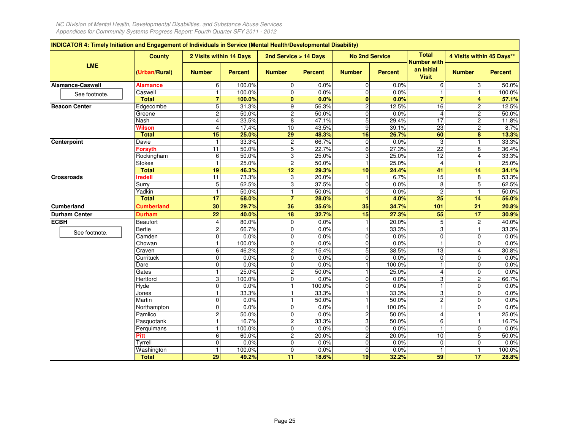F

|                         | <b>County</b>         | 2 Visits within 14 Days        |                | 2nd Service > 14 Days                  |                | <b>No 2nd Service</b> |                | <b>Total</b><br><b>Number with</b> | 4 Visits within 45 Days** |                |
|-------------------------|-----------------------|--------------------------------|----------------|----------------------------------------|----------------|-----------------------|----------------|------------------------------------|---------------------------|----------------|
| <b>LME</b>              | (Urban/Rural)         | <b>Number</b>                  | <b>Percent</b> | <b>Number</b>                          | <b>Percent</b> | <b>Number</b>         | <b>Percent</b> | an Initial<br><b>Visit</b>         | <b>Number</b>             | <b>Percent</b> |
| <b>Alamance-Caswell</b> | <b>Alamance</b>       | 6                              | 100.0%         | 0                                      | 0.0%           | $\overline{0}$        | 0.0%           | 6                                  | 3                         | 50.0%          |
| See footnote.           | Caswell               |                                | 100.0%         | $\overline{0}$                         | 0.0%           | $\overline{0}$        | 0.0%           |                                    | $\overline{1}$            | 100.0%         |
|                         | <b>Total</b>          | 7                              | 100.0%         | $\bf{0}$                               | 0.0%           | $\mathbf{0}$          | 0.0%           |                                    | 4                         | 57.1%          |
| <b>Beacon Center</b>    | Edgecombe             | 5                              | 31.3%          | $\overline{9}$                         | 56.3%          | $\overline{a}$        | 12.5%          | 16                                 | $\overline{c}$            | 12.5%          |
|                         | Greene                | $\overline{c}$                 | 50.0%          | $\overline{c}$                         | 50.0%          | $\overline{0}$        | 0.0%           | Δ                                  | $\overline{c}$            | 50.0%          |
|                         | Nash                  | $\overline{4}$                 | 23.5%          | 8                                      | 47.1%          | 5                     | 29.4%          | $\overline{17}$                    | $\overline{\mathbf{c}}$   | 11.8%          |
|                         | Wilson                | $\overline{4}$                 | 17.4%          | 10                                     | 43.5%          | 9                     | 39.1%          | 23                                 | $\overline{c}$            | 8.7%           |
|                         | <b>Total</b>          | 15                             | 25.0%          | $\overline{29}$                        | 48.3%          | 16                    | 26.7%          | 60                                 | 8                         | 13.3%          |
| Centerpoint             | Davie                 | $\overline{1}$                 | 33.3%          | $\overline{c}$                         | 66.7%          | $\overline{0}$        | 0.0%           | 3                                  | $\mathbf{1}$              | 33.3%          |
|                         | <b>Forsyth</b>        | 11                             | 50.0%          | $\overline{5}$                         | 22.7%          | 6                     | 27.3%          | $\overline{22}$                    | $\overline{8}$            | 36.4%          |
|                         | Rockingham            | 6                              | 50.0%          | 3                                      | 25.0%          | 3                     | 25.0%          | 12                                 | $\overline{4}$            | 33.3%          |
|                         | <b>Stokes</b>         | $\overline{1}$                 | 25.0%          | $\overline{c}$                         | 50.0%          | $\mathbf{1}$          | 25.0%          |                                    | $\mathbf{1}$              | 25.0%          |
|                         | <b>Total</b>          | 19                             | 46.3%          | 12                                     | 29.3%          | 10                    | 24.4%          | 41                                 | 14                        | 34.1%          |
| <b>Crossroads</b>       | <b>Iredell</b>        | 11                             | 73.3%          | 3                                      | 20.0%          |                       | 6.7%           | $\overline{15}$                    | 8                         | 53.3%          |
|                         | Surry                 | 5                              | 62.5%          | 3                                      | 37.5%          | $\overline{0}$        | 0.0%           | 8                                  | $\overline{5}$            | 62.5%          |
|                         | Yadkin                | $\overline{1}$                 | 50.0%          | $\mathbf{1}$                           | 50.0%          | $\mathbf 0$           | 0.0%           | 2                                  |                           | 50.0%          |
|                         | <b>Total</b>          | $\overline{17}$                | 68.0%          | $\overline{7}$                         | 28.0%          | 1                     | 4.0%           | 25                                 | 14                        | 56.0%          |
| <b>Cumberland</b>       | <b>Cumberland</b>     | 30                             | 29.7%          | 36                                     | 35.6%          | 35                    | 34.7%          | 101                                | 21                        | 20.8%          |
| <b>Durham Center</b>    | <b>Durham</b>         | 22                             | 40.0%          | 18                                     | 32.7%          | 15                    | 27.3%          | 55                                 | 17                        | 30.9%          |
| <b>ECBH</b>             | Beaufort              | $\overline{4}$                 | 80.0%          | 0                                      | 0.0%           | $\mathbf{1}$          | 20.0%          | 5                                  | $\overline{c}$            | 40.0%          |
| See footnote.           | <b>Bertie</b>         | $\overline{c}$                 | 66.7%          | $\Omega$                               | 0.0%           | $\mathbf{1}$          | 33.3%          | 3                                  | $\mathbf{1}$              | 33.3%          |
|                         | Camden                | $\mathbf 0$                    | 0.0%           | $\mathbf 0$                            | 0.0%           | $\overline{0}$        | 0.0%           | $\Omega$                           | 0                         | 0.0%           |
|                         | Chowan                |                                | 100.0%         | $\overline{0}$                         | 0.0%           | $\overline{0}$        | 0.0%           |                                    | $\overline{0}$            | 0.0%           |
|                         | Craven                | 6                              | 46.2%          | $\overline{c}$                         | 15.4%          | 5                     | 38.5%          | 13                                 | 4                         | 30.8%          |
|                         | Currituck             | $\mathbf 0$                    | 0.0%           | 0                                      | 0.0%           | $\overline{0}$        | 0.0%           | $\Omega$                           | 0                         | 0.0%           |
|                         | Dare                  | $\mathbf 0$                    | 0.0%           | 0                                      | 0.0%           |                       | 100.0%         |                                    | $\mathbf 0$               | 0.0%           |
|                         | Gates                 | 1                              | 25.0%          | 2                                      | 50.0%          | $\mathbf{1}$          | 25.0%          | 4                                  | 0                         | 0.0%           |
|                         | Hertford              | 3                              | 100.0%         | $\pmb{0}$                              | 0.0%           | $\overline{0}$        | 0.0%           | 3                                  | $\overline{c}$            | 66.7%          |
|                         | Hyde                  | $\mathbf 0$                    | 0.0%           | 1                                      | 100.0%         | $\Omega$              | 0.0%           |                                    | $\mathbf 0$               | 0.0%           |
|                         | Jones                 |                                | 33.3%          | 1                                      | 33.3%          |                       | 33.3%          | 3                                  | 0                         | 0.0%           |
|                         | Martin                | 0                              | 0.0%           | 1                                      | 50.0%          | 1                     | 50.0%          | $\overline{c}$                     | 0                         | 0.0%           |
|                         | Northampton           | $\mathbf 0$                    | 0.0%           | $\mathbf 0$                            | 0.0%<br>0.0%   | $\mathbf{1}$          | 100.0%         | 4                                  | 0<br>$\mathbf{1}$         | 0.0%           |
|                         | Pamlico<br>Pasquotank | $\overline{c}$<br>$\mathbf{1}$ | 50.0%<br>16.7% | 0<br>$\overline{2}$                    | 33.3%          | $\overline{c}$<br>3   | 50.0%<br>50.0% | 6                                  |                           | 25.0%<br>16.7% |
|                         | Perguimans            | $\overline{1}$                 | 100.0%         | $\pmb{0}$                              | 0.0%           | $\mathbf 0$           | 0.0%           |                                    | $\overline{0}$            | 0.0%           |
|                         | Pitt                  | 6                              | 60.0%          |                                        | 20.0%          | <sub>N</sub>          | 20.0%          | 10                                 | 5                         | 50.0%          |
|                         | Tyrrell               | 0                              | 0.0%           | $\overline{\mathbf{c}}$<br>$\mathbf 0$ | 0.0%           | $\overline{0}$        | 0.0%           | $\Omega$                           | 0                         | 0.0%           |
|                         | Washington            | $\overline{1}$                 | 100.0%         | 0                                      | 0.0%           | $\overline{0}$        | 0.0%           |                                    | $\mathbf{1}$              | 100.0%         |
|                         |                       |                                |                |                                        |                |                       |                |                                    |                           |                |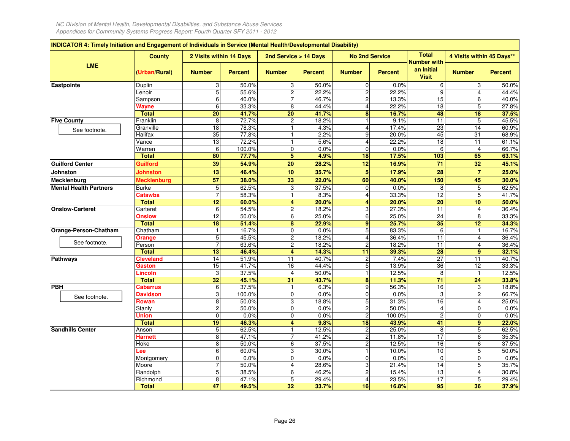| <b>LME</b><br>(Urban/Rural)<br><b>Duplin</b><br>Lenoir<br>Sampson<br>Wayne<br><b>Total</b><br>Franklin<br>Granville<br>See footnote.<br>Halifax<br>Vance<br>Warren<br><b>Total</b><br><b>Guilford Center</b><br>Guilford<br><b>Johnston</b><br>Johnston<br><b>Mecklenburg</b><br><b>Mental Health Partners</b><br><b>Burke</b><br>Catawba<br><b>Total</b><br>Carteret<br><b>Onslow</b><br><b>Total</b><br>Chatham<br><b>Orange</b><br>See footnote.<br>Person<br><b>Total</b><br><b>Cleveland</b><br>Gaston<br>Lincoln<br><b>Total</b><br>Cabarrus<br><b>Davidson</b><br>See footnote.<br>Rowan<br>Stanly<br>Union<br><b>Total</b><br><b>Sandhills Center</b><br>Anson<br><b>Harnett</b><br>Hoke |                 | 2 Visits within 14 Days |                         | 2nd Service > 14 Days |                                | <b>No 2nd Service</b> | <b>Total</b>                              |                 | 4 Visits within 45 Days** |
|--------------------------------------------------------------------------------------------------------------------------------------------------------------------------------------------------------------------------------------------------------------------------------------------------------------------------------------------------------------------------------------------------------------------------------------------------------------------------------------------------------------------------------------------------------------------------------------------------------------------------------------------------------------------------------------------------|-----------------|-------------------------|-------------------------|-----------------------|--------------------------------|-----------------------|-------------------------------------------|-----------------|---------------------------|
| Eastpointe<br><b>Five County</b><br>Mecklenburg<br><b>Onslow-Carteret</b><br>Orange-Person-Chatham<br>Pathways<br><b>PBH</b>                                                                                                                                                                                                                                                                                                                                                                                                                                                                                                                                                                     | <b>Number</b>   | <b>Percent</b>          | <b>Number</b>           | <b>Percent</b>        | <b>Number</b>                  | <b>Percent</b>        | Number with<br>an Initial<br><b>Visit</b> | <b>Number</b>   | <b>Percent</b>            |
|                                                                                                                                                                                                                                                                                                                                                                                                                                                                                                                                                                                                                                                                                                  | 3               | 50.0%                   | 3                       | 50.0%                 | $\overline{0}$                 | 0.0%                  | 6                                         | 3               | 50.0%                     |
|                                                                                                                                                                                                                                                                                                                                                                                                                                                                                                                                                                                                                                                                                                  | 5               | 55.6%                   | $\overline{2}$          | 22.2%                 | $\overline{2}$                 | 22.2%                 | ċ                                         | $\overline{4}$  | 44.4%                     |
|                                                                                                                                                                                                                                                                                                                                                                                                                                                                                                                                                                                                                                                                                                  | 6               | 40.0%                   | 7                       | 46.7%                 | 2 <sub>1</sub>                 | 13.3%                 | 15                                        | 6               | 40.0%                     |
|                                                                                                                                                                                                                                                                                                                                                                                                                                                                                                                                                                                                                                                                                                  | 6               | 33.3%                   | 8                       | 44.4%                 | $\overline{\mathbf{4}}$        | 22.2%                 | 18                                        | 5               | 27.8%                     |
|                                                                                                                                                                                                                                                                                                                                                                                                                                                                                                                                                                                                                                                                                                  | 20              | 41.7%                   | $\overline{20}$         | 41.7%                 | 8                              | 16.7%                 | 48                                        | 18              | 37.5%                     |
|                                                                                                                                                                                                                                                                                                                                                                                                                                                                                                                                                                                                                                                                                                  | 8               | 72.7%                   | $\overline{\mathbf{c}}$ | 18.2%                 | $\mathbf{1}$                   | 9.1%                  | $\overline{11}$                           | 5               | 45.5%                     |
|                                                                                                                                                                                                                                                                                                                                                                                                                                                                                                                                                                                                                                                                                                  | $\overline{18}$ | 78.3%                   | $\mathbf{1}$            | 4.3%                  | $\overline{4}$                 | 17.4%                 | 23                                        | $\overline{14}$ | 60.9%                     |
|                                                                                                                                                                                                                                                                                                                                                                                                                                                                                                                                                                                                                                                                                                  | 35              | 77.8%                   | $\mathbf{1}$            | 2.2%                  | $\overline{9}$                 | 20.0%                 | 45                                        | 31              | 68.9%                     |
|                                                                                                                                                                                                                                                                                                                                                                                                                                                                                                                                                                                                                                                                                                  | 13              | 72.2%                   | $\mathbf{1}$            | 5.6%                  | $\overline{4}$                 | 22.2%                 | 18                                        | 11              | 61.1%                     |
|                                                                                                                                                                                                                                                                                                                                                                                                                                                                                                                                                                                                                                                                                                  | 6               | 100.0%                  | $\overline{0}$          | 0.0%                  | $\overline{0}$                 | 0.0%                  | 6                                         | $\overline{4}$  | 66.7%                     |
|                                                                                                                                                                                                                                                                                                                                                                                                                                                                                                                                                                                                                                                                                                  | 80              | 77.7%                   | $\overline{\mathbf{5}}$ | 4.9%                  | 18                             | 17.5%                 | 103                                       | 65              | 63.1%                     |
|                                                                                                                                                                                                                                                                                                                                                                                                                                                                                                                                                                                                                                                                                                  | 39              | 54.9%                   | $\overline{20}$         | 28.2%                 | 12                             | 16.9%                 | 71                                        | 32              | 45.1%                     |
|                                                                                                                                                                                                                                                                                                                                                                                                                                                                                                                                                                                                                                                                                                  | 13              | 46.4%                   | 10                      | 35.7%                 | 5 <sup>1</sup>                 | 17.9%                 | 28                                        | $\overline{7}$  | 25.0%                     |
|                                                                                                                                                                                                                                                                                                                                                                                                                                                                                                                                                                                                                                                                                                  | 57              | 38.0%                   | 33                      | 22.0%                 | 60                             | 40.0%                 | 150                                       | 45              | 30.0%                     |
|                                                                                                                                                                                                                                                                                                                                                                                                                                                                                                                                                                                                                                                                                                  | $5\phantom{.0}$ | 62.5%                   | 3                       | 37.5%                 | $\overline{0}$                 | 0.0%                  | 8                                         | $\overline{5}$  | 62.5%                     |
|                                                                                                                                                                                                                                                                                                                                                                                                                                                                                                                                                                                                                                                                                                  | $\overline{7}$  | 58.3%                   | $\mathbf{1}$            | 8.3%                  | $\overline{4}$                 | 33.3%                 | 12                                        | 5               | 41.7%                     |
|                                                                                                                                                                                                                                                                                                                                                                                                                                                                                                                                                                                                                                                                                                  | 12              | 60.0%                   | 4                       | 20.0%                 | $\overline{\mathbf{4}}$        | 20.0%                 | 20                                        | 10              | 50.0%                     |
|                                                                                                                                                                                                                                                                                                                                                                                                                                                                                                                                                                                                                                                                                                  | 6               | 54.5%                   | $\overline{c}$          | 18.2%                 | $\mathbf{3}$                   | 27.3%                 | $\overline{11}$                           | $\overline{4}$  | 36.4%                     |
|                                                                                                                                                                                                                                                                                                                                                                                                                                                                                                                                                                                                                                                                                                  | 12              | 50.0%                   | 6                       | 25.0%                 | 6 <sup>1</sup>                 | 25.0%                 | 24                                        | 8               | 33.3%                     |
|                                                                                                                                                                                                                                                                                                                                                                                                                                                                                                                                                                                                                                                                                                  | 18              | 51.4%                   | 8                       | 22.9%                 | 9 <sub>l</sub>                 | 25.7%                 | 35                                        | 12              | 34.3%                     |
|                                                                                                                                                                                                                                                                                                                                                                                                                                                                                                                                                                                                                                                                                                  | $\overline{1}$  | 16.7%                   | $\pmb{0}$               | 0.0%                  | 5 <sub>l</sub>                 | 83.3%                 | 6                                         | $\mathbf{1}$    | 16.7%                     |
|                                                                                                                                                                                                                                                                                                                                                                                                                                                                                                                                                                                                                                                                                                  | $\overline{5}$  | 45.5%                   | $\overline{c}$          | 18.2%                 | $\overline{4}$                 | 36.4%                 | 11                                        | $\overline{4}$  | 36.4%                     |
|                                                                                                                                                                                                                                                                                                                                                                                                                                                                                                                                                                                                                                                                                                  | $\overline{7}$  | 63.6%                   | $\overline{c}$          | 18.2%                 | $\overline{2}$                 | 18.2%                 | 11                                        | 4               | 36.4%                     |
|                                                                                                                                                                                                                                                                                                                                                                                                                                                                                                                                                                                                                                                                                                  | 13              | 46.4%                   | 4                       | 14.3%                 | 11                             | 39.3%                 | 28                                        | 9               | 32.1%                     |
|                                                                                                                                                                                                                                                                                                                                                                                                                                                                                                                                                                                                                                                                                                  | 14              | 51.9%                   | 11                      | 40.7%                 | $\overline{c}$                 | 7.4%                  | $\overline{27}$                           | 11              | 40.7%                     |
|                                                                                                                                                                                                                                                                                                                                                                                                                                                                                                                                                                                                                                                                                                  | 15              | 41.7%                   | 16                      | 44.4%                 | $\overline{5}$                 | 13.9%                 | 36                                        | 12              | 33.3%                     |
|                                                                                                                                                                                                                                                                                                                                                                                                                                                                                                                                                                                                                                                                                                  | 3               | 37.5%                   | 4                       | 50.0%                 | $\mathbf{1}$                   | 12.5%                 | 8                                         | $\mathbf{1}$    | 12.5%                     |
|                                                                                                                                                                                                                                                                                                                                                                                                                                                                                                                                                                                                                                                                                                  | 32              | 45.1%                   | $\overline{31}$         | 43.7%                 | 8                              | 11.3%                 | $\overline{71}$                           | 24              | 33.8%                     |
|                                                                                                                                                                                                                                                                                                                                                                                                                                                                                                                                                                                                                                                                                                  | 6               | 37.5%                   | $\mathbf{1}$            | 6.3%                  | 9                              | 56.3%                 | $\overline{16}$                           | 3               | 18.8%                     |
|                                                                                                                                                                                                                                                                                                                                                                                                                                                                                                                                                                                                                                                                                                  | 3               | 100.0%                  | $\mathbf 0$             | 0.0%                  | $\overline{0}$                 | 0.0%                  | S                                         | $\overline{c}$  | 66.7%                     |
|                                                                                                                                                                                                                                                                                                                                                                                                                                                                                                                                                                                                                                                                                                  | 8               | 50.0%                   | 3                       | 18.8%                 | 5 <sup>1</sup>                 | 31.3%                 | 16                                        | $\overline{4}$  | 25.0%                     |
|                                                                                                                                                                                                                                                                                                                                                                                                                                                                                                                                                                                                                                                                                                  | $\overline{c}$  | 50.0%                   | $\mathbf 0$             | 0.0%                  | 2 <sub>1</sub>                 | 50.0%                 | 4                                         | $\mathbf 0$     | 0.0%                      |
|                                                                                                                                                                                                                                                                                                                                                                                                                                                                                                                                                                                                                                                                                                  | $\mathbf 0$     | 0.0%                    | $\mathbf 0$             | 0.0%                  | $\overline{2}$                 | 100.0%                | $\overline{c}$                            | 0               | 0.0%                      |
|                                                                                                                                                                                                                                                                                                                                                                                                                                                                                                                                                                                                                                                                                                  | 19              | 46.3%                   | 4<br>$\mathbf{1}$       | 9.8%                  | 18                             | 43.9%                 | 41                                        | 9               | 22.0%                     |
|                                                                                                                                                                                                                                                                                                                                                                                                                                                                                                                                                                                                                                                                                                  | $\sqrt{5}$      | 62.5%                   | $\overline{7}$          | 12.5%                 | $\mathbf{2}$<br>$\overline{2}$ | 25.0%                 | 8<br>17                                   | 5               | 62.5%                     |
|                                                                                                                                                                                                                                                                                                                                                                                                                                                                                                                                                                                                                                                                                                  | 8               | 47.1%                   |                         | 41.2%                 |                                | 11.8%                 |                                           | $\overline{6}$  | 35.3%                     |
|                                                                                                                                                                                                                                                                                                                                                                                                                                                                                                                                                                                                                                                                                                  | 8               | 50.0%<br>60.0%          | $\overline{6}$          | 37.5%                 | $\overline{2}$<br>$\mathbf{1}$ | 12.5%                 | 16                                        | 6               | 37.5%                     |
| -ee                                                                                                                                                                                                                                                                                                                                                                                                                                                                                                                                                                                                                                                                                              | 6               |                         | 3                       | 30.0%                 |                                | 10.0%                 | 10<br>$\Omega$                            | 5               | 50.0%                     |
| Montgomery                                                                                                                                                                                                                                                                                                                                                                                                                                                                                                                                                                                                                                                                                       | $\mathbf 0$     | 0.0%                    | $\mathbf 0$             | 0.0%                  | $\overline{0}$                 | 0.0%                  | 14                                        | 0               | 0.0%                      |
| Moore                                                                                                                                                                                                                                                                                                                                                                                                                                                                                                                                                                                                                                                                                            | 7               | 50.0%                   | $\overline{4}$          | 28.6%                 | 3                              | 21.4%                 | 13                                        | 5               | 35.7%                     |
| Randolph                                                                                                                                                                                                                                                                                                                                                                                                                                                                                                                                                                                                                                                                                         | 5               | 38.5%                   | $\overline{6}$          | 46.2%                 | $\overline{2}$                 | 15.4%                 | $\overline{17}$                           | 4               | 30.8%                     |
| Richmond<br><b>Total</b>                                                                                                                                                                                                                                                                                                                                                                                                                                                                                                                                                                                                                                                                         | 8<br>47         | 47.1%<br>49.5%          | 5<br>32                 | 29.4%<br>33.7%        | 4<br>16                        | 23.5%<br>16.8%        | 95                                        | 5<br>36         | 29.4%<br>37.9%            |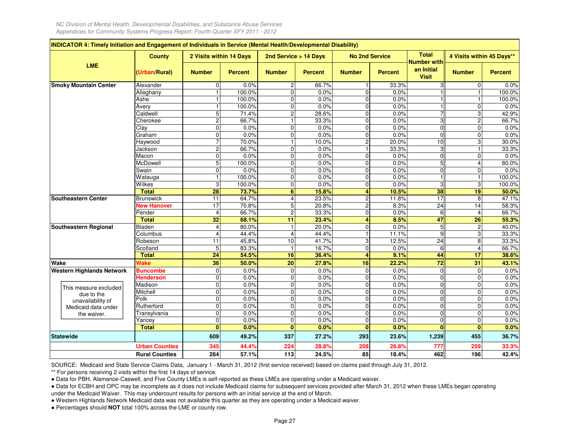|                                  | <b>County</b>         | 2 Visits within 14 Days          |                | 2nd Service > 14 Days          |                | <b>No 2nd Service</b>                   |                | <b>Total</b><br><b>Number with</b> | 4 Visits within 45 Days**        |                |
|----------------------------------|-----------------------|----------------------------------|----------------|--------------------------------|----------------|-----------------------------------------|----------------|------------------------------------|----------------------------------|----------------|
| <b>LME</b>                       | (Urban/Rural)         | <b>Number</b>                    | <b>Percent</b> | <b>Number</b>                  | <b>Percent</b> | <b>Number</b>                           | <b>Percent</b> | an Initial<br><b>Visit</b>         | <b>Number</b>                    | <b>Percent</b> |
| <b>Smoky Mountain Center</b>     | Alexander             | $\mathbf 0$                      | 0.0%           | $\overline{c}$                 | 66.7%          |                                         | 33.3%          |                                    | 0                                | 0.0%           |
|                                  | Alleghany             | $\overline{1}$                   | 100.0%         | 0                              | 0.0%           | $\mathbf 0$                             | 0.0%           |                                    | $\overline{1}$                   | 100.0%         |
|                                  | Ashe                  | $\overline{\mathbf{1}}$          | 100.0%         | $\mathbf 0$                    | 0.0%           | $\mathbf 0$                             | 0.0%           |                                    |                                  | 100.0%         |
|                                  | Avery                 | $\mathbf{1}$                     | 100.0%         | 0                              | 0.0%           | $\mathbf 0$                             | 0.0%           |                                    | 0                                | 0.0%           |
|                                  | Caldwell              | 5                                | 71.4%          | $\overline{c}$                 | 28.6%          | $\mathbf 0$                             | 0.0%           |                                    | 3                                | 42.9%          |
|                                  | Cherokee              | $\overline{2}$                   | 66.7%          | $\overline{1}$                 | 33.3%          | $\mathbf 0$                             | 0.0%           | $\overline{3}$                     | $\overline{2}$                   | 66.7%          |
|                                  | Clay                  | $\overline{0}$                   | 0.0%           | 0                              | 0.0%           | $\mathbf 0$                             | 0.0%           | $\overline{0}$                     | $\mathbf 0$                      | 0.0%           |
|                                  | Graham                | $\Omega$                         | 0.0%           | $\mathbf 0$                    | 0.0%           | $\Omega$                                | 0.0%           | $\Omega$                           | $\Omega$                         | 0.0%           |
|                                  | Haywood               |                                  | 70.0%          | $\overline{1}$                 | 10.0%          | $\overline{a}$                          | 20.0%          | 10                                 | 3                                | 30.0%          |
|                                  | Jackson               | $\mathbf 2$                      | 66.7%          | 0                              | 0.0%           |                                         | 33.3%          | 3                                  |                                  | 33.3%          |
|                                  | Macon                 | $\Omega$                         | 0.0%           | $\mathbf 0$                    | 0.0%           | $\mathbf 0$                             | 0.0%           | $\Omega$                           | $\mathbf 0$                      | 0.0%           |
|                                  | McDowell              | 5                                | 100.0%         | $\mathbf 0$                    | 0.0%           | $\mathbf{0}$                            | 0.0%           | 5                                  | $\overline{4}$                   | 80.0%          |
|                                  | Swain                 | $\mathbf 0$                      | 0.0%           | 0                              | 0.0%           | $\mathbf 0$                             | 0.0%           | $\mathbf 0$                        | 0                                | 0.0%           |
|                                  | Watauga               | $\overline{1}$                   | 100.0%         | $\overline{0}$                 | 0.0%           | $\Omega$                                | 0.0%           |                                    | $\overline{1}$                   | 100.0%         |
|                                  | Wilkes                | 3                                | 100.0%         | $\mathbf 0$                    | 0.0%           | $\mathbf 0$                             | 0.0%           | 3                                  | 3                                | 100.0%         |
|                                  | <b>Total</b>          | 28                               | 73.7%          | $6\phantom{1}$                 | 15.8%          | 4                                       | 10.5%          | 38                                 | 19                               | 50.0%          |
| <b>Southeastern Center</b>       | <b>Brunswick</b>      | $\overline{11}$                  | 64.7%          | $\overline{4}$                 | 23.5%          | <sub>2</sub>                            | 11.8%          | $\overline{17}$                    | $\overline{8}$                   | 47.1%          |
|                                  | <b>New Hanover</b>    | 17                               | 70.8%          | $\overline{5}$                 | 20.8%          | <sub>2</sub>                            | 8.3%           | 24                                 | 14                               | 58.3%          |
|                                  | Pender                | $\overline{4}$                   | 66.7%          | $\overline{c}$                 | 33.3%          | $\mathbf{0}$<br>$\overline{\mathbf{4}}$ | 0.0%           | 6                                  | 4                                | 66.7%          |
|                                  | <b>Total</b>          | 32                               | 68.1%          | 11                             | 23.4%          |                                         | 8.5%           | 47                                 | 26                               | 55.3%          |
| Southeastern Regional            | Bladen                | $\overline{4}$<br>$\overline{4}$ | 80.0%          | $\mathbf{1}$<br>$\overline{4}$ | 20.0%          | $\mathbf 0$                             | 0.0%           | 5 <sup>1</sup><br>9                | $\overline{c}$                   | 40.0%          |
|                                  | Columbus              |                                  | 44.4%<br>45.8% |                                | 44.4%<br>41.7% |                                         | 11.1%<br>12.5% | $\overline{24}$                    | 3                                | 33.3%<br>33.3% |
|                                  | Robeson<br>Scotland   | 11                               |                | 10                             | 16.7%          | ω<br>$\mathbf 0$                        | 0.0%           | 6                                  | $\overline{8}$<br>$\overline{4}$ |                |
|                                  | <b>Total</b>          | 5<br>24                          | 83.3%<br>54.5% | $\mathbf{1}$<br>16             | 36.4%          | 4                                       | 9.1%           | 44                                 | 17                               | 66.7%<br>38.6% |
|                                  |                       |                                  |                |                                |                |                                         |                |                                    |                                  |                |
| <b>Wake</b>                      | Wake                  | 36                               | 50.0%          | 20                             | 27.8%          | 16                                      | 22.2%          | 72                                 | 31                               | 43.1%          |
| <b>Western Highlands Network</b> | <b>Buncombe</b>       | $\Omega$                         | 0.0%           | $\mathbf 0$                    | 0.0%           | $\Omega$                                | 0.0%           | $\Omega$                           | $\mathbf 0$                      | 0.0%           |
|                                  | <b>Henderson</b>      | $\mathbf 0$<br>$\Omega$          | 0.0%<br>0.0%   | 0<br>$\overline{0}$            | 0.0%<br>0.0%   | $\mathbf 0$<br>$\mathbf 0$              | 0.0%<br>0.0%   | $\mathbf 0$<br>$\Omega$            | $\mathbf 0$<br>$\mathbf 0$       | 0.0%<br>0.0%   |
| This measure excluded            | Madison<br>Mitchell   | $\mathbf{0}$                     | 0.0%           | $\mathbf 0$                    | 0.0%           | $\mathbf 0$                             | 0.0%           | $\Omega$                           | $\mathbf 0$                      | 0.0%           |
| due to the                       | Polk                  | $\mathbf{0}$                     | 0.0%           | 0                              | 0.0%           | $\mathbf 0$                             | 0.0%           | $\mathbf 0$                        | $\mathbf 0$                      | 0.0%           |
| unavailability of                | Rutherford            | $\overline{0}$                   | 0.0%           | $\overline{0}$                 | 0.0%           | $\mathbf 0$                             | 0.0%           | $\Omega$                           | $\mathbf 0$                      | 0.0%           |
| Medicaid data under              | Transylvania          | $\overline{0}$                   | 0.0%           | $\mathbf 0$                    | 0.0%           | $\mathbf 0$                             | 0.0%           | $\Omega$                           | $\mathbf 0$                      | 0.0%           |
| the waiver.                      | Yancey                | $\mathbf{0}$                     | 0.0%           | 0                              | 0.0%           | $\mathbf 0$                             | 0.0%           | $\mathbf 0$                        | $\mathbf 0$                      | 0.0%           |
|                                  | <b>Total</b>          | $\Omega$                         | 0.0%           | $\overline{0}$                 | 0.0%           | $\mathbf{0}$                            | 0.0%           | n                                  | $\bf{0}$                         | 0.0%           |
| <b>Statewide</b>                 |                       | 609                              | 49.2%          | 337                            | 27.2%          | 293                                     | 23.6%          | 1,239                              | 455                              | 36.7%          |
|                                  | <b>Urban Counties</b> | 345                              | 44.4%          | 224                            | 28.8%          | 208                                     | 26.8%          | 777                                | 259                              | 33.3%          |
|                                  | <b>Rural Counties</b> | 264                              | 57.1%          | 113                            | 24.5%          | 85                                      | 18.4%          | 462                                | 196                              | 42.4%          |

SOURCE: Medicaid and State Service Claims Data, January 1 - March 31, 2012 (first service received) based on claims paid through July 31, 2012.

\*\* For persons receiving 2 visits within the first 14 days of service.

● Data for PBH, Alamance-Caswell, and Five County LMEs is self-reported as these LMEs are operating under a Medicaid waiver.

 ● Data for ECBH and OPC may be incomplete as it does not include Medicaid claims for subsequent services provided after March 31, 2012 when these LMEs began operatingunder the Medicaid Waiver. This may undercount results for persons with an initial service at the end of March.

● Western Highlands Network Medicaid data was not available this quarter as they are operating under a Medicaid waiver.

● Percentages should **NOT** total 100% across the LME or county row.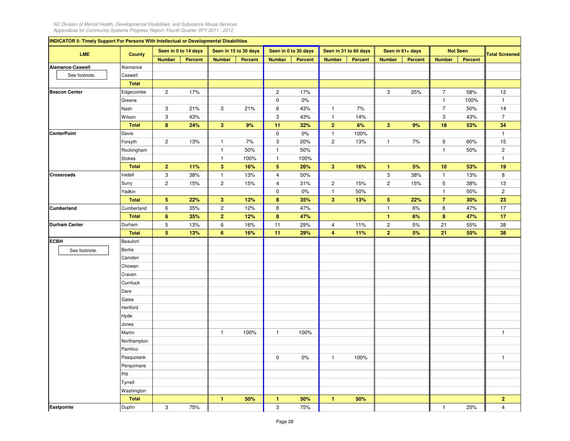| <b>INDICATOR 5: Timely Support For Persons With Intellectual or Developmental Disabilities</b> |               |                           |         |                         |                       |                           |                      |                |                       |                         |                |                  |                 |                       |
|------------------------------------------------------------------------------------------------|---------------|---------------------------|---------|-------------------------|-----------------------|---------------------------|----------------------|----------------|-----------------------|-------------------------|----------------|------------------|-----------------|-----------------------|
| <b>LME</b>                                                                                     | <b>County</b> | Seen in 0 to 14 days      |         |                         | Seen in 15 to 30 days |                           | Seen in 0 to 30 days |                | Seen in 31 to 60 days | Seen in 61+ days        |                |                  | <b>Not Seen</b> | <b>Total Screened</b> |
|                                                                                                |               | <b>Number</b>             | Percent | <b>Number</b>           | <b>Percent</b>        | <b>Number</b>             | Percent              | <b>Number</b>  | Percent               | <b>Number</b>           | <b>Percent</b> | <b>Number</b>    | <b>Percent</b>  |                       |
| Alamance-Caswell                                                                               | Alamance      |                           |         |                         |                       |                           |                      |                |                       |                         |                |                  |                 |                       |
| See footnote.                                                                                  | Caswell       |                           |         |                         |                       |                           |                      |                |                       |                         |                |                  |                 |                       |
|                                                                                                | <b>Total</b>  |                           |         |                         |                       |                           |                      |                |                       |                         |                |                  |                 |                       |
| <b>Beacon Center</b>                                                                           | Edgecombe     | $\overline{c}$            | 17%     |                         |                       | $\overline{2}$            | 17%                  |                |                       | 3                       | 25%            | $\overline{7}$   | 58%             | 12                    |
|                                                                                                | Greene        |                           |         |                         |                       | $\mathsf 0$               | $0\%$                |                |                       |                         |                | $\mathbf{1}$     | 100%            | $\mathbf{1}$          |
|                                                                                                | Nash          | 3                         | 21%     | 3                       | 21%                   | $\,6\,$                   | 43%                  | $\mathbf{1}$   | 7%                    |                         |                | $\overline{7}$   | 50%             | 14                    |
|                                                                                                | Wilson        | $_{\rm 3}$                | 43%     |                         |                       | $\mathbf 3$               | 43%                  | $\mathbf{1}$   | 14%                   |                         |                | $\mathbf{3}$     | 43%             | $\overline{7}$        |
|                                                                                                | <b>Total</b>  | 8                         | 24%     | 3                       | 9%                    | 11                        | 32%                  | $\mathbf 2$    | 6%                    | $\overline{\mathbf{3}}$ | 9%             | 18               | 53%             | 34                    |
| <b>CenterPoint</b>                                                                             | Davie         |                           |         |                         |                       | $\mathsf 0$               | $0\%$                | $\mathbf{1}$   | 100%                  |                         |                |                  |                 | $\mathbf{1}$          |
|                                                                                                | Forsyth       | $\sqrt{2}$                | 13%     | $\mathbf{1}$            | 7%                    | $\ensuremath{\mathsf{3}}$ | 20%                  | $\overline{c}$ | 13%                   | $\mathbf{1}$            | 7%             | $\boldsymbol{9}$ | 60%             | 15                    |
|                                                                                                | Rockingham    |                           |         | $\mathbf{1}$            | 50%                   | $\mathbf{1}$              | 50%                  |                |                       |                         |                | $\mathbf{1}$     | 50%             | $\overline{c}$        |
|                                                                                                | Stokes        |                           |         | $\mathbf{1}$            | 100%                  | $\mathbf{1}$              | 100%                 |                |                       |                         |                |                  |                 | $\mathbf{1}$          |
|                                                                                                | <b>Total</b>  | $\overline{2}$            | 11%     | $\overline{\mathbf{3}}$ | 16%                   | ${\bf 5}$                 | 26%                  | $\overline{3}$ | 16%                   | $\mathbf{1}$            | 5%             | $10$             | 53%             | 19                    |
| Crossroads                                                                                     | Iredell       | 3                         | 38%     | $\mathbf{1}$            | 13%                   | $\sqrt{4}$                | 50%                  |                |                       | $\mathbf{3}$            | 38%            | $\overline{1}$   | 13%             | 8                     |
|                                                                                                | Surry         | $\sqrt{2}$                | 15%     | $\overline{c}$          | 15%                   | $\overline{4}$            | 31%                  | $\overline{c}$ | 15%                   | $\mathbf 2$             | 15%            | $\,$ 5 $\,$      | 38%             | 13                    |
|                                                                                                | Yadkin        |                           |         |                         |                       | $\mathbf 0$               | 0%                   | $\mathbf{1}$   | 50%                   |                         |                | $\mathbf{1}$     | 50%             | $\overline{c}$        |
|                                                                                                | <b>Total</b>  | $\sqrt{5}$                | 22%     | $\mathbf{3}$            | 13%                   | 8                         | 35%                  | $\mathbf{3}$   | 13%                   | $\sqrt{5}$              | 22%            | $\overline{7}$   | 30%             | 23                    |
| Cumberland                                                                                     | Cumberland    | $\boldsymbol{6}$          | 35%     | $\mathbf 2$             | 12%                   | $\bf 8$                   | 47%                  |                |                       | $\mathbf{1}$            | 6%             | $\bf 8$          | 47%             | 17                    |
|                                                                                                | <b>Total</b>  | $6\phantom{a}$            | 35%     | $\overline{2}$          | 12%                   | $\bf{8}$                  | 47%                  |                |                       | $\mathbf{1}$            | 6%             | $\bf{8}$         | 47%             | 17                    |
| <b>Durham Center</b>                                                                           | Durham        | 5                         | 13%     | 6                       | 16%                   | 11                        | 29%                  | 4              | 11%                   | $\overline{c}$          | 5%             | 21               | 55%             | 38                    |
|                                                                                                | <b>Total</b>  | $5\phantom{.0}$           | 13%     | 6                       | 16%                   | 11                        | 29%                  | $\overline{4}$ | 11%                   | $\overline{2}$          | 5%             | 21               | 55%             | 38                    |
| <b>ECBH</b>                                                                                    | Beaufort      |                           |         |                         |                       |                           |                      |                |                       |                         |                |                  |                 |                       |
| See footnote.                                                                                  | Bertie        |                           |         |                         |                       |                           |                      |                |                       |                         |                |                  |                 |                       |
|                                                                                                | Camden        |                           |         |                         |                       |                           |                      |                |                       |                         |                |                  |                 |                       |
|                                                                                                | Chowan        |                           |         |                         |                       |                           |                      |                |                       |                         |                |                  |                 |                       |
|                                                                                                | Craven        |                           |         |                         |                       |                           |                      |                |                       |                         |                |                  |                 |                       |
|                                                                                                | Currituck     |                           |         |                         |                       |                           |                      |                |                       |                         |                |                  |                 |                       |
|                                                                                                | Dare          |                           |         |                         |                       |                           |                      |                |                       |                         |                |                  |                 |                       |
|                                                                                                | Gates         |                           |         |                         |                       |                           |                      |                |                       |                         |                |                  |                 |                       |
|                                                                                                | Hertford      |                           |         |                         |                       |                           |                      |                |                       |                         |                |                  |                 |                       |
|                                                                                                | Hyde          |                           |         |                         |                       |                           |                      |                |                       |                         |                |                  |                 |                       |
|                                                                                                | Jones         |                           |         |                         |                       |                           |                      |                |                       |                         |                |                  |                 |                       |
|                                                                                                | Martin        |                           |         | $\overline{1}$          | 100%                  | $\mathbf{1}$              | 100%                 |                |                       |                         |                |                  |                 | $\mathbf{1}$          |
|                                                                                                | Northampton   |                           |         |                         |                       |                           |                      |                |                       |                         |                |                  |                 |                       |
|                                                                                                | Pamlico       |                           |         |                         |                       |                           |                      |                |                       |                         |                |                  |                 |                       |
|                                                                                                | Pasquotank    |                           |         |                         |                       | 0                         | 0%                   | $\mathbf{1}$   | 100%                  |                         |                |                  |                 | $\mathbf{1}$          |
|                                                                                                | Perquimans    |                           |         |                         |                       |                           |                      |                |                       |                         |                |                  |                 |                       |
|                                                                                                | Pitt          |                           |         |                         |                       |                           |                      |                |                       |                         |                |                  |                 |                       |
|                                                                                                | Tyrrell       |                           |         |                         |                       |                           |                      |                |                       |                         |                |                  |                 |                       |
|                                                                                                | Washington    |                           |         |                         |                       |                           |                      |                |                       |                         |                |                  |                 |                       |
|                                                                                                | <b>Total</b>  |                           |         | $\mathbf{1}$            | 50%                   | $\mathbf{1}$              | 50%                  | $\mathbf{1}$   | 50%                   |                         |                |                  |                 | $\overline{2}$        |
| Eastpointe                                                                                     | Duplin        | $\ensuremath{\mathsf{3}}$ | 75%     |                         |                       | 3                         | 75%                  |                |                       |                         |                | $\mathbf{1}$     | 25%             | $\overline{4}$        |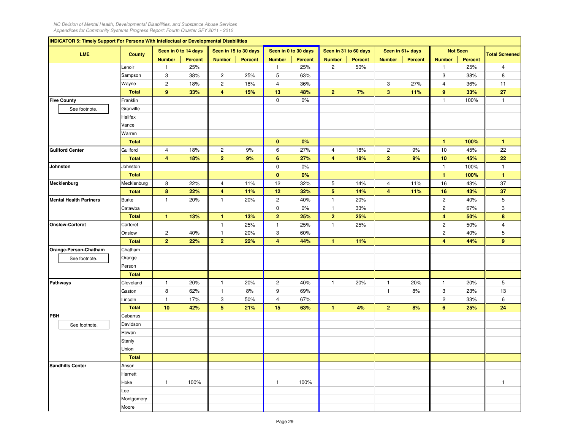$\sim$ 

| <b>INDICATOR 5: Timely Support For Persons With Intellectual or Developmental Disabilities</b> |               |                      |                |                           |                       |                           |                      |                |                       |                         |                  |                         |                 |                       |
|------------------------------------------------------------------------------------------------|---------------|----------------------|----------------|---------------------------|-----------------------|---------------------------|----------------------|----------------|-----------------------|-------------------------|------------------|-------------------------|-----------------|-----------------------|
| <b>LME</b>                                                                                     | <b>County</b> | Seen in 0 to 14 days |                |                           | Seen in 15 to 30 days |                           | Seen in 0 to 30 days |                | Seen in 31 to 60 days |                         | Seen in 61+ days |                         | <b>Not Seen</b> | <b>Total Screened</b> |
|                                                                                                |               | <b>Number</b>        | <b>Percent</b> | <b>Number</b>             | <b>Percent</b>        | <b>Number</b>             | <b>Percent</b>       | <b>Number</b>  | <b>Percent</b>        | <b>Number</b>           | <b>Percent</b>   | <b>Number</b>           | <b>Percent</b>  |                       |
|                                                                                                | Lenoir        | $\mathbf{1}$         | 25%            |                           |                       | 1                         | 25%                  | $\overline{c}$ | 50%                   |                         |                  | $\mathbf{1}$            | 25%             | $\overline{4}$        |
|                                                                                                | Sampson       | 3                    | 38%            | $\overline{c}$            | 25%                   | 5                         | 63%                  |                |                       |                         |                  | $\mathbf 3$             | 38%             | 8                     |
|                                                                                                | Wayne         | $\overline{c}$       | 18%            | $\overline{c}$            | 18%                   | $\overline{4}$            | 36%                  |                |                       | 3                       | 27%              | 4                       | 36%             | 11                    |
|                                                                                                | <b>Total</b>  | 9                    | 33%            | $\overline{4}$            | 15%                   | 13                        | 48%                  | $\overline{2}$ | 7%                    | $\overline{\mathbf{3}}$ | 11%              | 9                       | 33%             | 27                    |
| <b>Five County</b>                                                                             | Franklin      |                      |                |                           |                       | $\pmb{0}$                 | 0%                   |                |                       |                         |                  | $\mathbf{1}$            | 100%            | $\mathbf{1}$          |
| See footnote.                                                                                  | Granville     |                      |                |                           |                       |                           |                      |                |                       |                         |                  |                         |                 |                       |
|                                                                                                | Halifax       |                      |                |                           |                       |                           |                      |                |                       |                         |                  |                         |                 |                       |
|                                                                                                | Vance         |                      |                |                           |                       |                           |                      |                |                       |                         |                  |                         |                 |                       |
|                                                                                                | Warren        |                      |                |                           |                       |                           |                      |                |                       |                         |                  |                         |                 |                       |
|                                                                                                | <b>Total</b>  |                      |                |                           |                       | $\mathbf{0}$              | 0%                   |                |                       |                         |                  | $\mathbf{1}$            | 100%            | $\mathbf{1}$          |
| <b>Guilford Center</b>                                                                         | Guilford      | $\overline{4}$       | 18%            | $\overline{2}$            | 9%                    | 6                         | 27%                  | $\overline{4}$ | 18%                   | $\overline{c}$          | 9%               | 10                      | 45%             | 22                    |
|                                                                                                | <b>Total</b>  | 4                    | 18%            | $\overline{2}$            | 9%                    | $6\phantom{1}$            | 27%                  | 4              | 18%                   | $\overline{2}$          | 9%               | 10                      | 45%             | 22                    |
| Johnston                                                                                       | Johnston      |                      |                |                           |                       | $\mathsf 0$               | 0%                   |                |                       |                         |                  | $\mathbf{1}$            | 100%            | $\mathbf{1}$          |
|                                                                                                | <b>Total</b>  |                      |                |                           |                       | $\mathbf{0}$              | 0%                   |                |                       |                         |                  | $\blacktriangleleft$    | 100%            | $\mathbf{1}$          |
| Mecklenburg                                                                                    | Mecklenburg   | 8                    | 22%            | $\overline{4}$            | 11%                   | 12                        | 32%                  | 5              | 14%                   | $\overline{4}$          | 11%              | 16                      | 43%             | 37                    |
|                                                                                                | <b>Total</b>  | 8                    | 22%            | $\overline{4}$            | 11%                   | 12                        | 32%                  | $\overline{5}$ | 14%                   | $\overline{4}$          | 11%              | 16                      | 43%             | 37                    |
| <b>Mental Health Partners</b>                                                                  | <b>Burke</b>  | $\mathbf{1}$         | 20%            | $\mathbf{1}$              | 20%                   | $\sqrt{2}$                | 40%                  | $\mathbf{1}$   | 20%                   |                         |                  | $\sqrt{2}$              | 40%             | 5                     |
|                                                                                                | Catawba       |                      |                |                           |                       | $\mathsf 0$               | 0%                   | $\mathbf{1}$   | 33%                   |                         |                  | $\overline{c}$          | 67%             | 3                     |
|                                                                                                | <b>Total</b>  | $\mathbf{1}$         | 13%            | $\mathbf{1}$              | 13%                   | $\overline{2}$            | 25%                  | $\overline{2}$ | 25%                   |                         |                  | $\overline{\mathbf{4}}$ | 50%             | 8                     |
| <b>Onslow-Carteret</b>                                                                         | Carteret      |                      |                | $\mathbf{1}$              | 25%                   | $\overline{1}$            | 25%                  | 1              | 25%                   |                         |                  | $\sqrt{2}$              | 50%             | $\overline{4}$        |
|                                                                                                | Onslow        | $\sqrt{2}$           | 40%            | $\mathbf{1}$              | 20%                   | $\ensuremath{\mathsf{3}}$ | 60%                  |                |                       |                         |                  | $\sqrt{2}$              | 40%             | 5                     |
|                                                                                                | <b>Total</b>  | $\overline{2}$       | 22%            | $\overline{2}$            | 22%                   | $\overline{4}$            | 44%                  | $\mathbf{1}$   | 11%                   |                         |                  | $\overline{4}$          | 44%             | 9                     |
| Orange-Person-Chatham                                                                          | Chatham       |                      |                |                           |                       |                           |                      |                |                       |                         |                  |                         |                 |                       |
| See footnote.                                                                                  | Orange        |                      |                |                           |                       |                           |                      |                |                       |                         |                  |                         |                 |                       |
|                                                                                                | Person        |                      |                |                           |                       |                           |                      |                |                       |                         |                  |                         |                 |                       |
|                                                                                                | <b>Total</b>  |                      |                |                           |                       |                           |                      |                |                       |                         |                  |                         |                 |                       |
| <b>Pathways</b>                                                                                | Cleveland     | $\mathbf{1}$         | 20%            | $\overline{1}$            | 20%                   | $\overline{c}$            | 40%                  | $\mathbf{1}$   | 20%                   | $\overline{1}$          | 20%              | $\overline{1}$          | 20%             | 5                     |
|                                                                                                | Gaston        | 8                    | 62%            | $\mathbf{1}$              | 8%                    | 9                         | 69%                  |                |                       | $\overline{1}$          | 8%               | 3                       | 23%             | 13                    |
|                                                                                                | Lincoln       | $\mathbf{1}$         | 17%            | $\ensuremath{\mathsf{3}}$ | 50%                   | $\overline{4}$            | 67%                  |                |                       |                         |                  | $\sqrt{2}$              | 33%             | 6                     |
|                                                                                                | <b>Total</b>  | 10                   | 42%            | $5\phantom{.0}$           | 21%                   | 15                        | 63%                  | $\mathbf{1}$   | 4%                    | $\overline{2}$          | 8%               | 6                       | 25%             | 24                    |
| PBH                                                                                            | Cabarrus      |                      |                |                           |                       |                           |                      |                |                       |                         |                  |                         |                 |                       |
| See footnote.                                                                                  | Davidson      |                      |                |                           |                       |                           |                      |                |                       |                         |                  |                         |                 |                       |
|                                                                                                | Rowan         |                      |                |                           |                       |                           |                      |                |                       |                         |                  |                         |                 |                       |
|                                                                                                | Stanly        |                      |                |                           |                       |                           |                      |                |                       |                         |                  |                         |                 |                       |
|                                                                                                | Union         |                      |                |                           |                       |                           |                      |                |                       |                         |                  |                         |                 |                       |
|                                                                                                | <b>Total</b>  |                      |                |                           |                       |                           |                      |                |                       |                         |                  |                         |                 |                       |
| <b>Sandhills Center</b>                                                                        | Anson         |                      |                |                           |                       |                           |                      |                |                       |                         |                  |                         |                 |                       |
|                                                                                                | Harnett       |                      |                |                           |                       |                           |                      |                |                       |                         |                  |                         |                 |                       |
|                                                                                                | Hoke          | $\mathbf{1}$         | 100%           |                           |                       | $\mathbf{1}$              | 100%                 |                |                       |                         |                  |                         |                 | 1                     |
|                                                                                                | Lee           |                      |                |                           |                       |                           |                      |                |                       |                         |                  |                         |                 |                       |
|                                                                                                | Montgomery    |                      |                |                           |                       |                           |                      |                |                       |                         |                  |                         |                 |                       |
|                                                                                                | Moore         |                      |                |                           |                       |                           |                      |                |                       |                         |                  |                         |                 |                       |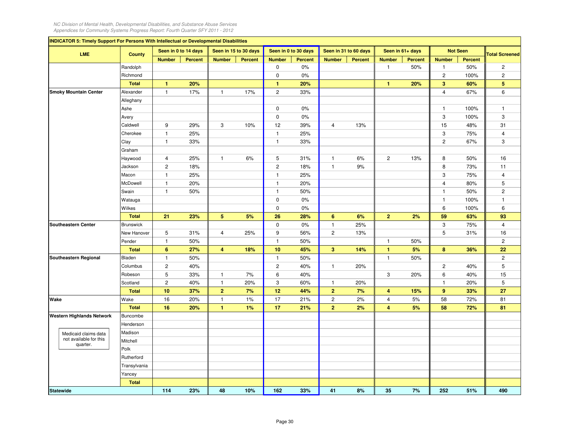| <b>INDICATOR 5: Timely Support For Persons With Intellectual or Developmental Disabilities</b> |                  |                      |                      |                 |                       |                |                      |                |                       |                |                  |                |                 |                       |
|------------------------------------------------------------------------------------------------|------------------|----------------------|----------------------|-----------------|-----------------------|----------------|----------------------|----------------|-----------------------|----------------|------------------|----------------|-----------------|-----------------------|
| LME                                                                                            | <b>County</b>    |                      | Seen in 0 to 14 days |                 | Seen in 15 to 30 days |                | Seen in 0 to 30 days |                | Seen in 31 to 60 days |                | Seen in 61+ days |                | <b>Not Seen</b> | <b>Total Screened</b> |
|                                                                                                |                  | <b>Number</b>        | <b>Percent</b>       | <b>Number</b>   | <b>Percent</b>        | <b>Number</b>  | <b>Percent</b>       | <b>Number</b>  | Percent               | <b>Number</b>  | <b>Percent</b>   | <b>Number</b>  | <b>Percent</b>  |                       |
|                                                                                                | Randolph         |                      |                      |                 |                       | 0              | $0\%$                |                |                       | $\overline{1}$ | 50%              | $\mathbf{1}$   | 50%             | $\overline{2}$        |
|                                                                                                | Richmond         |                      |                      |                 |                       | $\mathbf 0$    | $0\%$                |                |                       |                |                  | $\overline{c}$ | 100%            | $\overline{c}$        |
|                                                                                                | <b>Total</b>     | $\blacktriangleleft$ | 20%                  |                 |                       | $\mathbf{1}$   | 20%                  |                |                       | $\mathbf{1}$   | 20%              | $\mathbf{3}$   | 60%             | 5                     |
| <b>Smoky Mountain Center</b>                                                                   | Alexander        | $\mathbf{1}$         | 17%                  | $\mathbf{1}$    | 17%                   | $\overline{2}$ | 33%                  |                |                       |                |                  | $\overline{4}$ | 67%             | 6                     |
|                                                                                                | Alleghany        |                      |                      |                 |                       |                |                      |                |                       |                |                  |                |                 |                       |
|                                                                                                | Ashe             |                      |                      |                 |                       | $\mathbf 0$    | $0\%$                |                |                       |                |                  | $\mathbf{1}$   | 100%            | $\mathbf{1}$          |
|                                                                                                | Avery            |                      |                      |                 |                       | $\mathbf 0$    | $0\%$                |                |                       |                |                  | 3              | 100%            | 3                     |
|                                                                                                | Caldwell         | 9                    | 29%                  | 3               | 10%                   | 12             | 39%                  | 4              | 13%                   |                |                  | 15             | 48%             | 31                    |
|                                                                                                | Cherokee         | $\mathbf{1}$         | 25%                  |                 |                       | $\mathbf{1}$   | 25%                  |                |                       |                |                  | 3              | 75%             | $\overline{4}$        |
|                                                                                                | Clay             | $\overline{1}$       | 33%                  |                 |                       | $\mathbf{1}$   | 33%                  |                |                       |                |                  | $\overline{c}$ | 67%             | 3                     |
|                                                                                                | Graham           |                      |                      |                 |                       |                |                      |                |                       |                |                  |                |                 |                       |
|                                                                                                | Haywood          | $\overline{4}$       | 25%                  | $\mathbf{1}$    | 6%                    | $\overline{5}$ | 31%                  | $\mathbf{1}$   | 6%                    | $\overline{c}$ | 13%              | 8              | 50%             | 16                    |
|                                                                                                | Jackson          | $\overline{c}$       | 18%                  |                 |                       | $\sqrt{2}$     | 18%                  | $\mathbf{1}$   | 9%                    |                |                  | 8              | 73%             | 11                    |
|                                                                                                | Macon            | $\mathbf{1}$         | 25%                  |                 |                       | $\mathbf{1}$   | 25%                  |                |                       |                |                  | 3              | 75%             | 4                     |
|                                                                                                | McDowell         | $\mathbf{1}$         | 20%                  |                 |                       | $\mathbf{1}$   | 20%                  |                |                       |                |                  | $\overline{4}$ | 80%             | 5                     |
|                                                                                                | Swain            | $\mathbf{1}$         | 50%                  |                 |                       | $\overline{1}$ | 50%                  |                |                       |                |                  | $\mathbf{1}$   | 50%             | $\mathbf{2}^{\prime}$ |
|                                                                                                | Watauga          |                      |                      |                 |                       | $\mathbf 0$    | $0\%$                |                |                       |                |                  | $\mathbf{1}$   | 100%            | $\mathbf{1}$          |
|                                                                                                | Wilkes           |                      |                      |                 |                       | $\mathbf 0$    | $0\%$                |                |                       |                |                  | $\,6\,$        | 100%            | 6                     |
|                                                                                                | <b>Total</b>     | 21                   | 23%                  | $5\phantom{.0}$ | 5%                    | 26             | 28%                  | $6\phantom{a}$ | 6%                    | $\mathbf 2$    | 2%               | 59             | 63%             | 93                    |
| Southeastern Center                                                                            | <b>Brunswick</b> |                      |                      |                 |                       | $\mathsf 0$    | $0\%$                | $\mathbf{1}$   | 25%                   |                |                  | 3              | 75%             | $\overline{4}$        |
|                                                                                                | New Hanover      | 5                    | 31%                  | $\overline{4}$  | 25%                   | 9              | 56%                  | $\overline{c}$ | 13%                   |                |                  | 5              | 31%             | 16                    |
|                                                                                                | Pender           | $\mathbf{1}$         | 50%                  |                 |                       | $\mathbf{1}$   | 50%                  |                |                       | $\overline{1}$ | 50%              |                |                 | $\overline{2}$        |
|                                                                                                | <b>Total</b>     | $6\phantom{1}$       | 27%                  | $\overline{4}$  | 18%                   | 10             | 45%                  | 3              | 14%                   | $\mathbf{1}$   | 5%               | 8              | 36%             | 22                    |
| Southeastern Regional                                                                          | Bladen           | $\overline{1}$       | 50%                  |                 |                       | $\overline{1}$ | 50%                  |                |                       | $\overline{1}$ | 50%              |                |                 | $\overline{2}$        |
|                                                                                                | Columbus         | $\overline{c}$       | 40%                  |                 |                       | $\overline{c}$ | 40%                  | 1              | 20%                   |                |                  | $\overline{c}$ | 40%             | 5                     |
|                                                                                                | Robeson          | 5                    | 33%                  | $\mathbf{1}$    | 7%                    | 6              | 40%                  |                |                       | 3              | 20%              | 6              | 40%             | 15                    |
|                                                                                                | Scotland         | $\overline{c}$       | 40%                  | $\mathbf{1}$    | 20%                   | 3              | 60%                  | $\mathbf{1}$   | 20%                   |                |                  | $\overline{1}$ | 20%             | 5                     |
|                                                                                                | <b>Total</b>     | 10                   | 37%                  | $\overline{2}$  | 7%                    | 12             | 44%                  | $\overline{2}$ | 7%                    | $\overline{4}$ | 15%              | 9              | 33%             | 27                    |
| Wake                                                                                           | Wake             | 16                   | 20%                  | $\mathbf{1}$    | 1%                    | 17             | 21%                  | $\overline{c}$ | 2%                    | $\overline{4}$ | 5%               | 58             | 72%             | 81                    |
|                                                                                                | <b>Total</b>     | 16                   | 20%                  | $\mathbf{1}$    | 1%                    | 17             | 21%                  | $\overline{2}$ | 2%                    | $\overline{4}$ | 5%               | 58             | 72%             | 81                    |
| <b>Western Highlands Network</b>                                                               | Buncombe         |                      |                      |                 |                       |                |                      |                |                       |                |                  |                |                 |                       |
|                                                                                                | Henderson        |                      |                      |                 |                       |                |                      |                |                       |                |                  |                |                 |                       |
| Medicaid claims data                                                                           | Madison          |                      |                      |                 |                       |                |                      |                |                       |                |                  |                |                 |                       |
| not available for this<br>quarter.                                                             | Mitchell         |                      |                      |                 |                       |                |                      |                |                       |                |                  |                |                 |                       |
|                                                                                                | Polk             |                      |                      |                 |                       |                |                      |                |                       |                |                  |                |                 |                       |
|                                                                                                | Rutherford       |                      |                      |                 |                       |                |                      |                |                       |                |                  |                |                 |                       |
|                                                                                                | Transylvania     |                      |                      |                 |                       |                |                      |                |                       |                |                  |                |                 |                       |
|                                                                                                | Yancey           |                      |                      |                 |                       |                |                      |                |                       |                |                  |                |                 |                       |
|                                                                                                | <b>Total</b>     |                      |                      |                 |                       |                |                      |                |                       |                |                  |                |                 |                       |
| <b>Statewide</b>                                                                               |                  | 114                  | 23%                  | 48              | 10%                   | 162            | 33%                  | 41             | 8%                    | 35             | 7%               | 252            | 51%             | 490                   |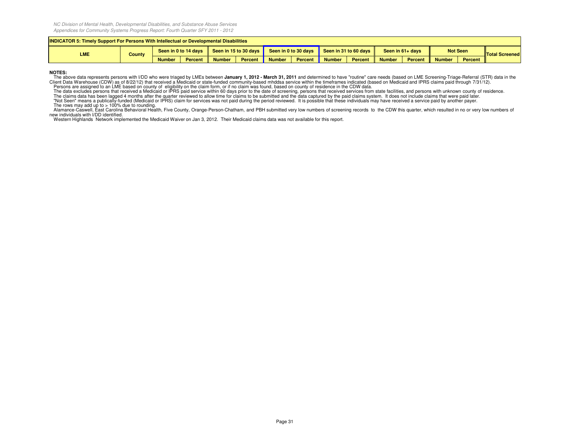| <b>INDICATOR 5: Timely Support For Persons With Intellectual or Developmental Disabilities</b> |        |               |                      |               |                       |               |                      |                            |                |               |                    |               |                 |                       |
|------------------------------------------------------------------------------------------------|--------|---------------|----------------------|---------------|-----------------------|---------------|----------------------|----------------------------|----------------|---------------|--------------------|---------------|-----------------|-----------------------|
| LME                                                                                            | County |               | Seen in 0 to 14 days |               | Seen in 15 to 30 days |               | Seen in 0 to 30 days | Seen in 31 to 60 days live |                |               | Seen in $61+$ days |               | <b>Not Seen</b> | <b>Total Screened</b> |
|                                                                                                |        | <b>Number</b> | Percent              | <b>Number</b> | Percent               | <b>Number</b> | <b>Percent</b>       | <b>Number</b>              | <b>Percent</b> | <b>Number</b> | Percent            | <b>Number</b> | Percent         |                       |

## **NOTES:**

The above data represents persons with I/DD who were triaged by LMEs between January 1, 2012 - March 31, 2011 and determined to have "routine" care needs (based on LME Screening-Triage-Referral (STR) data in the<br>Client Dat

Persons are assigned to an LME based on county of eligibility on the claim form, or if no claim was found, based on county of residence in the CDW data.<br>The data excludes persons that received shedical or iPRS paid service

Alamance-Caswell, East Carolina Behavioral Health, Five County, Orange-Person-Chatham, and PBH submitted very low numbers of screening records to the CDW this quarter, which resulted in no or very low numbers of

new individuals with I/DD identified. Western Highlands Network implemented the Medicaid Waiver on Jan 3, 2012. Their Medicaid claims data was not available for this report.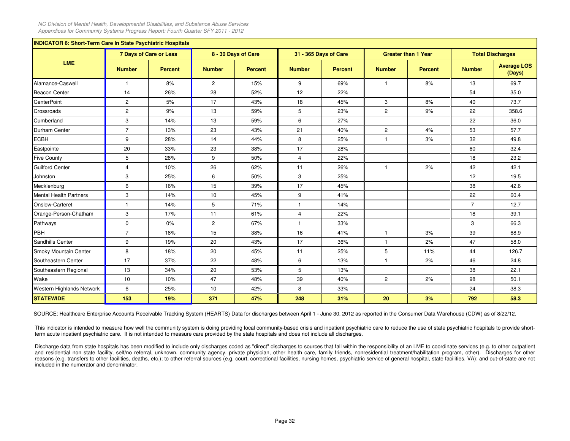| <b>INDICATOR 6: Short-Term Care In State Psychiatric Hospitals</b><br><b>7 Days of Care or Less</b><br>8 - 30 Days of Care<br>31 - 365 Days of Care<br><b>Greater than 1 Year</b><br><b>Total Discharges</b> |                |                |                |                |                |                |                |                |                |                              |  |  |  |
|--------------------------------------------------------------------------------------------------------------------------------------------------------------------------------------------------------------|----------------|----------------|----------------|----------------|----------------|----------------|----------------|----------------|----------------|------------------------------|--|--|--|
|                                                                                                                                                                                                              |                |                |                |                |                |                |                |                |                |                              |  |  |  |
| <b>LME</b>                                                                                                                                                                                                   | <b>Number</b>  | <b>Percent</b> | <b>Number</b>  | <b>Percent</b> | <b>Number</b>  | <b>Percent</b> | <b>Number</b>  | <b>Percent</b> | <b>Number</b>  | <b>Average LOS</b><br>(Days) |  |  |  |
| Alamance-Caswell                                                                                                                                                                                             | $\mathbf{1}$   | 8%             | $\overline{2}$ | 15%            | 9              | 69%            | $\mathbf{1}$   | 8%             | 13             | 69.7                         |  |  |  |
| Beacon Center                                                                                                                                                                                                | 14             | 26%            | 28             | 52%            | 12             | 22%            |                |                | 54             | 35.0                         |  |  |  |
| <b>CenterPoint</b>                                                                                                                                                                                           | $\overline{2}$ | 5%             | 17             | 43%            | 18             | 45%            | 3              | 8%             | 40             | 73.7                         |  |  |  |
| Crossroads                                                                                                                                                                                                   | $\overline{2}$ | 9%             | 13             | 59%            | 5              | 23%            | $\overline{2}$ | 9%             | 22             | 358.6                        |  |  |  |
| Cumberland                                                                                                                                                                                                   | 3              | 14%            | 13             | 59%            | 6              | 27%            |                |                | 22             | 36.0                         |  |  |  |
| Durham Center                                                                                                                                                                                                | $\overline{7}$ | 13%            | 23             | 43%            | 21             | 40%            | $\overline{2}$ | 4%             | 53             | 57.7                         |  |  |  |
| <b>ECBH</b>                                                                                                                                                                                                  | 9              | 28%            | 14             | 44%            | 8              | 25%            | $\mathbf{1}$   | 3%             | 32             | 49.8                         |  |  |  |
| Eastpointe                                                                                                                                                                                                   | 20             | 33%            | 23             | 38%            | 17             | 28%            |                |                | 60             | 32.4                         |  |  |  |
| <b>Five County</b>                                                                                                                                                                                           | 5              | 28%            | 9              | 50%            | $\overline{4}$ | 22%            |                |                | 18             | 23.2                         |  |  |  |
| <b>Guilford Center</b>                                                                                                                                                                                       | $\overline{4}$ | 10%            | 26             | 62%            | 11             | 26%            | $\mathbf{1}$   | 2%             | 42             | 42.1                         |  |  |  |
| Johnston                                                                                                                                                                                                     | 3              | 25%            | 6              | 50%            | 3              | 25%            |                |                | 12             | 19.5                         |  |  |  |
| Mecklenburg                                                                                                                                                                                                  | 6              | 16%            | 15             | 39%            | 17             | 45%            |                |                | 38             | 42.6                         |  |  |  |
| <b>Mental Health Partners</b>                                                                                                                                                                                | 3              | 14%            | 10             | 45%            | 9              | 41%            |                |                | 22             | 60.4                         |  |  |  |
| Onslow-Carteret                                                                                                                                                                                              | $\overline{1}$ | 14%            | 5              | 71%            | $\overline{1}$ | 14%            |                |                | $\overline{7}$ | 12.7                         |  |  |  |
| Orange-Person-Chatham                                                                                                                                                                                        | 3              | 17%            | 11             | 61%            | $\overline{4}$ | 22%            |                |                | 18             | 39.1                         |  |  |  |
| Pathways                                                                                                                                                                                                     | $\mathbf 0$    | 0%             | $\overline{2}$ | 67%            | $\overline{1}$ | 33%            |                |                | 3              | 66.3                         |  |  |  |
| PBH                                                                                                                                                                                                          | $\overline{7}$ | 18%            | 15             | 38%            | 16             | 41%            | $\mathbf{1}$   | 3%             | 39             | 68.9                         |  |  |  |
| Sandhills Center                                                                                                                                                                                             | 9              | 19%            | 20             | 43%            | 17             | 36%            | $\mathbf{1}$   | 2%             | 47             | 58.0                         |  |  |  |
| Smoky Mountain Center                                                                                                                                                                                        | 8              | 18%            | 20             | 45%            | 11             | 25%            | 5              | 11%            | 44             | 126.7                        |  |  |  |
| Southeastern Center                                                                                                                                                                                          | 17             | 37%            | 22             | 48%            | 6              | 13%            | $\mathbf{1}$   | 2%             | 46             | 24.8                         |  |  |  |
| Southeastern Regional                                                                                                                                                                                        | 13             | 34%            | 20             | 53%            | 5              | 13%            |                |                | 38             | 22.1                         |  |  |  |
| Wake                                                                                                                                                                                                         | 10             | 10%            | 47             | 48%            | 39             | 40%            | $\overline{2}$ | 2%             | 98             | 50.1                         |  |  |  |
| Western Highlands Network                                                                                                                                                                                    | 6              | 25%            | 10             | 42%            | 8              | 33%            |                |                | 24             | 38.3                         |  |  |  |
| <b>STATEWIDE</b>                                                                                                                                                                                             | 153            | 19%            | 371            | 47%            | 248            | 31%            | 20             | 3%             | 792            | 58.3                         |  |  |  |

SOURCE: Healthcare Enterprise Accounts Receivable Tracking System (HEARTS) Data for discharges between April 1 - June 30, 2012 as reported in the Consumer Data Warehouse (CDW) as of 8/22/12.

This indicator is intended to measure how well the community system is doing providing local community-based crisis and inpatient psychiatric care to reduce the use of state psychiatric hospitals to provide shortterm acute inpatient psychiatric care. It is not intended to measure care provided by the state hospitals and does not include all discharges.

Discharge data from state hospitals has been modified to include only discharges coded as "direct" discharges to sources that fall within the responsibility of an LME to coordinate services (e.g. to other outpatient and residential non state facility, self/no referral, unknown, community agency, private physician, other health care, family friends, nonresidential treatment/habilitation program, other). Discharges for other reasons (e.g. transfers to other facilities, deaths, etc.); to other referral sources (e.g. court, correctional facilities, nursing homes, psychiatric service of general hospital, state facilities, NA); and out-of-state ar included in the numerator and denominator.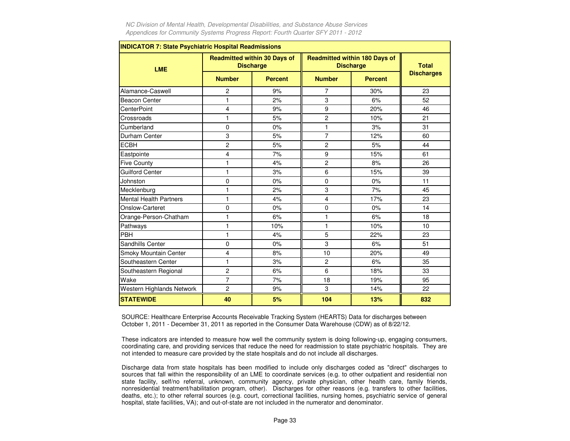| <b>INDICATOR 7: State Psychiatric Hospital Readmissions</b> |                |                                                         |                |                                                          |                   |
|-------------------------------------------------------------|----------------|---------------------------------------------------------|----------------|----------------------------------------------------------|-------------------|
| <b>LME</b>                                                  |                | <b>Readmitted within 30 Days of</b><br><b>Discharge</b> |                | <b>Readmitted within 180 Days of</b><br><b>Discharge</b> | <b>Total</b>      |
|                                                             | <b>Number</b>  | <b>Percent</b>                                          | <b>Number</b>  | <b>Percent</b>                                           | <b>Discharges</b> |
| Alamance-Caswell                                            | 2              | 9%                                                      | 7              | 30%                                                      | 23                |
| <b>Beacon Center</b>                                        | 1              | 2%                                                      | 3              | 6%                                                       | 52                |
| <b>CenterPoint</b>                                          | 4              | 9%                                                      | 9              | 20%                                                      | 46                |
| Crossroads                                                  | 1              | 5%                                                      | 2              | 10%                                                      | 21                |
| Cumberland                                                  | $\mathbf 0$    | 0%                                                      | 1              | 3%                                                       | 31                |
| Durham Center                                               | 3              | 5%                                                      | $\overline{7}$ | 12%                                                      | 60                |
| <b>ECBH</b>                                                 | $\overline{c}$ | 5%                                                      | 2              | 5%                                                       | 44                |
| Eastpointe                                                  | 4              | 7%                                                      | 9              | 15%                                                      | 61                |
| <b>Five County</b>                                          | 1              | 4%                                                      | 2              | 8%                                                       | 26                |
| <b>Guilford Center</b>                                      | 1              | 3%                                                      | 6              | 15%                                                      | 39                |
| Johnston                                                    | $\mathbf 0$    | 0%                                                      | $\mathbf 0$    | 0%                                                       | 11                |
| Mecklenburg                                                 | 1              | 2%                                                      | 3              | 7%                                                       | 45                |
| <b>Mental Health Partners</b>                               | 1              | 4%                                                      | 4              | 17%                                                      | 23                |
| Onslow-Carteret                                             | $\mathbf 0$    | 0%                                                      | $\mathbf 0$    | 0%                                                       | 14                |
| Orange-Person-Chatham                                       | 1              | 6%                                                      | 1              | 6%                                                       | 18                |
| Pathways                                                    | 1              | 10%                                                     | 1              | 10%                                                      | 10                |
| PBH                                                         | 1              | 4%                                                      | 5              | 22%                                                      | 23                |
| Sandhills Center                                            | $\Omega$       | 0%                                                      | 3              | 6%                                                       | 51                |
| Smoky Mountain Center                                       | 4              | 8%                                                      | 10             | 20%                                                      | 49                |
| Southeastern Center                                         | 1              | 3%                                                      | 2              | 6%                                                       | 35                |
| Southeastern Regional                                       | $\overline{c}$ | 6%                                                      | 6              | 18%                                                      | 33                |
| Wake                                                        | $\overline{7}$ | 7%                                                      | 18             | 19%                                                      | 95                |
| Western Highlands Network                                   | 2              | 9%                                                      | 3              | 14%                                                      | 22                |
| <b>STATEWIDE</b>                                            | 40             | 5%                                                      | 104            | 13%                                                      | 832               |

SOURCE: Healthcare Enterprise Accounts Receivable Tracking System (HEARTS) Data for discharges between October 1, 2011 - December 31, 2011 as reported in the Consumer Data Warehouse (CDW) as of 8/22/12.

These indicators are intended to measure how well the community system is doing following-up, engaging consumers, coordinating care, and providing services that reduce the need for readmission to state psychiatric hospitals. They arenot intended to measure care provided by the state hospitals and do not include all discharges.

Discharge data from state hospitals has been modified to include only discharges coded as "direct" discharges to sources that fall within the responsibility of an LME to coordinate services (e.g. to other outpatient and residential non state facility, self/no referral, unknown, community agency, private physician, other health care, family friends, nonresidential treatment/habilitation program, other). Discharges for other reasons (e.g. transfers to other facilities, deaths, etc.); to other referral sources (e.g. court, correctional facilities, nursing homes, psychiatric service of general hospital, state facilities, VA); and out-of-state are not included in the numerator and denominator.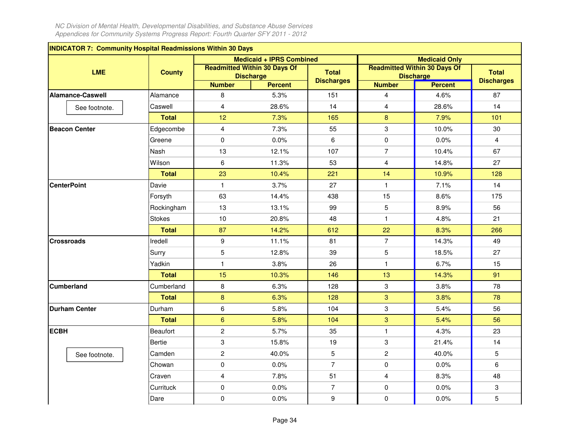| <b>INDICATOR 7: Community Hospital Readmissions Within 30 Days</b> |               |                         |                                                         |                   |                         |                                                         |                   |
|--------------------------------------------------------------------|---------------|-------------------------|---------------------------------------------------------|-------------------|-------------------------|---------------------------------------------------------|-------------------|
|                                                                    |               |                         | <b>Medicaid + IPRS Combined</b>                         |                   |                         | <b>Medicaid Only</b>                                    |                   |
| <b>LME</b>                                                         | <b>County</b> |                         | <b>Readmitted Within 30 Days Of</b><br><b>Discharge</b> | <b>Total</b>      |                         | <b>Readmitted Within 30 Days Of</b><br><b>Discharge</b> | <b>Total</b>      |
|                                                                    |               | <b>Number</b>           | <b>Percent</b>                                          | <b>Discharges</b> | <b>Number</b>           | <b>Percent</b>                                          | <b>Discharges</b> |
| <b>Alamance-Caswell</b>                                            | Alamance      | 8                       | 5.3%                                                    | 151               | $\overline{\mathbf{4}}$ | 4.6%                                                    | 87                |
| See footnote.                                                      | Caswell       | $\overline{\mathbf{4}}$ | 28.6%                                                   | 14                | $\overline{\mathbf{4}}$ | 28.6%                                                   | 14                |
|                                                                    | <b>Total</b>  | 12                      | 7.3%                                                    | 165               | $\bf{8}$                | 7.9%                                                    | 101               |
| <b>Beacon Center</b>                                               | Edgecombe     | $\overline{4}$          | 7.3%                                                    | 55                | 3                       | 10.0%                                                   | 30                |
|                                                                    | Greene        | $\mathbf 0$             | 0.0%                                                    | 6                 | $\pmb{0}$               | 0.0%                                                    | 4                 |
|                                                                    | Nash          | 13                      | 12.1%                                                   | 107               | $\overline{7}$          | 10.4%                                                   | 67                |
|                                                                    | Wilson        | 6                       | 11.3%                                                   | 53                | $\overline{\mathbf{4}}$ | 14.8%                                                   | 27                |
|                                                                    | <b>Total</b>  | 23                      | 10.4%                                                   | 221               | 14                      | 10.9%                                                   | 128               |
| <b>CenterPoint</b>                                                 | Davie         | $\mathbf{1}$            | 3.7%                                                    | 27                | $\mathbf{1}$            | 7.1%                                                    | 14                |
|                                                                    | Forsyth       | 63                      | 14.4%                                                   | 438               | 15                      | 8.6%                                                    | 175               |
|                                                                    | Rockingham    | 13                      | 13.1%                                                   | 99                | 5                       | 8.9%                                                    | 56                |
|                                                                    | <b>Stokes</b> | $10$                    | 20.8%                                                   | 48                | $\mathbf{1}$            | 4.8%                                                    | 21                |
|                                                                    | <b>Total</b>  | 87                      | 14.2%                                                   | 612               | 22                      | 8.3%                                                    | 266               |
| <b>Crossroads</b>                                                  | Iredell       | 9                       | 11.1%                                                   | 81                | $\overline{7}$          | 14.3%                                                   | 49                |
|                                                                    | Surry         | 5                       | 12.8%                                                   | 39                | 5                       | 18.5%                                                   | 27                |
|                                                                    | Yadkin        | $\mathbf{1}$            | 3.8%                                                    | 26                | $\mathbf{1}$            | 6.7%                                                    | 15                |
|                                                                    | <b>Total</b>  | 15                      | 10.3%                                                   | 146               | 13                      | 14.3%                                                   | 91                |
| <b>Cumberland</b>                                                  | Cumberland    | 8                       | 6.3%                                                    | 128               | 3                       | 3.8%                                                    | 78                |
|                                                                    | <b>Total</b>  | $\bf 8$                 | 6.3%                                                    | 128               | 3                       | 3.8%                                                    | 78                |
| <b>Durham Center</b>                                               | Durham        | 6                       | 5.8%                                                    | 104               | 3                       | 5.4%                                                    | 56                |
|                                                                    | <b>Total</b>  | $6\phantom{a}$          | 5.8%                                                    | 104               | 3                       | 5.4%                                                    | 56                |
| <b>ECBH</b>                                                        | Beaufort      | $\overline{c}$          | 5.7%                                                    | 35                | $\mathbf{1}$            | 4.3%                                                    | 23                |
|                                                                    | <b>Bertie</b> | 3                       | 15.8%                                                   | 19                | 3                       | 21.4%                                                   | 14                |
| See footnote.                                                      | Camden        | $\mathbf 2$             | 40.0%                                                   | 5                 | $\overline{c}$          | 40.0%                                                   | 5                 |
|                                                                    | Chowan        | 0                       | 0.0%                                                    | $\overline{7}$    | 0                       | 0.0%                                                    | 6                 |
|                                                                    | Craven        | $\overline{\mathbf{4}}$ | 7.8%                                                    | 51                | $\overline{\mathbf{4}}$ | 8.3%                                                    | 48                |
|                                                                    | Currituck     | 0                       | 0.0%                                                    | $\overline{7}$    | $\pmb{0}$               | 0.0%                                                    | 3                 |
|                                                                    | Dare          | 0                       | 0.0%                                                    | 9                 | 0                       | 0.0%                                                    | 5                 |
|                                                                    |               |                         |                                                         |                   |                         |                                                         |                   |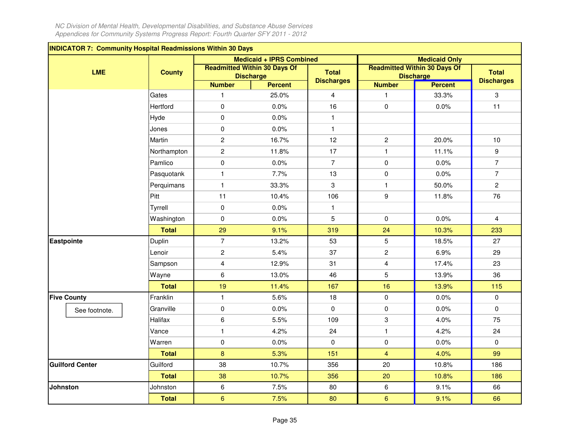| <b>INDICATOR 7: Community Hospital Readmissions Within 30 Days</b> |               |                         |                                                         |                   |                |                                                         |                   |
|--------------------------------------------------------------------|---------------|-------------------------|---------------------------------------------------------|-------------------|----------------|---------------------------------------------------------|-------------------|
|                                                                    |               |                         | <b>Medicaid + IPRS Combined</b>                         |                   |                | <b>Medicaid Only</b>                                    |                   |
| <b>LME</b>                                                         | <b>County</b> |                         | <b>Readmitted Within 30 Days Of</b><br><b>Discharge</b> | <b>Total</b>      |                | <b>Readmitted Within 30 Days Of</b><br><b>Discharge</b> | <b>Total</b>      |
|                                                                    |               | <b>Number</b>           | <b>Percent</b>                                          | <b>Discharges</b> | <b>Number</b>  | <b>Percent</b>                                          | <b>Discharges</b> |
|                                                                    | Gates         | $\mathbf{1}$            | 25.0%                                                   | $\overline{4}$    | $\mathbf{1}$   | 33.3%                                                   | 3                 |
|                                                                    | Hertford      | $\mathbf 0$             | 0.0%                                                    | 16                | $\mathbf 0$    | 0.0%                                                    | 11                |
|                                                                    | Hyde          | $\pmb{0}$               | 0.0%                                                    | $\mathbf{1}$      |                |                                                         |                   |
|                                                                    | Jones         | $\mathsf 0$             | 0.0%                                                    | $\mathbf{1}$      |                |                                                         |                   |
|                                                                    | Martin        | $\mathbf{2}$            | 16.7%                                                   | 12                | $\mathbf{2}$   | 20.0%                                                   | 10 <sup>10</sup>  |
|                                                                    | Northampton   | $\mathbf{2}$            | 11.8%                                                   | 17                | $\mathbf{1}$   | 11.1%                                                   | 9                 |
|                                                                    | Pamlico       | $\pmb{0}$               | 0.0%                                                    | $\overline{7}$    | $\pmb{0}$      | 0.0%                                                    | $\overline{7}$    |
|                                                                    | Pasquotank    | $\mathbf{1}$            | 7.7%                                                    | 13                | $\mathbf 0$    | 0.0%                                                    | $\overline{7}$    |
|                                                                    | Perquimans    | $\mathbf{1}$            | 33.3%                                                   | 3                 | $\mathbf{1}$   | 50.0%                                                   | $\overline{c}$    |
|                                                                    | Pitt          | 11                      | 10.4%                                                   | 106               | 9              | 11.8%                                                   | 76                |
|                                                                    | Tyrrell       | $\pmb{0}$               | 0.0%                                                    | 1                 |                |                                                         |                   |
|                                                                    | Washington    | $\pmb{0}$               | 0.0%                                                    | 5                 | $\mathsf 0$    | 0.0%                                                    | $\overline{4}$    |
|                                                                    | <b>Total</b>  | 29                      | 9.1%                                                    | 319               | 24             | 10.3%                                                   | 233               |
| <b>Eastpointe</b>                                                  | Duplin        | $\overline{7}$          | 13.2%                                                   | 53                | 5              | 18.5%                                                   | 27                |
|                                                                    | Lenoir        | $\overline{c}$          | 5.4%                                                    | 37                | $\overline{c}$ | 6.9%                                                    | 29                |
|                                                                    | Sampson       | $\overline{\mathbf{4}}$ | 12.9%                                                   | 31                | $\overline{4}$ | 17.4%                                                   | 23                |
|                                                                    | Wayne         | 6                       | 13.0%                                                   | 46                | 5              | 13.9%                                                   | 36                |
|                                                                    | <b>Total</b>  | 19                      | 11.4%                                                   | 167               | 16             | 13.9%                                                   | 115               |
| <b>Five County</b>                                                 | Franklin      | $\mathbf{1}$            | 5.6%                                                    | 18                | $\pmb{0}$      | 0.0%                                                    | $\mathbf 0$       |
| See footnote.                                                      | Granville     | 0                       | 0.0%                                                    | $\mathbf 0$       | 0              | 0.0%                                                    | $\mathbf 0$       |
|                                                                    | Halifax       | 6                       | 5.5%                                                    | 109               | 3              | 4.0%                                                    | 75                |
|                                                                    | Vance         | $\mathbf{1}$            | 4.2%                                                    | 24                | $\mathbf{1}$   | 4.2%                                                    | 24                |
|                                                                    | Warren        | $\pmb{0}$               | 0.0%                                                    | $\mathbf 0$       | $\pmb{0}$      | 0.0%                                                    | $\mathbf 0$       |
|                                                                    | <b>Total</b>  | $\bf 8$                 | 5.3%                                                    | 151               | $\overline{4}$ | 4.0%                                                    | 99                |
| <b>Guilford Center</b>                                             | Guilford      | 38                      | 10.7%                                                   | 356               | 20             | 10.8%                                                   | 186               |
|                                                                    | <b>Total</b>  | 38                      | 10.7%                                                   | 356               | 20             | 10.8%                                                   | 186               |
| <b>Johnston</b>                                                    | Johnston      | 6                       | 7.5%                                                    | 80                | 6              | 9.1%                                                    | 66                |
|                                                                    | <b>Total</b>  | $6\phantom{1}$          | 7.5%                                                    | 80                | $6\phantom{a}$ | 9.1%                                                    | 66                |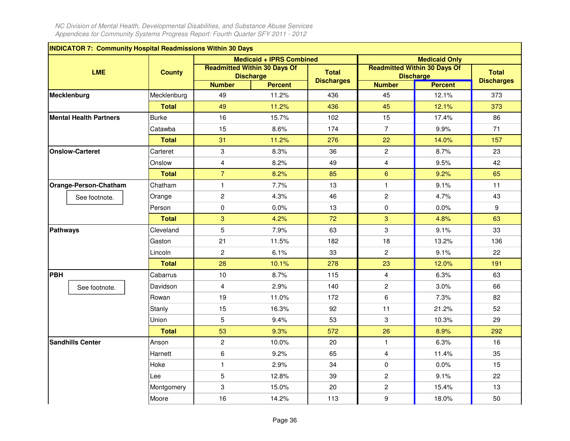| <b>INDICATOR 7: Community Hospital Readmissions Within 30 Days</b> |               |                         |                                                         |                   |                |                                                         |                   |
|--------------------------------------------------------------------|---------------|-------------------------|---------------------------------------------------------|-------------------|----------------|---------------------------------------------------------|-------------------|
|                                                                    |               |                         | <b>Medicaid + IPRS Combined</b>                         |                   |                | <b>Medicaid Only</b>                                    |                   |
| <b>LME</b>                                                         | <b>County</b> |                         | <b>Readmitted Within 30 Days Of</b><br><b>Discharge</b> | <b>Total</b>      |                | <b>Readmitted Within 30 Days Of</b><br><b>Discharge</b> | <b>Total</b>      |
|                                                                    |               | <b>Number</b>           | <b>Percent</b>                                          | <b>Discharges</b> | <b>Number</b>  | <b>Percent</b>                                          | <b>Discharges</b> |
| Mecklenburg                                                        | Mecklenburg   | 49                      | 11.2%                                                   | 436               | 45             | 12.1%                                                   | 373               |
|                                                                    | <b>Total</b>  | 49                      | 11.2%                                                   | 436               | 45             | 12.1%                                                   | 373               |
| <b>Mental Health Partners</b>                                      | <b>Burke</b>  | 16                      | 15.7%                                                   | 102               | 15             | 17.4%                                                   | 86                |
|                                                                    | Catawba       | 15                      | 8.6%                                                    | 174               | $\overline{7}$ | 9.9%                                                    | 71                |
|                                                                    | <b>Total</b>  | 31                      | 11.2%                                                   | 276               | 22             | 14.0%                                                   | 157               |
| <b>Onslow-Carteret</b>                                             | Carteret      | 3                       | 8.3%                                                    | 36                | $\overline{c}$ | 8.7%                                                    | 23                |
|                                                                    | Onslow        | $\overline{\mathbf{4}}$ | 8.2%                                                    | 49                | $\overline{4}$ | 9.5%                                                    | 42                |
|                                                                    | <b>Total</b>  | $\overline{7}$          | 8.2%                                                    | 85                | 6              | 9.2%                                                    | 65                |
| Orange-Person-Chatham                                              | Chatham       | $\mathbf{1}$            | 7.7%                                                    | 13                | $\mathbf{1}$   | 9.1%                                                    | 11                |
| See footnote.                                                      | Orange        | $\overline{c}$          | 4.3%                                                    | 46                | $\overline{c}$ | 4.7%                                                    | 43                |
|                                                                    | Person        | $\mathbf 0$             | 0.0%                                                    | 13                | $\pmb{0}$      | 0.0%                                                    | 9                 |
|                                                                    | <b>Total</b>  | 3                       | 4.2%                                                    | 72                | 3              | 4.8%                                                    | 63                |
| <b>Pathways</b>                                                    | Cleveland     | 5                       | 7.9%                                                    | 63                | 3              | 9.1%                                                    | 33                |
|                                                                    | Gaston        | 21                      | 11.5%                                                   | 182               | 18             | 13.2%                                                   | 136               |
|                                                                    | Lincoln       | $\overline{c}$          | 6.1%                                                    | 33                | $\overline{c}$ | 9.1%                                                    | 22                |
|                                                                    | <b>Total</b>  | 28                      | 10.1%                                                   | 278               | 23             | 12.0%                                                   | 191               |
| PBH                                                                | Cabarrus      | 10                      | 8.7%                                                    | 115               | $\overline{4}$ | 6.3%                                                    | 63                |
| See footnote.                                                      | Davidson      | $\overline{4}$          | 2.9%                                                    | 140               | $\overline{c}$ | 3.0%                                                    | 66                |
|                                                                    | Rowan         | 19                      | 11.0%                                                   | 172               | 6              | 7.3%                                                    | 82                |
|                                                                    | Stanly        | 15                      | 16.3%                                                   | 92                | 11             | 21.2%                                                   | 52                |
|                                                                    | Union         | 5                       | 9.4%                                                    | 53                | 3              | 10.3%                                                   | 29                |
|                                                                    | <b>Total</b>  | 53                      | 9.3%                                                    | 572               | 26             | 8.9%                                                    | 292               |
| <b>Sandhills Center</b>                                            | Anson         | $\overline{c}$          | 10.0%                                                   | 20                | $\mathbf{1}$   | 6.3%                                                    | 16                |
|                                                                    | Harnett       | 6                       | 9.2%                                                    | 65                | $\overline{4}$ | 11.4%                                                   | 35                |
|                                                                    | Hoke          | $\mathbf{1}$            | 2.9%                                                    | 34                | 0              | 0.0%                                                    | 15                |
|                                                                    | Lee           | 5                       | 12.8%                                                   | 39                | $\mathbf{2}$   | 9.1%                                                    | 22                |
|                                                                    | Montgomery    | 3                       | 15.0%                                                   | 20                | $\overline{c}$ | 15.4%                                                   | 13                |
|                                                                    | Moore         | 16                      | 14.2%                                                   | 113               | 9              | 18.0%                                                   | 50                |
|                                                                    |               |                         |                                                         |                   |                |                                                         |                   |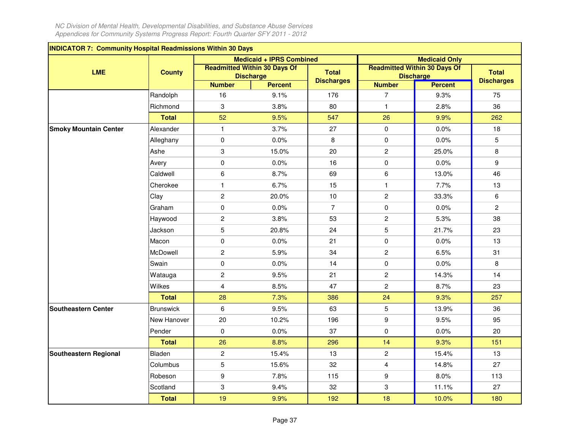| <b>INDICATOR 7: Community Hospital Readmissions Within 30 Days</b> |                  |                         |                                                         |                   |                |                                                         |                   |
|--------------------------------------------------------------------|------------------|-------------------------|---------------------------------------------------------|-------------------|----------------|---------------------------------------------------------|-------------------|
|                                                                    |                  |                         | <b>Medicaid + IPRS Combined</b>                         |                   |                | <b>Medicaid Only</b>                                    |                   |
| <b>LME</b>                                                         | <b>County</b>    |                         | <b>Readmitted Within 30 Days Of</b><br><b>Discharge</b> | <b>Total</b>      |                | <b>Readmitted Within 30 Days Of</b><br><b>Discharge</b> | <b>Total</b>      |
|                                                                    |                  | <b>Number</b>           | <b>Percent</b>                                          | <b>Discharges</b> | <b>Number</b>  | <b>Percent</b>                                          | <b>Discharges</b> |
|                                                                    | Randolph         | 16                      | 9.1%                                                    | 176               | $\overline{7}$ | 9.3%                                                    | 75                |
|                                                                    | Richmond         | 3                       | 3.8%                                                    | 80                | $\mathbf{1}$   | 2.8%                                                    | 36                |
|                                                                    | <b>Total</b>     | 52                      | 9.5%                                                    | 547               | 26             | 9.9%                                                    | 262               |
| <b>Smoky Mountain Center</b>                                       | Alexander        | $\mathbf{1}$            | 3.7%                                                    | 27                | $\mathbf 0$    | 0.0%                                                    | 18                |
|                                                                    | Alleghany        | $\mathbf 0$             | 0.0%                                                    | 8                 | $\mathbf 0$    | 0.0%                                                    | 5                 |
|                                                                    | Ashe             | 3                       | 15.0%                                                   | 20                | $\overline{c}$ | 25.0%                                                   | 8                 |
|                                                                    | Avery            | $\pmb{0}$               | 0.0%                                                    | 16                | $\pmb{0}$      | 0.0%                                                    | 9                 |
|                                                                    | Caldwell         | 6                       | 8.7%                                                    | 69                | 6              | 13.0%                                                   | 46                |
|                                                                    | Cherokee         | $\mathbf{1}$            | 6.7%                                                    | 15                | $\mathbf{1}$   | 7.7%                                                    | 13                |
|                                                                    | Clay             | $\overline{c}$          | 20.0%                                                   | 10                | $\overline{c}$ | 33.3%                                                   | 6                 |
|                                                                    | Graham           | $\mathbf 0$             | 0.0%                                                    | $\overline{7}$    | $\mathbf 0$    | 0.0%                                                    | $\overline{c}$    |
|                                                                    | Haywood          | $\overline{c}$          | 3.8%                                                    | 53                | $\overline{c}$ | 5.3%                                                    | 38                |
|                                                                    | Jackson          | 5                       | 20.8%                                                   | 24                | $\overline{5}$ | 21.7%                                                   | 23                |
|                                                                    | Macon            | $\mathbf 0$             | 0.0%                                                    | 21                | $\mathbf 0$    | 0.0%                                                    | 13                |
|                                                                    | McDowell         | $\overline{c}$          | 5.9%                                                    | 34                | $\overline{c}$ | 6.5%                                                    | 31                |
|                                                                    | Swain            | 0                       | 0.0%                                                    | 14                | $\pmb{0}$      | 0.0%                                                    | 8                 |
|                                                                    | Watauga          | $\overline{c}$          | 9.5%                                                    | 21                | $\overline{c}$ | 14.3%                                                   | 14                |
|                                                                    | Wilkes           | $\overline{\mathbf{4}}$ | 8.5%                                                    | 47                | $\overline{c}$ | 8.7%                                                    | 23                |
|                                                                    | <b>Total</b>     | 28                      | 7.3%                                                    | 386               | 24             | 9.3%                                                    | 257               |
| <b>Southeastern Center</b>                                         | <b>Brunswick</b> | 6                       | 9.5%                                                    | 63                | 5              | 13.9%                                                   | 36                |
|                                                                    | New Hanover      | 20                      | 10.2%                                                   | 196               | 9              | 9.5%                                                    | 95                |
|                                                                    | Pender           | $\mathbf 0$             | 0.0%                                                    | 37                | 0              | 0.0%                                                    | 20                |
|                                                                    | <b>Total</b>     | 26                      | 8.8%                                                    | 296               | 14             | 9.3%                                                    | 151               |
| Southeastern Regional                                              | Bladen           | $\overline{c}$          | 15.4%                                                   | 13                | $\overline{c}$ | 15.4%                                                   | 13                |
|                                                                    | Columbus         | 5                       | 15.6%                                                   | 32                | $\overline{4}$ | 14.8%                                                   | 27                |
|                                                                    | Robeson          | $\boldsymbol{9}$        | 7.8%                                                    | 115               | 9              | 8.0%                                                    | 113               |
|                                                                    | Scotland         | 3                       | 9.4%                                                    | 32                | 3              | 11.1%                                                   | 27                |
|                                                                    | <b>Total</b>     | 19                      | 9.9%                                                    | 192               | 18             | 10.0%                                                   | 180               |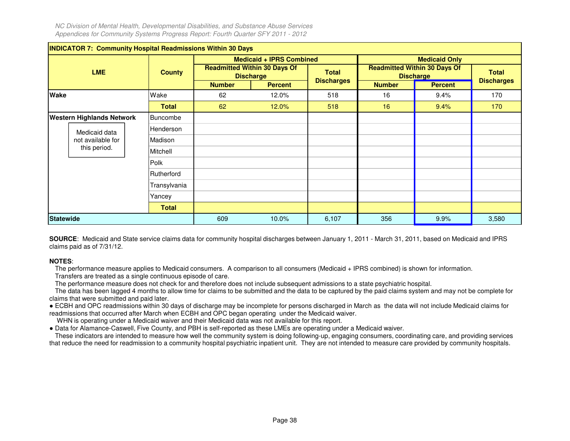|                  | <b>INDICATOR 7: Community Hospital Readmissions Within 30 Days</b> |               |               |                                                         |                   |               |                                                         |                   |
|------------------|--------------------------------------------------------------------|---------------|---------------|---------------------------------------------------------|-------------------|---------------|---------------------------------------------------------|-------------------|
|                  |                                                                    |               |               | <b>Medicaid + IPRS Combined</b>                         |                   |               | <b>Medicaid Only</b>                                    |                   |
|                  | <b>LME</b>                                                         | <b>County</b> |               | <b>Readmitted Within 30 Days Of</b><br><b>Discharge</b> | <b>Total</b>      |               | <b>Readmitted Within 30 Days Of</b><br><b>Discharge</b> | <b>Total</b>      |
|                  |                                                                    |               | <b>Number</b> | <b>Percent</b>                                          | <b>Discharges</b> | <b>Number</b> | <b>Percent</b>                                          | <b>Discharges</b> |
| <b>Wake</b>      |                                                                    | Wake          | 62            | 12.0%                                                   | 518               | 16            | 9.4%                                                    | 170               |
|                  |                                                                    | <b>Total</b>  | 62            | 12.0%                                                   | 518               | 16            | 9.4%                                                    | 170 <sub>1</sub>  |
|                  | <b>Western Highlands Network</b>                                   | Buncombe      |               |                                                         |                   |               |                                                         |                   |
| Medicaid data    |                                                                    | Henderson     |               |                                                         |                   |               |                                                         |                   |
|                  | not available for                                                  | Madison       |               |                                                         |                   |               |                                                         |                   |
|                  | this period.                                                       | Mitchell      |               |                                                         |                   |               |                                                         |                   |
|                  |                                                                    | Polk          |               |                                                         |                   |               |                                                         |                   |
|                  |                                                                    | Rutherford    |               |                                                         |                   |               |                                                         |                   |
|                  |                                                                    | Transylvania  |               |                                                         |                   |               |                                                         |                   |
|                  |                                                                    | Yancey        |               |                                                         |                   |               |                                                         |                   |
|                  |                                                                    | <b>Total</b>  |               |                                                         |                   |               |                                                         |                   |
| <b>Statewide</b> |                                                                    |               | 609           | 10.0%                                                   | 6,107             | 356           | 9.9%                                                    | 3,580             |

**SOURCE**: Medicaid and State service claims data for community hospital discharges between January 1, 2011 - March 31, 2011, based on Medicaid and IPRS claims paid as of 7/31/12.

# **NOTES**:

The performance measure applies to Medicaid consumers. A comparison to all consumers (Medicaid + IPRS combined) is shown for information.

Transfers are treated as a single continuous episode of care.

The performance measure does not check for and therefore does not include subsequent admissions to a state psychiatric hospital.

 The data has been lagged 4 months to allow time for claims to be submitted and the data to be captured by the paid claims system and may not be complete for claims that were submitted and paid later.

● ECBH and OPC readmissions within 30 days of discharge may be incomplete for persons discharged in March as the data will not include Medicaid claims for readmissions that occurred after March when ECBH and OPC began operating under the Medicaid waiver.

WHN is operating under a Medicaid waiver and their Medicaid data was not available for this report.

● Data for Alamance-Caswell, Five County, and PBH is self-reported as these LMEs are operating under a Medicaid waiver.

These indicators are intended to measure how well the community system is doing following-up, engaging consumers, coordinating care, and providing services that reduce the need for readmission to a community hospital psychiatric inpatient unit. They are not intended to measure care provided by community hospitals.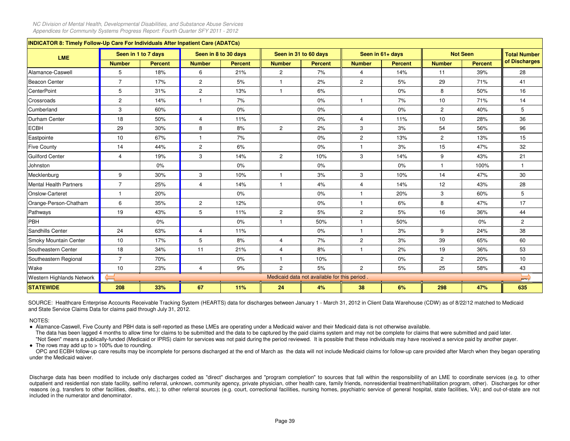| <b>INDICATOR 8: Timely Follow-Up Care For Individuals After Inpatient Care (ADATCs)</b> |                |                     |                |                      |                |                                              |                |                  |                |                 |                         |
|-----------------------------------------------------------------------------------------|----------------|---------------------|----------------|----------------------|----------------|----------------------------------------------|----------------|------------------|----------------|-----------------|-------------------------|
| <b>LME</b>                                                                              |                | Seen in 1 to 7 days |                | Seen in 8 to 30 days |                | Seen in 31 to 60 days                        |                | Seen in 61+ days |                | <b>Not Seen</b> | <b>Total Number</b>     |
|                                                                                         | <b>Number</b>  | <b>Percent</b>      | <b>Number</b>  | <b>Percent</b>       | <b>Number</b>  | <b>Percent</b>                               | <b>Number</b>  | <b>Percent</b>   | <b>Number</b>  | <b>Percent</b>  | of Discharges           |
| Alamance-Caswell                                                                        | 5              | 18%                 | 6              | 21%                  | $\overline{2}$ | 7%                                           | $\overline{4}$ | 14%              | 11             | 39%             | 28                      |
| Beacon Center                                                                           | $\overline{7}$ | 17%                 | $\overline{2}$ | 5%                   | -1             | 2%                                           | $\overline{2}$ | 5%               | 29             | 71%             | 41                      |
| <b>CenterPoint</b>                                                                      | 5              | 31%                 | $\overline{2}$ | 13%                  | $\overline{1}$ | 6%                                           |                | 0%               | 8              | 50%             | 16                      |
| Crossroads                                                                              | $\overline{2}$ | 14%                 | $\mathbf{1}$   | 7%                   |                | 0%                                           | $\mathbf{1}$   | 7%               | 10             | 71%             | 14                      |
| Cumberland                                                                              | 3              | 60%                 |                | 0%                   |                | $0\%$                                        |                | $0\%$            | $\overline{2}$ | 40%             | 5                       |
| <b>Durham Center</b>                                                                    | 18             | 50%                 | 4              | 11%                  |                | 0%                                           | $\overline{4}$ | 11%              | 10             | 28%             | 36                      |
| <b>ECBH</b>                                                                             | 29             | 30%                 | 8              | 8%                   | $\overline{c}$ | 2%                                           | 3              | 3%               | 54             | 56%             | 96                      |
| Eastpointe                                                                              | 10             | 67%                 | $\mathbf{1}$   | 7%                   |                | 0%                                           | $\overline{2}$ | 13%              | $\overline{c}$ | 13%             | 15                      |
| <b>Five County</b>                                                                      | 14             | 44%                 | $\overline{2}$ | 6%                   |                | 0%                                           | $\mathbf{1}$   | 3%               | 15             | 47%             | 32                      |
| Guilford Center                                                                         | 4              | 19%                 | 3              | 14%                  | $\mathbf{2}$   | 10%                                          | 3              | 14%              | 9              | 43%             | 21                      |
| Johnston                                                                                |                | 0%                  |                | 0%                   |                | 0%                                           |                | 0%               | $\mathbf{1}$   | 100%            |                         |
| Mecklenburg                                                                             | 9              | 30%                 | 3              | 10%                  | $\overline{1}$ | 3%                                           | 3              | 10%              | 14             | 47%             | 30                      |
| Mental Health Partners                                                                  | $\overline{7}$ | 25%                 | $\overline{4}$ | 14%                  | $\mathbf{1}$   | 4%                                           | $\overline{4}$ | 14%              | 12             | 43%             | 28                      |
| <b>Onslow-Carteret</b>                                                                  |                | 20%                 |                | 0%                   |                | $0\%$                                        | $\overline{1}$ | 20%              | 3              | 60%             | 5                       |
| Orange-Person-Chatham                                                                   | 6              | 35%                 | $\overline{2}$ | 12%                  |                | 0%                                           | $\mathbf{1}$   | 6%               | 8              | 47%             | 17                      |
| Pathways                                                                                | 19             | 43%                 | 5              | 11%                  | $\overline{2}$ | 5%                                           | $\overline{2}$ | 5%               | 16             | 36%             | 44                      |
| PBH                                                                                     |                | 0%                  |                | 0%                   | $\mathbf{1}$   | 50%                                          | $\overline{1}$ | 50%              |                | 0%              | $\overline{2}$          |
| Sandhills Center                                                                        | 24             | 63%                 | $\overline{4}$ | 11%                  |                | 0%                                           | $\mathbf{1}$   | 3%               | 9              | 24%             | 38                      |
| Smoky Mountain Center                                                                   | 10             | 17%                 | 5              | 8%                   | $\overline{4}$ | 7%                                           | $\overline{2}$ | 3%               | 39             | 65%             | 60                      |
| Southeastern Center                                                                     | 18             | 34%                 | 11             | 21%                  | $\overline{4}$ | 8%                                           | $\overline{1}$ | 2%               | 19             | 36%             | 53                      |
| Southeastern Regional                                                                   | $\overline{7}$ | 70%                 |                | 0%                   | $\mathbf{1}$   | 10%                                          |                | 0%               | $\mathbf{2}$   | 20%             | 10                      |
| Wake                                                                                    | 10             | 23%                 | $\overline{4}$ | 9%                   | $\overline{2}$ | 5%                                           | $\overline{2}$ | 5%               | 25             | 58%             | 43                      |
| Western Highlands Network                                                               |                |                     |                |                      |                | Medicaid data not available for this period. |                |                  |                |                 | $\overline{\mathbb{J}}$ |
| <b>STATEWIDE</b>                                                                        | 208            | 33%                 | 67             | 11%                  | 24             | 4%                                           | 38             | 6%               | 298            | 47%             | 635                     |

SOURCE: Healthcare Enterprise Accounts Receivable Tracking System (HEARTS) data for discharges between January 1 - March 31, 2012 in Client Data Warehouse (CDW) as of 8/22/12 matched to Medicaidand State Service Claims Data for claims paid through July 31, 2012.

NOTES:

● Alamance-Caswell, Five County and PBH data is self-reported as these LMEs are operating under a Medicaid waiver and their Medicaid data is not otherwise available. The data has been lagged 4 months to allow time for claims to be submitted and the data to be captured by the paid claims system and may not be complete for claims that were submitted and paid later. "Not Seen" means <sup>a</sup> publically-funded (Medicaid or IPRS) claim for services was not paid during the period reviewed. It is possible that these individuals may have received <sup>a</sup> service paid by another payer.

• The rows may add up to  $> 100\%$  due to rounding.

OPC and ECBH follow-up care results may be incomplete for persons discharged at the end of March as the data will not include Medicaid claims for follow-up care provided after March when they began operating under the Medicaid waiver.

Discharge data has been modified to include only discharges coded as "direct" discharges and "program completion" to sources that fall within the responsibility of an LME to coordinate services (e.g. to other outpatient and residential non state facility, self/no referral, unknown, community agency, private physician, other health care, family friends, nonresidential treatment/habilitation program, other). Discharges for otherreasons (e.g. transfers to other facilities, deaths, etc.); to other referral sources (e.g. court, correctional facilities, nursing homes, psychiatric service of general hospital, state facilities, VA); and out-of-state ar included in the numerator and denominator.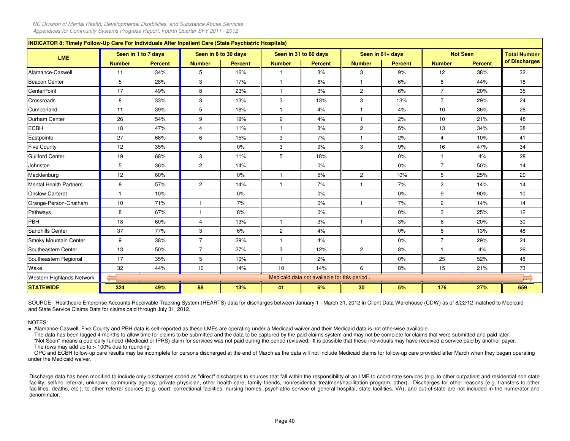| INDICATOR 8: Timely Follow-Up Care For Individuals After Inpatient Care (State Psychiatric Hospitals) |                         |                     |                         |                      |                |                                              |                |                  |                |                 |                     |
|-------------------------------------------------------------------------------------------------------|-------------------------|---------------------|-------------------------|----------------------|----------------|----------------------------------------------|----------------|------------------|----------------|-----------------|---------------------|
| <b>LME</b>                                                                                            |                         | Seen in 1 to 7 days |                         | Seen in 8 to 30 days |                | Seen in 31 to 60 days                        |                | Seen in 61+ days |                | <b>Not Seen</b> | <b>Total Number</b> |
|                                                                                                       | <b>Number</b>           | <b>Percent</b>      | <b>Number</b>           | <b>Percent</b>       | <b>Number</b>  | <b>Percent</b>                               | <b>Number</b>  | <b>Percent</b>   | <b>Number</b>  | <b>Percent</b>  | of Discharges       |
| Alamance-Caswell                                                                                      | 11                      | 34%                 | 5                       | 16%                  |                | 3%                                           | 3              | 9%               | 12             | 38%             | 32                  |
| <b>Beacon Center</b>                                                                                  | 5                       | 28%                 | 3                       | 17%                  |                | 6%                                           | $\mathbf{1}$   | 6%               | 8              | 44%             | 18                  |
| <b>CenterPoint</b>                                                                                    | 17                      | 49%                 | 8                       | 23%                  |                | 3%                                           | $\overline{c}$ | 6%               | $\overline{7}$ | 20%             | 35                  |
| Crossroads                                                                                            | 8                       | 33%                 | 3                       | 13%                  | 3              | 13%                                          | 3              | 13%              | $\overline{7}$ | 29%             | 24                  |
| Cumberland                                                                                            | 11                      | 39%                 | 5                       | 18%                  | $\mathbf{1}$   | 4%                                           | $\mathbf{1}$   | 4%               | 10             | 36%             | 28                  |
| Durham Center                                                                                         | 26                      | 54%                 | 9                       | 19%                  | $\mathbf{2}$   | 4%                                           | $\mathbf{1}$   | 2%               | 10             | 21%             | 48                  |
| <b>ECBH</b>                                                                                           | 18                      | 47%                 | $\overline{4}$          | 11%                  | $\overline{1}$ | 3%                                           | $\overline{c}$ | 5%               | 13             | 34%             | 38                  |
| Eastpointe                                                                                            | 27                      | 66%                 | 6                       | 15%                  | 3              | 7%                                           | $\mathbf{1}$   | 2%               | $\overline{4}$ | 10%             | 41                  |
| <b>Five County</b>                                                                                    | 12                      | 35%                 |                         | $0\%$                | 3              | 9%                                           | 3              | 9%               | 16             | 47%             | 34                  |
| <b>Guilford Center</b>                                                                                | 19                      | 68%                 | 3                       | 11%                  | 5              | 18%                                          |                | 0%               | $\mathbf{1}$   | 4%              | 28                  |
| Johnston                                                                                              | 5                       | 36%                 | $\overline{2}$          | 14%                  |                | 0%                                           |                | 0%               | $\overline{7}$ | 50%             | 14                  |
| Mecklenburg                                                                                           | 12                      | 60%                 |                         | $0\%$                | $\overline{1}$ | 5%                                           | $\overline{c}$ | 10%              | 5              | 25%             | 20                  |
| <b>Mental Health Partners</b>                                                                         | 8                       | 57%                 | $\overline{2}$          | 14%                  | $\mathbf{1}$   | 7%                                           | $\mathbf{1}$   | 7%               | $\overline{2}$ | 14%             | 14                  |
| Onslow-Carteret                                                                                       | $\overline{\mathbf{1}}$ | 10%                 |                         | $0\%$                |                | 0%                                           |                | $0\%$            | 9              | 90%             | 10                  |
| Orange-Person-Chatham                                                                                 | 10                      | 71%                 | $\mathbf{1}$            | 7%                   |                | 0%                                           | $\mathbf{1}$   | 7%               | $\overline{2}$ | 14%             | 14                  |
| Pathways                                                                                              | 8                       | 67%                 | $\mathbf{1}$            | 8%                   |                | 0%                                           |                | 0%               | 3              | 25%             | 12                  |
| PBH                                                                                                   | 18                      | 60%                 | $\overline{\mathbf{4}}$ | 13%                  | $\overline{1}$ | 3%                                           | $\mathbf{1}$   | 3%               | 6              | 20%             | 30                  |
| Sandhills Center                                                                                      | 37                      | 77%                 | 3                       | 6%                   | $\overline{2}$ | 4%                                           |                | $0\%$            | 6              | 13%             | 48                  |
| Smoky Mountain Center                                                                                 | 9                       | 38%                 | $\overline{7}$          | 29%                  | $\overline{1}$ | 4%                                           |                | 0%               | $\overline{7}$ | 29%             | 24                  |
| Southeastern Center                                                                                   | 13                      | 50%                 | $\overline{7}$          | 27%                  | 3              | 12%                                          | $\overline{2}$ | 8%               | $\mathbf{1}$   | 4%              | 26                  |
| Southeastern Regional                                                                                 | 17                      | 35%                 | 5                       | 10%                  | $\mathbf{1}$   | 2%                                           |                | $0\%$            | 25             | 52%             | 48                  |
| Wake                                                                                                  | 32                      | 44%                 | 10                      | 14%                  | 10             | 14%                                          | 6              | 8%               | 15             | 21%             | 73                  |
| Western Highlands Network                                                                             |                         |                     |                         |                      |                | Medicaid data not available for this period. |                |                  |                |                 | ∽<br>$\overline{r}$ |
| <b>STATEWIDE</b>                                                                                      | 324                     | 49%                 | 88                      | 13%                  | 41             | 6%                                           | 30             | 5%               | 176            | 27%             | 659                 |

SOURCE: Healthcare Enterprise Accounts Receivable Tracking System (HEARTS) data for discharges between January 1 - March 31, 2012 in Client Data Warehouse (CDW) as of 8/22/12 matched to Medicaidand State Service Claims Data for claims paid through July 31, 2012.

NOTES:

● Alamance-Caswell, Five County and PBH data is self-reported as these LMEs are operating under a Medicaid waiver and their Medicaid data is not otherwise available.

The data has been lagged 4 months to allow time for claims to be submitted and the data to be captured by the paid claims system and may not be complete for claims that were submitted and paid later. "Not Seen" means <sup>a</sup> publically-funded (Medicaid or IPRS) claim for services was not paid during the period reviewed. It is possible that these individuals may have received <sup>a</sup> service paid by another payer. The rows may add up to  $> 100\%$  due to rounding.

OPC and ECBH follow-up care results may be incomplete for persons discharged at the end of March as the data will not include Medicaid claims for follow-up care provided after March when they began operating under the Medicaid waiver.

Discharge data has been modified to include only discharges coded as "direct" discharges to sources that fall within the responsibility of an LME to coordinate services (e.g. to other outpatient and residential non state facility, self/no referral, unknown, community agency, private physician, other health care, family friends, nonresidential treatment/habilitation program, other). Discharges for other reasons (e.g. transfers to other facilities, deaths, etc.); to other referral sources (e.g. court, correctional facilities, nursing homes, psychiatric service of general hospital, state facilities, VA); and out-of-state are not included in the numerator a denominator.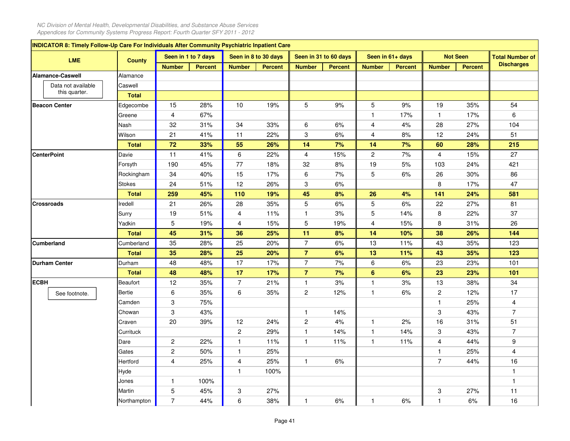|             | <b>INDICATOR 8: Timely Follow-Up Care For Individuals After Community Psychiatric Inpatient Care</b> |               |                         |                     |                         |                      |                         |                       |                         |                  |                         |                 |                        |
|-------------|------------------------------------------------------------------------------------------------------|---------------|-------------------------|---------------------|-------------------------|----------------------|-------------------------|-----------------------|-------------------------|------------------|-------------------------|-----------------|------------------------|
|             | <b>LME</b>                                                                                           | <b>County</b> |                         | Seen in 1 to 7 days |                         | Seen in 8 to 30 days |                         | Seen in 31 to 60 days |                         | Seen in 61+ days |                         | <b>Not Seen</b> | <b>Total Number of</b> |
|             |                                                                                                      |               | <b>Number</b>           | <b>Percent</b>      | <b>Number</b>           | <b>Percent</b>       | <b>Number</b>           | <b>Percent</b>        | <b>Number</b>           | <b>Percent</b>   | <b>Number</b>           | Percent         | <b>Discharges</b>      |
|             | Alamance-Caswell                                                                                     | Alamance      |                         |                     |                         |                      |                         |                       |                         |                  |                         |                 |                        |
|             | Data not available                                                                                   | Caswell       |                         |                     |                         |                      |                         |                       |                         |                  |                         |                 |                        |
|             | this quarter.                                                                                        | <b>Total</b>  |                         |                     |                         |                      |                         |                       |                         |                  |                         |                 |                        |
|             | <b>Beacon Center</b>                                                                                 | Edgecombe     | 15                      | 28%                 | 10                      | 19%                  | 5                       | $9%$                  | 5                       | 9%               | 19                      | 35%             | 54                     |
|             |                                                                                                      | Greene        | 4                       | 67%                 |                         |                      |                         |                       | $\mathbf{1}$            | 17%              | $\mathbf{1}$            | 17%             | 6                      |
|             |                                                                                                      | Nash          | 32                      | 31%                 | 34                      | 33%                  | $\,6$                   | 6%                    | $\overline{\mathbf{4}}$ | 4%               | 28                      | 27%             | 104                    |
|             |                                                                                                      | Wilson        | 21                      | 41%                 | 11                      | 22%                  | 3                       | 6%                    | $\overline{4}$          | 8%               | 12                      | 24%             | 51                     |
|             |                                                                                                      | <b>Total</b>  | 72                      | 33%                 | 55                      | 26%                  | 14                      | 7%                    | 14                      | 7%               | 60                      | 28%             | 215                    |
|             | <b>CenterPoint</b>                                                                                   | Davie         | 11                      | 41%                 | 6                       | 22%                  | 4                       | 15%                   | $\mathbf{2}$            | 7%               | 4                       | 15%             | 27                     |
|             |                                                                                                      | Forsyth       | 190                     | 45%                 | 77                      | 18%                  | 32                      | 8%                    | 19                      | 5%               | 103                     | 24%             | 421                    |
|             |                                                                                                      | Rockingham    | 34                      | 40%                 | 15                      | 17%                  | $\,6$                   | 7%                    | $\mathbf 5$             | $6\%$            | 26                      | 30%             | 86                     |
|             |                                                                                                      | Stokes        | 24                      | 51%                 | 12                      | 26%                  | 3                       | 6%                    |                         |                  | 8                       | 17%             | 47                     |
|             |                                                                                                      | <b>Total</b>  | 259                     | 45%                 | 110                     | 19%                  | 45                      | 8%                    | 26                      | 4%               | 141                     | 24%             | 581                    |
|             | <b>Crossroads</b>                                                                                    | Iredell       | 21                      | 26%                 | 28                      | 35%                  | 5                       | 6%                    | 5                       | 6%               | 22                      | 27%             | 81                     |
|             |                                                                                                      | Surry         | 19                      | 51%                 | 4                       | 11%                  | $\mathbf{1}$            | 3%                    | 5                       | 14%              | 8                       | 22%             | 37                     |
|             |                                                                                                      | Yadkin        | 5                       | 19%                 | 4                       | 15%                  | 5                       | 19%                   | $\overline{4}$          | 15%              | 8                       | 31%             | 26                     |
|             |                                                                                                      | <b>Total</b>  | 45                      | 31%                 | 36                      | 25%                  | 11                      | 8%                    | 14                      | 10%              | 38                      | 26%             | 144                    |
|             | <b>Cumberland</b>                                                                                    | Cumberland    | 35                      | 28%                 | 25                      | 20%                  | $\overline{7}$          | 6%                    | 13                      | 11%              | 43                      | 35%             | 123                    |
|             |                                                                                                      | <b>Total</b>  | 35                      | 28%                 | 25                      | 20%                  | $\overline{7}$          | 6%                    | 13                      | 11%              | 43                      | 35%             | 123                    |
|             | <b>Durham Center</b>                                                                                 | Durham        | 48                      | 48%                 | 17                      | 17%                  | $\boldsymbol{7}$        | 7%                    | 6                       | 6%               | 23                      | 23%             | 101                    |
|             |                                                                                                      | <b>Total</b>  | 48                      | 48%                 | 17                      | 17%                  | $\overline{\mathbf{7}}$ | 7%                    | $\bf 6$                 | 6%               | 23                      | 23%             | 101                    |
| <b>ECBH</b> |                                                                                                      | Beaufort      | 12                      | 35%                 | $\overline{7}$          | 21%                  | $\mathbf{1}$            | 3%                    | $\mathbf{1}$            | 3%               | 13                      | 38%             | 34                     |
|             | See footnote.                                                                                        | Bertie        | 6                       | 35%                 | 6                       | 35%                  | $\boldsymbol{2}$        | 12%                   | $\mathbf{1}$            | 6%               | $\overline{\mathbf{c}}$ | 12%             | 17                     |
|             |                                                                                                      | Camden        | 3                       | 75%                 |                         |                      |                         |                       |                         |                  | $\mathbf{1}$            | 25%             | 4                      |
|             |                                                                                                      | Chowan        | 3                       | 43%                 |                         |                      | $\mathbf{1}$            | 14%                   |                         |                  | 3                       | 43%             | $\overline{7}$         |
|             |                                                                                                      | Craven        | 20                      | 39%                 | 12                      | 24%                  | $\boldsymbol{2}$        | 4%                    | $\mathbf{1}$            | 2%               | 16                      | 31%             | 51                     |
|             |                                                                                                      | Currituck     |                         |                     | $\overline{\mathbf{c}}$ | 29%                  | $\mathbf{1}$            | 14%                   | $\mathbf{1}$            | 14%              | 3                       | 43%             | $\overline{7}$         |
|             |                                                                                                      | Dare          | $\overline{\mathbf{c}}$ | 22%                 | 1                       | 11%                  | $\mathbf{1}$            | 11%                   | $\mathbf{1}$            | 11%              | 4                       | 44%             | 9                      |
|             |                                                                                                      | Gates         | $\overline{\mathbf{c}}$ | 50%                 | $\mathbf{1}$            | 25%                  |                         |                       |                         |                  | $\mathbf{1}$            | 25%             | 4                      |
|             |                                                                                                      | Hertford      | $\overline{\mathbf{4}}$ | 25%                 | 4                       | 25%                  | $\mathbf{1}$            | 6%                    |                         |                  | $\overline{7}$          | 44%             | 16                     |
|             |                                                                                                      | Hyde          |                         |                     | $\mathbf{1}$            | 100%                 |                         |                       |                         |                  |                         |                 | $\mathbf{1}$           |
|             |                                                                                                      | Jones         | 1                       | 100%                |                         |                      |                         |                       |                         |                  |                         |                 | $\mathbf{1}$           |
|             |                                                                                                      | Martin        | 5                       | 45%                 | 3                       | 27%                  |                         |                       |                         |                  | 3                       | 27%             | 11                     |
|             |                                                                                                      | Northampton   | $\overline{7}$          | 44%                 | 6                       | 38%                  | $\mathbf{1}$            | 6%                    | $\mathbf{1}$            | 6%               | $\mathbf{1}$            | 6%              | 16                     |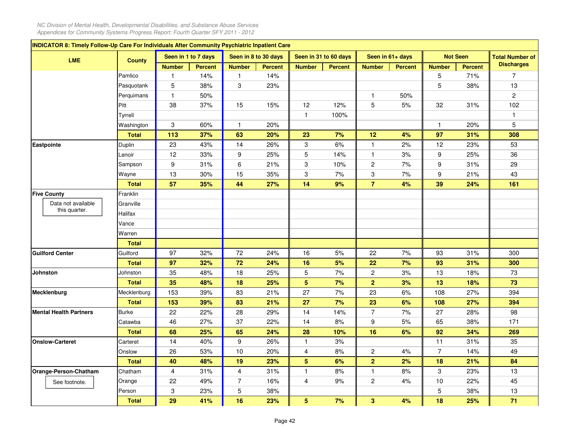|                               | INDICATOR 8: Timely Follow-Up Care For Individuals After Community Psychiatric Inpatient Care<br>Seen in 1 to 7 days<br>Seen in 8 to 30 days<br>Seen in 31 to 60 days<br>Seen in 61+ days<br><b>Not Seen</b><br><b>Total Number of</b><br><b>LME</b><br><b>County</b><br><b>Discharges</b> |                |                |                |                |                           |                |                           |                |                |                |                |  |  |
|-------------------------------|--------------------------------------------------------------------------------------------------------------------------------------------------------------------------------------------------------------------------------------------------------------------------------------------|----------------|----------------|----------------|----------------|---------------------------|----------------|---------------------------|----------------|----------------|----------------|----------------|--|--|
|                               |                                                                                                                                                                                                                                                                                            |                |                |                |                |                           |                |                           |                |                |                |                |  |  |
|                               |                                                                                                                                                                                                                                                                                            | <b>Number</b>  | <b>Percent</b> | <b>Number</b>  | <b>Percent</b> | <b>Number</b>             | <b>Percent</b> | <b>Number</b>             | <b>Percent</b> | <b>Number</b>  | <b>Percent</b> |                |  |  |
|                               | Pamlico                                                                                                                                                                                                                                                                                    | 1              | 14%            | 1              | 14%            |                           |                |                           |                | 5              | 71%            | $\overline{7}$ |  |  |
|                               | Pasquotank                                                                                                                                                                                                                                                                                 | 5              | 38%            | 3              | 23%            |                           |                |                           |                | 5              | 38%            | 13             |  |  |
|                               | Perquimans                                                                                                                                                                                                                                                                                 | $\mathbf{1}$   | 50%            |                |                |                           |                | $\mathbf{1}$              | 50%            |                |                | $\overline{c}$ |  |  |
|                               | Pitt                                                                                                                                                                                                                                                                                       | 38             | 37%            | 15             | 15%            | 12                        | 12%            | 5                         | $5%$           | 32             | 31%            | 102            |  |  |
|                               | Tyrrell                                                                                                                                                                                                                                                                                    |                |                |                |                | $\mathbf{1}$              | 100%           |                           |                |                |                | $\mathbf{1}$   |  |  |
|                               | Washington                                                                                                                                                                                                                                                                                 | 3              | 60%            | $\mathbf{1}$   | 20%            |                           |                |                           |                | 1              | 20%            | 5              |  |  |
|                               | <b>Total</b>                                                                                                                                                                                                                                                                               | 113            | 37%            | 63             | 20%            | 23                        | 7%             | 12                        | 4%             | 97             | 31%            | 308            |  |  |
| Eastpointe                    | Duplin                                                                                                                                                                                                                                                                                     | 23             | 43%            | 14             | 26%            | $\ensuremath{\mathsf{3}}$ | 6%             | $\mathbf{1}$              | 2%             | 12             | 23%            | 53             |  |  |
|                               | Lenoir                                                                                                                                                                                                                                                                                     | 12             | 33%            | 9              | 25%            | 5                         | 14%            | $\mathbf{1}$              | 3%             | 9              | 25%            | 36             |  |  |
|                               | Sampson                                                                                                                                                                                                                                                                                    | 9              | 31%            | 6              | 21%            | $\ensuremath{\mathsf{3}}$ | 10%            | $\overline{c}$            | 7%             | 9              | 31%            | 29             |  |  |
|                               | Wayne                                                                                                                                                                                                                                                                                      | 13             | 30%            | 15             | 35%            | 3                         | 7%             | $\ensuremath{\mathsf{3}}$ | 7%             | 9              | 21%            | 43             |  |  |
|                               | <b>Total</b>                                                                                                                                                                                                                                                                               | 57             | 35%            | 44             | 27%            | 14                        | 9%             | $\overline{7}$            | 4%             | 39             | 24%            | 161            |  |  |
| <b>Five County</b>            | Franklin                                                                                                                                                                                                                                                                                   |                |                |                |                |                           |                |                           |                |                |                |                |  |  |
| Data not available            | Granville                                                                                                                                                                                                                                                                                  |                |                |                |                |                           |                |                           |                |                |                |                |  |  |
| this quarter.                 | Halifax                                                                                                                                                                                                                                                                                    |                |                |                |                |                           |                |                           |                |                |                |                |  |  |
|                               | Vance                                                                                                                                                                                                                                                                                      |                |                |                |                |                           |                |                           |                |                |                |                |  |  |
|                               | Warren                                                                                                                                                                                                                                                                                     |                |                |                |                |                           |                |                           |                |                |                |                |  |  |
|                               | <b>Total</b>                                                                                                                                                                                                                                                                               |                |                |                |                |                           |                |                           |                |                |                |                |  |  |
| <b>Guilford Center</b>        | Guilford                                                                                                                                                                                                                                                                                   | 97             | 32%            | 72             | 24%            | 16                        | $5%$           | 22                        | 7%             | 93             | 31%            | 300            |  |  |
|                               | <b>Total</b>                                                                                                                                                                                                                                                                               | 97             | 32%            | 72             | 24%            | 16                        | 5%             | 22                        | 7%             | 93             | 31%            | 300            |  |  |
| <b>Johnston</b>               | Johnston                                                                                                                                                                                                                                                                                   | 35             | 48%            | 18             | 25%            | $\mathbf 5$               | 7%             | $\overline{c}$            | 3%             | 13             | 18%            | 73             |  |  |
|                               | <b>Total</b>                                                                                                                                                                                                                                                                               | 35             | 48%            | 18             | 25%            | 5                         | 7%             | $\overline{2}$            | 3%             | 13             | 18%            | 73             |  |  |
| Mecklenburg                   | Mecklenburg                                                                                                                                                                                                                                                                                | 153            | 39%            | 83             | 21%            | 27                        | 7%             | 23                        | 6%             | 108            | 27%            | 394            |  |  |
|                               | <b>Total</b>                                                                                                                                                                                                                                                                               | 153            | 39%            | 83             | 21%            | 27                        | 7%             | 23                        | 6%             | 108            | 27%            | 394            |  |  |
| <b>Mental Health Partners</b> | <b>Burke</b>                                                                                                                                                                                                                                                                               | 22             | 22%            | 28             | 29%            | 14                        | 14%            | $\overline{7}$            | 7%             | 27             | 28%            | 98             |  |  |
|                               | Catawba                                                                                                                                                                                                                                                                                    | 46             | 27%            | 37             | 22%            | 14                        | 8%             | 9                         | $5%$           | 65             | 38%            | 171            |  |  |
|                               | <b>Total</b>                                                                                                                                                                                                                                                                               | 68             | 25%            | 65             | 24%            | 28                        | 10%            | 16                        | 6%             | 92             | 34%            | 269            |  |  |
| <b>Onslow-Carteret</b>        | Carteret                                                                                                                                                                                                                                                                                   | 14             | 40%            | 9              | 26%            | $\mathbf{1}$              | 3%             |                           |                | 11             | 31%            | 35             |  |  |
|                               | Onslow                                                                                                                                                                                                                                                                                     | 26             | 53%            | 10             | 20%            | 4                         | 8%             | $\overline{c}$            | 4%             | $\overline{7}$ | 14%            | 49             |  |  |
|                               | <b>Total</b>                                                                                                                                                                                                                                                                               | 40             | 48%            | 19             | 23%            | 5                         | 6%             | $\overline{\mathbf{2}}$   | 2%             | 18             | 21%            | 84             |  |  |
| Orange-Person-Chatham         | Chatham                                                                                                                                                                                                                                                                                    | $\overline{4}$ | 31%            | $\overline{4}$ | 31%            | $\mathbf{1}$              | 8%             | $\mathbf{1}$              | 8%             | 3              | 23%            | 13             |  |  |
| See footnote.                 | Orange                                                                                                                                                                                                                                                                                     | 22             | 49%            | $\overline{7}$ | 16%            | 4                         | 9%             | $\overline{\mathbf{c}}$   | 4%             | 10             | 22%            | 45             |  |  |
|                               | Person                                                                                                                                                                                                                                                                                     | 3              | 23%            | 5              | 38%            |                           |                |                           |                | 5              | 38%            | 13             |  |  |
|                               | <b>Total</b>                                                                                                                                                                                                                                                                               | 29             | 41%            | 16             | 23%            | 5                         | 7%             | $\mathbf{3}$              | 4%             | 18             | 25%            | 71             |  |  |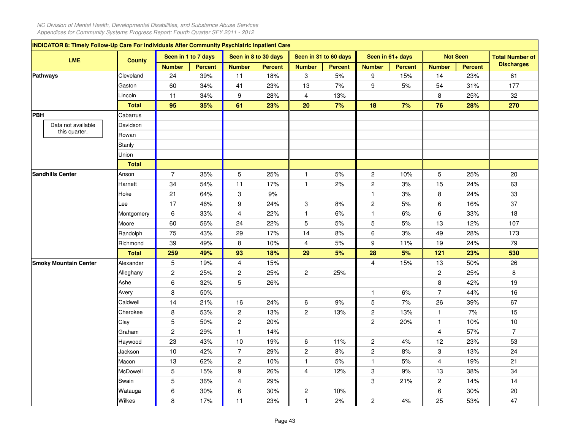| INDICATOR 8: Timely Follow-Up Care For Individuals After Community Psychiatric Inpatient Care |               |                         |                     |                         |                      |                           |                       |                         |                  |                         |                 |                        |
|-----------------------------------------------------------------------------------------------|---------------|-------------------------|---------------------|-------------------------|----------------------|---------------------------|-----------------------|-------------------------|------------------|-------------------------|-----------------|------------------------|
| <b>LME</b>                                                                                    | <b>County</b> |                         | Seen in 1 to 7 days |                         | Seen in 8 to 30 days |                           | Seen in 31 to 60 days |                         | Seen in 61+ days |                         | <b>Not Seen</b> | <b>Total Number of</b> |
|                                                                                               |               | <b>Number</b>           | <b>Percent</b>      | <b>Number</b>           | <b>Percent</b>       | <b>Number</b>             | <b>Percent</b>        | <b>Number</b>           | <b>Percent</b>   | <b>Number</b>           | <b>Percent</b>  | <b>Discharges</b>      |
| <b>Pathways</b>                                                                               | Cleveland     | 24                      | 39%                 | 11                      | 18%                  | 3                         | $5%$                  | 9                       | 15%              | 14                      | 23%             | 61                     |
|                                                                                               | Gaston        | 60                      | 34%                 | 41                      | 23%                  | 13                        | 7%                    | 9                       | $5%$             | 54                      | 31%             | 177                    |
|                                                                                               | Lincoln       | 11                      | 34%                 | 9                       | 28%                  | 4                         | 13%                   |                         |                  | 8                       | 25%             | 32                     |
|                                                                                               | <b>Total</b>  | 95                      | 35%                 | 61                      | 23%                  | 20                        | 7%                    | 18                      | 7%               | 76                      | 28%             | 270                    |
| <b>PBH</b>                                                                                    | Cabarrus      |                         |                     |                         |                      |                           |                       |                         |                  |                         |                 |                        |
| Data not available                                                                            | Davidson      |                         |                     |                         |                      |                           |                       |                         |                  |                         |                 |                        |
| this quarter.                                                                                 | Rowan         |                         |                     |                         |                      |                           |                       |                         |                  |                         |                 |                        |
|                                                                                               | Stanly        |                         |                     |                         |                      |                           |                       |                         |                  |                         |                 |                        |
|                                                                                               | Union         |                         |                     |                         |                      |                           |                       |                         |                  |                         |                 |                        |
|                                                                                               | <b>Total</b>  |                         |                     |                         |                      |                           |                       |                         |                  |                         |                 |                        |
| <b>Sandhills Center</b>                                                                       | Anson         | $\overline{7}$          | 35%                 | 5                       | 25%                  | $\mathbf{1}$              | 5%                    | $\overline{c}$          | 10%              | 5                       | 25%             | 20                     |
|                                                                                               | Harnett       | 34                      | 54%                 | 11                      | 17%                  | $\mathbf{1}$              | 2%                    | $\overline{\mathbf{c}}$ | 3%               | 15                      | 24%             | 63                     |
|                                                                                               | Hoke          | 21                      | 64%                 | 3                       | 9%                   |                           |                       | $\mathbf{1}$            | 3%               | 8                       | 24%             | 33                     |
|                                                                                               | Lee           | 17                      | 46%                 | 9                       | 24%                  | $\ensuremath{\mathsf{3}}$ | 8%                    | $\boldsymbol{2}$        | 5%               | 6                       | 16%             | 37                     |
|                                                                                               | Montgomery    | 6                       | 33%                 | 4                       | 22%                  | $\mathbf{1}$              | 6%                    | $\mathbf{1}$            | 6%               | 6                       | 33%             | 18                     |
|                                                                                               | Moore         | 60                      | 56%                 | 24                      | 22%                  | 5                         | 5%                    | $\mathbf 5$             | 5%               | 13                      | 12%             | 107                    |
|                                                                                               | Randolph      | 75                      | 43%                 | 29                      | 17%                  | 14                        | 8%                    | 6                       | 3%               | 49                      | 28%             | 173                    |
|                                                                                               | Richmond      | 39                      | 49%                 | 8                       | 10%                  | 4                         | $5%$                  | 9                       | 11%              | 19                      | 24%             | 79                     |
|                                                                                               | <b>Total</b>  | 259                     | 49%                 | 93                      | 18%                  | 29                        | 5%                    | 28                      | 5%               | 121                     | 23%             | 530                    |
| <b>Smoky Mountain Center</b>                                                                  | Alexander     | 5                       | 19%                 | 4                       | 15%                  |                           |                       | $\overline{4}$          | 15%              | 13                      | 50%             | 26                     |
|                                                                                               | Alleghany     | $\boldsymbol{2}$        | 25%                 | $\overline{\mathbf{c}}$ | 25%                  | $\overline{\mathbf{c}}$   | 25%                   |                         |                  | $\overline{\mathbf{c}}$ | 25%             | 8                      |
|                                                                                               | Ashe          | 6                       | 32%                 | 5                       | 26%                  |                           |                       |                         |                  | 8                       | 42%             | 19                     |
|                                                                                               | Avery         | 8                       | 50%                 |                         |                      |                           |                       | $\mathbf{1}$            | 6%               | $\overline{7}$          | 44%             | 16                     |
|                                                                                               | Caldwell      | 14                      | 21%                 | 16                      | 24%                  | 6                         | $9%$                  | 5                       | 7%               | 26                      | 39%             | 67                     |
|                                                                                               | Cherokee      | 8                       | 53%                 | 2                       | 13%                  | $\overline{\mathbf{c}}$   | 13%                   | $\overline{\mathbf{c}}$ | 13%              | $\mathbf{1}$            | 7%              | 15                     |
|                                                                                               | Clay          | 5                       | 50%                 | $\boldsymbol{2}$        | 20%                  |                           |                       | $\overline{c}$          | 20%              | $\mathbf{1}$            | 10%             | $10$                   |
|                                                                                               | Graham        | $\overline{\mathbf{c}}$ | 29%                 | 1                       | 14%                  |                           |                       |                         |                  | 4                       | 57%             | $\overline{7}$         |
|                                                                                               | Haywood       | 23                      | 43%                 | 10                      | 19%                  | $\,6\,$                   | 11%                   | $\overline{\mathbf{c}}$ | 4%               | 12                      | 23%             | 53                     |
|                                                                                               | Jackson       | 10                      | 42%                 | $\overline{7}$          | 29%                  | $\boldsymbol{2}$          | 8%                    | $\overline{\mathbf{c}}$ | 8%               | 3                       | 13%             | 24                     |
|                                                                                               | Macon         | 13                      | 62%                 | $\overline{\mathbf{c}}$ | 10%                  | $\mathbf{1}$              | 5%                    | $\mathbf{1}$            | 5%               | 4                       | 19%             | 21                     |
|                                                                                               | McDowell      | 5                       | 15%                 | 9                       | 26%                  | 4                         | 12%                   | 3                       | $9%$             | 13                      | 38%             | 34                     |
|                                                                                               | Swain         | 5                       | 36%                 | 4                       | 29%                  |                           |                       | 3                       | 21%              | $\overline{\mathbf{c}}$ | 14%             | 14                     |
|                                                                                               | Watauga       | 6                       | 30%                 | 6                       | 30%                  | $\overline{\mathbf{c}}$   | 10%                   |                         |                  | 6                       | 30%             | 20                     |
|                                                                                               | Wilkes        | 8                       | 17%                 | 11                      | 23%                  | 1                         | 2%                    | $\overline{c}$          | 4%               | 25                      | 53%             | 47                     |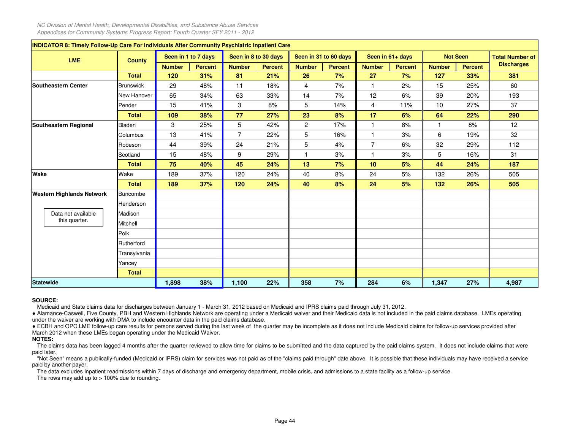|             | <b>INDICATOR 8: Timely Follow-Up Care For Individuals After Community Psychiatric Inpatient Care</b> |                  |               |                     |                |                      |                |                       |                |                  |               |                 |                        |
|-------------|------------------------------------------------------------------------------------------------------|------------------|---------------|---------------------|----------------|----------------------|----------------|-----------------------|----------------|------------------|---------------|-----------------|------------------------|
|             | <b>LME</b>                                                                                           | <b>County</b>    |               | Seen in 1 to 7 days |                | Seen in 8 to 30 days |                | Seen in 31 to 60 days |                | Seen in 61+ days |               | <b>Not Seen</b> | <b>Total Number of</b> |
|             |                                                                                                      |                  | <b>Number</b> | <b>Percent</b>      | <b>Number</b>  | <b>Percent</b>       | <b>Number</b>  | <b>Percent</b>        | <b>Number</b>  | <b>Percent</b>   | <b>Number</b> | <b>Percent</b>  | <b>Discharges</b>      |
|             |                                                                                                      | <b>Total</b>     | 120           | 31%                 | 81             | 21%                  | 26             | 7%                    | 27             | 7%               | 127           | 33%             | 381                    |
|             | Southeastern Center                                                                                  | <b>Brunswick</b> | 29            | 48%                 | 11             | 18%                  | $\overline{4}$ | 7%                    | $\mathbf{1}$   | 2%               | 15            | 25%             | 60                     |
|             |                                                                                                      | New Hanover      | 65            | 34%                 | 63             | 33%                  | 14             | 7%                    | 12             | 6%               | 39            | 20%             | 193                    |
|             |                                                                                                      | Pender           | 15            | 41%                 | 3              | 8%                   | 5              | 14%                   | 4              | 11%              | 10            | 27%             | 37                     |
|             |                                                                                                      | <b>Total</b>     | 109           | 38%                 | 77             | 27%                  | 23             | 8%                    | 17             | 6%               | 64            | 22%             | 290                    |
|             | Southeastern Regional                                                                                | <b>Bladen</b>    | 3             | 25%                 | 5              | 42%                  | $\overline{c}$ | 17%                   | $\mathbf{1}$   | 8%               | 1             | 8%              | 12                     |
|             |                                                                                                      | Columbus         | 13            | 41%                 | $\overline{7}$ | 22%                  | 5              | 16%                   | $\mathbf{1}$   | 3%               | 6             | 19%             | 32                     |
|             |                                                                                                      | Robeson          | 44            | 39%                 | 24             | 21%                  | 5              | 4%                    | $\overline{7}$ | 6%               | 32            | 29%             | 112                    |
|             |                                                                                                      | Scotland         | 15            | 48%                 | 9              | 29%                  | 1              | 3%                    | $\mathbf{1}$   | 3%               | 5             | 16%             | 31                     |
|             |                                                                                                      | <b>Total</b>     | 75            | 40%                 | 45             | 24%                  | 13             | 7%                    | 10             | 5%               | 44            | 24%             | 187                    |
| <b>Wake</b> |                                                                                                      | Wake             | 189           | 37%                 | 120            | 24%                  | 40             | 8%                    | 24             | 5%               | 132           | 26%             | 505                    |
|             |                                                                                                      | <b>Total</b>     | 189           | 37%                 | 120            | 24%                  | 40             | 8%                    | 24             | 5%               | 132           | 26%             | 505                    |
|             | <b>Western Highlands Network</b>                                                                     | Buncombe         |               |                     |                |                      |                |                       |                |                  |               |                 |                        |
|             |                                                                                                      | Henderson        |               |                     |                |                      |                |                       |                |                  |               |                 |                        |
|             | Data not available                                                                                   | Madison          |               |                     |                |                      |                |                       |                |                  |               |                 |                        |
|             | this quarter.                                                                                        | Mitchell         |               |                     |                |                      |                |                       |                |                  |               |                 |                        |
|             |                                                                                                      | Polk             |               |                     |                |                      |                |                       |                |                  |               |                 |                        |
|             |                                                                                                      | Rutherford       |               |                     |                |                      |                |                       |                |                  |               |                 |                        |
|             |                                                                                                      | Transylvania     |               |                     |                |                      |                |                       |                |                  |               |                 |                        |
|             |                                                                                                      | Yancey           |               |                     |                |                      |                |                       |                |                  |               |                 |                        |
|             |                                                                                                      | <b>Total</b>     |               |                     |                |                      |                |                       |                |                  |               |                 |                        |
|             | <b>Statewide</b>                                                                                     |                  | 1,898         | 38%                 | 1,100          | 22%                  | 358            | 7%                    | 284            | 6%               | 1,347         | 27%             | 4,987                  |

# **SOURCE:**

Medicaid and State claims data for discharges between January <sup>1</sup> - March 31, 2012 based on Medicaid and IPRS claims paid through July 31, 2012.

● Alamance-Caswell, Five County, PBH and Western Highlands Network are operating under a Medicaid waiver and their Medicaid data is not included in the paid claims database. LMEs operating under the waiver are working with DMA to include encounter data in the paid claims database.

● ECBH and OPC LME follow-up care results for persons served during the last week of the quarter may be incomplete as it does not include Medicaid claims for follow-up services provided after March 2012 when these LMEs began operating under the Medicaid Waiver.

# **NOTES:**

The claims data has been lagged 4 months after the quarter reviewed to allow time for claims to be submitted and the data captured by the paid claims system. It does not include claims that were paid later.

"Not Seen" means <sup>a</sup> publically-funded (Medicaid or IPRS) claim for services was not paid as of the "claims paid through" date above. It is possible that these individuals may have received <sup>a</sup> servicepaid by another payer.

The data excludes inpatient readmissions within 7 days of discharge and emergency department, mobile crisis, and admissions to <sup>a</sup> state facility as <sup>a</sup> follow-up service. The rows may add up to  $> 100\%$  due to rounding.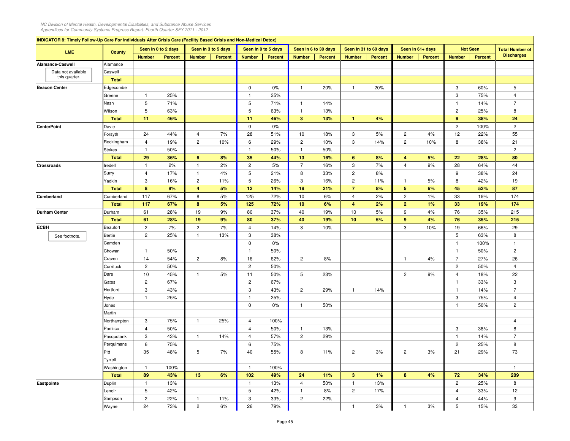|             | INDICATOR 8: Timely Follow-Up Care For Individuals After Crisis Care (Facility Based Crisis and Non-Medical Detox)<br>Seen in 0 to 2 days<br>LME<br><b>County</b><br><b>Number</b><br><b>Percent</b> |              |                | Seen in 3 to 5 days |                         |                | Seen in 0 to 5 days |                | Seen in 6 to 30 days    |         | Seen in 31 to 60 days   |                | Seen in 61+ days        |                | <b>Not Seen</b> | <b>Total Number of</b> |                   |
|-------------|------------------------------------------------------------------------------------------------------------------------------------------------------------------------------------------------------|--------------|----------------|---------------------|-------------------------|----------------|---------------------|----------------|-------------------------|---------|-------------------------|----------------|-------------------------|----------------|-----------------|------------------------|-------------------|
|             |                                                                                                                                                                                                      |              |                |                     | <b>Number</b>           | <b>Percent</b> | <b>Number</b>       | <b>Percent</b> | <b>Number</b>           | Percent | <b>Number</b>           | <b>Percent</b> | <b>Number</b>           | <b>Percent</b> | <b>Number</b>   | Percent                | <b>Discharges</b> |
|             | Alamance-Caswell                                                                                                                                                                                     | Alamance     |                |                     |                         |                |                     |                |                         |         |                         |                |                         |                |                 |                        |                   |
|             | Data not available                                                                                                                                                                                   | Caswell      |                |                     |                         |                |                     |                |                         |         |                         |                |                         |                |                 |                        |                   |
|             | this quarter.                                                                                                                                                                                        | <b>Total</b> |                |                     |                         |                |                     |                |                         |         |                         |                |                         |                |                 |                        |                   |
|             | <b>Beacon Center</b>                                                                                                                                                                                 | Edgecombe    |                |                     |                         |                | $\mathbf 0$         | 0%             | $\mathbf{1}$            | 20%     | $\mathbf{1}$            | 20%            |                         |                | 3               | 60%                    | 5                 |
|             |                                                                                                                                                                                                      | Greene       | $\mathbf{1}$   | 25%                 |                         |                | $\mathbf{1}$        | 25%            |                         |         |                         |                |                         |                | 3               | 75%                    | $\overline{4}$    |
|             |                                                                                                                                                                                                      | Nash         | 5              | 71%                 |                         |                | 5                   | 71%            | $\mathbf{1}$            | 14%     |                         |                |                         |                | $\mathbf{1}$    | 14%                    | $\overline{7}$    |
|             |                                                                                                                                                                                                      | Wilson       | $\overline{5}$ | 63%                 |                         |                | 5                   | 63%            | $\mathbf{1}$            | 13%     |                         |                |                         |                | $\overline{2}$  | 25%                    | 8                 |
|             |                                                                                                                                                                                                      | <b>Total</b> | 11             | 46%                 |                         |                | 11                  | 46%            | $\overline{\mathbf{3}}$ | 13%     | $\mathbf{1}$            | 4%             |                         |                | 9               | 38%                    | 24                |
|             | <b>CenterPoint</b>                                                                                                                                                                                   | Davie        |                |                     |                         |                | $\mathbf 0$         | 0%             |                         |         |                         |                |                         |                | $\overline{c}$  | 100%                   | $\sqrt{2}$        |
|             |                                                                                                                                                                                                      | Forsyth      | 24             | 44%                 | $\overline{4}$          | 7%             | 28                  | 51%            | 10                      | 18%     | 3                       | 5%             | $\overline{c}$          | 4%             | 12              | 22%                    | 55                |
|             |                                                                                                                                                                                                      | Rockingham   | $\overline{4}$ | 19%                 | $\overline{c}$          | 10%            | 6                   | 29%            | $\overline{c}$          | 10%     | 3                       | 14%            | $\overline{c}$          | 10%            | 8               | 38%                    | 21                |
|             |                                                                                                                                                                                                      | Stokes       | $\mathbf{1}$   | 50%                 |                         |                | $\mathbf{1}$        | 50%            | $\mathbf{1}$            | 50%     |                         |                |                         |                |                 |                        | $\overline{c}$    |
|             |                                                                                                                                                                                                      | <b>Total</b> | 29             | 36%                 | 6                       | 8%             | 35                  | 44%            | 13                      | 16%     | 6                       | 8%             | $\overline{\mathbf{4}}$ | 5%             | 22              | 28%                    | 80                |
|             | <b>Crossroads</b>                                                                                                                                                                                    | redell       | $\mathbf{1}$   | 2%                  | $\mathbf{1}$            | 2%             | $\overline{c}$      | 5%             | $\overline{7}$          | 16%     | 3                       | 7%             | $\overline{4}$          | 9%             | 28              | 64%                    | 44                |
|             |                                                                                                                                                                                                      | Surry        | $\overline{4}$ | 17%                 | $\mathbf{1}$            | 4%             | 5                   | 21%            | 8                       | 33%     | $\overline{c}$          | 8%             |                         |                | 9               | 38%                    | 24                |
|             |                                                                                                                                                                                                      | Yadkin       | 3              | 16%                 | $\overline{c}$          | 11%            | 5                   | 26%            | 3                       | 16%     | $\mathbf{2}$            | 11%            | $\mathbf{1}$            | 5%             | 8               | 42%                    | 19                |
|             |                                                                                                                                                                                                      | <b>Total</b> | 8              | 9%                  | $\overline{\mathbf{4}}$ | 5%             | 12                  | 14%            | 18                      | 21%     | $\overline{7}$          | 8%             | $5\phantom{.0}$         | 6%             | 45              | 52%                    | 87                |
|             | Cumberland                                                                                                                                                                                           | Cumberland   | 117            | 67%                 | 8                       | 5%             | 125                 | 72%            | 10                      | 6%      | $\overline{4}$          | 2%             | $\overline{c}$          | 1%             | 33              | 19%                    | 174               |
|             |                                                                                                                                                                                                      | <b>Total</b> | 117            | 67%                 | $\bf8$                  | 5%             | 125                 | 72%            | 10                      | 6%      | $\overline{\mathbf{4}}$ | 2%             | $\overline{2}$          | 1%             | 33              | 19%                    | 174               |
|             | <b>Durham Center</b>                                                                                                                                                                                 | Durham       | 61             | 28%                 | 19                      | 9%             | 80                  | 37%            | 40                      | 19%     | 10                      | 5%             | 9                       | 4%             | 76              | 35%                    | 215               |
|             |                                                                                                                                                                                                      | <b>Total</b> | 61             | 28%                 | 19                      | 9%             | 80                  | 37%            | 40                      | 19%     | 10                      | 5%             | $\boldsymbol{9}$        | 4%             | 76              | 35%                    | 215               |
| <b>ECBH</b> |                                                                                                                                                                                                      | Beaufort     | $\overline{c}$ | 7%                  | $\overline{c}$          | 7%             | $\overline{4}$      | 14%            | 3                       | 10%     |                         |                | 3                       | 10%            | 19              | 66%                    | 29                |
|             | See footnote.                                                                                                                                                                                        | Bertie       | $\overline{2}$ | 25%                 | $\mathbf{1}$            | 13%            | 3                   | 38%            |                         |         |                         |                |                         |                | 5               | 63%                    | 8                 |
|             |                                                                                                                                                                                                      | Camden       |                |                     |                         |                | $\mathbf 0$         | $0\%$          |                         |         |                         |                |                         |                | $\mathbf{1}$    | 100%                   | $\overline{1}$    |
|             |                                                                                                                                                                                                      | Chowan       | $\mathbf{1}$   | 50%                 |                         |                | $\mathbf{1}$        | 50%            |                         |         |                         |                |                         |                | $\mathbf{1}$    | 50%                    | $\overline{c}$    |
|             |                                                                                                                                                                                                      | Craven       | 14             | 54%                 | $\overline{c}$          | 8%             | 16                  | 62%            | $\overline{c}$          | 8%      |                         |                | $\mathbf{1}$            | 4%             | $\overline{7}$  | 27%                    | 26                |
|             |                                                                                                                                                                                                      | Currituck    | $\mathbf{2}$   | 50%                 |                         |                | $\mathbf{2}$        | 50%            |                         |         |                         |                |                         |                | $\mathbf{2}$    | 50%                    | $\overline{4}$    |
|             |                                                                                                                                                                                                      | Dare         | 10             | 45%                 | $\mathbf{1}$            | 5%             | 11                  | 50%            | 5                       | 23%     |                         |                | $\overline{2}$          | 9%             | $\overline{4}$  | 18%                    | 22                |
|             |                                                                                                                                                                                                      | Gates        | $\mathbf{2}$   | 67%                 |                         |                | $\mathbf{2}$        | 67%            |                         |         |                         |                |                         |                | $\mathbf{1}$    | 33%                    | 3                 |
|             |                                                                                                                                                                                                      | Hertford     | 3              | 43%                 |                         |                | 3                   | 43%            | $\overline{c}$          | 29%     | $\mathbf{1}$            | 14%            |                         |                | $\mathbf{1}$    | 14%                    | $\overline{7}$    |
|             |                                                                                                                                                                                                      | Hyde         | $\mathbf{1}$   | 25%                 |                         |                | $\mathbf{1}$        | 25%            |                         |         |                         |                |                         |                | 3               | 75%                    | $\overline{4}$    |
|             |                                                                                                                                                                                                      | Jones        |                |                     |                         |                | $\mathbf 0$         | 0%             | $\mathbf{1}$            | 50%     |                         |                |                         |                | $\mathbf{1}$    | 50%                    | $\overline{c}$    |
|             |                                                                                                                                                                                                      | Martin       |                |                     |                         |                |                     |                |                         |         |                         |                |                         |                |                 |                        |                   |
|             |                                                                                                                                                                                                      | Northampton  | 3              | 75%                 | $\mathbf{1}$            | 25%            | $\overline{4}$      | 100%           |                         |         |                         |                |                         |                |                 |                        | $\overline{4}$    |
|             |                                                                                                                                                                                                      | Pamlico      | $\overline{4}$ | 50%                 |                         |                | $\overline{4}$      | 50%            | $\mathbf{1}$            | 13%     |                         |                |                         |                | 3               | 38%                    | 8                 |
|             |                                                                                                                                                                                                      | asquotank    | 3              | 43%                 | $\mathbf{1}$            | 14%            | $\overline{4}$      | 57%            | $\overline{c}$          | 29%     |                         |                |                         |                | $\mathbf{1}$    | 14%                    | $\overline{7}$    |
|             |                                                                                                                                                                                                      | Perquimans   | 6              | 75%                 |                         |                | 6                   | 75%            |                         |         |                         |                |                         |                | $\mathbf{2}$    | 25%                    | 8                 |
|             |                                                                                                                                                                                                      | ∍itt         | 35             | 48%                 | 5                       | 7%             | 40                  | 55%            | 8                       | 11%     | $\overline{c}$          | 3%             | $\overline{c}$          | 3%             | 21              | 29%                    | 73                |
|             |                                                                                                                                                                                                      | Tyrrell      |                |                     |                         |                |                     |                |                         |         |                         |                |                         |                |                 |                        |                   |
|             |                                                                                                                                                                                                      | Washington   | $\mathbf{1}$   | 100%                |                         |                | $\mathbf{1}$        | 100%           |                         |         |                         |                |                         |                |                 |                        | $\overline{1}$    |
|             |                                                                                                                                                                                                      | <b>Total</b> | 89             | 43%                 | 13                      | 6%             | 102                 | 49%            | 24                      | 11%     | $\mathbf{3}$            | 1%             | 8                       | 4%             | 72              | 34%                    | 209               |
|             | Eastpointe                                                                                                                                                                                           | Duplin       | $\mathbf{1}$   | 13%                 |                         |                | $\mathbf{1}$        | 13%            | $\overline{4}$          | 50%     | $\mathbf{1}$            | 13%            |                         |                | $\overline{2}$  | 25%                    | 8                 |
|             |                                                                                                                                                                                                      | enoir.       | 5              | 42%                 |                         |                | 5                   | 42%            | $\mathbf{1}$            | 8%      | $\mathbf{2}$            | 17%            |                         |                | $\overline{4}$  | 33%                    | 12                |
|             |                                                                                                                                                                                                      |              | $\overline{2}$ | 22%                 | $\mathbf{1}$            | 11%            | 3                   | 33%            | $\overline{2}$          | 22%     |                         |                |                         |                | $\overline{4}$  | 44%                    | 9                 |
|             |                                                                                                                                                                                                      | Sampson      |                |                     |                         |                |                     |                |                         |         |                         |                |                         |                |                 |                        |                   |
|             |                                                                                                                                                                                                      | Wayne        | 24             | 73%                 | $\overline{c}$          | 6%             | 26                  | 79%            |                         |         | $\mathbf{1}$            | 3%             | $\mathbf{1}$            | 3%             | 5               | 15%                    | 33                |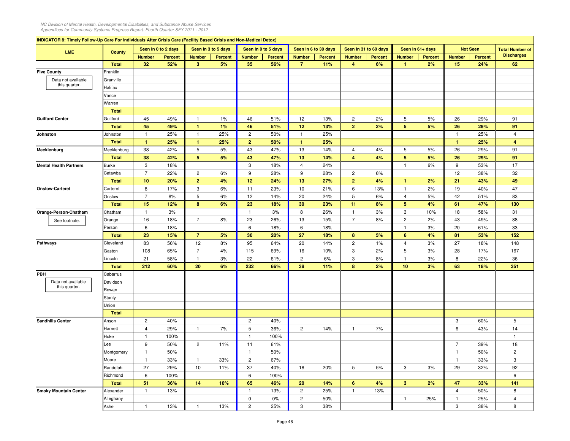| INDICATOR 8: Timely Follow-Up Care For Individuals After Crisis Care (Facility Based Crisis and Non-Medical Detox) |                                                                                                            |                      |                |                |                |                       |                |                  |                |                         |                        |                 |         |                |         |                   |
|--------------------------------------------------------------------------------------------------------------------|------------------------------------------------------------------------------------------------------------|----------------------|----------------|----------------|----------------|-----------------------|----------------|------------------|----------------|-------------------------|------------------------|-----------------|---------|----------------|---------|-------------------|
| <b>LMF</b>                                                                                                         | Seen in 6 to 30 days<br>Seen in 0 to 2 days<br>Seen in 3 to 5 days<br>Seen in 0 to 5 days<br><b>County</b> |                      |                |                |                | Seen in 31 to 60 days |                | Seen in 61+ days |                | <b>Not Seen</b>         | <b>Total Number of</b> |                 |         |                |         |                   |
|                                                                                                                    |                                                                                                            | <b>Number</b>        | <b>Percent</b> | <b>Number</b>  | <b>Percent</b> | <b>Number</b>         | <b>Percent</b> | <b>Number</b>    | <b>Percent</b> | <b>Number</b>           | Percent                | <b>Number</b>   | Percent | <b>Number</b>  | Percent | <b>Discharges</b> |
|                                                                                                                    | <b>Total</b>                                                                                               | 32                   | 52%            | $\mathbf{3}$   | 5%             | 35                    | 56%            | $\overline{7}$   | 11%            | $\overline{\mathbf{4}}$ | 6%                     | $\mathbf{1}$    | 2%      | 15             | 24%     | 62                |
| <b>Five County</b>                                                                                                 | Franklin                                                                                                   |                      |                |                |                |                       |                |                  |                |                         |                        |                 |         |                |         |                   |
| Data not available                                                                                                 | Granville                                                                                                  |                      |                |                |                |                       |                |                  |                |                         |                        |                 |         |                |         |                   |
| this quarter.                                                                                                      | Halifax                                                                                                    |                      |                |                |                |                       |                |                  |                |                         |                        |                 |         |                |         |                   |
|                                                                                                                    | Vance                                                                                                      |                      |                |                |                |                       |                |                  |                |                         |                        |                 |         |                |         |                   |
|                                                                                                                    | Warren                                                                                                     |                      |                |                |                |                       |                |                  |                |                         |                        |                 |         |                |         |                   |
|                                                                                                                    | <b>Total</b>                                                                                               |                      |                |                |                |                       |                |                  |                |                         |                        |                 |         |                |         |                   |
| <b>Guilford Center</b>                                                                                             | Guilford                                                                                                   | 45                   | 49%            | $\overline{1}$ | 1%             | 46                    | 51%            | 12               | 13%            | $\overline{c}$          | 2%                     | 5               | 5%      | 26             | 29%     | 91                |
|                                                                                                                    | Total                                                                                                      | 45                   | 49%            | $\mathbf{1}$   | 1%             | 46                    | 51%            | 12               | 13%            | $\overline{2}$          | 2%                     | $5\phantom{.0}$ | 5%      | 26             | 29%     | 91                |
| Johnston                                                                                                           | Johnston                                                                                                   | $\overline{1}$       | 25%            | $\mathbf{1}$   | 25%            | $\mathbf{2}$          | 50%            | $\overline{1}$   | 25%            |                         |                        |                 |         | $\mathbf{1}$   | 25%     | $\overline{4}$    |
|                                                                                                                    | <b>Total</b>                                                                                               | $\blacktriangleleft$ | 25%            | $\mathbf{1}$   | 25%            | $\overline{2}$        | 50%            | $\mathbf{1}$     | 25%            |                         |                        |                 |         | $\mathbf{1}$   | 25%     | $\overline{4}$    |
| Mecklenburg                                                                                                        | Mecklenburg                                                                                                | 38                   | 42%            | 5              | 5%             | 43                    | 47%            | 13               | 14%            | $\overline{4}$          | 4%                     | 5               | 5%      | 26             | 29%     | 91                |
|                                                                                                                    | <b>Total</b>                                                                                               | 38                   | 42%            | 5 <sup>5</sup> | 5%             | 43                    | 47%            | 13               | 14%            | $\overline{4}$          | 4%                     | 5               | 5%      | 26             | 29%     | 91                |
| <b>Mental Health Partners</b>                                                                                      | <b>Burke</b>                                                                                               | $\mathbf{3}$         | 18%            |                |                | 3                     | 18%            | $\overline{4}$   | 24%            |                         |                        | $\mathbf{1}$    | 6%      | 9              | 53%     | 17                |
|                                                                                                                    | Catawba                                                                                                    | $\overline{7}$       | 22%            | $\overline{2}$ | 6%             | 9                     | 28%            | 9                | 28%            | $\overline{c}$          | 6%                     |                 |         | 12             | 38%     | 32                |
|                                                                                                                    | <b>Total</b>                                                                                               | 10                   | 20%            | $\overline{2}$ | 4%             | 12                    | 24%            | 13               | 27%            | $\overline{2}$          | 4%                     | $\mathbf{1}$    | 2%      | 21             | 43%     | 49                |
|                                                                                                                    |                                                                                                            |                      |                |                |                |                       |                |                  |                |                         |                        |                 |         |                |         |                   |
| <b>Onslow-Carteret</b>                                                                                             | Carteret                                                                                                   | 8<br>$\overline{7}$  | 17%            | $\mathbf{3}$   | 6%             | 11                    | 23%            | 10               | 21%            | 6                       | 13%                    | $\overline{1}$  | 2%      | 19             | 40%     | 47                |
|                                                                                                                    | Onslow                                                                                                     |                      | 8%             | $\,$ 5 $\,$    | 6%             | 12                    | 14%            | 20               | 24%            | 5                       | 6%                     | 4               | 5%      | 42             | 51%     | 83                |
|                                                                                                                    | <b>Total</b>                                                                                               | 15                   | 12%            | $\bf{8}$       | 6%             | 23                    | 18%            | 30               | 23%            | 11                      | 8%                     | $5\phantom{.0}$ | 4%      | 61             | 47%     | 130               |
| Orange-Person-Chatham                                                                                              | Chatham                                                                                                    | $\overline{1}$       | 3%             |                |                | $\mathbf{1}$          | 3%             | 8                | 26%            | $\overline{1}$          | 3%                     | 3               | 10%     | 18             | 58%     | 31                |
| See footnote.                                                                                                      | Orange                                                                                                     | 16                   | 18%            | $\overline{7}$ | 8%             | 23                    | 26%            | 13               | 15%            | $\overline{7}$          | 8%                     | $\overline{c}$  | 2%      | 43             | 49%     | 88                |
|                                                                                                                    | Person                                                                                                     | 6                    | 18%            |                |                | 6                     | 18%            | 6                | 18%            |                         |                        | $\mathbf{1}$    | 3%      | 20             | 61%     | 33                |
|                                                                                                                    | <b>Total</b>                                                                                               | 23                   | 15%            | $\overline{7}$ | 5%             | 30                    | 20%            | 27               | 18%            | 8                       | 5%                     | 6               | 4%      | 81             | 53%     | 152               |
| <b>Pathways</b>                                                                                                    | Cleveland                                                                                                  | 83                   | 56%            | 12             | 8%             | 95                    | 64%            | 20               | 14%            | $\overline{c}$          | 1%                     | $\overline{4}$  | 3%      | 27             | 18%     | 148               |
|                                                                                                                    | Gaston                                                                                                     | 108                  | 65%            | $\overline{7}$ | 4%             | 115                   | 69%            | 16               | 10%            | 3                       | 2%                     | 5               | 3%      | 28             | 17%     | 167               |
|                                                                                                                    | .incoln                                                                                                    | 21                   | 58%            | $\overline{1}$ | 3%             | 22                    | 61%            | $\overline{2}$   | 6%             | 3                       | 8%                     | $\mathbf{1}$    | 3%      | 8              | 22%     | 36                |
|                                                                                                                    | <b>Total</b>                                                                                               | 212                  | 60%            | 20             | 6%             | 232                   | 66%            | 38               | 11%            | 8                       | 2%                     | 10              | 3%      | 63             | 18%     | 351               |
| PBH                                                                                                                | Cabarrus                                                                                                   |                      |                |                |                |                       |                |                  |                |                         |                        |                 |         |                |         |                   |
| Data not available                                                                                                 | Davidson                                                                                                   |                      |                |                |                |                       |                |                  |                |                         |                        |                 |         |                |         |                   |
| this quarter.                                                                                                      | Rowan                                                                                                      |                      |                |                |                |                       |                |                  |                |                         |                        |                 |         |                |         |                   |
|                                                                                                                    | Stanly                                                                                                     |                      |                |                |                |                       |                |                  |                |                         |                        |                 |         |                |         |                   |
|                                                                                                                    | Union                                                                                                      |                      |                |                |                |                       |                |                  |                |                         |                        |                 |         |                |         |                   |
|                                                                                                                    | <b>Total</b>                                                                                               |                      |                |                |                |                       |                |                  |                |                         |                        |                 |         |                |         |                   |
| <b>Sandhills Center</b>                                                                                            | Anson                                                                                                      | $\overline{2}$       | 40%            |                |                | $\mathbf{2}$          | 40%            |                  |                |                         |                        |                 |         | 3              | 60%     | 5                 |
|                                                                                                                    | Harnett                                                                                                    | $\overline{4}$       | 29%            | $\overline{1}$ | 7%             | 5                     | 36%            | $\overline{2}$   | 14%            | $\mathbf{1}$            | 7%                     |                 |         | 6              | 43%     | 14                |
|                                                                                                                    | Hoke                                                                                                       | $\overline{1}$       | 100%           |                |                | $\mathbf{1}$          | 100%           |                  |                |                         |                        |                 |         |                |         | $\overline{1}$    |
|                                                                                                                    | _ee                                                                                                        | 9                    | 50%            | $\overline{2}$ | 11%            | 11                    | 61%            |                  |                |                         |                        |                 |         | $\overline{7}$ | 39%     | 18                |
|                                                                                                                    | Montgomery                                                                                                 | $\mathbf{1}$         | 50%            |                |                | $\mathbf{1}$          | 50%            |                  |                |                         |                        |                 |         | $\mathbf{1}$   | 50%     | $\overline{c}$    |
|                                                                                                                    | Moore                                                                                                      | $\mathbf{1}$         | 33%            | $\mathbf{1}$   | 33%            | $\mathbf{2}$          | 67%            |                  |                |                         |                        |                 |         | $\mathbf{1}$   | 33%     | 3                 |
|                                                                                                                    | Randolph                                                                                                   | 27                   | 29%            | 10             | 11%            | 37                    | 40%            | 18               | 20%            | 5                       | 5%                     | 3               | 3%      | 29             | 32%     | 92                |
|                                                                                                                    | Richmond                                                                                                   | 6                    | 100%           |                |                | 6                     | 100%           |                  |                |                         |                        |                 |         |                |         | 6                 |
|                                                                                                                    | <b>Total</b>                                                                                               | 51                   | 36%            | 14             | 10%            | 65                    | 46%            | 20               | 14%            | 6                       | 4%                     | $\mathbf{3}$    | 2%      | 47             | 33%     | 141               |
| <b>Smoky Mountain Center</b>                                                                                       | Alexander                                                                                                  | $\mathbf{1}$         | 13%            |                |                | $\mathbf{1}$          | 13%            | $\mathbf{2}$     | 25%            | $\mathbf{1}$            | 13%                    |                 |         | $\overline{4}$ | 50%     | 8                 |
|                                                                                                                    | Alleghany                                                                                                  |                      |                |                |                | 0                     | 0%             | $\mathbf{2}$     | 50%            |                         |                        | $\mathbf{1}$    | 25%     | $\mathbf{1}$   | 25%     | $\overline{4}$    |
|                                                                                                                    | Ashe                                                                                                       | $\mathbf{1}$         | 13%            | $\mathbf{1}$   | 13%            | $\mathbf{2}$          | 25%            | 3                | 38%            |                         |                        |                 |         | 3              | 38%     | 8                 |
|                                                                                                                    |                                                                                                            |                      |                |                |                |                       |                |                  |                |                         |                        |                 |         |                |         |                   |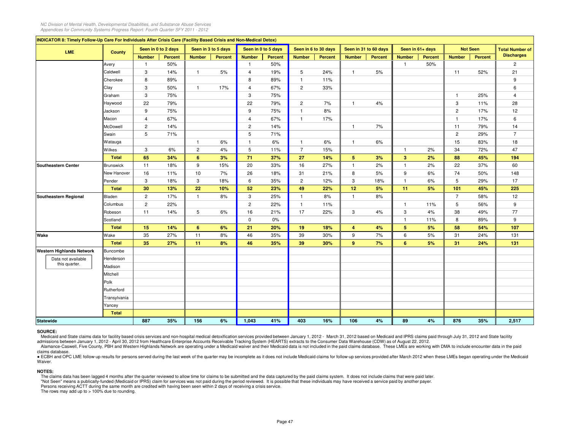| INDICATOR 8: Timely Follow-Up Care For Individuals After Crisis Care (Facility Based Crisis and Non-Medical Detox) |                  |                         |                     |                |                     |                |                     |                |                      |                 |                       |                 |                  |                |                 |                        |
|--------------------------------------------------------------------------------------------------------------------|------------------|-------------------------|---------------------|----------------|---------------------|----------------|---------------------|----------------|----------------------|-----------------|-----------------------|-----------------|------------------|----------------|-----------------|------------------------|
| <b>LME</b>                                                                                                         | <b>County</b>    |                         | Seen in 0 to 2 days |                | Seen in 3 to 5 days |                | Seen in 0 to 5 days |                | Seen in 6 to 30 days |                 | Seen in 31 to 60 days |                 | Seen in 61+ days |                | <b>Not Seen</b> | <b>Total Number of</b> |
|                                                                                                                    |                  | <b>Number</b>           | <b>Percent</b>      | <b>Number</b>  | Percent             | <b>Number</b>  | Percent             | <b>Number</b>  | Percent              | <b>Number</b>   | Percent               | <b>Number</b>   | <b>Percent</b>   | <b>Number</b>  | Percent         | <b>Discharges</b>      |
|                                                                                                                    | Avery            | $\overline{1}$          | 50%                 |                |                     | $\mathbf{1}$   | 50%                 |                |                      |                 |                       | $\mathbf{1}$    | 50%              |                |                 | $\overline{c}$         |
|                                                                                                                    | Caldwell         | 3                       | 14%                 | $\mathbf{1}$   | 5%                  | $\overline{4}$ | 19%                 | 5              | 24%                  | $\mathbf{1}$    | 5%                    |                 |                  | 11             | 52%             | 21                     |
|                                                                                                                    | Cherokee         | 8                       | 89%                 |                |                     | 8              | 89%                 | $\mathbf{1}$   | 11%                  |                 |                       |                 |                  |                |                 | 9                      |
|                                                                                                                    | Clay             | 3                       | 50%                 | $\mathbf{1}$   | 17%                 | $\overline{4}$ | 67%                 | $\overline{c}$ | 33%                  |                 |                       |                 |                  |                |                 | 6                      |
|                                                                                                                    | Graham           | 3                       | 75%                 |                |                     | 3              | 75%                 |                |                      |                 |                       |                 |                  | $\mathbf{1}$   | 25%             | 4                      |
|                                                                                                                    | Haywood          | 22                      | 79%                 |                |                     | 22             | 79%                 | $\overline{c}$ | 7%                   | $\mathbf{1}$    | 4%                    |                 |                  | 3              | 11%             | 28                     |
|                                                                                                                    | Jackson          | 9                       | 75%                 |                |                     | 9              | 75%                 | $\mathbf{1}$   | 8%                   |                 |                       |                 |                  | $\overline{c}$ | 17%             | 12                     |
|                                                                                                                    | Macon            | 4                       | 67%                 |                |                     | $\overline{4}$ | 67%                 | $\mathbf{1}$   | 17%                  |                 |                       |                 |                  | $\mathbf{1}$   | 17%             | 6                      |
|                                                                                                                    | McDowell         | $\overline{c}$          | 14%                 |                |                     | $\overline{c}$ | 14%                 |                |                      | $\mathbf{1}$    | 7%                    |                 |                  | 11             | 79%             | 14                     |
|                                                                                                                    | Swain            | 5                       | 71%                 |                |                     | 5              | 71%                 |                |                      |                 |                       |                 |                  | $\overline{2}$ | 29%             | $\overline{7}$         |
|                                                                                                                    | Watauga          |                         |                     | $\mathbf{1}$   | 6%                  | $\mathbf{1}$   | 6%                  | $\mathbf{1}$   | 6%                   | $\mathbf{1}$    | 6%                    |                 |                  | 15             | 83%             | 18                     |
|                                                                                                                    | Wilkes           | 3                       | 6%                  | $\overline{c}$ | 4%                  | 5              | 11%                 | $\overline{7}$ | 15%                  |                 |                       | $\mathbf{1}$    | 2%               | 34             | 72%             | 47                     |
|                                                                                                                    | Total            | 65                      | 34%                 | 6              | 3%                  | 71             | 37%                 | 27             | 14%                  | $5\phantom{.0}$ | 3%                    | $\mathbf{3}$    | 2%               | 88             | 45%             | 194                    |
| <b>Southeastern Center</b>                                                                                         | <b>Brunswick</b> | 11                      | 18%                 | 9              | 15%                 | 20             | 33%                 | 16             | 27%                  | $\overline{1}$  | 2%                    | $\mathbf{1}$    | 2%               | 22             | 37%             | 60                     |
|                                                                                                                    | New Hanover      | 16                      | 11%                 | 10             | 7%                  | 26             | 18%                 | 31             | 21%                  | 8               | 5%                    | 9               | 6%               | 74             | 50%             | 148                    |
|                                                                                                                    | Pender           | $\mathbf{3}$            | 18%                 | $\mathbf{3}$   | 18%                 | 6              | 35%                 | $\overline{2}$ | 12%                  | 3               | 18%                   | $\mathbf{1}$    | 6%               | 5              | 29%             | 17                     |
|                                                                                                                    | Total            | 30                      | 13%                 | 22             | 10%                 | 52             | 23%                 | 49             | 22%                  | 12              | 5%                    | 11              | 5%               | 101            | 45%             | 225                    |
| Southeastern Regional                                                                                              | Bladen           | $\overline{c}$          | 17%                 | $\mathbf{1}$   | 8%                  | 3              | 25%                 | $\overline{1}$ | 8%                   | $\overline{1}$  | 8%                    |                 |                  | $\overline{7}$ | 58%             | 12                     |
|                                                                                                                    | Columbus         | $\overline{\mathbf{c}}$ | 22%                 |                |                     | $\overline{c}$ | 22%                 | $\mathbf{1}$   | 11%                  |                 |                       | $\mathbf{1}$    | 11%              | 5              | 56%             | 9                      |
|                                                                                                                    | Robeson          | 11                      | 14%                 | 5              | 6%                  | 16             | 21%                 | 17             | 22%                  | 3               | 4%                    | 3               | 4%               | 38             | 49%             | 77                     |
|                                                                                                                    | Scotland         |                         |                     |                |                     | $\mathsf 0$    | 0%                  |                |                      |                 |                       | $\mathbf{1}$    | 11%              | 8              | 89%             | 9                      |
|                                                                                                                    | <b>Total</b>     | 15                      | 14%                 | 6              | 6%                  | 21             | 20%                 | 19             | 18%                  | $\overline{4}$  | 4%                    | $5\phantom{.0}$ | 5%               | 58             | 54%             | 107                    |
| Wake                                                                                                               | Wake             | 35                      | 27%                 | 11             | 8%                  | 46             | 35%                 | 39             | 30%                  | 9               | 7%                    | 6               | 5%               | 31             | 24%             | 131                    |
|                                                                                                                    | <b>Total</b>     | 35                      | 27%                 | 11             | 8%                  | 46             | 35%                 | 39             | 30%                  | 9               | 7%                    | 6               | 5%               | 31             | 24%             | 131                    |
| <b>Western Highlands Network</b>                                                                                   | Buncombe         |                         |                     |                |                     |                |                     |                |                      |                 |                       |                 |                  |                |                 |                        |
| Data not available                                                                                                 | Henderson        |                         |                     |                |                     |                |                     |                |                      |                 |                       |                 |                  |                |                 |                        |
| this quarter.                                                                                                      | Madison          |                         |                     |                |                     |                |                     |                |                      |                 |                       |                 |                  |                |                 |                        |
|                                                                                                                    | Mitchell         |                         |                     |                |                     |                |                     |                |                      |                 |                       |                 |                  |                |                 |                        |
|                                                                                                                    | Polk             |                         |                     |                |                     |                |                     |                |                      |                 |                       |                 |                  |                |                 |                        |
|                                                                                                                    | Rutherford       |                         |                     |                |                     |                |                     |                |                      |                 |                       |                 |                  |                |                 |                        |
|                                                                                                                    | Transylvania     |                         |                     |                |                     |                |                     |                |                      |                 |                       |                 |                  |                |                 |                        |
|                                                                                                                    | Yancey           |                         |                     |                |                     |                |                     |                |                      |                 |                       |                 |                  |                |                 |                        |
|                                                                                                                    | <b>Total</b>     |                         |                     |                |                     |                |                     |                |                      |                 |                       |                 |                  |                |                 |                        |
| <b>Statewide</b>                                                                                                   |                  | 887                     | 35%                 | 156            | 6%                  | 1,043          | 41%                 | 403            | 16%                  | 106             | 4%                    | 89              | 4%               | 876            | 35%             | 2,517                  |

## **SOURCE:**

Medicaid and State claims data for facility based crisis services and non-hospital medical detoxification services provided between January 1, 2012 - March 31, 2012 based on Medicaid and IPRS claims paid through July 31, 2 admissions between January 1, 2012 - April 30, 2012 from Healthcare Enterprise Accounts Receivable Tracking System (HEARTS) extracts to the Consumer Data Warehouse (CDW) as of August 22, 2012.

Alamance-Caswell, Five County, PBH and Western Highlands Network are operating under a Medicaid waiver and their Medicaid data is not included in the paid claims database. These LMEs are working with DMA to include encount claims database.

● ECBH and OPC LME follow-up results for persons served during the last week of the quarter may be incomplete as it does not include Medicaid claims for follow-up services provided after March 2012 when these LMEs began o Waiver.

### **NOTES:**

The claims data has been lagged 4 months after the quarter reviewed to allow time for claims to be submitted and the data captured by the paid claims system. It does not include claims that were paid later.

"Not Seen" means a publically-funded (Medicaid or IPRS) claim for services was not paid during the period reviewed. It is possible that these individuals may have received a service paid by another payer.

Persons receiving ACTT during the same month are credited with having been seen within 2 days of receiving a crisis service.

The rows may add up to  $> 100\%$  due to rounding.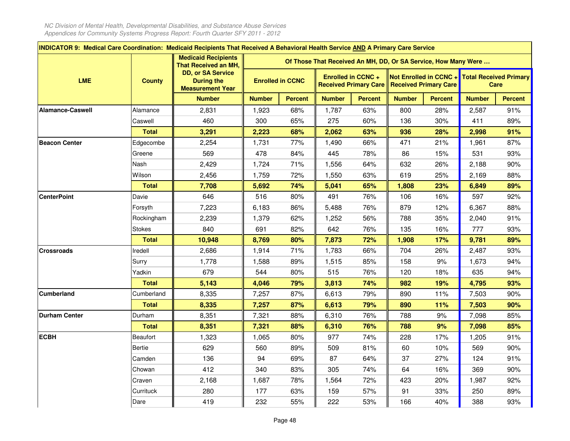$\mathbf{r}$ 

| INDICATOR 9: Medical Care Coordination: Medicaid Recipients That Received A Behavioral Health Service AND A Primary Care Service |                 |                                                                          |               |                         |                                                                |                           |                                               |                        |               |                                       |
|----------------------------------------------------------------------------------------------------------------------------------|-----------------|--------------------------------------------------------------------------|---------------|-------------------------|----------------------------------------------------------------|---------------------------|-----------------------------------------------|------------------------|---------------|---------------------------------------|
|                                                                                                                                  |                 | <b>Medicaid Recipients</b><br><b>That Received an MH,</b>                |               |                         | Of Those That Received An MH, DD, Or SA Service, How Many Were |                           |                                               |                        |               |                                       |
| <b>LME</b>                                                                                                                       | <b>County</b>   | <b>DD, or SA Service</b><br><b>During the</b><br><b>Measurement Year</b> |               | <b>Enrolled in CCNC</b> |                                                                | <b>Enrolled in CCNC +</b> | Received Primary Care   Received Primary Care | Not Enrolled in CCNC + |               | <b>Total Received Primary</b><br>Care |
|                                                                                                                                  |                 | <b>Number</b>                                                            | <b>Number</b> | <b>Percent</b>          | <b>Number</b>                                                  | <b>Percent</b>            | <b>Number</b>                                 | <b>Percent</b>         | <b>Number</b> | <b>Percent</b>                        |
| Alamance-Caswell                                                                                                                 | Alamance        | 2,831                                                                    | 1,923         | 68%                     | 1,787                                                          | 63%                       | 800                                           | 28%                    | 2,587         | 91%                                   |
|                                                                                                                                  | Caswell         | 460                                                                      | 300           | 65%                     | 275                                                            | 60%                       | 136                                           | 30%                    | 411           | 89%                                   |
|                                                                                                                                  | <b>Total</b>    | 3,291                                                                    | 2,223         | 68%                     | 2,062                                                          | 63%                       | 936                                           | 28%                    | 2,998         | 91%                                   |
| <b>Beacon Center</b>                                                                                                             | Edgecombe       | 2,254                                                                    | 1,731         | 77%                     | 1,490                                                          | 66%                       | 471                                           | 21%                    | 1,961         | 87%                                   |
|                                                                                                                                  | Greene          | 569                                                                      | 478           | 84%                     | 445                                                            | 78%                       | 86                                            | 15%                    | 531           | 93%                                   |
|                                                                                                                                  | Nash            | 2,429                                                                    | 1,724         | 71%                     | 1,556                                                          | 64%                       | 632                                           | 26%                    | 2,188         | 90%                                   |
|                                                                                                                                  | Wilson          | 2,456                                                                    | 1,759         | 72%                     | 1,550                                                          | 63%                       | 619                                           | 25%                    | 2,169         | 88%                                   |
|                                                                                                                                  | <b>Total</b>    | 7,708                                                                    | 5,692         | 74%                     | 5,041                                                          | 65%                       | 1,808                                         | 23%                    | 6,849         | 89%                                   |
| <b>CenterPoint</b>                                                                                                               | Davie           | 646                                                                      | 516           | 80%                     | 491                                                            | 76%                       | 106                                           | 16%                    | 597           | 92%                                   |
|                                                                                                                                  | Forsyth         | 7,223                                                                    | 6,183         | 86%                     | 5,488                                                          | 76%                       | 879                                           | 12%                    | 6,367         | 88%                                   |
|                                                                                                                                  | Rockingham      | 2,239                                                                    | 1,379         | 62%                     | 1,252                                                          | 56%                       | 788                                           | 35%                    | 2,040         | 91%                                   |
|                                                                                                                                  | <b>Stokes</b>   | 840                                                                      | 691           | 82%                     | 642                                                            | 76%                       | 135                                           | 16%                    | 777           | 93%                                   |
|                                                                                                                                  | <b>Total</b>    | 10,948                                                                   | 8,769         | 80%                     | 7,873                                                          | 72%                       | 1,908                                         | 17%                    | 9,781         | 89%                                   |
| <b>Crossroads</b>                                                                                                                | Iredell         | 2,686                                                                    | 1,914         | 71%                     | 1,783                                                          | 66%                       | 704                                           | 26%                    | 2,487         | 93%                                   |
|                                                                                                                                  | Surry           | 1,778                                                                    | 1,588         | 89%                     | 1,515                                                          | 85%                       | 158                                           | 9%                     | 1,673         | 94%                                   |
|                                                                                                                                  | Yadkin          | 679                                                                      | 544           | 80%                     | 515                                                            | 76%                       | 120                                           | 18%                    | 635           | 94%                                   |
|                                                                                                                                  | <b>Total</b>    | 5,143                                                                    | 4,046         | 79%                     | 3,813                                                          | 74%                       | 982                                           | 19%                    | 4,795         | 93%                                   |
| <b>Cumberland</b>                                                                                                                | Cumberland      | 8,335                                                                    | 7,257         | 87%                     | 6,613                                                          | 79%                       | 890                                           | 11%                    | 7,503         | 90%                                   |
|                                                                                                                                  | <b>Total</b>    | 8,335                                                                    | 7,257         | 87%                     | 6,613                                                          | 79%                       | 890                                           | 11%                    | 7,503         | 90%                                   |
| <b>Durham Center</b>                                                                                                             | Durham          | 8,351                                                                    | 7,321         | 88%                     | 6,310                                                          | 76%                       | 788                                           | 9%                     | 7,098         | 85%                                   |
|                                                                                                                                  | <b>Total</b>    | 8,351                                                                    | 7,321         | 88%                     | 6,310                                                          | 76%                       | 788                                           | 9%                     | 7,098         | 85%                                   |
| <b>ECBH</b>                                                                                                                      | <b>Beaufort</b> | 1,323                                                                    | 1,065         | 80%                     | 977                                                            | 74%                       | 228                                           | 17%                    | 1,205         | 91%                                   |
|                                                                                                                                  | Bertie          | 629                                                                      | 560           | 89%                     | 509                                                            | 81%                       | 60                                            | 10%                    | 569           | 90%                                   |
|                                                                                                                                  | Camden          | 136                                                                      | 94            | 69%                     | 87                                                             | 64%                       | 37                                            | 27%                    | 124           | 91%                                   |
|                                                                                                                                  | Chowan          | 412                                                                      | 340           | 83%                     | 305                                                            | 74%                       | 64                                            | 16%                    | 369           | 90%                                   |
|                                                                                                                                  | Craven          | 2,168                                                                    | 1,687         | 78%                     | 1,564                                                          | 72%                       | 423                                           | 20%                    | 1,987         | 92%                                   |
|                                                                                                                                  | Currituck       | 280                                                                      | 177           | 63%                     | 159                                                            | 57%                       | 91                                            | 33%                    | 250           | 89%                                   |
|                                                                                                                                  | Dare            | 419                                                                      | 232           | 55%                     | 222                                                            | 53%                       | 166                                           | 40%                    | 388           | 93%                                   |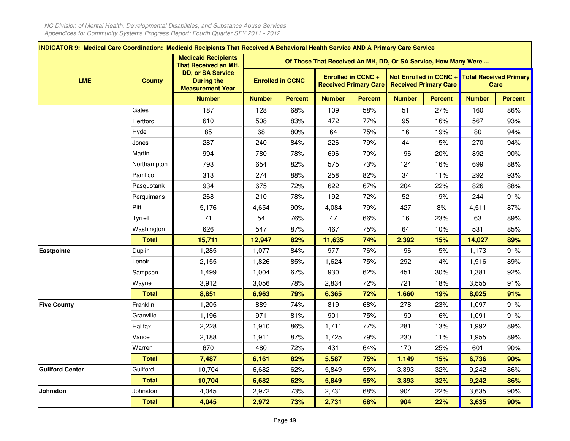$\mathbf{r}$ 

| INDICATOR 9: Medical Care Coordination: Medicaid Recipients That Received A Behavioral Health Service AND A Primary Care Service |               | <b>Medicaid Recipients</b>                                               |               |                         |                                                                |                                                           |               |                                                        |               |                                       |
|----------------------------------------------------------------------------------------------------------------------------------|---------------|--------------------------------------------------------------------------|---------------|-------------------------|----------------------------------------------------------------|-----------------------------------------------------------|---------------|--------------------------------------------------------|---------------|---------------------------------------|
|                                                                                                                                  |               | That Received an MH,                                                     |               |                         | Of Those That Received An MH, DD, Or SA Service, How Many Were |                                                           |               |                                                        |               |                                       |
| <b>LME</b>                                                                                                                       | <b>County</b> | <b>DD, or SA Service</b><br><b>During the</b><br><b>Measurement Year</b> |               | <b>Enrolled in CCNC</b> |                                                                | <b>Enrolled in CCNC +</b><br><b>Received Primary Care</b> |               | Not Enrolled in CCNC +<br><b>Received Primary Care</b> |               | <b>Total Received Primary</b><br>Care |
|                                                                                                                                  |               | <b>Number</b>                                                            | <b>Number</b> | <b>Percent</b>          | <b>Number</b>                                                  | <b>Percent</b>                                            | <b>Number</b> | <b>Percent</b>                                         | <b>Number</b> | <b>Percent</b>                        |
|                                                                                                                                  | Gates         | 187                                                                      | 128           | 68%                     | 109                                                            | 58%                                                       | 51            | 27%                                                    | 160           | 86%                                   |
|                                                                                                                                  | Hertford      | 610                                                                      | 508           | 83%                     | 472                                                            | 77%                                                       | 95            | 16%                                                    | 567           | 93%                                   |
|                                                                                                                                  | Hyde          | 85                                                                       | 68            | 80%                     | 64                                                             | 75%                                                       | 16            | 19%                                                    | 80            | 94%                                   |
|                                                                                                                                  | Jones         | 287                                                                      | 240           | 84%                     | 226                                                            | 79%                                                       | 44            | 15%                                                    | 270           | 94%                                   |
|                                                                                                                                  | Martin        | 994                                                                      | 780           | 78%                     | 696                                                            | 70%                                                       | 196           | 20%                                                    | 892           | 90%                                   |
|                                                                                                                                  | Northampton   | 793                                                                      | 654           | 82%                     | 575                                                            | 73%                                                       | 124           | 16%                                                    | 699           | 88%                                   |
|                                                                                                                                  | Pamlico       | 313                                                                      | 274           | 88%                     | 258                                                            | 82%                                                       | 34            | 11%                                                    | 292           | 93%                                   |
|                                                                                                                                  | Pasquotank    | 934                                                                      | 675           | 72%                     | 622                                                            | 67%                                                       | 204           | 22%                                                    | 826           | 88%                                   |
|                                                                                                                                  | Perquimans    | 268                                                                      | 210           | 78%                     | 192                                                            | 72%                                                       | 52            | 19%                                                    | 244           | 91%                                   |
|                                                                                                                                  | Pitt          | 5,176                                                                    | 4,654         | 90%                     | 4,084                                                          | 79%                                                       | 427           | 8%                                                     | 4,511         | 87%                                   |
|                                                                                                                                  | Tyrrell       | 71                                                                       | 54            | 76%                     | 47                                                             | 66%                                                       | 16            | 23%                                                    | 63            | 89%                                   |
|                                                                                                                                  | Washington    | 626                                                                      | 547           | 87%                     | 467                                                            | 75%                                                       | 64            | 10%                                                    | 531           | 85%                                   |
|                                                                                                                                  | <b>Total</b>  | 15,711                                                                   | 12,947        | 82%                     | 11,635                                                         | 74%                                                       | 2,392         | 15%                                                    | 14,027        | 89%                                   |
| Eastpointe                                                                                                                       | Duplin        | 1,285                                                                    | 1,077         | 84%                     | 977                                                            | 76%                                                       | 196           | 15%                                                    | 1,173         | 91%                                   |
|                                                                                                                                  | Lenoir        | 2,155                                                                    | 1,826         | 85%                     | 1,624                                                          | 75%                                                       | 292           | 14%                                                    | 1,916         | 89%                                   |
|                                                                                                                                  | Sampson       | 1,499                                                                    | 1,004         | 67%                     | 930                                                            | 62%                                                       | 451           | 30%                                                    | 1,381         | 92%                                   |
|                                                                                                                                  | Wayne         | 3,912                                                                    | 3,056         | 78%                     | 2,834                                                          | 72%                                                       | 721           | 18%                                                    | 3,555         | 91%                                   |
|                                                                                                                                  | <b>Total</b>  | 8,851                                                                    | 6,963         | 79%                     | 6,365                                                          | 72%                                                       | 1,660         | 19%                                                    | 8,025         | 91%                                   |
| <b>Five County</b>                                                                                                               | Franklin      | 1,205                                                                    | 889           | 74%                     | 819                                                            | 68%                                                       | 278           | 23%                                                    | 1,097         | 91%                                   |
|                                                                                                                                  | Granville     | 1,196                                                                    | 971           | 81%                     | 901                                                            | 75%                                                       | 190           | 16%                                                    | 1,091         | 91%                                   |
|                                                                                                                                  | Halifax       | 2,228                                                                    | 1,910         | 86%                     | 1,711                                                          | 77%                                                       | 281           | 13%                                                    | 1,992         | 89%                                   |
|                                                                                                                                  | Vance         | 2,188                                                                    | 1,911         | 87%                     | 1,725                                                          | 79%                                                       | 230           | 11%                                                    | 1,955         | 89%                                   |
|                                                                                                                                  | Warren        | 670                                                                      | 480           | 72%                     | 431                                                            | 64%                                                       | 170           | 25%                                                    | 601           | 90%                                   |
|                                                                                                                                  | <b>Total</b>  | 7,487                                                                    | 6,161         | 82%                     | 5,587                                                          | 75%                                                       | 1,149         | 15%                                                    | 6,736         | 90%                                   |
| <b>Guilford Center</b>                                                                                                           | Guilford      | 10,704                                                                   | 6,682         | 62%                     | 5,849                                                          | 55%                                                       | 3,393         | 32%                                                    | 9,242         | 86%                                   |
|                                                                                                                                  | <b>Total</b>  | 10,704                                                                   | 6,682         | 62%                     | 5,849                                                          | 55%                                                       | 3,393         | 32%                                                    | 9,242         | 86%                                   |
| Johnston                                                                                                                         | Johnston      | 4,045                                                                    | 2,972         | 73%                     | 2,731                                                          | 68%                                                       | 904           | 22%                                                    | 3,635         | 90%                                   |
|                                                                                                                                  | <b>Total</b>  | 4,045                                                                    | 2,972         | 73%                     | 2,731                                                          | 68%                                                       | 904           | 22%                                                    | 3,635         | 90%                                   |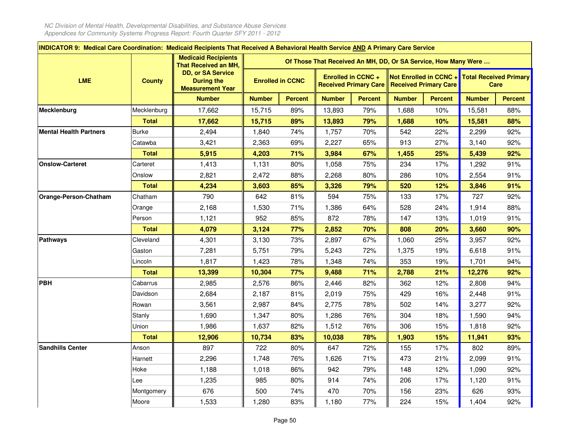$\mathbf{r}$ 

| <b>INDICATOR 9: Medical Care Coordination: Medicaid Recipients That Received A Behavioral Health Service AND A Primary Care Service</b> |               |                                                                          |               |                         |                                                                |                                                           |               |                                                        |                               |                |
|-----------------------------------------------------------------------------------------------------------------------------------------|---------------|--------------------------------------------------------------------------|---------------|-------------------------|----------------------------------------------------------------|-----------------------------------------------------------|---------------|--------------------------------------------------------|-------------------------------|----------------|
|                                                                                                                                         |               | <b>Medicaid Recipients</b><br>That Received an MH,                       |               |                         | Of Those That Received An MH, DD, Or SA Service, How Many Were |                                                           |               |                                                        |                               |                |
| <b>LME</b>                                                                                                                              | <b>County</b> | <b>DD, or SA Service</b><br><b>During the</b><br><b>Measurement Year</b> |               | <b>Enrolled in CCNC</b> |                                                                | <b>Enrolled in CCNC +</b><br><b>Received Primary Care</b> |               | Not Enrolled in CCNC +<br><b>Received Primary Care</b> | <b>Total Received Primary</b> | Care           |
|                                                                                                                                         |               | <b>Number</b>                                                            | <b>Number</b> | <b>Percent</b>          | <b>Number</b>                                                  | <b>Percent</b>                                            | <b>Number</b> | <b>Percent</b>                                         | <b>Number</b>                 | <b>Percent</b> |
| Mecklenburg                                                                                                                             | Mecklenburg   | 17,662                                                                   | 15,715        | 89%                     | 13,893                                                         | 79%                                                       | 1,688         | 10%                                                    | 15,581                        | 88%            |
|                                                                                                                                         | <b>Total</b>  | 17,662                                                                   | 15,715        | 89%                     | 13,893                                                         | 79%                                                       | 1,688         | 10%                                                    | 15,581                        | 88%            |
| <b>Mental Health Partners</b>                                                                                                           | <b>Burke</b>  | 2,494                                                                    | 1,840         | 74%                     | 1,757                                                          | 70%                                                       | 542           | 22%                                                    | 2,299                         | 92%            |
|                                                                                                                                         | Catawba       | 3,421                                                                    | 2,363         | 69%                     | 2,227                                                          | 65%                                                       | 913           | 27%                                                    | 3,140                         | 92%            |
|                                                                                                                                         | <b>Total</b>  | 5,915                                                                    | 4,203         | 71%                     | 3,984                                                          | 67%                                                       | 1,455         | 25%                                                    | 5,439                         | 92%            |
| <b>Onslow-Carteret</b>                                                                                                                  | Carteret      | 1,413                                                                    | 1,131         | 80%                     | 1,058                                                          | 75%                                                       | 234           | 17%                                                    | 1,292                         | 91%            |
|                                                                                                                                         | Onslow        | 2,821                                                                    | 2,472         | 88%                     | 2,268                                                          | 80%                                                       | 286           | 10%                                                    | 2,554                         | 91%            |
|                                                                                                                                         | <b>Total</b>  | 4,234                                                                    | 3,603         | 85%                     | 3,326                                                          | 79%                                                       | 520           | 12%                                                    | 3,846                         | 91%            |
| Orange-Person-Chatham                                                                                                                   | Chatham       | 790                                                                      | 642           | 81%                     | 594                                                            | 75%                                                       | 133           | 17%                                                    | 727                           | 92%            |
|                                                                                                                                         | Orange        | 2,168                                                                    | 1,530         | 71%                     | 1,386                                                          | 64%                                                       | 528           | 24%                                                    | 1,914                         | 88%            |
|                                                                                                                                         | Person        | 1,121                                                                    | 952           | 85%                     | 872                                                            | 78%                                                       | 147           | 13%                                                    | 1,019                         | 91%            |
|                                                                                                                                         | <b>Total</b>  | 4,079                                                                    | 3,124         | 77%                     | 2,852                                                          | 70%                                                       | 808           | 20%                                                    | 3,660                         | 90%            |
| <b>Pathways</b>                                                                                                                         | Cleveland     | 4,301                                                                    | 3,130         | 73%                     | 2,897                                                          | 67%                                                       | 1,060         | 25%                                                    | 3,957                         | 92%            |
|                                                                                                                                         | Gaston        | 7,281                                                                    | 5,751         | 79%                     | 5,243                                                          | 72%                                                       | 1,375         | 19%                                                    | 6,618                         | 91%            |
|                                                                                                                                         | Lincoln       | 1,817                                                                    | 1,423         | 78%                     | 1,348                                                          | 74%                                                       | 353           | 19%                                                    | 1,701                         | 94%            |
|                                                                                                                                         | <b>Total</b>  | 13,399                                                                   | 10,304        | 77%                     | 9,488                                                          | 71%                                                       | 2,788         | 21%                                                    | 12,276                        | 92%            |
| <b>PBH</b>                                                                                                                              | Cabarrus      | 2,985                                                                    | 2,576         | 86%                     | 2,446                                                          | 82%                                                       | 362           | 12%                                                    | 2,808                         | 94%            |
|                                                                                                                                         | Davidson      | 2,684                                                                    | 2,187         | 81%                     | 2,019                                                          | 75%                                                       | 429           | 16%                                                    | 2,448                         | 91%            |
|                                                                                                                                         | Rowan         | 3,561                                                                    | 2,987         | 84%                     | 2,775                                                          | 78%                                                       | 502           | 14%                                                    | 3,277                         | 92%            |
|                                                                                                                                         | Stanly        | 1,690                                                                    | 1,347         | 80%                     | 1,286                                                          | 76%                                                       | 304           | 18%                                                    | 1,590                         | 94%            |
|                                                                                                                                         | Union         | 1,986                                                                    | 1,637         | 82%                     | 1,512                                                          | 76%                                                       | 306           | 15%                                                    | 1,818                         | 92%            |
|                                                                                                                                         | <b>Total</b>  | 12,906                                                                   | 10,734        | 83%                     | 10,038                                                         | 78%                                                       | 1,903         | 15%                                                    | 11,941                        | 93%            |
| <b>Sandhills Center</b>                                                                                                                 | Anson         | 897                                                                      | 722           | 80%                     | 647                                                            | 72%                                                       | 155           | 17%                                                    | 802                           | 89%            |
|                                                                                                                                         | Harnett       | 2,296                                                                    | 1,748         | 76%                     | 1,626                                                          | 71%                                                       | 473           | 21%                                                    | 2,099                         | 91%            |
|                                                                                                                                         | Hoke          | 1,188                                                                    | 1,018         | 86%                     | 942                                                            | 79%                                                       | 148           | 12%                                                    | 1,090                         | 92%            |
|                                                                                                                                         | Lee           | 1,235                                                                    | 985           | 80%                     | 914                                                            | 74%                                                       | 206           | 17%                                                    | 1,120                         | 91%            |
|                                                                                                                                         | Montgomery    | 676                                                                      | 500           | 74%                     | 470                                                            | 70%                                                       | 156           | 23%                                                    | 626                           | 93%            |
|                                                                                                                                         | Moore         | 1,533                                                                    | 1,280         | 83%                     | 1,180                                                          | 77%                                                       | 224           | 15%                                                    | 1,404                         | 92%            |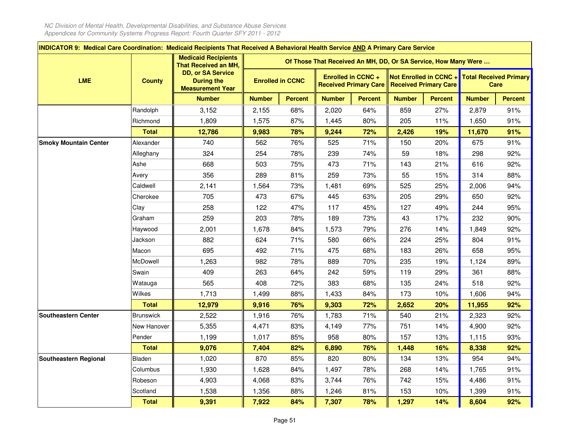| INDICATOR 9: Medical Care Coordination: Medicaid Recipients That Received A Behavioral Health Service AND A Primary Care Service |                  |                                                                          |               |                         |                                                                |                                                           |               |                                                        |               |                                       |
|----------------------------------------------------------------------------------------------------------------------------------|------------------|--------------------------------------------------------------------------|---------------|-------------------------|----------------------------------------------------------------|-----------------------------------------------------------|---------------|--------------------------------------------------------|---------------|---------------------------------------|
|                                                                                                                                  |                  | <b>Medicaid Recipients</b><br>That Received an MH,                       |               |                         | Of Those That Received An MH, DD, Or SA Service, How Many Were |                                                           |               |                                                        |               |                                       |
| <b>LME</b>                                                                                                                       | <b>County</b>    | <b>DD, or SA Service</b><br><b>During the</b><br><b>Measurement Year</b> |               | <b>Enrolled in CCNC</b> |                                                                | <b>Enrolled in CCNC +</b><br><b>Received Primary Care</b> |               | Not Enrolled in CCNC +<br><b>Received Primary Care</b> |               | <b>Total Received Primary</b><br>Care |
|                                                                                                                                  |                  | <b>Number</b>                                                            | <b>Number</b> | <b>Percent</b>          | <b>Number</b>                                                  | <b>Percent</b>                                            | <b>Number</b> | <b>Percent</b>                                         | <b>Number</b> | <b>Percent</b>                        |
|                                                                                                                                  | Randolph         | 3,152                                                                    | 2,155         | 68%                     | 2,020                                                          | 64%                                                       | 859           | 27%                                                    | 2,879         | 91%                                   |
|                                                                                                                                  | Richmond         | 1,809                                                                    | 1,575         | 87%                     | 1,445                                                          | 80%                                                       | 205           | 11%                                                    | 1,650         | 91%                                   |
|                                                                                                                                  | <b>Total</b>     | 12,786                                                                   | 9,983         | 78%                     | 9,244                                                          | 72%                                                       | 2,426         | 19%                                                    | 11,670        | 91%                                   |
| <b>Smoky Mountain Center</b>                                                                                                     | Alexander        | 740                                                                      | 562           | 76%                     | 525                                                            | 71%                                                       | 150           | 20%                                                    | 675           | 91%                                   |
|                                                                                                                                  | Alleghany        | 324                                                                      | 254           | 78%                     | 239                                                            | 74%                                                       | 59            | 18%                                                    | 298           | 92%                                   |
|                                                                                                                                  | Ashe             | 668                                                                      | 503           | 75%                     | 473                                                            | 71%                                                       | 143           | 21%                                                    | 616           | 92%                                   |
|                                                                                                                                  | Avery            | 356                                                                      | 289           | 81%                     | 259                                                            | 73%                                                       | 55            | 15%                                                    | 314           | 88%                                   |
|                                                                                                                                  | Caldwell         | 2,141                                                                    | 1,564         | 73%                     | 1,481                                                          | 69%                                                       | 525           | 25%                                                    | 2,006         | 94%                                   |
|                                                                                                                                  | Cherokee         | 705                                                                      | 473           | 67%                     | 445                                                            | 63%                                                       | 205           | 29%                                                    | 650           | 92%                                   |
|                                                                                                                                  | Clay             | 258                                                                      | 122           | 47%                     | 117                                                            | 45%                                                       | 127           | 49%                                                    | 244           | 95%                                   |
|                                                                                                                                  | Graham           | 259                                                                      | 203           | 78%                     | 189                                                            | 73%                                                       | 43            | 17%                                                    | 232           | 90%                                   |
|                                                                                                                                  | Haywood          | 2,001                                                                    | 1,678         | 84%                     | 1,573                                                          | 79%                                                       | 276           | 14%                                                    | 1,849         | 92%                                   |
|                                                                                                                                  | Jackson          | 882                                                                      | 624           | 71%                     | 580                                                            | 66%                                                       | 224           | 25%                                                    | 804           | 91%                                   |
|                                                                                                                                  | Macon            | 695                                                                      | 492           | 71%                     | 475                                                            | 68%                                                       | 183           | 26%                                                    | 658           | 95%                                   |
|                                                                                                                                  | McDowell         | 1,263                                                                    | 982           | 78%                     | 889                                                            | 70%                                                       | 235           | 19%                                                    | 1,124         | 89%                                   |
|                                                                                                                                  | Swain            | 409                                                                      | 263           | 64%                     | 242                                                            | 59%                                                       | 119           | 29%                                                    | 361           | 88%                                   |
|                                                                                                                                  | Watauga          | 565                                                                      | 408           | 72%                     | 383                                                            | 68%                                                       | 135           | 24%                                                    | 518           | 92%                                   |
|                                                                                                                                  | Wilkes           | 1,713                                                                    | 1,499         | 88%                     | 1,433                                                          | 84%                                                       | 173           | 10%                                                    | 1,606         | 94%                                   |
|                                                                                                                                  | <b>Total</b>     | 12,979                                                                   | 9,916         | 76%                     | 9,303                                                          | 72%                                                       | 2,652         | 20%                                                    | 11,955        | 92%                                   |
| <b>Southeastern Center</b>                                                                                                       | <b>Brunswick</b> | 2,522                                                                    | 1,916         | 76%                     | 1,783                                                          | 71%                                                       | 540           | 21%                                                    | 2,323         | 92%                                   |
|                                                                                                                                  | New Hanover      | 5,355                                                                    | 4,471         | 83%                     | 4,149                                                          | 77%                                                       | 751           | 14%                                                    | 4,900         | 92%                                   |
|                                                                                                                                  | Pender           | 1,199                                                                    | 1,017         | 85%                     | 958                                                            | 80%                                                       | 157           | 13%                                                    | 1,115         | 93%                                   |
|                                                                                                                                  | <b>Total</b>     | 9,076                                                                    | 7,404         | 82%                     | 6,890                                                          | 76%                                                       | 1,448         | 16%                                                    | 8,338         | 92%                                   |
| Southeastern Regional                                                                                                            | Bladen           | 1,020                                                                    | 870           | 85%                     | 820                                                            | 80%                                                       | 134           | 13%                                                    | 954           | 94%                                   |
|                                                                                                                                  | Columbus         | 1,930                                                                    | 1,628         | 84%                     | 1,497                                                          | 78%                                                       | 268           | 14%                                                    | 1,765         | 91%                                   |
|                                                                                                                                  | Robeson          | 4,903                                                                    | 4,068         | 83%                     | 3,744                                                          | 76%                                                       | 742           | 15%                                                    | 4,486         | 91%                                   |
|                                                                                                                                  | Scotland         | 1,538                                                                    | 1,356         | 88%                     | 1,246                                                          | 81%                                                       | 153           | 10%                                                    | 1,399         | 91%                                   |
|                                                                                                                                  | <b>Total</b>     | 9,391                                                                    | 7,922         | 84%                     | 7,307                                                          | 78%                                                       | 1,297         | 14%                                                    | 8,604         | 92%                                   |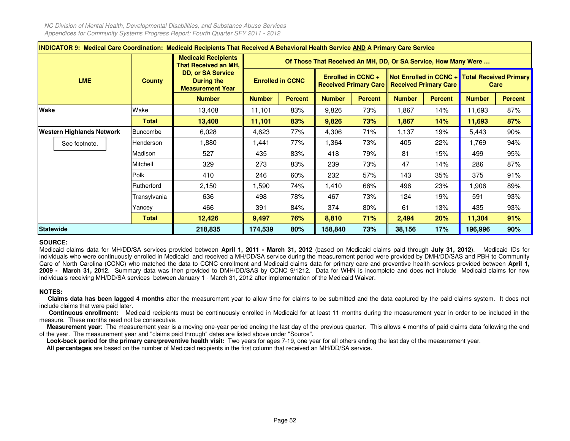|                                  | INDICATOR 9: Medical Care Coordination: Medicaid Recipients That Received A Behavioral Health Service AND A Primary Care Service |                                                                   |               |                         |                                                                |                    |               |                                                                                                       |               |                |  |  |  |
|----------------------------------|----------------------------------------------------------------------------------------------------------------------------------|-------------------------------------------------------------------|---------------|-------------------------|----------------------------------------------------------------|--------------------|---------------|-------------------------------------------------------------------------------------------------------|---------------|----------------|--|--|--|
|                                  |                                                                                                                                  | <b>Medicaid Recipients</b><br><b>That Received an MH,   </b>      |               |                         | Of Those That Received An MH, DD, Or SA Service, How Many Were |                    |               |                                                                                                       |               |                |  |  |  |
| <b>LME</b>                       | <b>County</b>                                                                                                                    | <b>DD, or SA Service</b><br>During the<br><b>Measurement Year</b> |               | <b>Enrolled in CCNC</b> |                                                                | Enrolled in CCNC + |               | Not Enrolled in CCNC + Total Received Primary<br><b>Received Primary Care   Received Primary Care</b> |               | Care           |  |  |  |
|                                  |                                                                                                                                  | <b>Number</b>                                                     | <b>Number</b> | <b>Percent</b>          | <b>Number</b>                                                  | <b>Percent</b>     | <b>Number</b> | <b>Percent</b>                                                                                        | <b>Number</b> | <b>Percent</b> |  |  |  |
| Wake                             | Wake                                                                                                                             | 13,408                                                            | 11,101        | 83%                     | 9,826                                                          | 73%                | 1,867         | 14%                                                                                                   | 11,693        | 87%            |  |  |  |
|                                  | <b>Total</b>                                                                                                                     | 13,408                                                            | 11,101        | 83%                     | 9,826                                                          | 73%                | 1,867         | 14%                                                                                                   | 11,693        | 87%            |  |  |  |
| <b>Western Highlands Network</b> | Buncombe                                                                                                                         | 6,028                                                             | 4,623         | 77%                     | 4,306                                                          | 71%                | 1,137         | 19%                                                                                                   | 5,443         | 90%            |  |  |  |
| See footnote.                    | Henderson                                                                                                                        | 1,880                                                             | 1,441         | 77%                     | 1,364                                                          | 73%                | 405           | 22%                                                                                                   | 1,769         | 94%            |  |  |  |
|                                  | Madison                                                                                                                          | 527                                                               | 435           | 83%                     | 418                                                            | 79%                | 81            | 15%                                                                                                   | 499           | 95%            |  |  |  |
|                                  | Mitchell                                                                                                                         | 329                                                               | 273           | 83%                     | 239                                                            | 73%                | 47            | 14%                                                                                                   | 286           | 87%            |  |  |  |
|                                  | Polk                                                                                                                             | 410                                                               | 246           | 60%                     | 232                                                            | 57%                | 143           | 35%                                                                                                   | 375           | 91%            |  |  |  |
|                                  | Rutherford                                                                                                                       | 2,150                                                             | 1,590         | 74%                     | 1,410                                                          | 66%                | 496           | 23%                                                                                                   | 1.906         | 89%            |  |  |  |
|                                  | Transylvania                                                                                                                     | 636                                                               | 498           | 78%                     | 467                                                            | 73%                | 124           | 19%                                                                                                   | 591           | 93%            |  |  |  |
|                                  | Yancey                                                                                                                           | 466                                                               | 391           | 84%                     | 374                                                            | $80\%$             | 61            | 13%                                                                                                   | 435           | 93%            |  |  |  |
|                                  | <b>Total</b>                                                                                                                     | 12,426                                                            | 9,497         | 76%                     | 8,810                                                          | 71%                | 2,494         | 20%                                                                                                   | 11,304        | 91%            |  |  |  |
| <b>Statewide</b>                 |                                                                                                                                  | 218,835                                                           | 174,539       | 80%                     | 158,840                                                        | 73%                | 38,156        | 17%                                                                                                   | 196,996       | 90%            |  |  |  |

# **SOURCE:**

Medicaid claims data for MH/DD/SA services provided between April 1, 2011 - March 31, 2012 (based on Medicaid claims paid through July 31, 2012). Medicaid IDs for individuals who were continuously enrolled in Medicaid and received <sup>a</sup> MH/DD/SA service during the measurement period were provided by DMH/DD/SAS and PBH to Community Care of North Carolina (CCNC) who matched the data to CCNC enrollment and Medicaid claims data for primary care and preventive health services provided between **April 1, 2009 - March 31, 2012**. Summary data was then provided to DMH/DD/SAS by CCNC 9/1212. Data for WHN is incomplete and does not include Medicaid claims for newindividuals receiving MH/DD/SA services between January <sup>1</sup> - March 31, 2012 after implementation of the Medicaid Waiver.

# **NOTES:**

Claims data has been lagged 4 months after the measurement year to allow time for claims to be submitted and the data captured by the paid claims system. It does not include claims that were paid later.

**Continuous enrollment:** Medicaid recipients must be continuously enrolled in Medicaid for at least <sup>11</sup> months during the measurement year in order to be included in themeasure. These months need not be consecutive.

**Measurement year**: The measurement year is <sup>a</sup> moving one-year period ending the last day of the previous quarter. This allows 4 months of paid claims data following the endof the year. The measurement year and "claims paid through" dates are listed above under "Source".

**Look-back period for the primary care/preventive health visit:** Two years for ages 7-19, one year for all others ending the last day of the measurement year.

**All percentages** are based on the number of Medicaid recipients in the first column that received an MH/DD/SA service.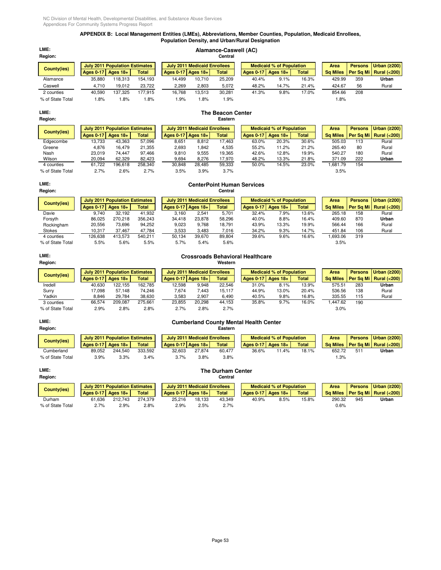# **APPENDIX B: Local Management Entities (LMEs), Abbreviations, Member Counties, Population, Medicaid Enrollees, Population Density, and Urban/Rural Designation**

| LME:             | Alamance-Caswell (AC)  |                                       |              |                                     |        |              |  |                                 |             |              |                 |     |                |                        |
|------------------|------------------------|---------------------------------------|--------------|-------------------------------------|--------|--------------|--|---------------------------------|-------------|--------------|-----------------|-----|----------------|------------------------|
| Region:          |                        |                                       |              |                                     |        | Central      |  |                                 |             |              |                 |     |                |                        |
| County(ies)      |                        | <b>July 2011 Population Estimates</b> |              | <b>July 2011 Medicaid Enrollees</b> |        |              |  | <b>Medicaid % of Population</b> |             | Area         | <b>Persons</b>  |     | Urban $(2200)$ |                        |
|                  | Ages $0-17$ Ages $18+$ |                                       | <b>Total</b> | Ages $0-17$ Ages $18+$              |        | <b>Total</b> |  | <b>Ages 0-17</b>                | Ages $18 +$ | <b>Total</b> | <b>Sq Miles</b> |     |                | Per Sq Mi Rural (<200) |
| Alamance         | 35.880                 | 118.313                               | 154.193      | 14.499                              | 10.710 | 25.209       |  | 40.4%                           | 9.1%        | 16.3%        | 429.99          | 359 |                | Urban                  |
| Caswell          | 4.710                  | 19.012                                | 23.722       | 2,269                               | 2,803  | 5,072        |  | 48.2%                           | 14.7%       | 21.4%        | 424.67          | 56  |                | Rural                  |
| 2 counties       | 40.590                 | 137.325                               | 177.915      | 16.768                              | 13.513 | 30.281       |  | 41.3%                           | 9.8%        | 17.0%        | 854.66          | 208 |                |                        |
| % of State Total | 1.8%                   | 1.8%                                  | $1.8\%$      | $.9\%$                              | .8%    | l.9%         |  |                                 |             |              | 1.8%            |     |                |                        |

# **LME: The Beacon Center Region: Eastern July 2011 Population Estimates July 2011 Medicaid Enrollees Medicaid % of Population Area Persons Urban (≥200) Ages 0-17 Ages 18+ Total Ages 0-17 Ages 18+ Total Ages 0-17 Ages 18+ Total Sq Miles Per Sq Mi Rural (<200)** Edgecombe 13,733 43,363 57,096 8,651 8,812 17,463 63.0% 20.3% 30.6% 505.03 113 Rural Greene 4,876 16,479 21,355 2,693 1,842 4,535 55.2% 11.2% 21.2% 265.40 80 Rural Nash 23,019 74,447 97,466 9,810 9,555 19,365 42.6% 12.8% 19.9% 540.27 180 Rural Wilson 20,094 62,329 82,423 9,694 8,276 17,970 48.2% 13.3% 21.8% 371.09 222 **Urban** 4 counties 61,722 196,618 258,340 30,848 28,485 59,333 50.0% 14.5% 23.0% 1,681.79 154 % of State Total 2.7% 2.6% 2.7% 3.5% 3.9% 3.7% 3.5% **County(ies)**

# **LME: CenterPoint Human Services**

| Region:          |                  |                                       |              |        |                                     | Central      |                  |                                 |              |                 |                |                          |
|------------------|------------------|---------------------------------------|--------------|--------|-------------------------------------|--------------|------------------|---------------------------------|--------------|-----------------|----------------|--------------------------|
| County(ies)      |                  | <b>July 2011 Population Estimates</b> |              |        | <b>July 2011 Medicaid Enrollees</b> |              |                  | <b>Medicaid % of Population</b> |              | Area            | <b>Persons</b> | Urban $(2200)$           |
|                  | <b>Ages 0-17</b> | Ages $18+$                            | <b>Total</b> |        | Ages $0-17$ Ages $18+$              | <b>Total</b> | <b>Ages 0-17</b> | Ages $18+$                      | <b>Total</b> | <b>Sq Miles</b> |                | Per Sq Mi   Rural (<200) |
| Davie            | 9.740            | 32.192                                | 41.932       | 3,160  | 2.541                               | 5.701        | 32.4%            | 7.9%                            | 13.6%        | 265.18          | 158            | Rural                    |
| Forsyth          | 86.025           | 270.218                               | 356.243      | 34.418 | 23.878                              | 58.296       | 40.0%            | 8.8%                            | 16.4%        | 409.60          | 870            | Urban                    |
| Rockingham       | 20.556           | 73.696                                | 94.252       | 9,023  | 9.768                               | 18.791       | 43.9%            | 13.3%                           | 19.9%        | 566.44          | 166            | Rural                    |
| <b>Stokes</b>    | 10.317           | 37.467                                | 47,784       | 3,533  | 3.483                               | 7,016        | 34.2%            | 9.3%                            | 14.7%        | 451.84          | 106            | Rural                    |
| 4 counties       | 126.638          | 413.573                               | 540.211      | 50.134 | 39.670                              | 89.804       | 39.6%            | 9.6%                            | 16.6%        | 1,693.06        | 319            |                          |
| % of State Total | 5.5%             | 5.6%                                  | $5.5\%$      | 5.7%   | 5.4%                                | 5.6%         |                  |                                 |              | 3.5%            |                |                          |

### **LME: Crossroads Behavioral Healthcare Region: Western July 2011 Population Estimates July 2011 Medicaid Enrollees Medicaid % of Population <b>Area Persons | Urban (≥**200) **Ages 0-17 Ages 18+ Total Ages 0-17 Ages 18+ Total Ages 0-17 Ages 18+ Total Sq Miles Per Sq Mi Rural (<200)** Iredell 40,630 122,155 162,785 12,598 9,948 22,546 31.0% 8.1% 13.9% 575.51 283 **Urban** Surry 17,098 57,148 74,246 7,674 7,443 15,117 44.9% 13.0% 20.4% 536.56 138 Rural Yadkin 8,846 29,784 38,630 3,583 2,907 6,490 40.5% 9.8% 16.8% 335.55 115 Rural 3 counties 66,574 209,087 275,661 23,855 20,298 44,153 35.8% 9.7% 16.0% 1,447.62 190 % of State Total 2.9% 2.8% 2.8% 2.7% 2.8% 2.7% 3.0% **County(ies)**

# **LME: Cumberland County Mental Health Center Region: Eastern**

| County(ies)      |                        | <b>July 2011 Population Estimates</b> |         |                        | <b>July 2011 Medicaid Enrollees</b> |        |                  | <b>Medicaid % of Population</b> |       | Area     |     | Persons   Urban (2200) |
|------------------|------------------------|---------------------------------------|---------|------------------------|-------------------------------------|--------|------------------|---------------------------------|-------|----------|-----|------------------------|
|                  | Ages $0-17$ Ages $18+$ |                                       | Total   | Ages $0-17$ Ages $18+$ |                                     | Total  | <b>Ages 0-17</b> | Ages $18+$                      | Total | Sa Miles |     | Per Sa Mi Rural (<200) |
| Cumberland       | 89.052                 | 244.540                               | 333.592 | 32.603                 | 27.874                              | 60.477 | 36.6%            | 11.4%                           | 18.1% | 652.72   | 511 | Urban                  |
| % of State Total | 3.9%                   | 3.3%                                  | 3.4%    | 3.7%                   | 3.8%                                | 3.8%   |                  |                                 |       | 1.3%     |     |                        |

# **LME: The Durham Center**

| Region:          |                        |                                       |              |                        |                                     | Central      |  |                  |                                 |              |        |     |                                     |
|------------------|------------------------|---------------------------------------|--------------|------------------------|-------------------------------------|--------------|--|------------------|---------------------------------|--------------|--------|-----|-------------------------------------|
| County(ies)      |                        | <b>July 2011 Population Estimates</b> |              |                        | <b>July 2011 Medicaid Enrollees</b> |              |  |                  | <b>Medicaid % of Population</b> |              | Area   |     | Persons Urban (≥200)                |
|                  | Ages $0-17$ Ages $18+$ |                                       | <b>Total</b> | Ages $0-17$ Ages $18+$ |                                     | <b>Total</b> |  | <b>Ages 0-17</b> | Ages $18+$                      | <b>Total</b> |        |     | Sa Miles   Per Sa Mi   Rural (<200) |
| Durham           | 61.636                 | 212.743                               | 274.379      | 25.216                 | 18.133                              | 43.349       |  | 40.9%            | 8.5%                            | 15.8%        | 290.32 | 945 | Urban                               |
| % of State Total | 2.7%                   | 2.9%                                  | 2.8%         | 2.9%                   | 2.5%                                | 2.7%         |  |                  |                                 |              | 0.6%   |     |                                     |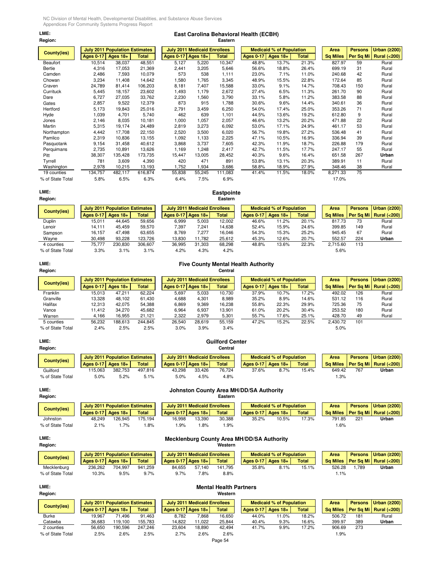# **LME: East Carolina Behavioral Health (ECBH) Region: Eastern**

|                    |                  | <b>July 2011 Population Estimates</b> |              |                  | <b>July 2011 Medicaid Enrollees</b> |         |                  | <b>Medicaid % of Population</b> |              | Area            | <b>Persons</b> | <b>Urban (≥200)</b>    |
|--------------------|------------------|---------------------------------------|--------------|------------------|-------------------------------------|---------|------------------|---------------------------------|--------------|-----------------|----------------|------------------------|
| <b>County(ies)</b> | <b>Ages 0-17</b> | Ages $18+$                            | <b>Total</b> | <b>Ages 0-17</b> | <b>Ages 18+</b>                     | Total   | <b>Ages 0-17</b> | Ages $18+$                      | <b>Total</b> | <b>Sq Miles</b> | Per Sq Mi      | <b>Rural (&lt;200)</b> |
| Beaufort           | 10,514           | 38,037                                | 48,551       | 5,127            | 5,220                               | 10,347  | 48.8%            | 13.7%                           | 21.3%        | 827.97          | 59             | Rural                  |
| Bertie             | 4,316            | 17,053                                | 21,369       | 2,441            | 3,205                               | 5,646   | 56.6%            | 18.8%                           | 26.4%        | 699.19          | 31             | Rural                  |
| Camden             | 2,486            | 7,593                                 | 10,079       | 573              | 538                                 | 1,111   | 23.0%            | 7.1%                            | 11.0%        | 240.68          | 42             | Rural                  |
| Chowan             | 3,234            | 11,408                                | 14,642       | 1,580            | 1,765                               | 3,345   | 48.9%            | 15.5%                           | 22.8%        | 172.64          | 85             | Rural                  |
| Craven             | 24,789           | 81,414                                | 106,203      | 8,181            | 7,407                               | 15,588  | 33.0%            | 9.1%                            | 14.7%        | 708.43          | 150            | Rural                  |
| Currituck          | 5,445            | 18,157                                | 23,602       | 1,493            | 1.179                               | 2,672   | 27.4%            | 6.5%                            | 11.3%        | 261.70          | 90             | Rural                  |
| Dare               | 6,727            | 27,035                                | 33,762       | 2,230            | 1,560                               | 3,790   | 33.1%            | 5.8%                            | 11.2%        | 383.58          | 88             | Rural                  |
| Gates              | 2,857            | 9,522                                 | 12,379       | 873              | 915                                 | 1,788   | 30.6%            | 9.6%                            | 14.4%        | 340.61          | 36             | Rural                  |
| Hertford           | 5,173            | 19,843                                | 25,016       | 2,791            | 3,459                               | 6,250   | 54.0%            | 17.4%                           | 25.0%        | 353.26          | 71             | Rural                  |
| Hyde               | 1,039            | 4,701                                 | 5,740        | 462              | 639                                 | 1,101   | 44.5%            | 13.6%                           | 19.2%        | 612.80          | 9              | Rural                  |
| Jones              | 2,146            | 8,035                                 | 10,181       | 1,000            | 1,057                               | 2,057   | 46.6%            | 13.2%                           | 20.2%        | 471.88          | 22             | Rural                  |
| Martin             | 5,315            | 19,174                                | 24,489       | 2,819            | 3,273                               | 6,092   | 53.0%            | 17.1%                           | 24.9%        | 461.17          | 53             | Rural                  |
| Northampton        | 4,442            | 17.708                                | 22,150       | 2,520            | 3,500                               | 6,020   | 56.7%            | 19.8%                           | 27.2%        | 536.48          | 41             | Rural                  |
| Pamlico            | 2,319            | 10,836                                | 13,155       | 1,092            | 1,133                               | 2,225   | 47.1%            | 10.5%                           | 16.9%        | 336.94          | 39             | Rural                  |
| Pasquotank         | 9,154            | 31,458                                | 40,612       | 3,868            | 3,737                               | 7,605   | 42.3%            | 11.9%                           | 18.7%        | 226.88          | 179            | Rural                  |
| Perquimans         | 2,735            | 10,891                                | 13,626       | 1,169            | 1.248                               | 2,417   | 42.7%            | 11.5%                           | 17.7%        | 247.17          | 55             | Rural                  |
| Pitt               | 38,307           | 135,428                               | 173,735      | 15,447           | 13,005                              | 28,452  | 40.3%            | 9.6%                            | 16.4%        | 651.58          | 267            | Urban                  |
| Tyrrell            | 781              | 3,609                                 | 4,390        | 420              | 471                                 | 891     | 53.8%            | 13.1%                           | 20.3%        | 389.91          | 11             | Rural                  |
| Washington         | 2,978            | 10,215                                | 13,193       | 1,752            | 1,934                               | 3,686   | 58.8%            | 18.9%                           | 27.9%        | 348.46          | 38             | Rural                  |
| 19 counties        | 134,757          | 482,117                               | 616,874      | 55,838           | 55,245                              | 111,083 | 41.4%            | 11.5%                           | 18.0%        | 8,271.33        | 75             |                        |
| % of State Total   | 5.8%             | 6.5%                                  | 6.3%         | 6.4%             | 7.5%                                | 6.9%    |                  |                                 |              | 17.0%           |                |                        |

# **LME: Eastpointe**

# **Region: Eastern**

| County(ies)      |           | <b>July 2011 Population Estimates</b> |              | <b>July 2011 Medicaid Enrollees</b> |        |              |  |                  | <b>Medicaid % of Population</b> |              | Area            | <b>Persons</b> | Urban $(2200)$            |
|------------------|-----------|---------------------------------------|--------------|-------------------------------------|--------|--------------|--|------------------|---------------------------------|--------------|-----------------|----------------|---------------------------|
|                  | Ages 0-17 | Ages $18+$                            | <b>Total</b> | Ages $0-17$ Ages $18+$              |        | <b>Total</b> |  | <b>Ages 0-17</b> | Ages $18+$                      | <b>Total</b> | <b>Sq Miles</b> |                | Per Sq Mi   Rural $(200)$ |
| Duplin           | 15.011    | 44.645                                | 59.656       | 6,999                               | 5.003  | 12.002       |  | 46.6%            | 11.2%                           | 20.1%        | 817.73          | 73             | Rural                     |
| Lenoir           | 14.111    | 45.459                                | 59.570       | 7,397                               | 7.241  | 14.638       |  | 52.4%            | 15.9%                           | 24.6%        | 399.85          | 149            | Rural                     |
| Sampson          | 16.157    | 47.498                                | 63.655       | 8.769                               | 7.277  | 16.046       |  | 54.3%            | 15.3%                           | 25.2%        | 945.45          | 67             | Rural                     |
| Wayne            | 30.498    | 93.228                                | 123,726      | 13,830                              | 11.782 | 25,612       |  | 45.3%            | 12.6%                           | 20.7%        | 552.57          | 224            | Urban                     |
| 4 counties       | 75.777    | 230.830                               | 306.607      | 36,995                              | 31,303 | 68,298       |  | 48.8%            | 13.6%                           | 22.3%        | 2,715.60        | 113            |                           |
| % of State Total | 3.3%      | 3.1%                                  | 3.1%         | 4.2%                                | 4.3%   | 4.2%         |  |                  |                                 |              | 5.6%            |                |                           |

### **LME: Five County Mental Health Authority Region: Central July 2011 Population Estimates July 2011 Medicaid Enrollees Medicaid % of Population Area Persons Urban (≥200) Ages 0-17 | Ages 18+ | Total | Ages 0-17 | Ages 18+ | Total | Ages 0-17 | Ages 0-17 | Ages 18+ | Total | Sq Miles | Per Sq Mi | Rural (<200)<br>15,013 15,013 16 | Sq Miles | Rural (<200)<br>17.9% 17.2% 17.2% 199.02 126 | Rural** Franklin 15,013 47,211 62,224 5,697 5,033 10,730 37.9% 10.7% 17.2% 492.02 126 Rural Granville 13,328 48,102 61,430 4,688 4,301 8,989 35.2% 8.9% 14.6% 531.12 116 Rural Halifax 12,313 42,075 54,388 6,869 9,369 16,238 55.8% 22.3% 29.9% 725.36 75 Rural Vance 11,412 34,270 45,682 6,964 6,937 13,901 61.0% 20.2% 30.4% 253.52 180 Rural Warren 4,166 16,955 21,121 2,322 2,979 5,301 55.7% 17.6% 25.1% 428.70 49 Rural 5 counties 56,232 188,613 244,845 26,540 28,619 55,159 47.2% 15.2% 22.5% 2,430.72 101 % of State Total 2.4% 2.5% 2.5% 3.0% 3.9% 3.4% 5.0% **County(ies)**

| LME:<br>Region:    |                        |                                       |              |                                     |                     | <b>Guilford Center</b><br>Central |                        |                                 |              |        |     |                                     |
|--------------------|------------------------|---------------------------------------|--------------|-------------------------------------|---------------------|-----------------------------------|------------------------|---------------------------------|--------------|--------|-----|-------------------------------------|
| <b>County(ies)</b> |                        | <b>July 2011 Population Estimates</b> |              | <b>July 2011 Medicaid Enrollees</b> |                     |                                   |                        | <b>Medicaid % of Population</b> |              | Area   |     | Persons Urban (≥200)                |
|                    | Ages $0-17$ Ages $18+$ |                                       | <b>Total</b> |                                     | Ages 0-17 Ages 18+1 | <b>Total</b>                      | Ages $0-17$ Ages $18+$ |                                 | <b>Total</b> |        |     | Sa Miles   Per Sa Mi   Rural (<200) |
| Guilford           | 115.063                | 382.753                               | 497.816      | 43.298                              | 33.426              | 76.724                            | 37.6%                  | 8.7%                            | 15.4%        | 649.42 | 767 | Urban                               |
| % of State Total   | 5.0%                   | 5.2%                                  | 5.1%         | 5.0%                                | 4.5%                | 4.8%                              |                        |                                 |              | 1.3%   |     |                                     |

| County(ies)      |                        | <b>July 2011 Population Estimates</b> |              |
|------------------|------------------------|---------------------------------------|--------------|
|                  | Ages $0-17$ Ages $18+$ |                                       | <b>Total</b> |
| Johnston         | 48.249                 | 126.945                               | 175.194      |
| % of State Total | $2.1\%$                | 1.7%                                  | 1.8%         |

# **LME: Johnston County Area MH/DD/SA Authority**

| Region:          |           |                                       |        |        |                                     | Eastern      |                  |                                 |              |        |        |                                     |
|------------------|-----------|---------------------------------------|--------|--------|-------------------------------------|--------------|------------------|---------------------------------|--------------|--------|--------|-------------------------------------|
| County(ies)      |           | <b>July 2011 Population Estimates</b> |        |        | <b>July 2011 Medicaid Enrollees</b> |              |                  | <b>Medicaid % of Population</b> |              | Area   |        | Persons Urban (≥200)                |
|                  | Ages 0-17 | Ages $18+$                            | Total  |        | Ages $0-17$ Ages $18+$              | <b>Total</b> | <b>Ages 0-17</b> | Ages $18+$                      | <b>Total</b> |        |        | Sa Miles   Per Sa Mi   Rural (<200) |
| Johnston         | 48.249    | 126.945                               | 75.194 | 16.998 | 13.390                              | 30.388       | 35.2%            | 10.5%                           | 17.3%        | 791.85 | $22 -$ | Urban                               |
| % of State Total | 2.1%      | $.7\%$                                | .8%    | .9%    | .8%                                 | $.9\%$       |                  |                                 |              | 1.6%   |        |                                     |

# **LME: Mecklenburg County Area MH/DD/SA Authority**

| Region:          |                                       |         |              |                                     |                    | Western      |  |                                 |            |              |        |      |                        |                                     |
|------------------|---------------------------------------|---------|--------------|-------------------------------------|--------------------|--------------|--|---------------------------------|------------|--------------|--------|------|------------------------|-------------------------------------|
| County(ies)      | <b>July 2011 Population Estimates</b> |         |              | <b>July 2011 Medicaid Enrollees</b> |                    |              |  | <b>Medicaid % of Population</b> |            | Area         |        |      | Persons   Urban (≥200) |                                     |
|                  | Ages $0-17$ Ages $18+$                |         | <b>Total</b> |                                     | Ages 0-17 Ages 18+ | <b>Total</b> |  | Ages 0-17                       | Ages $18+$ | <b>Total</b> |        |      |                        | Sq Miles   Per Sq Mi   Rural (<200) |
| Mecklenburg      | 236.262                               | 704.997 | 941.259      | 84.655                              | 57.140             | 141.795      |  | 35.8%                           | 8.1%       | 15.1%        | 526.28 |      | .789                   | Urban                               |
| % of State Total | 10.3%                                 | 9.5%    | 9.7%         | 9.7%                                | 7.8%               | 8.8%         |  |                                 |            |              |        | 1.1% |                        |                                     |

# **LME: Mental Health Partners**

| Region:          |                        |                                       |              |                    |                                     | Western      |                  |                                 |              |                 |      |                |                        |
|------------------|------------------------|---------------------------------------|--------------|--------------------|-------------------------------------|--------------|------------------|---------------------------------|--------------|-----------------|------|----------------|------------------------|
| County(ies)      |                        | <b>July 2011 Population Estimates</b> |              |                    | <b>July 2011 Medicaid Enrollees</b> |              |                  | <b>Medicaid % of Population</b> |              | Area            |      | <b>Persons</b> | Urban $(2200)$         |
|                  | Ages $0-17$ Ages $18+$ |                                       | <b>Total</b> | Ages 0-17 Ages 18+ |                                     | <b>Total</b> | <b>Ages 0-17</b> | Ages $18+$                      | <b>Total</b> | <b>Sq Miles</b> |      |                | Per Sq Mi Rural (<200) |
| <b>Burke</b>     | 19.967                 | 71.496                                | 91.463       | 8.782              | 7.868                               | 16.650       | 44.0%            | 11.0%                           | 18.2%        | 506.72          |      | 181            | Rural                  |
| Catawba          | 36.683                 | 119.100                               | 155.783      | 14.822             | 11.022                              | 25,844       | 40.4%            | 9.3%                            | 16.6%        | 399.97          |      | 389            | Urban                  |
| 2 counties       | 56,650                 | 190.596                               | 247.246      | 23.604             | 18.890                              | 42.494       | 41.7%            | 9.9%                            | 17.2%        | 906.69          |      | 273            |                        |
| % of State Total | 2.5%                   | 2.6%                                  | 2.5%         | 2.7%               | 2.6%                                | 2.6%         |                  |                                 |              |                 | 1.9% |                |                        |
|                  |                        |                                       |              |                    |                                     | Page 54      |                  |                                 |              |                 |      |                |                        |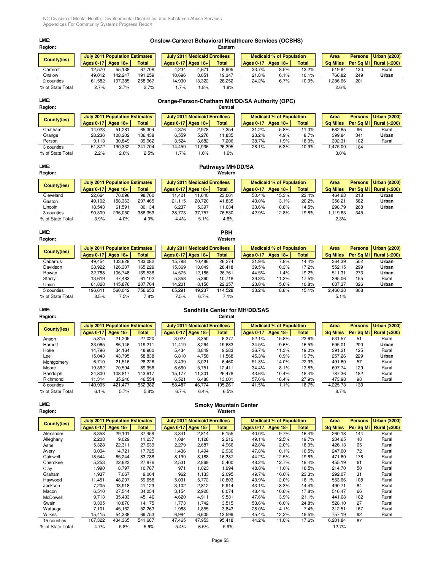# **LME: Onslow-Carteret Behavioral Healthcare Services (OCBHS)**

| <b>Region:</b>   |           |                                       |              |           |                                     | Eastern      |           |                                 |              |                 |     |                             |
|------------------|-----------|---------------------------------------|--------------|-----------|-------------------------------------|--------------|-----------|---------------------------------|--------------|-----------------|-----|-----------------------------|
| County(ies)      |           | <b>July 2011 Population Estimates</b> |              |           | <b>July 2011 Medicaid Enrollees</b> |              |           | <b>Medicaid % of Population</b> |              | Area            |     | <b>Persons Urban (≥200)</b> |
|                  | Ages 0-17 | Ages $18+$                            | <b>Total</b> | Ages 0-17 | Ages $18+$                          | <b>Total</b> | Ages 0-17 | Ages $18+$                      | <b>Total</b> | <b>Sa Miles</b> |     | Per Sa Mil Rural (<200)     |
| Carteret         | 12.570    | 55.138                                | 67.708       | 4.234     | 4.671                               | 8,905        | 33.7%     | 8.5%                            | 13.2%        | 519.84          | 130 | Rural                       |
| Onslow           | 49.012    | 142.247                               | 191,259      | 10.696    | 8,651                               | 19,347       | 21.8%     | 6.1%                            | 10.1%        | 766.82          | 249 | Urban                       |
| 2 counties       | 61.582    | 197.385                               | 258.967      | 14.930    | 13.322                              | 28.252       | 24.2%     | 6.7%                            | 10.9%        | .286.66         | 201 |                             |
| % of State Total | 2.7%      | 2.7%                                  | 2.7%         | .7%       | $.8\%$                              | $1.8\%$      |           |                                 |              | 2.6%            |     |                             |

# **LME: Orange-Person-Chatham MH/DD/SA Authority (OPC) Region: Central**

| County(ies)      |           | July 2011 Population Estimates |              |                        | <b>July 2011 Medicaid Enrollees</b> |              |           | <b>Medicaid % of Population</b> |              | Area            |        | <b>Persons</b> | Urban $(2200)$         |
|------------------|-----------|--------------------------------|--------------|------------------------|-------------------------------------|--------------|-----------|---------------------------------|--------------|-----------------|--------|----------------|------------------------|
|                  | Ages 0-17 | Ages $18+$                     | <b>Total</b> | Ages $0-17$ Ages $18+$ |                                     | <b>Total</b> | Ages 0-17 | Ages $18+$                      | <b>Total</b> | <b>Sa Miles</b> |        | Per Sa Mi      | <b>Rural (&lt;200)</b> |
| Chatham          | 14.023    | 51.281                         | 65.304       | 4.376                  | 2.978                               | 7.354        | 31.2%     | 5.8%                            | 11.3%        |                 | 682.85 | 96             | Rural                  |
| Orange           | 28.236    | 108.202                        | 136.438      | 6.559                  | 5.276                               | 11.835       | 23.2%     | 4.9%                            | 8.7%         |                 | 399.84 | 341            | Urban                  |
| Person           | 9.113     | 30.849                         | 39,962       | 3,524                  | 3.682                               | 7,206        | 38.7%     | 11.9%                           | 18.0%        | 392.31          |        | 102            | Rural                  |
| 3 counties       | 51.372    | 190.332                        | 241.704      | 14.459                 | 1.936                               | 26.395       | 28.1%     | 6.3%                            | 10.9%        | .475.00         |        | 164            |                        |
| % of State Total | 2.2%      | 2.6%                           | 2.5%         | .7%                    | .6%                                 | .6%          |           |                                 |              |                 | 3.0%   |                |                        |

# **LME: Pathways MH/DD/SA**

| Region:          |                  |                                |              |        |                                     | Western      |                  |                                 |              |                 |                |                          |
|------------------|------------------|--------------------------------|--------------|--------|-------------------------------------|--------------|------------------|---------------------------------|--------------|-----------------|----------------|--------------------------|
| County(ies)      |                  | July 2011 Population Estimates |              |        | <b>July 2011 Medicaid Enrollees</b> |              |                  | <b>Medicaid % of Population</b> |              | Area            | <b>Persons</b> | Urban $(2200)$           |
|                  | <b>Ages 0-17</b> | Ages $18+$                     | <b>Total</b> |        | Ages $0-17$ Ages $18+$              | <b>Total</b> | <b>Ages 0-17</b> | Ages $18+$                      | <b>Total</b> | <b>Sq Miles</b> |                | Per Sa Mi   Rural (<200) |
| Cleveland        | 22.664           | 76,096                         | 98.760       | 11.421 | 11.640                              | 23.061       | 50.4%            | 15.3%                           | 23.4%        | 464.63          | 213            | Urban                    |
| Gaston           | 49.102           | 158.363                        | 207.465      | 21.115 | 20.720                              | 41.835       | 43.0%            | 13.1%                           | 20.2%        | 356.21          | 582            | Urban                    |
| Lincoln          | 18.543           | 61.591                         | 80,134       | 6,237  | 5,397                               | 11,634       | 33.6%            | 8.8%                            | 14.5%        | 298.79          | 268            | Urban                    |
| 3 counties       | 90.309           | 296.050                        | 386.359      | 38.773 | 37.757                              | 76.530       | 42.9%            | 12.8%                           | 19.8%        | .119.63         | 345            |                          |
| % of State Total | 3.9%             | 4.0%                           | 4.0%         | 4.4%   | 5.1%                                | 4.8%         |                  |                                 |              | 2.3%            |                |                          |

# **LME: PBH**

### **Region: Western July 2011 Population Estimates** July 2011 Medicaid Enrollees Medicaid % of Population Area Persons Urban (≥200)<br>Ages 0-17 | Ages 18+ | Total | Ages 0-17 | Ages 18+ | Total | Ages 0-17 | Ages 18+ | Total | Sq Miles | Per Ages 0-17 | Ages 18+ | Total | Ages 0-17 | Ages 18+ | Total | Ages 0-17 | Ages 18+ | Total | Sq Miles | Per Sq Mi | Rural (<200) Cabarrus 49,454 133,628 183,082 15,788 10,486 26,274 31.9% 7.8% 14.4% 364.39 502 **Urban** Davidson 38,922 126,307 165,229 15,369 13,049 28,418 39.5% 10.3% 17.2% 552.15 299 **Urban** Rowan 32,788 106,748 139,536 14,575 12,186 26,761 44.5% 11.4% 19.2% 511.31 273 **Urban** Stanly 13,619 47,483 61,102 5,358 5,360 10,718 39.3% 11.3% 17.5% 395.06 155 Rural Union 61,828 145,876 207,704 14,201 8,156 22,357 23.0% 5.6% 10.8% 637.37 326 **Urban** 5 counties 196,611 560,042 756,653 65,291 49,237 114,528 33.2% 8.8% 15.1% 2,460.28 308 % of State Total 8.5% 7.5% 7.8% 7.5% 6.7% 7.1% 5.1% **County(ies)**

# **LME: Sandhills Center for MH/DD/SAS Region: Central**

| County(ies)      |           | <b>July 2011 Population Estimates</b> |         |                        | <b>July 2011 Medicaid Enrollees</b> |         |                  | <b>Medicaid % of Population</b> |       | Area            | <b>Persons</b> | Urban $(2200)$         |
|------------------|-----------|---------------------------------------|---------|------------------------|-------------------------------------|---------|------------------|---------------------------------|-------|-----------------|----------------|------------------------|
|                  | Ages 0-17 | Ages 18+                              | Total   | Ages $0-17$ Ages $18+$ |                                     | Total   | <b>Ages 0-17</b> | Ages $18+$                      | Total | <b>Sq Miles</b> | Per Sa Mil     | <b>Rural (&lt;200)</b> |
| Anson            | 5.815     | 21.205                                | 27.020  | 3.027                  | 3.350                               | 6,377   | 52.1%            | 15.8%                           | 23.6% | 531.57          | 51             | Rural                  |
| Harnett          | 33.065    | 86.146                                | 119.211 | 11.419                 | 8.264                               | 19.683  | 34.5%            | 9.6%                            | 16.5% | 595.01          | 200            | Urban                  |
| Hoke             | 14.796    | 34.164                                | 48.960  | 5.434                  | 3.849                               | 9,283   | 36.7%            | 11.3%                           | 19.0% | 391.21          | 125            | Rural                  |
| Lee              | 15.043    | 43.795                                | 58.838  | 6.810                  | 4.758                               | 11.568  | 45.3%            | 10.9%                           | 19.7% | 257.26          | 229            | Urban                  |
| Montgomery       | 6.710     | 21.516                                | 28.226  | 3.439                  | 3.021                               | 6.460   | 51.3%            | 14.0%                           | 22.9% | 491.60          | 57             | Rural                  |
| Moore            | 19.362    | 70.594                                | 89.956  | 6.660                  | 5.751                               | 12.411  | 34.4%            | 8.1%                            | 13.8% | 697.74          | 129            | Rural                  |
| Randolph         | 34.800    | 108.817                               | 143.617 | 15.177                 | 11.301                              | 26.478  | 43.6%            | 10.4%                           | 18.4% | 787.36          | 182            | Rural                  |
| Richmond         | 11.314    | 35.240                                | 46,554  | 6.521                  | 6.480                               | 13,001  | 57.6%            | 18.4%                           | 27.9% | 473.98          | 98             | Rural                  |
| 8 counties       | 140.905   | 421.477                               | 562,382 | 58.487                 | 46.774                              | 105.261 | 41.5%            | 11.1%                           | 18.7% | 4.225.73        | 133            |                        |
| % of State Total | 6.1%      | 5.7%                                  | 5.8%    | 6.7%                   | 6.4%                                | 6.5%    |                  |                                 |       | 8.7%            |                |                        |

# **LME: Smoky Mountain Center**

| Region:          |                  |                                       |              |                    |                                     | Western |                  |                                 |       |                 |                |                        |
|------------------|------------------|---------------------------------------|--------------|--------------------|-------------------------------------|---------|------------------|---------------------------------|-------|-----------------|----------------|------------------------|
|                  |                  | <b>July 2011 Population Estimates</b> |              |                    | <b>July 2011 Medicaid Enrollees</b> |         |                  | <b>Medicaid % of Population</b> |       | Area            | <b>Persons</b> | <b>Urban (≥200)</b>    |
| County(ies)      | <b>Ages 0-17</b> | Ages $18+$                            | <b>Total</b> | Ages 0-17 Ages 18+ |                                     | Total   | <b>Ages 0-17</b> | Ages $18+$                      | Total | <b>Sq Miles</b> |                | Per Sq Mi Rural (<200) |
| Alexander        | 8,358            | 29,101                                | 37,459       | 3,341              | 2,814                               | 6,155   | 40.0%            | 9.7%                            | 16.4% | 260.18          | 144            | Rural                  |
| Alleghany        | 2,208            | 9.029                                 | 11,237       | 1,084              | 1,128                               | 2,212   | 49.1%            | 12.5%                           | 19.7% | 234.65          | 48             | Rural                  |
| Ashe             | 5,328            | 22,311                                | 27,639       | 2,279              | 2,687                               | 4,966   | 42.8%            | 12.0%                           | 18.0% | 426.13          | 65             | Rural                  |
| Avery            | 3,004            | 14,721                                | 17,725       | 1,436              | 1,494                               | 2,930   | 47.8%            | 10.1%                           | 16.5% | 247.00          | 72             | Rural                  |
| Caldwell         | 18,544           | 65,244                                | 83,788       | 8,199              | 8,188                               | 16,387  | 44.2%            | 12.5%                           | 19.6% | 471.60          | 178            | Rural                  |
| Cherokee         | 5,253            | 22,623                                | 27,876       | 2,531              | 2,869                               | 5,400   | 48.2%            | 12.7%                           | 19.4% | 455.19          | 61             | Rural                  |
| Clay             | 1.990            | 8,797                                 | 10,787       | 971                | 1,023                               | 1,994   | 48.8%            | 11.6%                           | 18.5% | 214.70          | 50             | Rural                  |
| Graham           | 1,937            | 7.067                                 | 9,004        | 962                | 1.133                               | 2,095   | 49.7%            | 16.0%                           | 23.3% | 292.07          | 31             | Rural                  |
| Haywood          | 11,451           | 48,207                                | 59,658       | 5,031              | 5,772                               | 10,803  | 43.9%            | 12.0%                           | 18.1% | 553.66          | 108            | Rural                  |
| Jackson          | 7,205            | 33.918                                | 41,123       | 3,102              | 2.812                               | 5,914   | 43.1%            | 8.3%                            | 14.4% | 490.71          | 84             | Rural                  |
| Macon            | 6,510            | 27,544                                | 34,054       | 3,154              | 2,920                               | 6,074   | 48.4%            | 10.6%                           | 17.8% | 516.47          | 66             | Rural                  |
| McDowell         | 9,713            | 35,433                                | 45,146       | 4,620              | 4,911                               | 9,531   | 47.6%            | 13.9%                           | 21.1% | 441.68          | 102            | Rural                  |
| Swain            | 3,305            | 10,870                                | 14,175       | 1,773              | 1,742                               | 3,515   | 53.6%            | 16.0%                           | 24.8% | 528.10          | 27             | Rural                  |
| Watauga          | 7,101            | 45,162                                | 52,263       | 1,988              | 1,855                               | 3,843   | 28.0%            | 4.1%                            | 7.4%  | 312.51          | 167            | Rural                  |
| Wilkes           | 15,415           | 54,338                                | 69,753       | 6,994              | 6,605                               | 13,599  | 45.4%            | 12.2%                           | 19.5% | 757.19          | 92             | Rural                  |
| 15 counties      | 107,322          | 434,365                               | 541,687      | 47,465             | 47,953                              | 95,418  | 44.2%            | 11.0%                           | 17.6% | 6,201.84        | 87             |                        |
| % of State Total | 4.7%             | 5.8%                                  | 5.6%         | 5.4%               | 6.5%                                | 5.9%    |                  |                                 |       | 12.7%           |                |                        |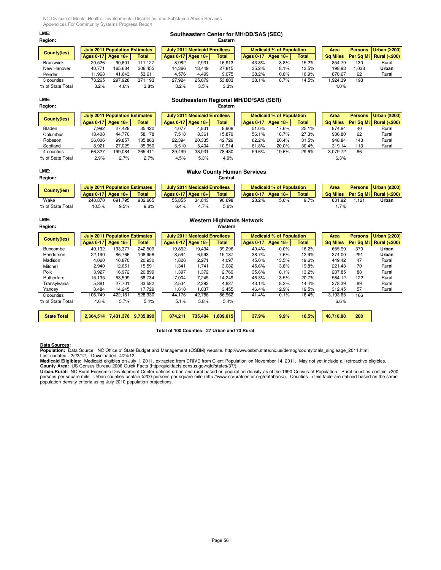| <b>County(ies)</b> |                  | <b>July 2011 Population Estimates</b> |              |
|--------------------|------------------|---------------------------------------|--------------|
|                    | <b>Ages 0-17</b> | Ages $18+$                            | <b>Total</b> |
| <b>Brunswick</b>   | 20.526           | 90.601                                | 111,127      |
| New Hanover        | 40.771           | 165.684                               | 206.455      |
| Pender             | 11.968           | 41,643                                | 53,611       |
| 3 counties         | 73.265           | 297.928                               | 371,193      |
|                    |                  |                                       |              |

# **LME: Southeastern Center for MH/DD/SAS (SEC)**

| Region:            |        |                                       |              |        |                                     | Eastern      |                  |                                 |              |                 |                |                        |
|--------------------|--------|---------------------------------------|--------------|--------|-------------------------------------|--------------|------------------|---------------------------------|--------------|-----------------|----------------|------------------------|
| <b>County(ies)</b> |        | <b>July 2011 Population Estimates</b> |              |        | <b>July 2011 Medicaid Enrollees</b> |              |                  | <b>Medicaid % of Population</b> |              | Area            | <b>Persons</b> | Urban $(2200)$         |
|                    |        | Ages $0-17$ Ages $18+$                | <b>Total</b> |        | Ages $0-17$ Ages $18+$              | <b>Total</b> | <b>Ages 0-17</b> | Ages $18+$                      | <b>Total</b> | <b>Sa Miles</b> |                | Per Sq Mi Rural (<200) |
| <b>Brunswick</b>   | 20.526 | 90.601                                | 111.127      | 8,982  | 7.931                               | 16.913       | 43.8%            | 8.8%                            | 15.2%        | 854.79          | 130            | Rural                  |
| New Hanover        | 40.771 | 165.684                               | 206.455      | 14.366 | 13.449                              | 27.815       | 35.2%            | 8.1%                            | 13.5%        | 198.93          | .038           | Urban                  |
| Pender             | 11,968 | 41.643                                | 53,611       | 4,576  | 4,499                               | 9,075        | 38.2%            | 10.8%                           | 16.9%        | 870.67          | 62             | Rural                  |
| 3 counties         | 73,265 | 297.928                               | 371.193      | 27.924 | 25.879                              | 53.803       | 38.1%            | 8.7%                            | 14.5%        | .924.39         | 193            |                        |
| % of State Total   | 3.2%   | 4.0%                                  | 3.8%         | 3.2%   | 3.5%                                | 3.3%         |                  |                                 |              | 4.0%            |                |                        |

# **LME: Southeastern Regional MH/DD/SAS (SER) Region: Eastern**

| County(ies)      | <b>July 2011 Population Estimates</b> |            |              |                        | <b>July 2011 Medicaid Enrollees</b> |              |                  |       | <b>Medicaid % of Population</b> |              | Area            |          | <b>Persons</b> | Urban (≥200)           |
|------------------|---------------------------------------|------------|--------------|------------------------|-------------------------------------|--------------|------------------|-------|---------------------------------|--------------|-----------------|----------|----------------|------------------------|
|                  | Ages 0-17                             | Ages $18+$ | <b>Total</b> | Ages $0-17$ Ages $18+$ |                                     | <b>Total</b> | <b>Ages 0-17</b> |       | Ages $18+$                      | <b>Total</b> | <b>Sq Miles</b> |          |                | Per Sq Mi Rural (<200) |
| Bladen           | 7.992                                 | 27.428     | 35.420       | 4.077                  | 4.831                               | 8.908        |                  | 51.0% | 17.6%                           | 25.1%        |                 | 874.94   | 40             | Rural                  |
| Columbus         | 13.408                                | 44.770     | 58.178       | 7.518                  | 8.361                               | 15.879       |                  | 56.1% | 18.7%                           | 27.3%        |                 | 936.80   | 62             | Rural                  |
| Robeson          | 36.006                                | 99.857     | 135.863      | 22,394                 | 20.335                              | 42.729       |                  | 62.2% | 20.4%                           | 31.5%        |                 | 948.84   | 143            | Rural                  |
| Scotland         | 8.921                                 | 27.029     | 35,950       | 5,510                  | 5,404                               | 10,914       |                  | 61.8% | 20.0%                           | 30.4%        |                 | 319.14   | 113            | Rural                  |
| 4 counties       | 66.327                                | 199.084    | 265.411      | 39.499                 | 38.931                              | 78.430       |                  | 59.6% | 19.6%                           | 29.6%        |                 | 3.079.72 | 86             |                        |
| % of State Total | 2.9%                                  | 2.7%       | 2.7%         | 4.5%                   | 5.3%                                | 4.9%         |                  |       |                                 |              |                 | 6.3%     |                |                        |

## **LME: Wake County Human Services Region: Central July 2011 Population Estimates | July 2011 Medicaid Enrollees | Medicaid % of Population | Area | Persons | Urban (≥200)** Ages 0-17 | Ages 18+ | Total | Ages 0-17 | Ages 18+ | Total | Ages 0-17 | Ages 18+ | Total | Sq Miles | Per Sq Mi | Rural (<200) Wake 240,870 691,795 932,665 55,855 34,843 90,698 23.2% 5.0% 9.7% 831.92 1,121 **Urban** % of State Total 10.5% 9.3% 9.6% 6.4% 4.7% 5.6% 1.7% **County(ies)**

# **LME: Western Highlands Network**

| Region:            |                  |                                       |           |                  |                                     | Western      |                  |                                 |              |                 |                |                        |
|--------------------|------------------|---------------------------------------|-----------|------------------|-------------------------------------|--------------|------------------|---------------------------------|--------------|-----------------|----------------|------------------------|
| County(ies)        |                  | <b>July 2011 Population Estimates</b> |           |                  | <b>July 2011 Medicaid Enrollees</b> |              |                  | <b>Medicaid % of Population</b> |              | Area            | <b>Persons</b> | Urban $(2200)$         |
|                    | <b>Ages 0-17</b> | Ages $18+$                            | Total     | <b>Ages 0-17</b> | Ages $18+1$                         | <b>Total</b> | <b>Ages 0-17</b> | Ages $18+$                      | <b>Total</b> | <b>Sq Miles</b> | Per Sq Mi      | <b>Rural (&lt;200)</b> |
| Buncombe           | 49.132           | 193.377                               | 242.509   | 19,862           | 19.434                              | 39,296       | 40.4%            | 10.0%                           | 16.2%        | 655.99          | 370            | Urban                  |
| Henderson          | 22.190           | 86.766                                | 108,956   | 8,594            | 6,593                               | 15,187       | 38.7%            | 7.6%                            | 13.9%        | 374.00          | 291            | Urban                  |
| Madison            | 4,060            | 16,870                                | 20,930    | 1,826            | 2,271                               | 4,097        | 45.0%            | 13.5%                           | 19.6%        | 449.42          | 47             | Rural                  |
| Mitchell           | 2,940            | 12,651                                | 15,591    | 341.ا            | 1.741                               | 3,082        | 45.6%            | 13.8%                           | 19.8%        | 221.43          | 70             | Rural                  |
| Polk               | 3,927            | 16.972                                | 20,899    | 1,397            | 1.372                               | 2,769        | 35.6%            | 8.1%                            | 13.2%        | 237.85          | 88             | Rural                  |
| Rutherford         | 15,135           | 53,599                                | 68,734    | 7,004            | 7,245                               | 14,249       | 46.3%            | 13.5%                           | 20.7%        | 564.12          | 122            | Rural                  |
| Transylvania       | 5,881            | 27.701                                | 33,582    | 2,534            | 2,293                               | 4,827        | 43.1%            | 8.3%                            | 14.4%        | 378.39          | 89             | Rural                  |
| Yancey             | 3.484            | 14.245                                | 17,729    | 1,618            | 1,837                               | 3,455        | 46.4%            | 12.9%                           | 19.5%        | 312.45          | 57             | Rural                  |
| 8 counties         | 106.749          | 422.181                               | 528,930   | 44.176           | 42,786                              | 86,962       | 41.4%            | 10.1%                           | 16.4%        | 3,193.65        | 166            |                        |
| % of State Total   | 4.6%             | 5.7%                                  | 5.4%      | 5.1%             | 5.8%                                | 5.4%         |                  |                                 |              | 6.6%            |                |                        |
|                    |                  |                                       |           |                  |                                     |              |                  |                                 |              |                 |                |                        |
| <b>State Total</b> | 2,304,514        | 7,431,376                             | 9,735,890 | 874,211          | 735,404                             | 1,609,615    | 37.9%            | 9.9%                            | 16.5%        | 48,710.88       | 200            |                        |

# **Total of 100 Counties: 27 Urban and 73 Rural**

**Data Sources:**<br>**Population:** Data Source: NC Office of State Budget and Management (OSBM) website. http://www.osbm.state.nc.us/demog/countytotals\_singleage\_2011.html<br>Last updated: 2/23/12, Downloaded: 4/24/12.

**Medicaid Eligibles:** Medicaid eligibles on July 1, 2011, extracted from DRIVE from Client Population on November 14, 2011. May not yet include all retroactive eligibles.<br>**County Area:** US Census Bureau 2006 Quick Facts (h

**Urban/Rural:** NC Rural Economic Development Center defines urban and rural based on population density as of the 1990 Census of Population. Rural counties contain <200<br>persons per square mile. Urban counties contain ≥200

Page 56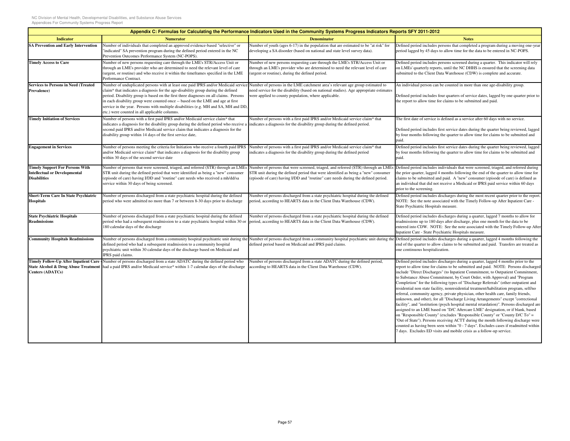|                                                                                                       |                                                                                                                                                                                                                                                                                                                                                                                                                                                                                            | Appendix C: Formulas for Calculating the Performance Indicators Used in the Community Systems Progress Indicators Reports SFY 2011-2012                                                                                                                   |                                                                                                                                                                                                                                                                                                                                                                                                                                                                                                                                                                                                                                                                                                                                                                                                                                                                                                                                                                                                                                                                                                                                                                                                                       |
|-------------------------------------------------------------------------------------------------------|--------------------------------------------------------------------------------------------------------------------------------------------------------------------------------------------------------------------------------------------------------------------------------------------------------------------------------------------------------------------------------------------------------------------------------------------------------------------------------------------|-----------------------------------------------------------------------------------------------------------------------------------------------------------------------------------------------------------------------------------------------------------|-----------------------------------------------------------------------------------------------------------------------------------------------------------------------------------------------------------------------------------------------------------------------------------------------------------------------------------------------------------------------------------------------------------------------------------------------------------------------------------------------------------------------------------------------------------------------------------------------------------------------------------------------------------------------------------------------------------------------------------------------------------------------------------------------------------------------------------------------------------------------------------------------------------------------------------------------------------------------------------------------------------------------------------------------------------------------------------------------------------------------------------------------------------------------------------------------------------------------|
| <b>Indicator</b>                                                                                      | <b>Numerator</b>                                                                                                                                                                                                                                                                                                                                                                                                                                                                           | <b>Denominator</b>                                                                                                                                                                                                                                        | <b>Notes</b>                                                                                                                                                                                                                                                                                                                                                                                                                                                                                                                                                                                                                                                                                                                                                                                                                                                                                                                                                                                                                                                                                                                                                                                                          |
| <b>SA Prevention and Early Intervention</b>                                                           | Number of individuals that completed an approved evidence-based "selective" or<br>'indicated" SA prevention program during the defined period entered in the NC<br>Prevention Outcomes Performance System (NC-POPS).                                                                                                                                                                                                                                                                       | Number of youth (ages 6-17) in the population that are estimated to be "at risk" for<br>leveloping a SA disorder (based on national and state level survey data).                                                                                         | Defined period includes persons that completed a program during a moving one-year<br>period lagged by 45 days to allow time for the data to be entered in NC-POPS.                                                                                                                                                                                                                                                                                                                                                                                                                                                                                                                                                                                                                                                                                                                                                                                                                                                                                                                                                                                                                                                    |
| <b>Timely Access to Care</b>                                                                          | Number of new persons requesting care through the LME's STR/Access Unit or<br>through an LME's provider who are determined to need the relevant level of care<br>(urgent, or routine) and who receive it within the timeframes specified in the LME<br>Performance Contract.                                                                                                                                                                                                               | Number of new persons requesting care through the LME's STR/Access Unit or<br>through an LME's provider who are determined to need the relevant level of care<br>urgent or routine), during the defined period.                                           | Defined period includes persons screened during a quarter. This indicator will rely<br>on LMEs' quarterly reports, until the NC DHHS is ensured that the screening data<br>submitted to the Client Data Warehouse (CDW) is complete and accurate.                                                                                                                                                                                                                                                                                                                                                                                                                                                                                                                                                                                                                                                                                                                                                                                                                                                                                                                                                                     |
| <b>Services to Persons in Need (Treated</b><br>Prevalence)                                            | Number of unduplicated persons with at least one paid IPRS and/or Medicaid service<br>claim* that indicates a diagnosis for the age-disability group during the defined<br>period. Disability group is based on the first three diagnoses on all claims. Persons<br>in each disability group were counted once -- based on the LME and age at first<br>service in the year. Persons with multiple disabilities (e.g. MH and SA, MH and DD<br>etc.) were counted in all applicable columns. | Number of persons in the LME catchment area's relevant age group estimated to<br>heed service for the disability (based on national studies). Age appropriate estimates<br>were applied to county population, where applicable.                           | An individual person can be counted in more than one age-disability group.<br>Defined period includes four quarters of service dates, lagged by one quarter prior to<br>the report to allow time for claims to be submitted and paid.                                                                                                                                                                                                                                                                                                                                                                                                                                                                                                                                                                                                                                                                                                                                                                                                                                                                                                                                                                                 |
| <b>Timely Initiation of Services</b>                                                                  | Number of persons with a first paid IPRS and/or Medicaid service claim* that<br>indicates a diagnosis for the disability group during the defined period who receive a<br>second paid IPRS and/or Medicaid service claim that indicates a diagnosis for the<br>disability group within 14 days of the first service date,                                                                                                                                                                  | Number of persons with a first paid IPRS and/or Medicaid service claim* that<br>indicates a diagnosis for the disability group during the defined period.                                                                                                 | The first date of service is defined as a service after 60 days with no service.<br>Defined period includes first service dates during the quarter being reviewed, lagged<br>by four months following the quarter to allow time for claims to be submitted and<br>paid.                                                                                                                                                                                                                                                                                                                                                                                                                                                                                                                                                                                                                                                                                                                                                                                                                                                                                                                                               |
| <b>Engagement in Services</b>                                                                         | Number of persons meeting the criteria for Initiation who receive a fourth paid IPRS<br>and/or Medicaid service claim* that indicates a diagnosis for the disability group<br>within 30 days of the second service date                                                                                                                                                                                                                                                                    | Number of persons with a first paid IPRS and/or Medicaid service claim* that<br>ndicates a diagnosis for the disability group during the defined period                                                                                                   | Defined period includes first service dates during the quarter being reviewed, lagged<br>by four months following the quarter to allow time for claims to be submitted and<br>paid.                                                                                                                                                                                                                                                                                                                                                                                                                                                                                                                                                                                                                                                                                                                                                                                                                                                                                                                                                                                                                                   |
| <b>Timely Support For Persons With</b><br><b>Intellectual or Developmental</b><br><b>Disabilities</b> | Number of persons that were screened, triaged, and referred (STR) through an LME<br>STR unit during the defined period that were identified as being a "new" consumer<br>(episode of care) having I/DD and "routine" care needs who received a mh/dd/sa<br>service within 30 days of being screened.                                                                                                                                                                                       | Number of persons that were screened, triaged, and referred (STR) through an LME<br>STR unit during the defined period that were identified as being a "new" consumer<br>episode of care) having I/DD and "routine" care needs during the defined period. | Defined period includes individuals that were screened, triaged, and referred during<br>the prior quarter, lagged 4 months following the end of the quarter to allow time for<br>claims to be submitted and paid. A "new" consumer (episode of care) is defined as<br>an individual that did not receive a Medicaid or IPRS paid service within 60 days<br>prior to the screening.                                                                                                                                                                                                                                                                                                                                                                                                                                                                                                                                                                                                                                                                                                                                                                                                                                    |
| <b>Short-Term Care In State Psychiatric</b><br><b>Hospitals</b>                                       | Number of persons discharged from a state psychiatric hospital during the defined<br>period who were admitted no more than 7 or between 8-30 days prior to discharge                                                                                                                                                                                                                                                                                                                       | Number of persons discharged from a state psychiatric hospital during the defined<br>period, according to HEARTS data in the Client Data Warehouse (CDW).                                                                                                 | Defined period includes discharges during the most recent quarter prior to the report.<br>NOTE: See the note associated with the Timely Follow-up After Inpatient Care -<br>State Psychiatric Hospitals measure.                                                                                                                                                                                                                                                                                                                                                                                                                                                                                                                                                                                                                                                                                                                                                                                                                                                                                                                                                                                                      |
| <b>State Psychiatric Hospitals</b><br><b>Readmissions</b>                                             | Number of persons discharged from a state psychiatric hospital during the defined<br>period who had a subsequent readmission to a state psychiatric hospital within 30 or<br>180 calendar days of the discharge                                                                                                                                                                                                                                                                            | Number of persons discharged from a state psychiatric hospital during the defined<br>period, according to HEARTS data in the Client Data Warehouse (CDW).                                                                                                 | Defined period includes discharges during a quarter, lagged 7 months to allow for<br>readmissions up to 180 days after discharge, plus one month for the data to be<br>entered into CDW. NOTE: See the note associated with the Timely Follow-up After<br>Inpatient Care - State Psychiatric Hospitals measure.                                                                                                                                                                                                                                                                                                                                                                                                                                                                                                                                                                                                                                                                                                                                                                                                                                                                                                       |
| <b>Community Hospitals Readmissions</b>                                                               | Number of persons discharged from a community hospital psychiatric unit during the<br>defined period who had a subsequent readmission to a community hospital<br>psychiatric unit within 30 calendar days of the discharge based on Medicaid and<br>IPRS paid claims.                                                                                                                                                                                                                      | Number of persons discharged from a community hospital psychiatric unit during the<br>lefined period based on Medicaid and IPRS paid claims.                                                                                                              | Defined period includes discharges during a quarter, lagged 4 months following the<br>end of the quarter to allow claims to be submitted and paid. Transfers are treated as<br>one continuous hospitalization.                                                                                                                                                                                                                                                                                                                                                                                                                                                                                                                                                                                                                                                                                                                                                                                                                                                                                                                                                                                                        |
| Centers (ADATCs)                                                                                      | Timely Follow-Up After Inpatient Care - Number of persons discharged from a state ADATC during the defined period who<br>State Alcohol & Drug Abuse Treatment had a paid IPRS and/or Medicaid service* within 1-7 calendar days of the discharge                                                                                                                                                                                                                                           | Number of persons discharged from a state ADATC during the defined period,<br>iccording to HEARTS data in the Client Data Warehouse (CDW).                                                                                                                | Defined period includes discharges during a quarter, lagged 4 months prior to the<br>report to allow time for claims to be submitted and paid. NOTE: Persons discharged<br>include "Direct Discharges" (to Inpatient Commitment, to Outpatient Commitment,<br>to Substance Abuse Commitment, by Court Order, with Approval) and "Program<br>Completion" for the following types of "Discharge Referrals" (other outpatient and<br>residential non state facility, nonresidential treatment/habilitation program, self/no<br>referral, community agency, private physician, other health care, family friends,<br>unknown, and other), for all "Discharge Living Arrangements" except "correctional<br>facility", and "institution (psych hospital mental retardation)". Persons discharged are<br>assigned to an LME based on "D/C Aftercare LME" designation, or if blank, based<br>on "Responsible County" (excludes "Responsible County" or "County D/C To" =<br>"Out of State"). Persons receiving ACTT during the month following discharge were<br>counted as having been seen within "0 - 7 days". Excludes cases if readmitted within<br>7 days. Excludes ED visits and mobile crisis as a follow-up service. |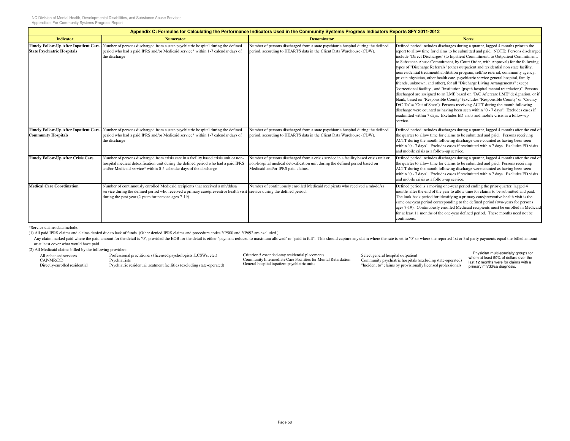| Appendix C: Formulas for Calculating the Performance Indicators Used in the Community Systems Progress Indicators Reports SFY 2011-2012 |                                                                                                                                                                                                                                                                   |                                                                                                                                                                                                           |                                                                                                                                                                                                                                                                                                                                                                                                                                                                                                                                                                                                                                                                                                                                                                                                                                                                                                                                                                                                                                                                                                                                                                                                                                         |  |
|-----------------------------------------------------------------------------------------------------------------------------------------|-------------------------------------------------------------------------------------------------------------------------------------------------------------------------------------------------------------------------------------------------------------------|-----------------------------------------------------------------------------------------------------------------------------------------------------------------------------------------------------------|-----------------------------------------------------------------------------------------------------------------------------------------------------------------------------------------------------------------------------------------------------------------------------------------------------------------------------------------------------------------------------------------------------------------------------------------------------------------------------------------------------------------------------------------------------------------------------------------------------------------------------------------------------------------------------------------------------------------------------------------------------------------------------------------------------------------------------------------------------------------------------------------------------------------------------------------------------------------------------------------------------------------------------------------------------------------------------------------------------------------------------------------------------------------------------------------------------------------------------------------|--|
| <b>Indicator</b>                                                                                                                        | <b>Numerator</b>                                                                                                                                                                                                                                                  | <b>Denominator</b>                                                                                                                                                                                        | <b>Notes</b>                                                                                                                                                                                                                                                                                                                                                                                                                                                                                                                                                                                                                                                                                                                                                                                                                                                                                                                                                                                                                                                                                                                                                                                                                            |  |
| <b>Timely Follow-Up After Inpatient Care</b><br><b>State Psychiatric Hospitals</b>                                                      | Number of persons discharged from a state psychiatric hospital during the defined<br>period who had a paid IPRS and/or Medicaid service* within 1-7 calendar days of<br>the discharge                                                                             | Number of persons discharged from a state psychiatric hospital during the defined<br>period, according to HEARTS data in the Client Data Warehouse (CDW).                                                 | Defined period includes discharges during a quarter, lagged 4 months prior to the<br>report to allow time for claims to be submitted and paid. NOTE: Persons discharged<br>include "Direct Discharges" (to Inpatient Commitment, to Outpatient Commitment,<br>to Substance Abuse Commitment, by Court Order, with Approval) for the following<br>types of "Discharge Referrals" (other outpatient and residential non state facility,<br>nonresidential treatment/habilitation program, self/no referral, community agency,<br>private physician, other health care, psychiatric service general hospital, family<br>friends, unknown, and other), for all "Discharge Living Arrangements" except<br>"correctional facility", and "institution (psych hospital mental retardation)". Persons<br>discharged are assigned to an LME based on "D/C Aftercare LME" designation, or if<br>blank, based on "Responsible County" (excludes "Responsible County" or "County<br>$D/C$ To" = "Out of State"). Persons receiving ACTT during the month following<br>discharge were counted as having been seen within "0 - 7 days". Excludes cases if<br>readmitted within 7 days. Excludes ED visits and mobile crisis as a follow-up<br>service. |  |
| <b>Community Hospitals</b>                                                                                                              | Timely Follow-Up After Inpatient Care - Number of persons discharged from a state psychiatric hospital during the defined<br>period who had a paid IPRS and/or Medicaid service* within 1-7 calendar days of<br>the discharge                                     | Number of persons discharged from a state psychiatric hospital during the defined<br>period, according to HEARTS data in the Client Data Warehouse (CDW).                                                 | Defined period includes discharges during a quarter, lagged 4 months after the end of<br>the quarter to allow time for claims to be submitted and paid. Persons receiving<br>ACTT during the month following discharge were counted as having been seen<br>within "0 - 7 days". Excludes cases if readmitted within 7 days. Excludes ED visits<br>and mobile crisis as a follow-up service.                                                                                                                                                                                                                                                                                                                                                                                                                                                                                                                                                                                                                                                                                                                                                                                                                                             |  |
| <b>Timely Follow-Up After Crisis Care</b>                                                                                               | Number of persons discharged from crisis care in a facility based crisis unit or non-<br>hospital medical detoxification unit during the defined period who had a paid IPRS<br>and/or Medicaid service* within 0-5 calendar days of the discharge                 | Number of persons discharged from a crisis service in a facility based crisis unit or<br>non-hospital medical detoxification unit during the defined period based on<br>Medicaid and/or IPRS paid claims. | Defined period includes discharges during a quarter, lagged 4 months after the end of<br>the quarter to allow time for claims to be submitted and paid. Persons receiving<br>ACTT during the month following discharge were counted as having been seen<br>within "0 - 7 days". Excludes cases if readmitted within 7 days. Excludes ED visits<br>and mobile crisis as a follow-up service.                                                                                                                                                                                                                                                                                                                                                                                                                                                                                                                                                                                                                                                                                                                                                                                                                                             |  |
| <b>Medical Care Coordination</b>                                                                                                        | Number of continuously enrolled Medicaid recipients that received a mh/dd/sa<br>service during the defined period who received a primary care/preventive health visit service during the defined period.<br>during the past year (2 years for persons ages 7-19). | Number of continuously enrolled Medicaid recipients who received a mh/dd/sa                                                                                                                               | Defined period is a moving one-year period ending the prior quarter, lagged 4<br>months after the end of the year to allow time for claims to be submitted and paid.<br>The look-back period for identifying a primary care/preventive health visit is the<br>same one-year period corresponding to the defined period (two-years for persons<br>ages 7-19). Continuously enrolled Medicaid recipients must be enrolled in Medicaid<br>for at least 11 months of the one-year defined period. These months need not be<br>continuous.                                                                                                                                                                                                                                                                                                                                                                                                                                                                                                                                                                                                                                                                                                   |  |

\*Service claims data include:

(1) All paid IPRS claims and claims denied due to lack of funds. (Other denied IPRS claims and procedure codes YP500 and YP692 are excluded.)

Any claim marked paid where the paid amount for the detail is "0", provided the EOB for the detail is either "payment reduced to maximum allowed" or "paid in full". This should capture any claim where the rate is set to "0 or at least cover what would have paid.

(2) All Medicaid claims billed by the following providers:

 Professional practitioners (licensed psychologists, LCSWs, etc.)All enhanced servicesCAP-MR/DD Directly-enrolled residentialPsychiatristsPsychiatric residential treatment facilities (excluding state-operated)

Criterion 5 extended-stay residential placements Community Intermediate Care Facilities for Mental Retardation General hospital inpatient psychiatric units

Select general hospital outpatient Community psychiatric hospitals (excluding state-operated) "Incident to" claims by provisionally licensed professionals

Physician multi-specialty groups for whom at least 50% of dollars over the last 12 months were for claims with a primary mh/dd/sa diagnosis.